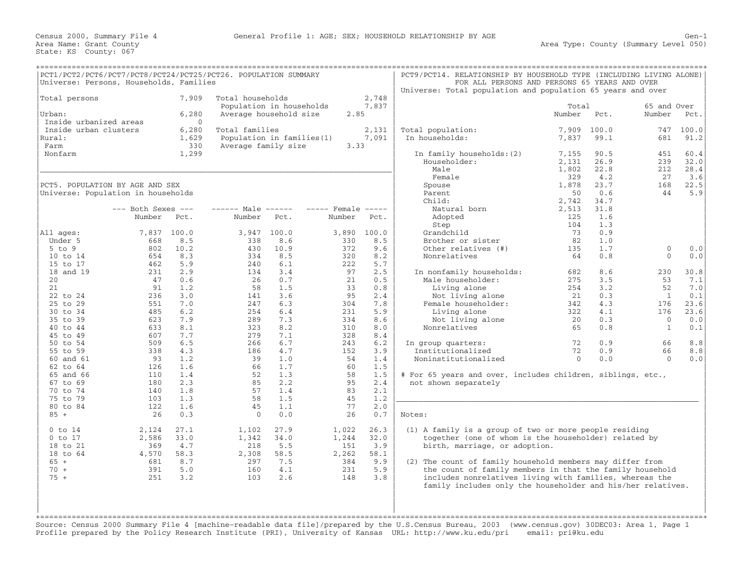|                                                                              | PCT1/PCT2/PCT6/PCT7/PCT8/PCT24/PCT25/PCT26. POPULATION SUMMARY<br>Universe: Persons, Households, Families |                                            |                                                                        |                             |                                |                             | PCT9/PCT14. RELATIONSHIP BY HOUSEHOLD TYPE (INCLUDING LIVING ALONE)<br>FOR ALL PERSONS AND PERSONS 65 YEARS AND OVER                                                                                                                            |                                      |                                    |                                 |                                    |
|------------------------------------------------------------------------------|-----------------------------------------------------------------------------------------------------------|--------------------------------------------|------------------------------------------------------------------------|-----------------------------|--------------------------------|-----------------------------|-------------------------------------------------------------------------------------------------------------------------------------------------------------------------------------------------------------------------------------------------|--------------------------------------|------------------------------------|---------------------------------|------------------------------------|
|                                                                              |                                                                                                           |                                            |                                                                        |                             |                                |                             | Universe: Total population and population 65 years and over                                                                                                                                                                                     |                                      |                                    |                                 |                                    |
| Total persons<br>Urban:                                                      |                                                                                                           | 7,909<br>6,280                             | Total households<br>Population in households<br>Average household size |                             | 2.85                           | 2,748<br>7,837              |                                                                                                                                                                                                                                                 | Total<br>Number                      | Pct.                               | 65 and Over<br>Number           | Pct.                               |
| Inside urbanized areas<br>Inside urban clusters<br>Rural:<br>Farm<br>Nonfarm |                                                                                                           | $\Omega$<br>6,280<br>1,629<br>330<br>1,299 | Total families<br>Population in families (1)<br>Average family size    |                             | 3.33                           | 2,131<br>7,091              | Total population:<br>In households:<br>In family households: (2)                                                                                                                                                                                | 7,909<br>7,837<br>7,155              | 100.0<br>99.1<br>90.5              | 747<br>681<br>451               | 100.0<br>91.2<br>60.4              |
|                                                                              | PCT5. POPULATION BY AGE AND SEX<br>Universe: Population in households                                     |                                            |                                                                        |                             |                                |                             | Householder:<br>Male<br>Female<br>Spouse<br>Parent                                                                                                                                                                                              | 2,131<br>1,802<br>329<br>1,878<br>50 | 26.9<br>22.8<br>4.2<br>23.7<br>0.6 | 239<br>212<br>27<br>168<br>44   | 32.0<br>28.4<br>3.6<br>22.5<br>5.9 |
|                                                                              | $---$ Both Sexes $---$<br>Number                                                                          | Pct.                                       | $--- - - -$ Male $--- -$<br>Number                                     | Pct.                        | $----$ Female $----$<br>Number | Pct.                        | Child:<br>Natural born<br>Adopted                                                                                                                                                                                                               | 2,742<br>2,513<br>125                | 34.7<br>31.8<br>1.6                |                                 |                                    |
| All ages:<br>Under 5                                                         | 7,837<br>668                                                                                              | 100.0<br>8.5                               | 3,947<br>338                                                           | 100.0<br>8.6                | 3,890<br>330                   | 100.0<br>8.5                | Step<br>Grandchild<br>Brother or sister                                                                                                                                                                                                         | 104<br>73<br>82                      | 1.3<br>0.9<br>1.0                  |                                 |                                    |
| $5$ to $9$<br>10 to 14                                                       | 802<br>654                                                                                                | 10.2<br>8.3                                | 430<br>334                                                             | 10.9<br>8.5                 | 372<br>320                     | 9.6<br>8.2                  | Other relatives (#)<br>Nonrelatives                                                                                                                                                                                                             | 135<br>64                            | 1.7<br>0.8                         | $\mathbf 0$<br>$\mathbf{0}$     | 0.0<br>0.0                         |
| 15 to 17<br>18 and 19<br>20                                                  | 462<br>231<br>47                                                                                          | 5.9<br>2.9<br>0.6                          | 240<br>134<br>26                                                       | 6.1<br>3.4<br>0.7           | 222<br>97<br>21                | 5.7<br>2.5<br>0.5           | In nonfamily households:<br>Male householder:                                                                                                                                                                                                   | 682<br>275                           | 8.6<br>3.5                         | 230<br>53                       | 30.8<br>7.1                        |
| 21<br>22 to 24<br>25 to 29                                                   | 91<br>236<br>551                                                                                          | 1.2<br>3.0<br>7.0                          | 58<br>141<br>247                                                       | 1.5<br>3.6<br>6.3           | 33<br>95<br>304                | 0.8<br>2.4<br>7.8           | Living alone<br>Not living alone<br>Female householder:                                                                                                                                                                                         | 254<br>21<br>342                     | 3.2<br>0.3<br>4.3                  | 52<br>1<br>176                  | 7.0<br>0.1<br>23.6                 |
| 30 to 34<br>35 to 39<br>40 to 44                                             | 485<br>623<br>633                                                                                         | 6.2<br>7.9<br>8.1                          | 254<br>289<br>323                                                      | 6.4<br>7.3<br>8.2           | 231<br>334<br>310              | 5.9<br>8.6<br>8.0           | Living alone<br>Not living alone<br>Nonrelatives                                                                                                                                                                                                | 322<br>20<br>65                      | 4.1<br>0.3<br>0.8                  | 176<br>$\Omega$<br>$\mathbf{1}$ | 23.6<br>0.0<br>0.1                 |
| 45 to 49<br>50 to 54<br>55 to 59                                             | 607<br>509<br>338                                                                                         | 7.7<br>6.5<br>4.3                          | 279<br>266<br>186                                                      | 7.1<br>6.7<br>4.7           | 328<br>243<br>152              | 8.4<br>6.2<br>3.9           | In group quarters:<br>Institutionalized                                                                                                                                                                                                         | 72<br>72                             | 0.9<br>0.9                         | 66<br>66                        | 8.8<br>8.8                         |
| 60 and 61<br>62 to 64<br>65 and 66                                           | 93<br>126<br>110                                                                                          | 1.2<br>1.6<br>1.4                          | 39<br>66<br>52                                                         | 1.0<br>1.7<br>1.3           | 54<br>60<br>58                 | 1.4<br>1.5<br>1.5           | Noninstitutionalized<br># For 65 years and over, includes children, siblings, etc.,                                                                                                                                                             | $\Omega$                             | 0.0                                | $\Omega$                        | 0.0                                |
| $67$ to $69$<br>70 to 74<br>75 to 79                                         | 180<br>140<br>103                                                                                         | 2.3<br>1.8<br>1.3                          | 85<br>57<br>58                                                         | 2.2<br>1.4<br>1.5           | 95<br>83<br>45                 | 2.4<br>2.1<br>1.2           | not shown separately                                                                                                                                                                                                                            |                                      |                                    |                                 |                                    |
| 80 to 84<br>$85 +$                                                           | 122<br>26                                                                                                 | 1.6<br>0.3                                 | 45<br>$\Omega$                                                         | 1.1<br>0.0                  | 77<br>26                       | 2.0<br>0.7                  | Notes:                                                                                                                                                                                                                                          |                                      |                                    |                                 |                                    |
| $0$ to $14$<br>$0$ to $17$<br>18 to 21<br>18 to 64                           | 2,124<br>2,586<br>369<br>4,570                                                                            | 27.1<br>33.0<br>4.7<br>58.3                | 1,102<br>1,342<br>218<br>2,308                                         | 27.9<br>34.0<br>5.5<br>58.5 | 1,022<br>1,244<br>151<br>2,262 | 26.3<br>32.0<br>3.9<br>58.1 | (1) A family is a group of two or more people residing<br>together (one of whom is the householder) related by<br>birth, marriage, or adoption.                                                                                                 |                                      |                                    |                                 |                                    |
| $65 +$<br>$70 +$<br>$75 +$                                                   | 681<br>391<br>251                                                                                         | 8.7<br>5.0<br>3.2                          | 297<br>160<br>103                                                      | 7.5<br>4.1<br>2.6           | 384<br>231<br>148              | 9.9<br>5.9<br>3.8           | (2) The count of family household members may differ from<br>the count of family members in that the family household<br>includes nonrelatives living with families, whereas the<br>family includes only the householder and his/her relatives. |                                      |                                    |                                 |                                    |
|                                                                              |                                                                                                           |                                            |                                                                        |                             |                                |                             |                                                                                                                                                                                                                                                 |                                      |                                    |                                 |                                    |

+===================================================================================================================================================+ Source: Census 2000 Summary File 4 [machine−readable data file]/prepared by the U.S.Census Bureau, 2003 (www.census.gov) 30DEC03: Area 1, Page 1 Profile prepared by the Policy Research Institute (PRI), University of Kansas URL: http://www.ku.edu/pri email: pri@ku.edu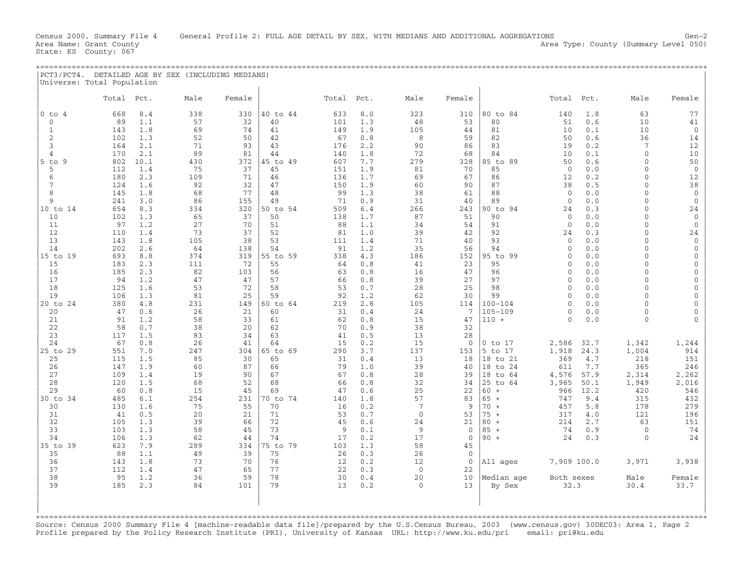State: KS County: 067

| Universe: Total Population |            |            |           |           |                |            |            |                                |                    |                        |                              |              |                      |                              |
|----------------------------|------------|------------|-----------|-----------|----------------|------------|------------|--------------------------------|--------------------|------------------------|------------------------------|--------------|----------------------|------------------------------|
|                            | Total      | Pct.       | Male      | Female    |                | Total Pct. |            | Male                           | Female             |                        | Total                        | Pct.         | Male                 | Female                       |
| $0$ to $4$                 | 668        | 8.4        | 338       | 330       | 40 to 44       | 633        | 8.0        | 323                            | 310                | 80 to 84               | 140                          | 1.8          | 63                   | 77                           |
| $\mathbf{0}$               | 89         | 1.1        | 57        | 32        | 40             | 101        | 1.3        | 48                             | 53                 | 80                     | 51                           | 0.6          | 10                   | 41                           |
| 1                          | 143        | 1.8        | 69        | 74        | 41             | 149        | 1.9        | 105                            | 44                 | 81                     | 10                           | 0.1          | 10                   | $\mathbf 0$                  |
| 2<br>3                     | 102<br>164 | 1.3<br>2.1 | 52<br>71  | 50<br>93  | 42<br>43       | 67<br>176  | 0.8<br>2.2 | 8<br>90                        | 59<br>86           | 82<br>83               | 50<br>19                     | 0.6<br>0.2   | 36<br>7              | 14<br>12                     |
| 4                          | 170        | 2.1        | 89        | 81        | 44             | 140        | 1.8        | 72                             | 68                 | 84                     | 10                           | 0.1          | $\Omega$             | 10                           |
| $5$ to<br>-9               | 802        | 10.1       | 430       | 372       | 45 to 49       | 607        | 7.7        | 279                            | 328                | 85 to 89               | 50                           | 0.6          | $\Omega$             | 50                           |
| 5                          | 112        | 1.4        | 75        | 37        | 45             | 151        | 1.9        | 81                             | 70                 | 85                     | $\overline{0}$               | 0.0          | $\Omega$             | $\mathbf 0$                  |
| 6                          | 180        | 2.3        | 109       | 71        | 46             | 136        | 1.7        | 69                             | 67                 | 86                     | 12                           | 0.2          | $\Omega$             | 12                           |
| 7                          | 124        | 1.6        | 92        | 32        | 47             | 150        | 1.9        | 60                             | 90                 | 87                     | 38                           | 0.5          | $\Omega$             | 38                           |
| 8                          | 145        | 1.8        | 68        | 77        | 48             | 99         | 1.3        | 38                             | 61                 | 88                     | $\mathbf{0}$                 | 0.0          | $\Omega$             | $\mathbf 0$                  |
| 9                          | 241        | 3.0        | 86        | 155       | 49             | 71         | 0.9        | 31                             | 40                 | 89                     | $\mathbf{0}$                 | 0.0          | $\Omega$<br>$\Omega$ | $\mathbf 0$                  |
| 10 to 14<br>10             | 654<br>102 | 8.3<br>1.3 | 334<br>65 | 320<br>37 | 50 to 54<br>50 | 509<br>138 | 6.4<br>1.7 | 266<br>87                      | 243<br>51          | 90 to 94<br>90         | 24<br>$\overline{0}$         | 0.3<br>0.0   | $\Omega$             | 24<br>$\mathbf 0$            |
| 11                         | 97         | 1.2        | 27        | 70        | 51             | 88         | 1.1        | 34                             | 54                 | 91                     | $\mathbf{0}$                 | 0.0          | $\Omega$             | $\mathbf 0$                  |
| 12                         | 110        | 1.4        | 73        | 37        | 52             | 81         | 1.0        | 39                             | 42                 | 92                     | 24                           | 0.3          | $\Omega$             | 24                           |
| 13                         | 143        | 1.8        | 105       | 38        | 53             | 111        | 1.4        | 71                             | 40                 | 93                     | $\mathbf{0}$                 | 0.0          | $\Omega$             | $\mathbf 0$                  |
| 14                         | 202        | 2.6        | 64        | 138       | 54             | 91         | 1.2        | 35                             | 56                 | 94                     | 0                            | 0.0          | $\Omega$             | $\mathbf 0$                  |
| 15 to 19                   | 693        | 8.8        | 374       | 319       | 55 to 59       | 338        | 4.3        | 186                            | 152                | 95 to 99               | 0                            | 0.0          | $\Omega$             | $\mathbf{0}$                 |
| 15                         | 183        | 2.3        | 111       | 72        | 55             | 64         | 0.8        | 41                             | 23                 | 95                     | 0                            | 0.0          | $\Omega$             | $\mathbf{0}$                 |
| 16                         | 185<br>94  | 2.3<br>1.2 | 82<br>47  | 103       | 56<br>57       | 63         | 0.8        | 16<br>39                       | 47<br>27           | 96<br>97               | $\mathbf{0}$<br>$\mathbf{0}$ | 0.0          | $\Omega$<br>$\Omega$ | $\mathbf{0}$<br>$\mathbf{0}$ |
| 17<br>18                   | 125        | 1.6        | 53        | 47<br>72  | 58             | 66<br>53   | 0.8<br>0.7 | 28                             | 25                 | 98                     | $\mathbf{0}$                 | 0.0<br>0.0   | $\Omega$             | $\mathbf{0}$                 |
| 19                         | 106        | 1.3        | 81        | 25        | 59             | 92         | 1.2        | 62                             | 30                 | 99                     | $\mathbf{0}$                 | 0.0          | $\Omega$             | $\mathbf{0}$                 |
| 20 to 24                   | 380        | 4.8        | 231       | 149       | 60 to 64       | 219        | 2.8        | 105                            | 114                | $100 - 104$            | $\Omega$                     | 0.0          | $\Omega$             | $\Omega$                     |
| 20                         | 47         | 0.6        | 26        | 21        | 60             | 31         | 0.4        | 24                             | 7                  | $105 - 109$            | $\mathbf{0}$                 | 0.0          | $\Omega$             | $\Omega$                     |
| 21                         | 91         | 1.2        | 58        | 33        | 61             | 62         | 0.8        | 15                             | 47                 | $110 +$                | $\Omega$                     | 0.0          | $\mathbf{0}$         | $\Omega$                     |
| 22                         | 58         | 0.7        | 38        | 20        | 62             | 70         | 0.9        | 38                             | 32                 |                        |                              |              |                      |                              |
| 23                         | 117        | 1.5        | 83        | 34        | 63             | 41         | 0.5        | 13                             | 28                 |                        |                              |              |                      |                              |
| 24<br>25 to 29             | 67<br>551  | 0.8<br>7.0 | 26<br>247 | 41<br>304 | 64<br>65 to 69 | 15<br>290  | 0.2<br>3.7 | 15<br>137                      | $\mathbf 0$<br>153 | $0$ to $17$<br>5 to 17 | 2,586<br>1,918               | 32.7<br>24.3 | 1,342<br>1,004       | 1,244<br>914                 |
| 25                         | 115        | 1.5        | 85        | 30        | 65             | 31         | 0.4        | 13                             | 18                 | 18 to 21               | 369                          | 4.7          | 218                  | 151                          |
| 26                         | 147        | 1.9        | 60        | 87        | 66             | 79         | 1.0        | 39                             | 40                 | 18 to 24               | 611                          | 7.7          | 365                  | 246                          |
| 27                         | 109        | 1.4        | 19        | 90        | 67             | 67         | 0.8        | 28                             | 39                 | 18 to 64               | 4,576                        | 57.9         | 2,314                | 2,262                        |
| 28                         | 120        | 1.5        | 68        | 52        | 68             | 66         | 0.8        | 32                             | 34                 | 25 to 64               | 3,965                        | 50.1         | 1,949                | 2,016                        |
| 29                         | 60         | 0.8        | 15        | 45        | 69             | 47         | 0.6        | 25                             | 22                 | $60 +$                 | 966                          | 12.2         | 420                  | 546                          |
| 30 to 34                   | 485        | 6.1        | 254       | 231       | 0 to 74        | 140        | 1.8        | 57                             | 83                 | $65 +$                 | 747                          | 9.4          | 315                  | 432                          |
| 30<br>31                   | 130<br>41  | 1.6<br>0.5 | 75<br>20  | 55<br>21  | 70<br>71       | 16<br>53   | 0.2<br>0.7 | $7\phantom{.0}$<br>$\mathbf 0$ | 9<br>53            | $70 +$<br>$75 +$       | 457<br>317                   | 5.8<br>4.0   | 178<br>121           | 279<br>196                   |
| 32                         | 105        | 1.3        | 39        | 66        | 72             | 45         | 0.6        | 24                             | 21                 | $80 +$                 | 214                          | 2.7          | 63                   | 151                          |
| 33                         | 103        | 1.3        | 58        | 45        | 73             | 9          | 0.1        | 9                              | $\mathbf 0$        | $85 +$                 | 74                           | 0.9          | $\mathbf 0$          | 74                           |
| 34                         | 106        | 1.3        | 62        | 44        | 74             | 17         | 0.2        | 17                             | $\mathbf{0}$       | $90 +$                 | 24                           | 0.3          | $\Omega$             | 24                           |
| 35 to 39                   | 623        | 7.9        | 289       | 334       | 75 to 79       | 103        | 1.3        | 58                             | 45                 |                        |                              |              |                      |                              |
| 35                         | 88         | 1.1        | 49        | 39        | 75             | 26         | 0.3        | 26                             | $\mathbf 0$        |                        |                              |              |                      |                              |
| 36                         | 143        | 1.8        | 73        | 70        | 76             | 12         | 0.2        | 12                             | $\mathbf{0}$       | All ages               | 7,909 100.0                  |              | 3,971                | 3,938                        |
| 37                         | 112        | 1.4        | 47        | 65        | 77             | 22         | 0.3        | $\overline{0}$                 | 22                 |                        |                              |              |                      |                              |
| 38<br>39                   | 95<br>185  | 1.2<br>2.3 | 36<br>84  | 59<br>101 | 78<br>79       | 30<br>13   | 0.4<br>0.2 | 20<br>$\mathbf 0$              | 10<br>13           | Median age<br>By Sex   | Both sexes<br>32.3           |              | Male<br>30.4         | Female<br>33.7               |
|                            |            |            |           |           |                |            |            |                                |                    |                        |                              |              |                      |                              |
|                            |            |            |           |           |                |            |            |                                |                    |                        |                              |              |                      |                              |
|                            |            |            |           |           |                |            |            |                                |                    |                        |                              |              |                      |                              |
|                            |            |            |           |           |                |            |            |                                |                    |                        |                              |              |                      |                              |

Source: Census 2000 Summary File 4 [machine−readable data file]/prepared by the U.S.Census Bureau, 2003 (www.census.gov) 30DEC03: Area 1, Page 2 Profile prepared by the Policy Research Institute (PRI), University of Kansas URL: http://www.ku.edu/pri email: pri@ku.edu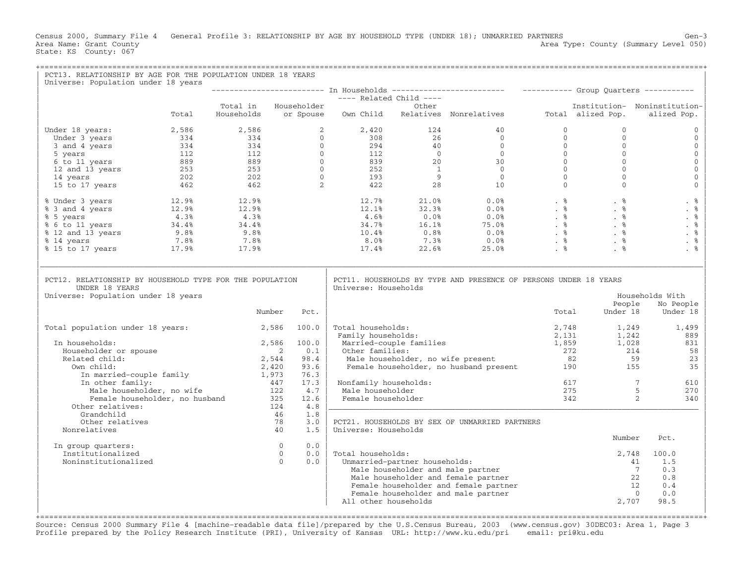Census 2000, Summary File 4 General Profile 3: RELATIONSHIP BY AGE BY HOUSEHOLD TYPE (UNDER 18); UNMARRIED PARTNERS Gen-3<br>Area Name: Grant County Level 050) Area Type: County (Summary Level 050) State: KS County: 067

| PCT13. RELATIONSHIP BY AGE FOR THE POPULATION UNDER 18 YEARS<br>Universe: Population under 18 years                                                                                                                                                              |       |                      |                |     |                                                          |                               |                                                                                                                                                                                                                                                                                                                                                                                                                                               |                |                                                                             |                                             |
|------------------------------------------------------------------------------------------------------------------------------------------------------------------------------------------------------------------------------------------------------------------|-------|----------------------|----------------|-----|----------------------------------------------------------|-------------------------------|-----------------------------------------------------------------------------------------------------------------------------------------------------------------------------------------------------------------------------------------------------------------------------------------------------------------------------------------------------------------------------------------------------------------------------------------------|----------------|-----------------------------------------------------------------------------|---------------------------------------------|
|                                                                                                                                                                                                                                                                  |       |                      |                |     | 1 Households -------<br>---- Related Child ----<br>Other |                               |                                                                                                                                                                                                                                                                                                                                                                                                                                               |                |                                                                             |                                             |
|                                                                                                                                                                                                                                                                  |       |                      |                |     |                                                          |                               |                                                                                                                                                                                                                                                                                                                                                                                                                                               |                |                                                                             |                                             |
|                                                                                                                                                                                                                                                                  | Total | Total in Householder |                |     |                                                          |                               | Households or Spouse Own Child Relatives Nonrelatives Total alized Pop.                                                                                                                                                                                                                                                                                                                                                                       |                |                                                                             | Institution- Noninstitution-<br>alized Pop. |
| Under 18 years:                                                                                                                                                                                                                                                  |       |                      |                |     |                                                          |                               |                                                                                                                                                                                                                                                                                                                                                                                                                                               | $\mathbf{0}$   | $\Omega$                                                                    | $\mathbf{0}$                                |
|                                                                                                                                                                                                                                                                  |       |                      |                |     |                                                          |                               |                                                                                                                                                                                                                                                                                                                                                                                                                                               | $\circ$        | $\Omega$<br>$\mathbf{0}$                                                    | $\mathbf{0}$<br>$\mathbf{0}$                |
|                                                                                                                                                                                                                                                                  |       |                      |                |     |                                                          |                               |                                                                                                                                                                                                                                                                                                                                                                                                                                               |                | $\mathbf{0}$                                                                | $\mathbf 0$                                 |
|                                                                                                                                                                                                                                                                  |       |                      |                |     |                                                          |                               |                                                                                                                                                                                                                                                                                                                                                                                                                                               |                | $\Omega$                                                                    | $\mathbf{0}$                                |
|                                                                                                                                                                                                                                                                  |       |                      |                |     |                                                          |                               |                                                                                                                                                                                                                                                                                                                                                                                                                                               |                | $\Omega$                                                                    | $\mathbf 0$                                 |
|                                                                                                                                                                                                                                                                  |       |                      |                |     |                                                          |                               |                                                                                                                                                                                                                                                                                                                                                                                                                                               |                | $\Omega$                                                                    | $\mathsf{O}\xspace$                         |
|                                                                                                                                                                                                                                                                  |       |                      |                |     |                                                          |                               |                                                                                                                                                                                                                                                                                                                                                                                                                                               |                | $\begin{bmatrix} 0 \\ 0 \\ 0 \\ 0 \\ 0 \\ 0 \\ 0 \end{bmatrix}$<br>$\Omega$ | $\mathbf 0$                                 |
| % Under 3 years<br>% 3 and 4 years<br>% 5 years<br>% 5 years<br>% 6 to 11 years<br>% 12 and 13 years<br>% 12 and 13 years<br>% 14 years<br>% 14 years<br>% 15 to 17 years<br>% 15 to 17 years<br>% 17.9%<br>% 7.8%<br>% 17.9%<br>17.9%<br>17.9%<br>17.9%<br>17.9 |       |                      |                |     |                                                          |                               | $\begin{array}{cccccccc} 12.7\% & 21.0\% & 0.0\% & . & \text{\$} & & \text{\$} & & \text{\$} & & \text{\$} & & \text{\$} & & \text{\$} & & \text{\$} & \text{\$} & \text{\$} & \text{\$} & \text{\$} & \text{\$} & \text{\$} & \text{\$} & \text{\$} & \text{\$} & \text{\$} & \text{\$} & \text{\$} & \text{\$} & \text{\$} & \text{\$} & \text{\$} & \text{\$} & \text{\$} & \text{\$} & \text{\$} & \text{\$} & \text{\$} & \text{\$} & \$ |                |                                                                             | . %                                         |
|                                                                                                                                                                                                                                                                  |       |                      |                |     |                                                          |                               |                                                                                                                                                                                                                                                                                                                                                                                                                                               |                |                                                                             | . $\frac{8}{3}$                             |
|                                                                                                                                                                                                                                                                  |       |                      |                |     |                                                          |                               |                                                                                                                                                                                                                                                                                                                                                                                                                                               |                |                                                                             | . %                                         |
|                                                                                                                                                                                                                                                                  |       |                      |                |     |                                                          |                               |                                                                                                                                                                                                                                                                                                                                                                                                                                               |                |                                                                             | . $\frac{6}{6}$                             |
|                                                                                                                                                                                                                                                                  |       |                      |                |     |                                                          |                               |                                                                                                                                                                                                                                                                                                                                                                                                                                               |                |                                                                             | . %                                         |
|                                                                                                                                                                                                                                                                  |       |                      |                |     |                                                          |                               |                                                                                                                                                                                                                                                                                                                                                                                                                                               |                |                                                                             | . %                                         |
|                                                                                                                                                                                                                                                                  |       |                      |                |     |                                                          |                               |                                                                                                                                                                                                                                                                                                                                                                                                                                               |                |                                                                             | . %                                         |
| PCT12. RELATIONSHIP BY HOUSEHOLD TYPE FOR THE POPULATION<br>UNDER 18 YEARS<br>Universe: Population under 18 years                                                                                                                                                |       | Number               | Pct.           |     | Universe: Households                                     |                               | PCT11. HOUSEHOLDS BY TYPE AND PRESENCE OF PERSONS UNDER 18 YEARS                                                                                                                                                                                                                                                                                                                                                                              | Total          | People<br>Under 18                                                          | Households With<br>No People<br>Under 18    |
|                                                                                                                                                                                                                                                                  |       |                      |                |     |                                                          |                               |                                                                                                                                                                                                                                                                                                                                                                                                                                               |                |                                                                             |                                             |
| Total population under 18 years:                                                                                                                                                                                                                                 |       | 2,586 100.0          |                |     | Total households:<br>Family households:                  |                               |                                                                                                                                                                                                                                                                                                                                                                                                                                               | 2,748<br>2,131 | 1,249<br>$1,242$<br>$1,028$                                                 | 1,499<br>889                                |
| In households:                                                                                                                                                                                                                                                   |       | 2,586                | 100.0          |     |                                                          | Married-couple families       | Married-couple families 1,859 1,028<br>Other families: 272 214<br>Male householder, no wife present 82 59<br>Female householder, no husband present 190 155                                                                                                                                                                                                                                                                                   |                |                                                                             | 831                                         |
| Householder or spouse                                                                                                                                                                                                                                            |       |                      | $\overline{2}$ | 0.1 | Other families:                                          |                               |                                                                                                                                                                                                                                                                                                                                                                                                                                               |                |                                                                             | 58                                          |
| Related child:                                                                                                                                                                                                                                                   |       | 2,544                | 98.4           |     |                                                          |                               |                                                                                                                                                                                                                                                                                                                                                                                                                                               |                |                                                                             | 23                                          |
| Own child:                                                                                                                                                                                                                                                       |       | 2,420                | 93.6           |     |                                                          |                               |                                                                                                                                                                                                                                                                                                                                                                                                                                               |                |                                                                             | 35                                          |
| In married-couple family 1,973<br>Tn other family: 447                                                                                                                                                                                                           |       |                      | 76.3<br>17.3   |     |                                                          |                               |                                                                                                                                                                                                                                                                                                                                                                                                                                               |                | $\overline{7}$                                                              |                                             |
| In other family:<br>Male householder, no wife                                                                                                                                                                                                                    |       | $\frac{447}{122}$    | 4.7            |     | Nonfamily households:<br>Male householder                |                               |                                                                                                                                                                                                                                                                                                                                                                                                                                               |                | 617<br>$-5$                                                                 | 610<br>270                                  |
| Female householder, no husband                                                                                                                                                                                                                                   |       |                      | 325<br>12.6    |     | Female householder                                       |                               |                                                                                                                                                                                                                                                                                                                                                                                                                                               | 342            |                                                                             | 2<br>340                                    |
| Other relatives:                                                                                                                                                                                                                                                 |       |                      | 124            | 4.8 |                                                          |                               |                                                                                                                                                                                                                                                                                                                                                                                                                                               |                |                                                                             |                                             |
| Grandchild                                                                                                                                                                                                                                                       |       |                      | 46             | 1.8 |                                                          |                               |                                                                                                                                                                                                                                                                                                                                                                                                                                               |                |                                                                             |                                             |
| Other relatives                                                                                                                                                                                                                                                  |       |                      | 78             | 3.0 |                                                          |                               | PCT21. HOUSEHOLDS BY SEX OF UNMARRIED PARTNERS                                                                                                                                                                                                                                                                                                                                                                                                |                |                                                                             |                                             |
| Nonrelatives                                                                                                                                                                                                                                                     |       |                      | 40             | 1.5 | Universe: Households                                     |                               |                                                                                                                                                                                                                                                                                                                                                                                                                                               |                |                                                                             |                                             |
| In group quarters:                                                                                                                                                                                                                                               |       |                      | $\overline{0}$ | 0.0 |                                                          |                               |                                                                                                                                                                                                                                                                                                                                                                                                                                               |                | Number                                                                      | Pct.                                        |
| Institutionalized                                                                                                                                                                                                                                                |       |                      | $\overline{0}$ | 0.0 | Total households:                                        |                               |                                                                                                                                                                                                                                                                                                                                                                                                                                               |                | 2,748                                                                       | 100.0                                       |
| Noninstitutionalized                                                                                                                                                                                                                                             |       |                      | $\Omega$       | 0.0 |                                                          | Unmarried-partner households: |                                                                                                                                                                                                                                                                                                                                                                                                                                               |                |                                                                             | 1.5<br>41                                   |
|                                                                                                                                                                                                                                                                  |       |                      |                |     |                                                          |                               | Male householder and male partner                                                                                                                                                                                                                                                                                                                                                                                                             |                |                                                                             | $\overline{7}$<br>0.3                       |
|                                                                                                                                                                                                                                                                  |       |                      |                |     |                                                          |                               | Male householder and female partner                                                                                                                                                                                                                                                                                                                                                                                                           |                |                                                                             | 22<br>0.8                                   |
|                                                                                                                                                                                                                                                                  |       |                      |                |     |                                                          |                               | Female householder and female partner                                                                                                                                                                                                                                                                                                                                                                                                         |                | 12                                                                          | 0.4                                         |
|                                                                                                                                                                                                                                                                  |       |                      |                |     |                                                          |                               | Female householder and male partner                                                                                                                                                                                                                                                                                                                                                                                                           |                |                                                                             | 0.0<br>$\bigcirc$                           |
|                                                                                                                                                                                                                                                                  |       |                      |                |     | All other households                                     |                               |                                                                                                                                                                                                                                                                                                                                                                                                                                               |                | 2,707                                                                       | 98.5                                        |
|                                                                                                                                                                                                                                                                  |       |                      |                |     |                                                          |                               |                                                                                                                                                                                                                                                                                                                                                                                                                                               |                |                                                                             |                                             |

Source: Census 2000 Summary File 4 [machine−readable data file]/prepared by the U.S.Census Bureau, 2003 (www.census.gov) 30DEC03: Area 1, Page 3 Profile prepared by the Policy Research Institute (PRI), University of Kansas URL: http://www.ku.edu/pri email: pri@ku.edu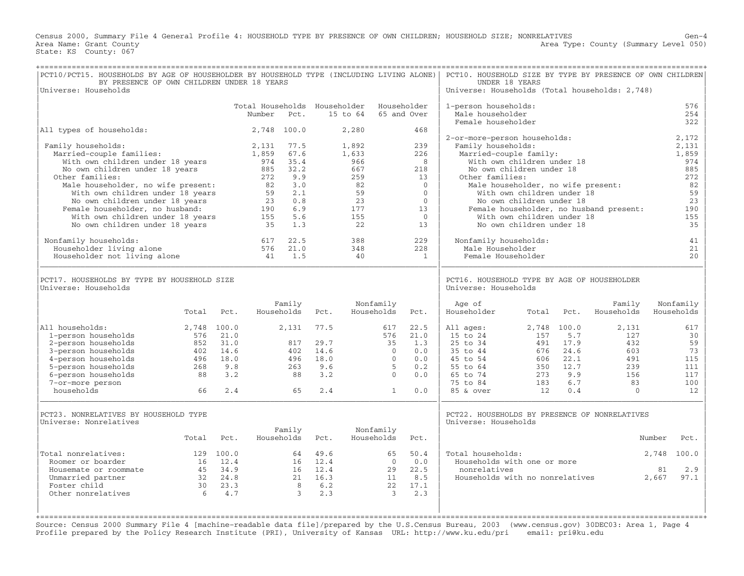Census 2000, Summary File 4 General Profile 4: HOUSEHOLD TYPE BY PRESENCE OF OWN CHILDREN; HOUSEHOLD SIZE; NONRELATIVES Gen−4 Area Name: Grant County 1999 (Summary Level 050) Area Type: County (Summary Level 050) State: KS County: 067

| PCT10/PCT15. HOUSEHOLDS BY AGE OF HOUSEHOLDER BY HOUSEHOLD TYPE (INCLUDING LIVING ALONE)<br>BY PRESENCE OF OWN CHILDREN UNDER 18 YEARS<br>Universe: Households |            |              |                                        |                                     |              |                                     |                         |                              | PCT10. HOUSEHOLD SIZE BY TYPE BY PRESENCE OF OWN CHILDREN<br>UNDER 18 YEARS<br>Universe: Households (Total households: 2,748) |                                                                  |              |                                         |                         |                   |
|----------------------------------------------------------------------------------------------------------------------------------------------------------------|------------|--------------|----------------------------------------|-------------------------------------|--------------|-------------------------------------|-------------------------|------------------------------|-------------------------------------------------------------------------------------------------------------------------------|------------------------------------------------------------------|--------------|-----------------------------------------|-------------------------|-------------------|
|                                                                                                                                                                |            |              | Total Households Householder<br>Number | Pct.                                |              | 15 to 64                            |                         | Householder<br>65 and Over   | 1-person households:<br>Male householder<br>Female householder                                                                |                                                                  |              |                                         |                         | 576<br>254<br>322 |
| All types of households:                                                                                                                                       |            |              |                                        | 2,748 100.0                         |              | 2,280                               |                         | 468                          | 2-or-more-person households:                                                                                                  |                                                                  |              |                                         | 2,172                   |                   |
| Family households:<br>Married-couple families:<br>With own children under 18 years<br>No own children under 18 years<br>Other families:                        |            |              | 2,131<br>1,859<br>974<br>885<br>272    | 77.5<br>67.6<br>35.4<br>32.2<br>9.9 |              | 1,892<br>1,633<br>966<br>667<br>259 |                         | 239<br>226<br>8<br>218<br>13 | Family households:<br>Married-couple family:<br>Other families:                                                               | With own children under 18<br>No own children under 18           |              |                                         | 2,131<br>1,859          | 974<br>885<br>272 |
| Male householder, no wife present:<br>With own children under 18 years                                                                                         |            |              | 82<br>59                               | 3.0<br>2.1                          |              | 82<br>59                            |                         | $\mathbf{0}$<br>$\Omega$     |                                                                                                                               | Male householder, no wife present:<br>With own children under 18 |              |                                         |                         | 82<br>59          |
| No own children under 18 years                                                                                                                                 |            |              | 23                                     | 0.8                                 |              | 23                                  |                         | $\mathbf{0}$                 |                                                                                                                               | No own children under 18                                         |              |                                         |                         | 23                |
| Female householder, no husband:                                                                                                                                |            |              | 190                                    | 6.9                                 |              | 177                                 |                         | 13                           |                                                                                                                               |                                                                  |              | Female householder, no husband present: |                         | 190               |
| With own children under 18 years                                                                                                                               |            |              | 155                                    | 5.6                                 |              | 155                                 |                         | $\overline{0}$               |                                                                                                                               | With own children under 18                                       |              |                                         |                         | 155               |
| No own children under 18 years                                                                                                                                 |            |              | 35                                     | 1.3                                 |              | 22                                  |                         | 13                           |                                                                                                                               | No own children under 18                                         |              |                                         |                         | 35                |
| Nonfamily households:                                                                                                                                          |            |              | 617                                    | 22.5                                |              | 388                                 |                         | 229                          | Nonfamily households:                                                                                                         |                                                                  |              |                                         |                         | 41                |
| Householder living alone<br>Householder not living alone                                                                                                       |            |              | 576<br>41                              | 21.0<br>1.5                         |              | 348<br>40                           |                         | 228<br>1                     | Male Householder<br>Female Householder                                                                                        |                                                                  |              |                                         |                         | 21<br>20          |
| PCT17. HOUSEHOLDS BY TYPE BY HOUSEHOLD SIZE<br>Universe: Households                                                                                            |            |              |                                        |                                     |              |                                     |                         |                              | PCT16. HOUSEHOLD TYPE BY AGE OF HOUSEHOLDER<br>Universe: Households                                                           |                                                                  |              |                                         |                         |                   |
|                                                                                                                                                                | Total      | Pct.         |                                        | Family<br>Households                | Pct.         |                                     | Nonfamily<br>Households | Pct.                         | Age of<br>Householder                                                                                                         | Total                                                            | Pct.         | Family<br>Households                    | Nonfamily<br>Households |                   |
| All households:                                                                                                                                                |            | 2,748 100.0  |                                        | 2,131                               | 77.5         |                                     | 617                     | 22.5                         | All ages:                                                                                                                     | 2,748 100.0                                                      |              | 2,131                                   |                         | 617               |
| 1-person households                                                                                                                                            | 576        | 21.0         |                                        |                                     |              |                                     | 576                     | 21.0                         | 15 to 24                                                                                                                      | 157                                                              | 5.7          | 127                                     |                         | 30                |
| 2-person households<br>3-person households                                                                                                                     | 852<br>402 | 31.0<br>14.6 |                                        | 817<br>402                          | 29.7<br>14.6 |                                     | 35<br>$\Omega$          | 1.3<br>0.0                   | 25 to 34<br>35 to 44                                                                                                          | 491<br>676                                                       | 17.9<br>24.6 | 432<br>603                              |                         | 59<br>73          |
| 4-person households                                                                                                                                            | 496        | 18.0         |                                        | 496                                 | 18.0         |                                     | $\Omega$                | 0.0                          | 45 to 54                                                                                                                      | 606                                                              | 22.1         | 491                                     |                         | 115               |
| 5-person households                                                                                                                                            | 268        | 9.8          |                                        | 263                                 | 9.6          |                                     | -5                      | 0.2                          | 55 to 64                                                                                                                      |                                                                  | 350 12.7     | 239                                     |                         | 111               |
| 6-person households                                                                                                                                            | 88         | 3.2          |                                        | 88                                  | 3.2          |                                     | $\mathbf{0}$            | 0.0                          | 65 to 74                                                                                                                      | 273                                                              | 9.9          | 156                                     |                         | 117               |
| 7-or-more person<br>households                                                                                                                                 | 66         | 2.4          |                                        | 65                                  | 2.4          |                                     | $\mathbf{1}$            | 0.0                          | 75 to 84<br>85 & over                                                                                                         | 183<br>12                                                        | 6.7<br>0.4   | 83<br>$\mathbf{0}$                      |                         | 100<br>12         |
|                                                                                                                                                                |            |              |                                        |                                     |              |                                     |                         |                              |                                                                                                                               |                                                                  |              |                                         |                         |                   |
| PCT23. NONRELATIVES BY HOUSEHOLD TYPE<br>Universe: Nonrelatives                                                                                                |            |              |                                        |                                     |              |                                     |                         |                              | PCT22. HOUSEHOLDS BY PRESENCE OF NONRELATIVES<br>Universe: Households                                                         |                                                                  |              |                                         |                         |                   |
|                                                                                                                                                                | Total      | Pct.         |                                        | Family<br>Households                | Pct.         |                                     | Nonfamily<br>Households | Pct.                         |                                                                                                                               |                                                                  |              |                                         | Number<br>Pct.          |                   |
| Total nonrelatives:                                                                                                                                            |            | 129 100.0    |                                        | 64                                  | 49.6         |                                     | 65                      | 50.4                         | Total households:                                                                                                             |                                                                  |              |                                         | 100.0<br>2,748          |                   |
| Roomer or boarder                                                                                                                                              |            | 16 12.4      |                                        |                                     | $16 \t 12.4$ |                                     | $\overline{0}$          | 0.0                          | Households with one or more                                                                                                   |                                                                  |              |                                         |                         |                   |
| Housemate or roommate                                                                                                                                          | 45         | 34.9         |                                        | 16                                  | 12.4         |                                     | 29                      | 22.5                         | nonrelatives                                                                                                                  |                                                                  |              |                                         | 2.9<br>81               |                   |
| Unmarried partner                                                                                                                                              |            | 32 24.8      |                                        | 21                                  | 16.3         |                                     | 11                      | 8.5                          | Households with no nonrelatives                                                                                               |                                                                  |              |                                         | 2,667<br>97.1           |                   |
| Foster child<br>Other nonrelatives                                                                                                                             | 30<br>6    | 23.3<br>4.7  |                                        | 8<br>3                              | 6.2<br>2.3   |                                     | 22<br>3                 | 17.1<br>2.3                  |                                                                                                                               |                                                                  |              |                                         |                         |                   |
|                                                                                                                                                                |            |              |                                        |                                     |              |                                     |                         |                              |                                                                                                                               |                                                                  |              |                                         |                         |                   |

Source: Census 2000 Summary File 4 [machine−readable data file]/prepared by the U.S.Census Bureau, 2003 (www.census.gov) 30DEC03: Area 1, Page 4 Profile prepared by the Policy Research Institute (PRI), University of Kansas URL: http://www.ku.edu/pri email: pri@ku.edu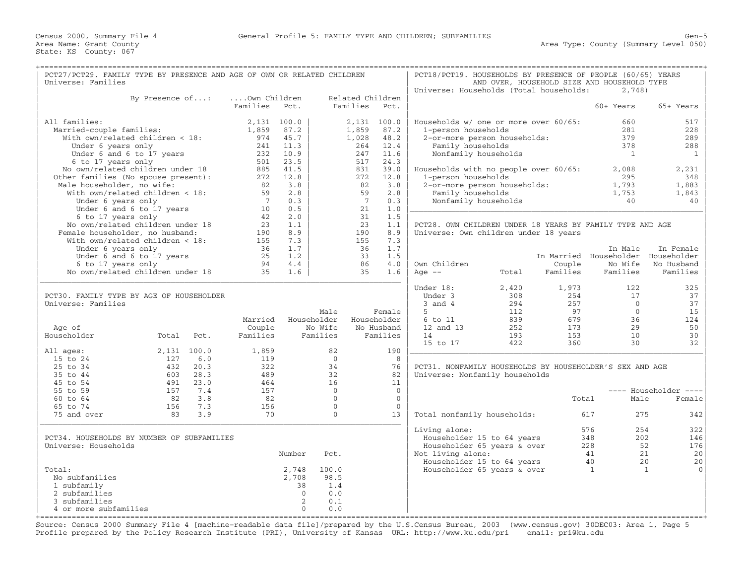| PCT27/PCT29. FAMILY TYPE BY PRESENCE AND AGE OF OWN OR RELATED CHILDREN<br>Universe: Families                                                                                                                                    |                             |                               |                                                                                 |                                           |                                                                    |                                                      | PCT18/PCT19. HOUSEHOLDS BY PRESENCE OF PEOPLE (60/65) YEARS                                                                                       |                                                                                         |                           | AND OVER, HOUSEHOLD SIZE AND HOUSEHOLD TYPE                          |                                                          |
|----------------------------------------------------------------------------------------------------------------------------------------------------------------------------------------------------------------------------------|-----------------------------|-------------------------------|---------------------------------------------------------------------------------|-------------------------------------------|--------------------------------------------------------------------|------------------------------------------------------|---------------------------------------------------------------------------------------------------------------------------------------------------|-----------------------------------------------------------------------------------------|---------------------------|----------------------------------------------------------------------|----------------------------------------------------------|
|                                                                                                                                                                                                                                  |                             |                               |                                                                                 |                                           |                                                                    |                                                      | Universe: Households (Total households:                                                                                                           |                                                                                         |                           | 2,748)                                                               |                                                          |
| By Presence of:                                                                                                                                                                                                                  |                             | Own Children<br>Families      | Pct.                                                                            |                                           | Related Children<br>Families                                       | Pct.                                                 |                                                                                                                                                   |                                                                                         |                           | 60+ Years                                                            | 65+ Years                                                |
| All families:<br>Married-couple families:<br>With own/related children < 18:<br>Under 6 years only<br>Under 6 and 6 to 17 years<br>6 to 17 years only<br>No own/related children under 18<br>Other families (No spouse present): |                             | 1,859<br>974<br>241<br>501    | 2,131 100.0<br>87.2<br>45.7<br>11.3<br>232 10.9<br>23.5<br>885 41.5<br>272 12.8 |                                           | $2.131$ 100.0<br>1,859<br>1,028<br>264<br>247<br>517<br>831<br>272 | 87.2<br>48.2<br>12.4<br>11.6<br>24.3<br>39.0<br>12.8 | Households w/ one or more over 60/65:<br>1-person households<br>Family households<br>Households with no people over 60/65:<br>1-person households | 2-or-more person households:<br>Nonfamily households                                    |                           | 660<br>281<br>379<br>378<br>1<br>2,088<br>295                        | 517<br>228<br>289<br>288<br>$\mathbf{1}$<br>2,231<br>348 |
| Male householder, no wife:<br>With own/related children < 18:<br>Under 6 years only<br>Under 6 and 6 to 17 years                                                                                                                 |                             | 82<br>59<br>$7^{\circ}$<br>10 | 3.8<br>2.8<br>0.3<br>0.5                                                        |                                           | 82<br>59<br>$7^{\circ}$<br>21                                      | 3.8<br>2.8<br>0.3<br>1.0                             | Family households                                                                                                                                 | 2-or-more person households:<br>Nonfamily households                                    |                           | 1,793<br>1,753<br>40                                                 | 1,883<br>1,843<br>40                                     |
| 6 to 17 years only<br>No own/related children under 18<br>Female householder, no husband:<br>With own/related children < 18:                                                                                                     |                             | 42<br>23<br>190<br>155        | 2.0<br>1.1<br>8.9<br>7.3                                                        |                                           | 31<br>23<br>190<br>155                                             | 1.5<br>1.1<br>8.9<br>7.3                             | PCT28. OWN CHILDREN UNDER 18 YEARS BY FAMILY TYPE AND AGE<br>Universe: Own children under 18 years                                                |                                                                                         |                           |                                                                      |                                                          |
| Under 6 years only<br>Under 6 and 6 to 17 years<br>6 to 17 years only<br>No own/related children under 18                                                                                                                        |                             | 36<br>25<br>94<br>35          | 1.7<br>1.2<br>4.4<br>1.6                                                        |                                           | 36<br>33<br>86<br>35                                               | 1.7<br>1.5<br>4.0<br>1.6                             | Own Children<br>Age $--$                                                                                                                          | Total                                                                                   | Couple<br>Families        | In Male<br>In Married Householder Householder<br>No Wife<br>Families | In Female<br>No Husband<br>Families                      |
| PCT30. FAMILY TYPE BY AGE OF HOUSEHOLDER<br>Universe: Families                                                                                                                                                                   |                             |                               |                                                                                 | Male                                      |                                                                    | Female                                               | Under 18:<br>Under 3<br>$3$ and $4$<br>5                                                                                                          | 2,420<br>308<br>294<br>112                                                              | 1,973<br>254<br>257<br>97 | 122<br>17<br>$\overline{0}$<br>$\Omega$                              | 325<br>37<br>37<br>15                                    |
| Age of<br>Householder<br>Total                                                                                                                                                                                                   |                             | Married<br>Couple<br>Families |                                                                                 | Householder<br>No Wife<br>Families        |                                                                    | Householder<br>No Husband<br>Families                | 6 to 11<br>12 and 13<br>14                                                                                                                        | 839<br>252<br>193                                                                       | 679<br>173<br>153         | 36<br>29<br>10                                                       | 124<br>50<br>30                                          |
| All ages:                                                                                                                                                                                                                        | Pct.<br>2,131 100.0         | 1,859                         |                                                                                 | 82                                        |                                                                    | 190                                                  | 15 to 17                                                                                                                                          | 422                                                                                     | 360                       | 30                                                                   | 32                                                       |
| 15 to 24<br>127<br>25 to 34<br>432<br>35 to 44<br>603<br>45 to 54<br>491                                                                                                                                                         | 6.0<br>20.3<br>28.3<br>23.0 | 119<br>322<br>489<br>464      |                                                                                 | $\Omega$<br>34<br>32<br>16                |                                                                    | 8<br>76<br>82<br>11                                  | PCT31. NONFAMILY HOUSEHOLDS BY HOUSEHOLDER'S SEX AND AGE<br>Universe: Nonfamily households                                                        |                                                                                         |                           |                                                                      |                                                          |
| 55 to 59<br>157                                                                                                                                                                                                                  | 7.4                         | 157                           |                                                                                 | $\overline{0}$                            |                                                                    | $\circ$                                              |                                                                                                                                                   |                                                                                         |                           |                                                                      | ---- Householder ----                                    |
| 82<br>$60$ to $64$                                                                                                                                                                                                               | 3.8                         | 82                            |                                                                                 | $\Omega$                                  |                                                                    | $\Omega$                                             |                                                                                                                                                   |                                                                                         | Total                     | Male                                                                 | Female                                                   |
| 65 to 74<br>156<br>75 and over<br>83                                                                                                                                                                                             | 7.3<br>3.9                  | 156<br>70                     |                                                                                 | $\mathbf{0}$<br>$\Omega$                  |                                                                    | $\Omega$<br>13                                       | Total nonfamily households:                                                                                                                       |                                                                                         |                           | 275<br>617                                                           | 342                                                      |
| PCT34. HOUSEHOLDS BY NUMBER OF SUBFAMILIES<br>Universe: Households                                                                                                                                                               |                             |                               | Number                                                                          | Pct.                                      |                                                                    |                                                      | Living alone:<br>Not living alone:                                                                                                                | Householder 15 to 64 years<br>Householder 65 years & over<br>Householder 15 to 64 years |                           | 576<br>254<br>348<br>202<br>228<br>41<br>40                          | 322<br>146<br>52<br>176<br>20<br>21<br>20<br>20          |
| Total:<br>No subfamilies<br>1 subfamily<br>2 subfamilies<br>3 subfamilies<br>4 or more subfamilies                                                                                                                               |                             |                               | 2,748<br>2,708<br>38<br>$\Omega$<br>2<br>$\Omega$                               | 100.0<br>98.5<br>1.4<br>0.0<br>0.1<br>0.0 |                                                                    |                                                      |                                                                                                                                                   | Householder 65 years & over                                                             |                           | 1                                                                    | $\mathbf{1}$<br>$\Omega$                                 |

Source: Census 2000 Summary File 4 [machine−readable data file]/prepared by the U.S.Census Bureau, 2003 (www.census.gov) 30DEC03: Area 1, Page 5 Profile prepared by the Policy Research Institute (PRI), University of Kansas URL: http://www.ku.edu/pri email: pri@ku.edu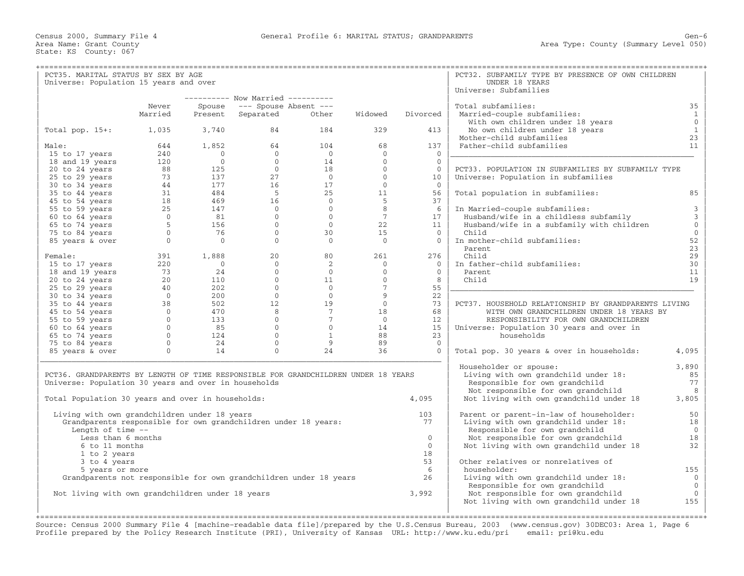| PCT35. MARITAL STATUS BY SEX BY AGE                                                |                |                        |                                 |                 |                      |                      | PCT32. SUBFAMILY TYPE BY PRESENCE OF OWN CHILDREN    |                |
|------------------------------------------------------------------------------------|----------------|------------------------|---------------------------------|-----------------|----------------------|----------------------|------------------------------------------------------|----------------|
| Universe: Population 15 years and over                                             |                |                        |                                 |                 |                      |                      | UNDER 18 YEARS                                       |                |
|                                                                                    |                |                        |                                 |                 |                      |                      | Universe: Subfamilies                                |                |
|                                                                                    |                |                        | --------- Now Married --------- |                 |                      |                      |                                                      |                |
|                                                                                    | Never          | Spouse                 | --- Spouse Absent ---           |                 |                      |                      | Total subfamilies:                                   | 35             |
|                                                                                    | Married        | Present                | Separated                       | Other           | Widowed              | Divorced             | Married-couple subfamilies:                          | $\mathbf{1}$   |
|                                                                                    |                |                        |                                 |                 |                      |                      | With own children under 18 years                     | $\mathbf{0}$   |
| Total pop. $15+:$                                                                  | 1,035          | 3,740                  | 84                              | 184             | 329                  | 413                  | No own children under 18 years                       | $\mathbf{1}$   |
|                                                                                    |                |                        |                                 |                 |                      |                      | Mother-child subfamilies                             | 23             |
| Male:                                                                              | 644            | 1,852                  | 64                              | 104             | 68                   | 137                  | Father-child subfamilies                             | 11             |
| 15 to 17 years                                                                     | 240            | $\bigcirc$<br>$\Omega$ | $\Omega$<br>$\Omega$            | $\overline{0}$  | $\Omega$<br>$\Omega$ | $\Omega$<br>$\Omega$ |                                                      |                |
| 18 and 19 years                                                                    | 120<br>88      | 125                    | $\overline{0}$                  | 14<br>18        | $\Omega$             | $\Omega$             | PCT33. POPULATION IN SUBFAMILIES BY SUBFAMILY TYPE   |                |
| 20 to 24 years<br>25 to 29 years                                                   | 73             | 137                    | 27                              | $\bigcirc$      | $\overline{0}$       | 10                   | Universe: Population in subfamilies                  |                |
| 30 to 34 years                                                                     | 44             | 177                    | 16                              | 17              | $\overline{0}$       | $\Omega$             |                                                      |                |
| 35 to 44 years                                                                     | 31             | 484                    | $-5$                            | 25              | 11                   | 56                   | Total population in subfamilies:                     | 85             |
| 45 to 54 years                                                                     | 18             | 469                    | 16                              | $\overline{0}$  | 5                    | 37                   |                                                      |                |
| 55 to 59 years                                                                     | 25             | 147                    | $\bigcirc$                      | $\Omega$        | 8                    | - 6                  | In Married-couple subfamilies:                       | 3              |
| 60 to 64 years                                                                     | $\overline{0}$ | 81                     | $\overline{0}$                  | $\Omega$        | 7                    | 17                   | Husband/wife in a childless subfamily                | 3              |
| 65 to 74 years                                                                     | 5              | 156                    | $\Omega$                        | $\Omega$        | 22                   | 11                   | Husband/wife in a subfamily with children            | $\mathbb O$    |
| 75 to 84 years                                                                     | $\mathbf{0}$   | 76                     | $\overline{0}$                  | 30              | 15                   | $\Omega$             | Child                                                | $\mathbb O$    |
| 85 years & over                                                                    | $\mathbf{0}$   | $\overline{0}$         | $\overline{0}$                  | $\overline{0}$  | $\overline{0}$       | $\overline{0}$       | In mother-child subfamilies:                         | 52             |
|                                                                                    |                |                        |                                 |                 |                      |                      | Parent.                                              | 23             |
| Female:                                                                            | 391            | 1,888                  | 20                              | 80              | 261                  | 276                  | Child                                                | 29             |
| 15 to 17 years                                                                     | 220            | $\bigcirc$             | $\Omega$                        | 2               | $\overline{0}$       | $\Omega$             | In father-child subfamilies:                         | 30             |
| 18 and 19 years                                                                    | 73             | 24                     | $\overline{0}$                  | $\overline{0}$  | $\mathbf{0}$         | $\overline{0}$       | Parent                                               | 11             |
| 20 to 24 years                                                                     | 20             | 110                    | $\overline{0}$                  | 11              | $\mathbf{0}$         | 8                    | Child                                                | 19             |
| 25 to 29 years                                                                     | 40             | 202                    | $\Omega$                        | $\Omega$        | $7\overline{ }$      | 55                   |                                                      |                |
| 30 to 34 years                                                                     | $\Omega$       | 200                    | $\Omega$                        | $\overline{0}$  | 9                    | 22                   |                                                      |                |
| 35 to 44 years                                                                     | 38             | 502                    | 12                              | 19              | $\Omega$             | 73                   | PCT37. HOUSEHOLD RELATIONSHIP BY GRANDPARENTS LIVING |                |
| 45 to 54 years                                                                     | $\mathbf{0}$   | 470                    | 8                               | $7\overline{ }$ | 18                   | 68                   | WITH OWN GRANDCHILDREN UNDER 18 YEARS BY             |                |
| 55 to 59 years                                                                     | $\overline{0}$ | 133                    | $\overline{0}$                  | $7^{\circ}$     | $\overline{0}$       | 12                   | RESPONSIBILITY FOR OWN GRANDCHILDREN                 |                |
| 60 to 64 years                                                                     | $\mathbf{0}$   | 85                     | $\overline{0}$                  | $\overline{0}$  | 14                   | 15                   | Universe: Population 30 years and over in            |                |
| 65 to 74 years                                                                     | $\Omega$       | 124                    | $\Omega$                        | 1               | 88                   | 23                   | households                                           |                |
| 75 to 84 years                                                                     | $\Omega$       | 24                     | $\Omega$                        | 9               | 89                   | $\Omega$             |                                                      |                |
| 85 years & over                                                                    | $\Omega$       | 14                     | $\Omega$                        | 24              | 36                   | $\Omega$             | Total pop. 30 years & over in households:            | 4,095          |
|                                                                                    |                |                        |                                 |                 |                      |                      | Householder or spouse:                               | 3,890          |
| PCT36. GRANDPARENTS BY LENGTH OF TIME RESPONSIBLE FOR GRANDCHILDREN UNDER 18 YEARS |                |                        |                                 |                 |                      |                      | Living with own grandchild under 18:                 | 85             |
| Universe: Population 30 years and over in households                               |                |                        |                                 |                 |                      |                      | Responsible for own grandchild                       | 77             |
|                                                                                    |                |                        |                                 |                 |                      |                      | Not responsible for own grandchild                   | 8              |
| Total Population 30 years and over in households:                                  |                |                        |                                 |                 |                      | 4,095                | Not living with own grandchild under 18              | 3,805          |
| Living with own grandchildren under 18 years                                       |                |                        |                                 |                 |                      | 103                  | Parent or parent-in-law of householder:              | 50             |
| Grandparents responsible for own grandchildren under 18 years:                     |                |                        |                                 |                 |                      | 77                   | Living with own grandchild under 18:                 | 18             |
| Length of time --                                                                  |                |                        |                                 |                 |                      |                      | Responsible for own grandchild                       | $\overline{0}$ |
| Less than 6 months                                                                 |                |                        |                                 |                 |                      | $\Omega$             | Not responsible for own grandchild                   | 18             |
| 6 to 11 months                                                                     |                |                        |                                 |                 |                      | $\Omega$             | Not living with own grandchild under 18              | 32             |
| 1 to 2 years                                                                       |                |                        |                                 |                 |                      | 18                   |                                                      |                |
| 3 to 4 years                                                                       |                |                        |                                 |                 |                      | 53                   | Other relatives or nonrelatives of                   |                |
| 5 years or more                                                                    |                |                        |                                 |                 |                      | - 6                  | householder:                                         | 155            |
| Grandparents not responsible for own grandchildren under 18 years                  |                |                        |                                 |                 |                      | 26                   | Living with own grandchild under 18:                 | $\mathbf{0}$   |
|                                                                                    |                |                        |                                 |                 |                      |                      | Responsible for own grandchild                       | $\overline{0}$ |
| Not living with own grandchildren under 18 years                                   |                |                        |                                 |                 |                      | 3,992                | Not responsible for own grandchild                   | $\mathbf{0}$   |
|                                                                                    |                |                        |                                 |                 |                      |                      | Not living with own grandchild under 18              | 155            |
|                                                                                    |                |                        |                                 |                 |                      |                      |                                                      |                |
|                                                                                    |                |                        |                                 |                 |                      |                      |                                                      |                |

Source: Census 2000 Summary File 4 [machine−readable data file]/prepared by the U.S.Census Bureau, 2003 (www.census.gov) 30DEC03: Area 1, Page 6 Profile prepared by the Policy Research Institute (PRI), University of Kansas URL: http://www.ku.edu/pri email: pri@ku.edu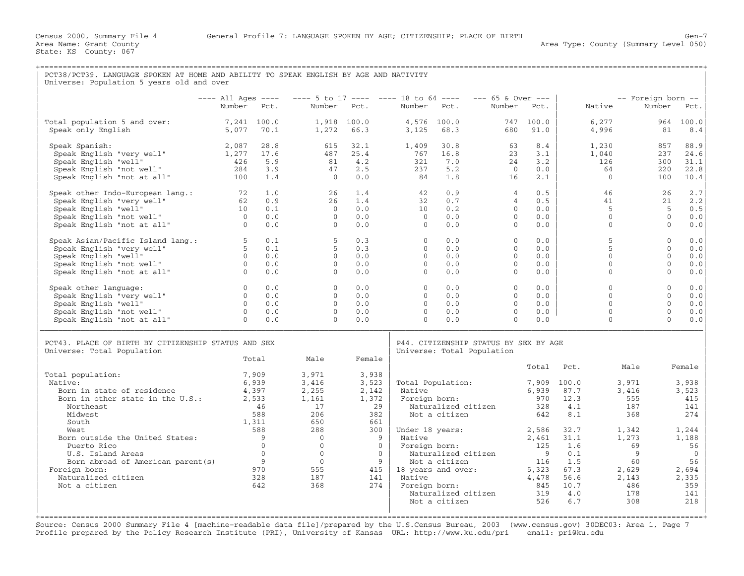State: KS County: 067

| PCT38/PCT39. LANGUAGE SPOKEN AT HOME AND ABILITY TO SPEAK ENGLISH BY AGE AND NATIVITY<br>Universe: Population 5 years old and over                                                                                                                                                                            |                                                                                            |                                                                                                                             |                                                                                                                                                     |                                                                                                                                                          |                                                         |                                                                                                                                                                            |                                                                      |                                                                                  |                                                                                                               |                                                                                                         |                                                                                                                        |
|---------------------------------------------------------------------------------------------------------------------------------------------------------------------------------------------------------------------------------------------------------------------------------------------------------------|--------------------------------------------------------------------------------------------|-----------------------------------------------------------------------------------------------------------------------------|-----------------------------------------------------------------------------------------------------------------------------------------------------|----------------------------------------------------------------------------------------------------------------------------------------------------------|---------------------------------------------------------|----------------------------------------------------------------------------------------------------------------------------------------------------------------------------|----------------------------------------------------------------------|----------------------------------------------------------------------------------|---------------------------------------------------------------------------------------------------------------|---------------------------------------------------------------------------------------------------------|------------------------------------------------------------------------------------------------------------------------|
|                                                                                                                                                                                                                                                                                                               |                                                                                            |                                                                                                                             | ---- All Ages ---- ---- 5 to 17 ---- ---- 18 to 64 ---- --- 65 & Over ---                                                                           |                                                                                                                                                          |                                                         |                                                                                                                                                                            |                                                                      |                                                                                  |                                                                                                               | -- Foreign born --                                                                                      |                                                                                                                        |
|                                                                                                                                                                                                                                                                                                               | Number Pct.                                                                                |                                                                                                                             | Number Pct.                                                                                                                                         |                                                                                                                                                          | Number Pct.                                             |                                                                                                                                                                            | Number Pct.                                                          |                                                                                  | Native                                                                                                        | Number                                                                                                  | Pct.                                                                                                                   |
| Total population 5 and over:<br>Speak only English                                                                                                                                                                                                                                                            | 7,241 100.0<br>5,077 70.1                                                                  |                                                                                                                             | 1,272                                                                                                                                               | 1,918 100.0<br>66.3                                                                                                                                      | 3,125                                                   | 4,576 100.0<br>68.3                                                                                                                                                        | 680                                                                  | 747 100.0<br>91.0                                                                | 6,277<br>4,996                                                                                                | 81                                                                                                      | 964 100.0<br>8.4                                                                                                       |
| Speak Spanish:<br>Speak English "very well"<br>Speak English "well"<br>Speak English "not well"<br>Speak English "not at all"                                                                                                                                                                                 | 2,087<br>1,277<br>426<br>284<br>100                                                        | 28.8<br>17.6<br>5.9<br>3.9<br>1.4                                                                                           | 615<br>487<br>81<br>47<br>$\bigcirc$                                                                                                                | 32.1<br>25.4<br>4.2<br>2.5<br>0.0                                                                                                                        | 1,409<br>767<br>321<br>237<br>- 84                      | 30.8<br>16.8<br>7.0<br>5.2<br>1.8                                                                                                                                          | 63<br>23<br>24<br>$\bigcirc$<br>16                                   | 8.4<br>3.1<br>3.2<br>0.0<br>2.1                                                  | 1,230<br>1,040<br>126<br>64<br>$\Omega$                                                                       | 857<br>237<br>300<br>220<br>100                                                                         | 88.9<br>24.6<br>31.1<br>22.8<br>10.4                                                                                   |
| Speak other Indo-European lang.:<br>Speak English "very well"<br>Speak English "well"<br>Speak English "not well"<br>O Speak English "not at all"<br>0                                                                                                                                                        | 10                                                                                         | 1.0<br>0.9<br>0.1<br>0.0<br>0.0                                                                                             | 26<br>2.6<br>$\bigcirc$<br>$\overline{0}$<br>$\Omega$                                                                                               | 1.4<br>1.4<br>0.0<br>0.0<br>0.0                                                                                                                          | 42<br>32<br>10<br>$\bigcirc$<br>$\Omega$                | 0.9<br>0.7<br>0.2<br>0.0<br>0.0                                                                                                                                            | $\overline{4}$<br>$\overline{4}$<br>$\Omega$<br>$\Omega$<br>$\Omega$ | 0.5<br>0.5<br>0.0<br>0.0<br>0.0                                                  | 46<br>41<br>$5^{\circ}$<br>$\mathbf{0}$<br>$\mathbf{0}$                                                       | 26<br>21<br>$-5$<br>$\Omega$<br>$\mathbf{0}$                                                            | 2.7<br>2.2<br>0.5<br>0.0<br>0.0                                                                                        |
| Speak Asian/Pacific Island lang.:<br>Speak English "very well"<br>Speak English "well"<br>O Speak English "not well"<br>Speak English "not at all"<br>O                                                                                                                                                       |                                                                                            | 0.1<br>0.1<br>0.0<br>0.0<br>0.0                                                                                             | - 5<br>5<br>$\Omega$<br>$\circ$<br>$\Omega$                                                                                                         | 0.3<br>0.3<br>0.0<br>0.0<br>0.0                                                                                                                          | $\Omega$<br>$\Omega$<br>$\Omega$<br>$\circ$<br>$\Omega$ | 0.0<br>0.0<br>0.0<br>0.0<br>0.0                                                                                                                                            | $\Omega$<br>$\Omega$<br>$\Omega$<br>$\circ$<br>$\Omega$              | 0.0<br>0.0<br>0.0<br>0.0<br>0.0                                                  | 5<br>5<br>$\Omega$<br>$\circ$<br>$\Omega$                                                                     | $\Omega$<br>$\Omega$<br>$\Omega$<br>$\Omega$<br>$\Omega$                                                | 0.0<br>0.0<br>0.0<br>0.0<br>0.0                                                                                        |
| Speak other language:<br>Speak English "very well"<br>Speak English "well"<br>Speak English "not well"<br>Speak English "not at all"                                                                                                                                                                          | $\begin{matrix} 0 \\ 0 \end{matrix}$<br>$\overline{0}$<br>$\overline{0}$<br>$\overline{0}$ | 0.0<br>0.0<br>0.0<br>0.0<br>0.0                                                                                             | $\Omega$<br>$\overline{0}$<br>$\Omega$<br>$\Omega$<br>$\Omega$                                                                                      | 0.0<br>0.0<br>0.0<br>0.0<br>0.0                                                                                                                          | $\Omega$<br>$\circ$<br>$\Omega$<br>$\Omega$<br>$\Omega$ | 0.0<br>0.0<br>0.0<br>0.0<br>0.0                                                                                                                                            | $\Omega$<br>$\circ$<br>$\Omega$<br>$\Omega$<br>$\Omega$              | 0.0<br>0.0<br>0.0<br>0.0<br>0.0                                                  | $\Omega$<br>$\Omega$<br>$\Omega$<br>$\Omega$<br>$\Omega$                                                      | $\Omega$<br>$\Omega$<br>$\Omega$<br>$\Omega$<br>$\Omega$                                                | 0.0<br>0.0<br>0.0<br>0.0<br>0.0                                                                                        |
| PCT43. PLACE OF BIRTH BY CITIZENSHIP STATUS AND SEX<br>Universe: Total Population                                                                                                                                                                                                                             |                                                                                            | Total                                                                                                                       | Male                                                                                                                                                | Female                                                                                                                                                   |                                                         | Universe: Total Population                                                                                                                                                 | P44. CITIZENSHIP STATUS BY SEX BY AGE                                |                                                                                  |                                                                                                               |                                                                                                         |                                                                                                                        |
| Total population:<br>Native:<br>Born in state of residence<br>Born in other state in the U.S.:<br>Northeast<br>Midwest<br>South<br>West<br>Born outside the United States:<br>Puerto Rico<br>U.S. Island Areas<br>Born abroad of American parent (s)<br>Foreign born:<br>Naturalized citizen<br>Not a citizen | 4,397<br>2,533                                                                             | 7,909<br>6,939<br>46<br>588<br>1,311<br>588<br>$\overline{9}$<br>$\overline{0}$<br>$\overline{0}$<br>9<br>970<br>328<br>642 | 3,971<br>3,416<br>2,255<br>1,161<br>17<br>206<br>650<br>288<br>$\bigcap$<br>$\overline{0}$<br>$\overline{0}$<br>$\overline{0}$<br>555<br>187<br>368 | 3,938<br>3,523<br>2,142<br>1,372<br>29<br>382<br>661<br>300<br>$\overline{9}$<br>$\overline{0}$<br>$\overline{0}$<br>$\overline{9}$<br>415<br>141<br>274 | Native<br>Native<br>Native                              | Total Population:<br>Foreign born:<br>Naturalized citizen<br>Not a citizen<br>Foreign born:<br>Naturalized citizen<br>Not a citizen<br>18 years and over:<br>Foreign born: | Under 18 years: 2,586                                                | Total<br>7,909 100.0<br>642<br>2,461<br>125<br>9<br>116<br>5,323<br>4,478<br>845 | Pct.<br>6,939 87.7<br>970 12.3<br>328 4.1<br>8.1<br>32.7<br>31.1<br>1.6<br>0.1<br>1.5<br>67.3<br>56.6<br>10.7 | Male<br>3,971<br>3,416<br>555<br>187<br>368<br>1,342<br>1,273<br>69<br>9<br>60<br>2,629<br>2,143<br>486 | Female<br>3,938<br>3,523<br>415<br>141<br>274<br>1,244<br>1,188<br>56<br>$\overline{0}$<br>56<br>2,694<br>2,335<br>359 |

+===================================================================================================================================================+Source: Census 2000 Summary File 4 [machine−readable data file]/prepared by the U.S.Census Bureau, 2003 (www.census.gov) 30DEC03: Area 1, Page 7 Profile prepared by the Policy Research Institute (PRI), University of Kansas URL: http://www.ku.edu/pri email: pri@ku.edu

| | |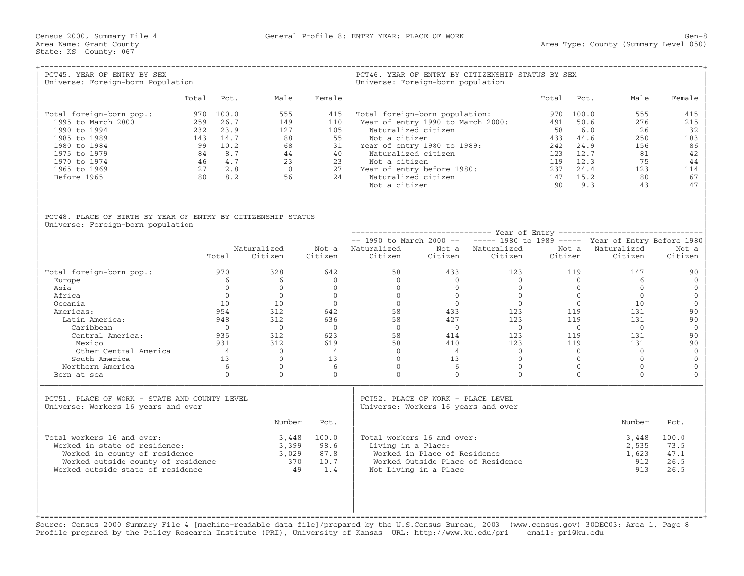Census 2000, Summary File 4 General Profile 8: ENTRY YEAR; PLACE OF WORK Gen−8

| PCT45. YEAR OF ENTRY BY SEX<br>Universe: Foreign-born Population                                                                                                        |       |                                                                                                  |                                                               |                                                        | Universe: Foreign-born population                                                                                                                                                                                   |                                                       | PCT46. YEAR OF ENTRY BY CITIZENSHIP STATUS BY SEX |                                                    |                                                                                     |                                                               |                                                              |
|-------------------------------------------------------------------------------------------------------------------------------------------------------------------------|-------|--------------------------------------------------------------------------------------------------|---------------------------------------------------------------|--------------------------------------------------------|---------------------------------------------------------------------------------------------------------------------------------------------------------------------------------------------------------------------|-------------------------------------------------------|---------------------------------------------------|----------------------------------------------------|-------------------------------------------------------------------------------------|---------------------------------------------------------------|--------------------------------------------------------------|
|                                                                                                                                                                         | Total | Pct.                                                                                             | Male                                                          | Female                                                 |                                                                                                                                                                                                                     |                                                       |                                                   | Total                                              | Pct.                                                                                | Male                                                          | Female                                                       |
| Total foreign-born pop.:<br>1995 to March 2000<br>1990 to 1994<br>1985 to 1989<br>1980 to 1984<br>1975 to 1979<br>1970 to 1974<br>1965 to 1969<br>Before 1965           |       | 970 100.0<br>259 26.7<br>232 23.9<br>143 14.7<br>99 10.2<br>84 8.7<br>46 4.7<br>27 2.8<br>80 8.2 | 555<br>149<br>127<br>88<br>68<br>44<br>23<br>$\bigcirc$<br>56 | 415<br>110<br>105<br>55<br>31<br>40<br>23<br>27<br>2.4 | Total foreign-born population:<br>Naturalized citizen<br>Not a citizen<br>Year of entry 1980 to 1989:<br>Naturalized citizen<br>Not a citizen<br>Year of entry before 1980:<br>Naturalized citizen<br>Not a citizen |                                                       | Year of entry 1990 to March 2000:                 | 491<br>58<br>433<br>242<br>123<br>119<br>237<br>90 | 970 100.0<br>50.6<br>6.0<br>44.6<br>24.9<br>12.7<br>12.3<br>24.4<br>147 15.2<br>9.3 | 555<br>276<br>26<br>250<br>156<br>81<br>75<br>123<br>80<br>43 | 415<br>215<br>32<br>183<br>86<br>42<br>44<br>114<br>67<br>47 |
| PCT48. PLACE OF BIRTH BY YEAR OF ENTRY BY CITIZENSHIP STATUS<br>Universe: Foreign-born population                                                                       |       |                                                                                                  |                                                               |                                                        |                                                                                                                                                                                                                     |                                                       |                                                   |                                                    |                                                                                     |                                                               |                                                              |
|                                                                                                                                                                         |       |                                                                                                  |                                                               |                                                        |                                                                                                                                                                                                                     |                                                       |                                                   |                                                    |                                                                                     |                                                               |                                                              |
|                                                                                                                                                                         |       | Total                                                                                            | Naturalized<br>Citizen                                        | Citizen                                                | $--$ 1990 to March 2000 -- $---$ 1980 to 1989 ----- Year of Entry Before 1980<br>Not a Naturalized<br>Citizen                                                                                                       |                                                       | Not a Naturalized<br>Citizen Citizen              | Citizen                                            |                                                                                     | Not a Naturalized<br>Citizen                                  | Not a<br>Citizen                                             |
| Total foreign-born pop.:                                                                                                                                                |       | 970                                                                                              | 328                                                           | 642                                                    | 58                                                                                                                                                                                                                  | 433                                                   | 123                                               |                                                    | 119                                                                                 | 147                                                           | 90                                                           |
| Europe                                                                                                                                                                  |       | 6                                                                                                | 6                                                             | $\overline{0}$                                         | $\overline{0}$                                                                                                                                                                                                      | $\Omega$                                              | $\bigcirc$                                        |                                                    | $\overline{0}$                                                                      | 6                                                             | $\mathbf{0}$                                                 |
| Asia                                                                                                                                                                    |       | $\Omega$                                                                                         | $\Omega$                                                      | $\Omega$                                               | $\Omega$                                                                                                                                                                                                            | $\Omega$                                              | $\Omega$                                          |                                                    | $\Omega$                                                                            | $\Omega$                                                      | $\mathbf{0}$                                                 |
| Africa                                                                                                                                                                  |       | $\Omega$                                                                                         | $\Omega$                                                      | $\Omega$                                               | $\Omega$                                                                                                                                                                                                            | $\bigcirc$                                            | $\bigcirc$                                        |                                                    | $\Omega$                                                                            | $\Omega$                                                      | $\mathbf{0}$                                                 |
| Oceania                                                                                                                                                                 |       | 10<br>954                                                                                        | 10<br>312                                                     | $\circ$                                                | $\overline{0}$                                                                                                                                                                                                      | $\overline{0}$                                        | $\overline{0}$                                    |                                                    | $\overline{0}$                                                                      | 10                                                            | $\mathbf{0}$<br>90                                           |
| Americas:<br>Latin America:                                                                                                                                             |       | 948                                                                                              | 312                                                           | 642<br>636                                             | 58<br>58                                                                                                                                                                                                            | 433<br>427                                            | 123<br>123                                        |                                                    | 119<br>119                                                                          | 131<br>131                                                    | 90                                                           |
| Caribbean                                                                                                                                                               |       | $\overline{0}$                                                                                   | $\overline{0}$                                                | $\overline{0}$                                         | $\Omega$                                                                                                                                                                                                            | $\bigcirc$                                            | $\overline{0}$                                    |                                                    | $\overline{0}$                                                                      | $\overline{0}$                                                | $\mathbf{0}$                                                 |
| Central America:                                                                                                                                                        |       | 935                                                                                              | 312                                                           | 623                                                    | 58                                                                                                                                                                                                                  | 414                                                   | 123                                               |                                                    | 119                                                                                 | 131                                                           | 90                                                           |
| Mexico                                                                                                                                                                  |       | 931                                                                                              | 312                                                           | 619                                                    | 58                                                                                                                                                                                                                  | 410                                                   | 123                                               |                                                    | 119                                                                                 | 131                                                           | 90                                                           |
| Other Central America                                                                                                                                                   |       | $\overline{4}$                                                                                   | $\overline{0}$                                                | $\overline{4}$                                         | $\Omega$                                                                                                                                                                                                            | $\overline{4}$                                        | $\overline{0}$                                    |                                                    | $\bigcirc$                                                                          | $\bigcirc$                                                    | $\mathbf{0}$                                                 |
| South America                                                                                                                                                           |       | 13                                                                                               | $\bigcap$                                                     | 13                                                     | $\Omega$                                                                                                                                                                                                            | 13                                                    | $\Omega$                                          |                                                    | $\Omega$                                                                            | $\Omega$                                                      | $\mathbf{0}$                                                 |
| Northern America                                                                                                                                                        |       | 6                                                                                                | $\Omega$                                                      | 6                                                      | $\Omega$                                                                                                                                                                                                            | 6                                                     | $\Omega$                                          |                                                    | $\overline{0}$                                                                      | $\mathbf{0}$                                                  | $\mathbf{0}$                                                 |
| Born at sea                                                                                                                                                             |       | $\cap$                                                                                           | $\cap$                                                        | $\cap$                                                 | $\Omega$                                                                                                                                                                                                            | $\cap$                                                | $\cap$                                            |                                                    | $\Omega$                                                                            | $\cap$                                                        | $\Omega$                                                     |
| PCT51. PLACE OF WORK - STATE AND COUNTY LEVEL<br>Universe: Workers 16 years and over                                                                                    |       |                                                                                                  |                                                               |                                                        | PCT52. PLACE OF WORK - PLACE LEVEL<br>Universe: Workers 16 years and over                                                                                                                                           |                                                       |                                                   |                                                    |                                                                                     |                                                               |                                                              |
|                                                                                                                                                                         |       |                                                                                                  | Number                                                        | Pct.                                                   |                                                                                                                                                                                                                     |                                                       |                                                   |                                                    |                                                                                     | Number                                                        | Pct.                                                         |
| Total workers 16 and over:<br>Worked in state of residence:<br>Worked in county of residence<br>Worked outside county of residence<br>Worked outside state of residence |       |                                                                                                  | 3,448<br>3,399<br>3,029<br>370<br>49                          | 100.0<br>98.6<br>87.8<br>10.7<br>1.4                   | Total workers 16 and over:<br>Living in a Place:                                                                                                                                                                    | Worked in Place of Residence<br>Not Living in a Place | Worked Outside Place of Residence                 |                                                    |                                                                                     | 3,448<br>2,535<br>1,623<br>912<br>913                         | 100.0<br>73.5<br>47.1<br>26.5<br>26.5                        |

+===================================================================================================================================================+ Source: Census 2000 Summary File 4 [machine−readable data file]/prepared by the U.S.Census Bureau, 2003 (www.census.gov) 30DEC03: Area 1, Page 8 Profile prepared by the Policy Research Institute (PRI), University of Kansas URL: http://www.ku.edu/pri email: pri@ku.edu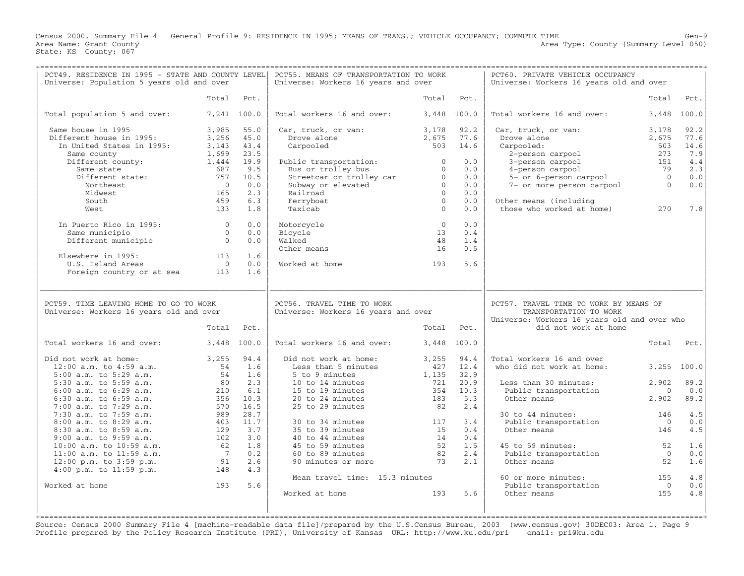Census 2000, Summary File 4 General Profile 9: RESIDENCE IN 1995; MEANS OF TRANS.; VEHICLE OCCUPANCY; COMMUTE TIME Gen−9 Area Type: County (Summary Level 050) Area Name: Grant County<br>State: KS County: 067

+===================================================================================================================================================+

| PCT49. RESIDENCE IN 1995 - STATE AND COUNTY LEVEL<br>Universe: Population 5 years old and over |                 |              | PCT55. MEANS OF TRANSPORTATION TO WORK<br>Universe: Workers 16 years and over |                |              | PCT60. PRIVATE VEHICLE OCCUPANCY<br>Universe: Workers 16 years old and over                                                             |                       |                       |
|------------------------------------------------------------------------------------------------|-----------------|--------------|-------------------------------------------------------------------------------|----------------|--------------|-----------------------------------------------------------------------------------------------------------------------------------------|-----------------------|-----------------------|
|                                                                                                | Total           | Pct.         |                                                                               | Total          | Pct.         |                                                                                                                                         | Total                 | Pct.                  |
| Total population 5 and over:                                                                   |                 | 7,241 100.0  | Total workers 16 and over:                                                    |                | 3,448 100.0  | Total workers 16 and over:                                                                                                              | 3,448                 | 100.0                 |
| Same house in 1995<br>Different house in 1995:                                                 | 3,985<br>3,256  | 55.0<br>45.0 | Car, truck, or van:<br>Drove alone                                            | 3,178<br>2,675 | 92.2<br>77.6 | Car, truck, or van:<br>Drove alone                                                                                                      | 3,178<br>2,675        | 92.2<br>77.6          |
| In United States in 1995:                                                                      | 3,143           | 43.4         | Carpooled                                                                     | 503            | 14.6         | Carpooled:                                                                                                                              | 503                   | 14.6                  |
| Same county                                                                                    | 1,699           | 23.5         |                                                                               |                |              | 2-person carpool                                                                                                                        | 273                   | 7.9                   |
| Different county:                                                                              | 1,444           | 19.9         | Public transportation:                                                        | $\overline{0}$ | 0.0          | 3-person carpool                                                                                                                        | 151                   | 4.4                   |
| Same state                                                                                     | 687             | 9.5          | Bus or trolley bus                                                            | $\overline{0}$ | 0.0          | 4-person carpool                                                                                                                        | 79                    | 2.3                   |
| Different state:                                                                               | 757             | 10.5         | Streetcar or trolley car                                                      | $\overline{0}$ | 0.0          | 5- or 6-person carpool                                                                                                                  | $\overline{0}$        | 0.0                   |
| Northeast                                                                                      | $\bigcirc$      | 0.0          | Subway or elevated                                                            | $\Omega$       | 0.0          | 7- or more person carpool                                                                                                               | $\Omega$              | ${\bf 0}$ . ${\bf 0}$ |
| Midwest                                                                                        | 165             | 2.3          | Railroad                                                                      | $\Omega$       | 0.0          |                                                                                                                                         |                       |                       |
| South                                                                                          | 459             | 6.3          | Ferryboat                                                                     | $\overline{0}$ | 0.0          | Other means (including                                                                                                                  |                       |                       |
| West                                                                                           | 133             | 1.8          | Taxicab                                                                       | $\Omega$       | 0.0          | those who worked at home)                                                                                                               | 270                   | 7.8                   |
| In Puerto Rico in 1995:                                                                        | $\Omega$        | 0.0          | Motorcycle                                                                    | $\Omega$       | 0.0          |                                                                                                                                         |                       |                       |
| Same municipio                                                                                 | $\overline{0}$  | 0.0          | Bicycle                                                                       | 13             | 0.4          |                                                                                                                                         |                       |                       |
| Different municipio                                                                            | $\Omega$        | 0.0          | Walked                                                                        | 48             | 1.4          |                                                                                                                                         |                       |                       |
|                                                                                                |                 |              | Other means                                                                   | 16             | 0.5          |                                                                                                                                         |                       |                       |
| Elsewhere in 1995:                                                                             | 113             | 1.6          |                                                                               |                |              |                                                                                                                                         |                       |                       |
| U.S. Island Areas                                                                              | $\circ$         | 0.0          | Worked at home                                                                | 193            | 5.6          |                                                                                                                                         |                       |                       |
| Foreign country or at sea                                                                      | 113             | 1.6          |                                                                               |                |              |                                                                                                                                         |                       |                       |
| PCT59. TIME LEAVING HOME TO GO TO WORK<br>Universe: Workers 16 years old and over              | Total           | Pct.         | PCT56. TRAVEL TIME TO WORK<br>Universe: Workers 16 years and over             | Total          | Pct.         | PCT57. TRAVEL TIME TO WORK BY MEANS OF<br>TRANSPORTATION TO WORK<br>Universe: Workers 16 years old and over who<br>did not work at home |                       |                       |
| Total workers 16 and over:                                                                     |                 | 3,448 100.0  | Total workers 16 and over:                                                    |                | 3,448 100.0  |                                                                                                                                         | Total                 | Pct.                  |
| Did not work at home:                                                                          | 3,255           | 94.4         | Did not work at home:                                                         | 3,255          | 94.4         | Total workers 16 and over                                                                                                               |                       |                       |
| $12:00$ a.m. to $4:59$ a.m.                                                                    | 54              | 1.6          | Less than 5 minutes                                                           | 427            | 12.4         | who did not work at home:                                                                                                               |                       | 3,255 100.0           |
| 5:00 a.m. to 5:29 a.m.                                                                         | 54              | 1.6          | 5 to 9 minutes                                                                | 1,135          | 32.9         |                                                                                                                                         |                       |                       |
| 5:30 a.m. to 5:59 a.m.                                                                         | 80              | 2.3          | 10 to 14 minutes                                                              | 721            | 20.9         | Less than 30 minutes:                                                                                                                   | 2,902                 | 89.2                  |
| $6:00$ a.m. to $6:29$ a.m.                                                                     | 210             | 6.1          | 15 to 19 minutes                                                              | 354            | 10.3         | Public transportation                                                                                                                   | $\overline{0}$        | 0.0                   |
| $6:30$ a.m. to $6:59$ a.m.                                                                     | 356             | 10.3         | 20 to 24 minutes                                                              | 183            | 5.3          | Other means                                                                                                                             | 2,902                 | 89.2                  |
| 7:00 a.m. to 7:29 a.m.                                                                         | 570<br>989      | 16.5<br>28.7 | 25 to 29 minutes                                                              | 82             | 2.4          |                                                                                                                                         |                       | 4.5                   |
| 7:30 a.m. to 7:59 a.m.<br>8:00 a.m. to 8:29 a.m.                                               |                 | 11.7         |                                                                               |                | 3.4          | 30 to 44 minutes:                                                                                                                       | 146<br>$\overline{0}$ | 0.0                   |
| 8:30 a.m. to 8:59 a.m.                                                                         | 403<br>129      | 3.7          | 30 to 34 minutes<br>35 to 39 minutes                                          | 117<br>15      | 0.4          | Public transportation<br>Other means                                                                                                    | 146                   | 4.5                   |
| $9:00$ a.m. to $9:59$ a.m.                                                                     | 102             | 3.0          | 40 to 44 minutes                                                              | 14             | 0.4          |                                                                                                                                         |                       |                       |
| 10:00 a.m. to 10:59 a.m.                                                                       | 62              | 1.8          | 45 to 59 minutes                                                              | 52             | 1.5          | 45 to 59 minutes:                                                                                                                       | 52                    | 1.6                   |
| 11:00 a.m. to 11:59 a.m.                                                                       | $7\overline{ }$ | 0.2          | 60 to 89 minutes                                                              | 82             | 2.4          | Public transportation                                                                                                                   | $\overline{0}$        | 0.0                   |
| $12:00$ p.m. to $3:59$ p.m.                                                                    | 91              | 2.6          | 90 minutes or more                                                            | 73             | 2.1          | Other means                                                                                                                             | 52                    | 1.6                   |
| $4:00$ p.m. to $11:59$ p.m.                                                                    | 148             | 4.3          |                                                                               |                |              |                                                                                                                                         |                       |                       |
|                                                                                                |                 |              | Mean travel time: 15.3 minutes                                                |                |              | 60 or more minutes:                                                                                                                     | 155                   | 4.8                   |
| Worked at home                                                                                 | 193             | 5.6          |                                                                               |                |              | Public transportation                                                                                                                   | $\overline{0}$        | 0.0                   |
|                                                                                                |                 |              |                                                                               |                |              |                                                                                                                                         |                       |                       |
|                                                                                                |                 |              | Worked at home                                                                | 193            | 5.6          | Other means                                                                                                                             | 155                   | 4.8                   |
|                                                                                                |                 |              |                                                                               |                |              |                                                                                                                                         |                       |                       |

Source: Census 2000 Summary File 4 [machine−readable data file]/prepared by the U.S.Census Bureau, 2003 (www.census.gov) 30DEC03: Area 1, Page 9 Profile prepared by the Policy Research Institute (PRI), University of Kansas URL: http://www.ku.edu/pri email: pri@ku.edu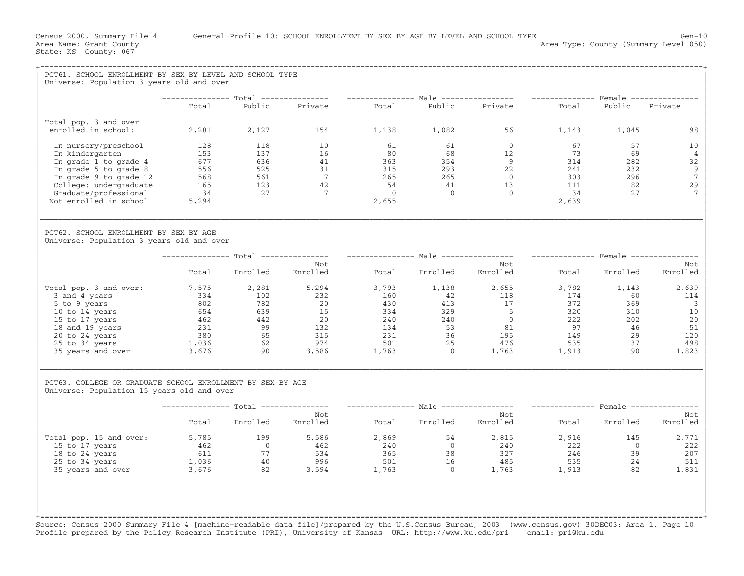| PCT61. SCHOOL ENROLLMENT BY SEX BY LEVEL AND SCHOOL TYPE                                                 |                                          |                   |                                       |                |                         |                                                                                                                                                                                                                                                                                        |                         |                |                               |
|----------------------------------------------------------------------------------------------------------|------------------------------------------|-------------------|---------------------------------------|----------------|-------------------------|----------------------------------------------------------------------------------------------------------------------------------------------------------------------------------------------------------------------------------------------------------------------------------------|-------------------------|----------------|-------------------------------|
| Universe: Population 3 years old and over                                                                |                                          |                   |                                       |                |                         |                                                                                                                                                                                                                                                                                        |                         |                |                               |
|                                                                                                          | Total                                    | Public            | Private                               | Total          |                         | -------------- Total --------------- --------------- Male ---------------- --------------- Female ----------------<br>Public Private                                                                                                                                                   | Total                   | Public Private |                               |
|                                                                                                          |                                          |                   |                                       |                |                         |                                                                                                                                                                                                                                                                                        |                         |                |                               |
| Total pop. 3 and over<br>enrolled in school:                                                             |                                          |                   | $2,281$ $2,127$ $154$ $1,138$ $1,082$ |                |                         | 56 7                                                                                                                                                                                                                                                                                   |                         | 1,143 1,045    | 98                            |
| In nursery/preschool                                                                                     | 128                                      | 118               | 10                                    | 61             | 61                      | $\overline{0}$                                                                                                                                                                                                                                                                         | 67                      | 57             | 10 <sub>1</sub>               |
| In kindergarten<br>In grade 1 to grade 4                                                                 | 153<br>$-577$<br>556<br>568<br>165<br>34 | 137               | 16                                    | 80             |                         | 12<br>$\begin{array}{ccccc} & 68 & & & 12 \\ 354 & & & 9 \\ 293 & & & 22 \\ 265 & & & 0 \\ 41 & & & 13 \\ 0 & & & & 0 \end{array}$                                                                                                                                                     | 73                      | 69<br>282      | $\overline{4}$<br>32          |
| In grade 5 to grade 8                                                                                    |                                          |                   |                                       | 363<br>315     |                         |                                                                                                                                                                                                                                                                                        |                         | 232            | 9                             |
| In grade 9 to grade 12                                                                                   |                                          |                   | $\frac{1}{31}$                        | 265            |                         |                                                                                                                                                                                                                                                                                        | $314$<br>$241$<br>$303$ | 296            | $7\overline{ }$               |
| College: undergraduate                                                                                   |                                          |                   |                                       | 54             |                         |                                                                                                                                                                                                                                                                                        | 111                     | 82             | 29                            |
| Graduate/professional                                                                                    |                                          |                   |                                       | $\overline{0}$ |                         |                                                                                                                                                                                                                                                                                        | 34                      | 27             |                               |
| Not enrolled in school                                                                                   | 5,294                                    |                   |                                       | 2,655          |                         |                                                                                                                                                                                                                                                                                        | 2,639                   |                |                               |
| PCT62. SCHOOL ENROLLMENT BY SEX BY AGE<br>Universe: Population 3 years old and over                      |                                          |                   |                                       |                |                         |                                                                                                                                                                                                                                                                                        |                         |                |                               |
|                                                                                                          |                                          |                   | Not                                   |                |                         | -------------- Total -------------- --------------- Male ---------------- -------------- Female ---------------<br>Not                                                                                                                                                                 |                         |                | Not                           |
|                                                                                                          | Total                                    | Enrolled          | Enrolled                              | Total          | Enrolled                | Enrolled                                                                                                                                                                                                                                                                               | Total                   | Enrolled       | Enrolled                      |
| Total pop. 3 and over:                                                                                   | 7,575                                    | 2,281             | 5,294                                 | 3,793          | 1,138                   | 2,655                                                                                                                                                                                                                                                                                  | 3,782                   | 1,143          | 2,639                         |
| 3 and 4 years                                                                                            |                                          |                   |                                       |                |                         |                                                                                                                                                                                                                                                                                        |                         | 60             | 114                           |
| 5 to 9 years                                                                                             |                                          |                   |                                       |                |                         |                                                                                                                                                                                                                                                                                        |                         | 369<br>310     | $\overline{\mathbf{3}}$<br>10 |
| 10 to 14 years<br>15 to 17 years                                                                         |                                          |                   |                                       |                |                         |                                                                                                                                                                                                                                                                                        |                         | 202            | 20                            |
| 18 and 19 years                                                                                          |                                          |                   |                                       |                |                         |                                                                                                                                                                                                                                                                                        |                         | 46             | 51                            |
| 20 to 24 years                                                                                           |                                          |                   |                                       |                |                         |                                                                                                                                                                                                                                                                                        |                         | 29             | 120                           |
| 20 to 24 years<br>25 to 34 years<br>35 years and over<br>36 3676 90 3,586                                |                                          |                   |                                       |                |                         |                                                                                                                                                                                                                                                                                        |                         | 37             | 498                           |
|                                                                                                          |                                          |                   |                                       |                |                         | $\begin{array}{cccccccc} 1,373 & 2,204 & 5,294 & 5,795 & 1,136 & 2,055 & 3,782 & 1,102 & 232 & 160 & 42 & 118 & 174 & 174 \ 802 & 782 & 20 & 430 & 413 & 17 & 372 \ 654 & 639 & 15 & 334 & 329 & 5 & 320 \ 462 & 442 & 20 & 240 & 240 & 0 & 222 \ 231 & 99 & 132 & 134 & 53 & 81 & 97$ |                         | 90             | 1,823                         |
| PCT63. COLLEGE OR GRADUATE SCHOOL ENROLLMENT BY SEX BY AGE<br>Universe: Population 15 years old and over |                                          |                   |                                       |                |                         |                                                                                                                                                                                                                                                                                        |                         |                |                               |
|                                                                                                          |                                          |                   |                                       |                |                         | --------------- Total --------------- ---------------- Male ---------------- --------------- Female ---------------                                                                                                                                                                    |                         |                |                               |
|                                                                                                          | Total                                    | Enrolled Enrolled | Not                                   |                | Total Enrolled Enrolled | Not                                                                                                                                                                                                                                                                                    |                         | Total Enrolled | Not<br>Enrolled               |
| Total pop. 15 and over:                                                                                  |                                          | $5,785$ 199       | 5,586                                 | 2,869          | 54                      | 2,815                                                                                                                                                                                                                                                                                  | 2,916                   | 145            | 2,771                         |
|                                                                                                          |                                          | $\overline{0}$    |                                       | 240            |                         |                                                                                                                                                                                                                                                                                        | 222                     | $\overline{0}$ | 222                           |
|                                                                                                          |                                          |                   | 534<br>996                            |                |                         |                                                                                                                                                                                                                                                                                        | 246<br>535              | 39<br>24       | 207<br>511                    |
|                                                                                                          |                                          |                   |                                       | 1,763          |                         | $\begin{array}{cccc} 240 & 0 & 240 \ 365 & 38 & 327 \ 501 & 16 & 485 \ 1,763 & 0 & 1,763 \end{array}$                                                                                                                                                                                  | 1,913                   | 82             | 1,831                         |
|                                                                                                          |                                          |                   |                                       |                |                         |                                                                                                                                                                                                                                                                                        |                         |                |                               |

Source: Census 2000 Summary File 4 [machine−readable data file]/prepared by the U.S.Census Bureau, 2003 (www.census.gov) 30DEC03: Area 1, Page 10 Profile prepared by the Policy Research Institute (PRI), University of Kansas URL: http://www.ku.edu/pri email: pri@ku.edu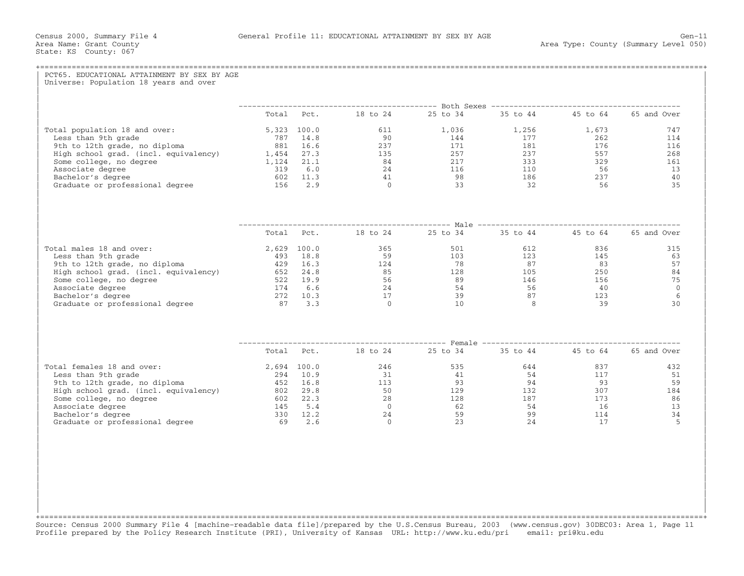| PCT65. EDUCATIONAL ATTAINMENT BY SEX BY AGE<br>Universe: Population 18 years and over |  |                                                            |  |               |
|---------------------------------------------------------------------------------------|--|------------------------------------------------------------|--|---------------|
|                                                                                       |  |                                                            |  |               |
|                                                                                       |  | Total Pct. 18 to 24 25 to 34 35 to 44 45 to 64 65 and Over |  |               |
|                                                                                       |  |                                                            |  | 747           |
|                                                                                       |  |                                                            |  | 114           |
|                                                                                       |  |                                                            |  | 116           |
|                                                                                       |  |                                                            |  | 268<br>161    |
|                                                                                       |  |                                                            |  | 13            |
|                                                                                       |  |                                                            |  | 40            |
|                                                                                       |  |                                                            |  | 35            |
|                                                                                       |  |                                                            |  |               |
|                                                                                       |  | Total Pct. 18 to 24 25 to 34 35 to 44 45 to 64 65 and Over |  |               |
| Total males 18 and over:                                                              |  |                                                            |  | 836 83<br>315 |
|                                                                                       |  |                                                            |  | 145<br>63     |
|                                                                                       |  |                                                            |  | 57            |
|                                                                                       |  |                                                            |  | 84            |
|                                                                                       |  |                                                            |  | 75            |
|                                                                                       |  |                                                            |  | $\Omega$<br>6 |
|                                                                                       |  |                                                            |  | 30            |
|                                                                                       |  |                                                            |  |               |
|                                                                                       |  |                                                            |  |               |
|                                                                                       |  | Total Pct. 18 to 24 25 to 34 35 to 44 45 to 64 65 and Over |  |               |
| Total females 18 and over:                                                            |  |                                                            |  | 432           |
|                                                                                       |  |                                                            |  | 51            |
|                                                                                       |  |                                                            |  | 59            |
|                                                                                       |  |                                                            |  | 184           |
|                                                                                       |  |                                                            |  | 86            |
|                                                                                       |  |                                                            |  | 13<br>34      |
|                                                                                       |  |                                                            |  | 5             |
|                                                                                       |  |                                                            |  |               |

+===================================================================================================================================================+Source: Census 2000 Summary File 4 [machine−readable data file]/prepared by the U.S.Census Bureau, 2003 (www.census.gov) 30DEC03: Area 1, Page 11 Profile prepared by the Policy Research Institute (PRI), University of Kansas URL: http://www.ku.edu/pri email: pri@ku.edu

| | | | | | | | | | | |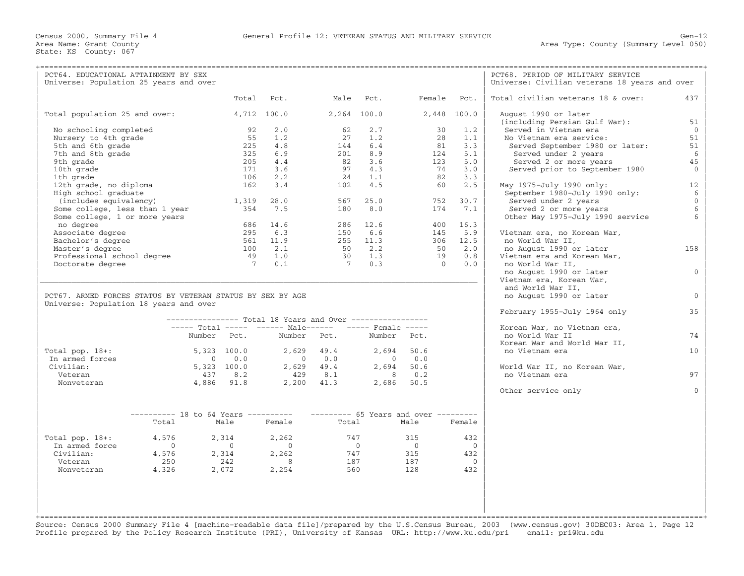| PCT64. EDUCATIONAL ATTAINMENT BY SEX<br>Universe: Population 25 years and over |                                     |               |                |                |                                                           |             |                |                 | PCT68. PERIOD OF MILITARY SERVICE<br>Universe: Civilian veterans 18 years and over |                |
|--------------------------------------------------------------------------------|-------------------------------------|---------------|----------------|----------------|-----------------------------------------------------------|-------------|----------------|-----------------|------------------------------------------------------------------------------------|----------------|
|                                                                                |                                     |               | Total          | Pct.           | Male                                                      | Pct.        |                | Female Pct.     | Total civilian veterans 18 & over:<br>437                                          |                |
| Total population 25 and over:                                                  |                                     |               |                | 4,712 100.0    |                                                           | 2,264 100.0 |                | 2,448 100.0     | August 1990 or later<br>(including Persian Gulf War):<br>51                        |                |
| No schooling completed                                                         |                                     |               | 92             | 2.0            | 62                                                        | 2.7         |                | 30<br>1.2       | Served in Vietnam era                                                              | $\Omega$       |
| Nursery to 4th grade                                                           |                                     |               | 55             | 1.2            | 27                                                        | 1.2         |                | 28<br>1.1       | 51<br>No Vietnam era service:                                                      |                |
| 5th and 6th grade                                                              |                                     |               | 225            | 4.8            | 144                                                       | 6.4         |                | 3.3<br>81       | 51<br>Served September 1980 or later:                                              |                |
| 7th and 8th grade                                                              |                                     |               | 325            | 6.9            | 201                                                       | 8.9         |                | 124<br>5.1      | Served under 2 years                                                               | 6              |
| 9th grade                                                                      |                                     |               | 205            | 4.4            | 82                                                        | 3.6         |                | 123<br>5.0      | Served 2 or more years<br>45                                                       |                |
| 10th grade                                                                     |                                     |               | 171            | 3.6            | 97                                                        | 4.3         |                | 74<br>3.0       | Served prior to September 1980                                                     | $\overline{0}$ |
| 1th grade                                                                      |                                     |               | 106            | 2.2            | 24                                                        | 1.1         |                | 82<br>3.3       |                                                                                    |                |
| 12th grade, no diploma                                                         |                                     |               | 162            | 3.4            | 102                                                       | 4.5         |                | 2.5<br>60       | 12<br>May 1975-July 1990 only:                                                     |                |
| High school graduate                                                           |                                     |               |                |                |                                                           |             |                |                 | September 1980-July 1990 only:                                                     | 6              |
| (includes equivalency)                                                         |                                     |               | 1,319          | 28.0           | 567                                                       | 25.0        |                | 752<br>30.7     | Served under 2 years                                                               | $\mathbf{0}$   |
| Some college, less than 1 year                                                 |                                     |               | 354            | 7.5            | 180                                                       | 8.0         |                | 174<br>7.1      | Served 2 or more years                                                             | 6              |
| Some college, 1 or more years                                                  |                                     |               |                |                |                                                           |             |                |                 | Other May 1975-July 1990 service                                                   |                |
| no degree                                                                      |                                     |               | 686            | 14.6           |                                                           | 286 12.6    |                | 400 16.3        |                                                                                    |                |
| Associate degree                                                               |                                     |               | 295            | 6.3            | 150                                                       | 6.6         |                | 5.9<br>145      | Vietnam era, no Korean War,                                                        |                |
| Bachelor's degree                                                              |                                     |               | 561            | 11.9           |                                                           | 255 11.3    |                | 306<br>12.5     | no World War II,                                                                   |                |
| Master's degree                                                                |                                     |               | 100            | 2.1            |                                                           | 50 2.2      |                | 2.0<br>50       | no August 1990 or later<br>158                                                     |                |
| Professional school degree                                                     |                                     |               | 49             | 1.0            | 30                                                        | 1.3         |                | 19<br>0.8       | Vietnam era and Korean War,                                                        |                |
| Doctorate degree                                                               |                                     |               | $\overline{7}$ | 0.1            | 7                                                         | 0.3         |                | $\Omega$<br>0.0 | no World War II,                                                                   |                |
|                                                                                |                                     |               |                |                |                                                           |             |                |                 | no August 1990 or later                                                            | $\mathbf{0}$   |
|                                                                                |                                     |               |                |                |                                                           |             |                |                 | Vietnam era, Korean War,                                                           |                |
| PCT67. ARMED FORCES STATUS BY VETERAN STATUS BY SEX BY AGE                     |                                     |               |                |                |                                                           |             |                |                 | and World War II,                                                                  | $\Omega$       |
| Universe: Population 18 years and over                                         |                                     |               |                |                |                                                           |             |                |                 | no August 1990 or later                                                            |                |
|                                                                                |                                     |               |                |                |                                                           |             |                |                 | February 1955-July 1964 only<br>35                                                 |                |
|                                                                                |                                     |               |                |                | --------------- Total 18 Years and Over ----------------- |             |                |                 |                                                                                    |                |
|                                                                                |                                     |               |                |                | ----- Total ----- ------ Male------ ----- Female -----    |             |                |                 | Korean War, no Vietnam era,                                                        |                |
|                                                                                |                                     | Number Pct.   |                | Number         | Pct.                                                      |             | Number Pct.    |                 | 74<br>no World War II                                                              |                |
|                                                                                |                                     |               |                |                |                                                           |             |                |                 | Korean War and World War II,                                                       |                |
| Total pop. $18+:$                                                              |                                     | $5,323$ 100.0 |                | 2,629          | 49.4                                                      | 2,694       | 50.6           |                 | no Vietnam era<br>10 <sup>°</sup>                                                  |                |
| In armed forces                                                                |                                     | $\Omega$      | 0.0            | $\bigcirc$     | 0.0                                                       | $\Omega$    | 0.0            |                 |                                                                                    |                |
| Civilian:                                                                      |                                     | $5,323$ 100.0 |                |                | $2,629$ $49.4$                                            | 2,694       | 50.6           |                 | World War II, no Korean War,                                                       |                |
| Veteran                                                                        |                                     | 437           | 8.2            | 429            | 8.1                                                       | 8           | 0.2            |                 | no Vietnam era<br>97                                                               |                |
| Nonveteran                                                                     |                                     | 4,886 91.8    |                |                | $2,200$ $41.3$                                            |             | 2,686 50.5     |                 |                                                                                    |                |
|                                                                                |                                     |               |                |                |                                                           |             |                |                 | Other service only                                                                 | $\cap$         |
|                                                                                |                                     |               |                |                |                                                           |             |                |                 |                                                                                    |                |
|                                                                                | $------ - 18$ to 64 Years --------- |               |                |                | $------ 65$ Years and over $------$                       |             |                |                 |                                                                                    |                |
|                                                                                | Total                               |               | Male           | Female         | Total                                                     |             | Male           | Female          |                                                                                    |                |
|                                                                                |                                     |               |                |                |                                                           |             |                |                 |                                                                                    |                |
| Total pop. $18+:$                                                              | 4,576                               |               | 2,314          | 2,262          | 747                                                       |             | 315            | 432             |                                                                                    |                |
| In armed force                                                                 | $\Omega$                            |               | $\bigcirc$     | $\overline{0}$ | $\overline{0}$                                            |             | $\overline{0}$ | $\Omega$        |                                                                                    |                |
| Civilian:                                                                      | 4,576                               |               | 2,314          | 2,262          | 747                                                       |             | 315            | 432             |                                                                                    |                |
| Veteran                                                                        | 250                                 |               | 242            | $\overline{8}$ | 187                                                       |             | 187            | $\Omega$        |                                                                                    |                |
| Nonveteran                                                                     | 4,326                               |               | 2,072          | 2,254          | 560                                                       |             | 128            | 432             |                                                                                    |                |
|                                                                                |                                     |               |                |                |                                                           |             |                |                 |                                                                                    |                |
|                                                                                |                                     |               |                |                |                                                           |             |                |                 |                                                                                    |                |
|                                                                                |                                     |               |                |                |                                                           |             |                |                 |                                                                                    |                |
|                                                                                |                                     |               |                |                |                                                           |             |                |                 |                                                                                    |                |
|                                                                                |                                     |               |                |                |                                                           |             |                |                 |                                                                                    |                |
|                                                                                |                                     |               |                |                |                                                           |             |                |                 |                                                                                    |                |

Source: Census 2000 Summary File 4 [machine−readable data file]/prepared by the U.S.Census Bureau, 2003 (www.census.gov) 30DEC03: Area 1, Page 12 Profile prepared by the Policy Research Institute (PRI), University of Kansas URL: http://www.ku.edu/pri email: pri@ku.edu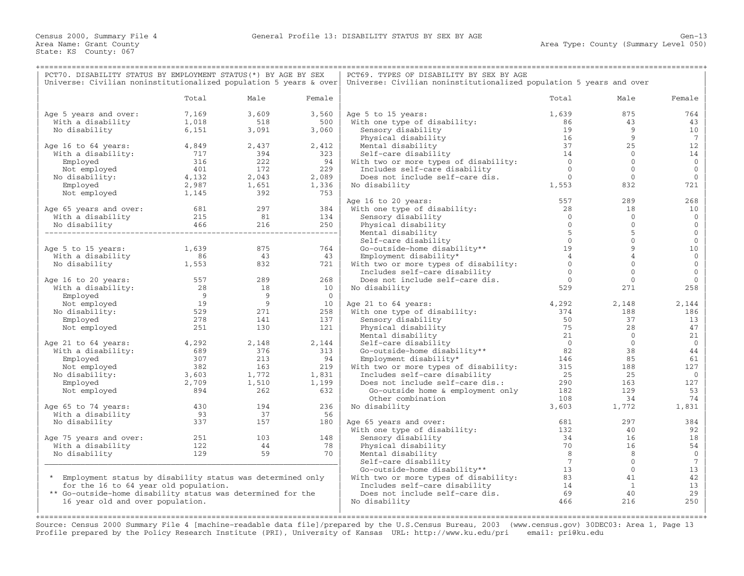| PCT70. DISABILITY STATUS BY EMPLOYMENT STATUS (*) BY AGE BY SEX   |                                          |                            |                | PCT69. TYPES OF DISABILITY BY SEX BY AGE                            |                |                |                 |
|-------------------------------------------------------------------|------------------------------------------|----------------------------|----------------|---------------------------------------------------------------------|----------------|----------------|-----------------|
| Universe: Civilian noninstitutionalized population 5 years & over |                                          |                            |                | Universe: Civilian noninstitutionalized population 5 years and over |                |                |                 |
|                                                                   | Total                                    | Male                       | Female         |                                                                     | Total          | Male           | Female          |
| Age 5 years and over:                                             | 7,169                                    | 3,609                      | 3,560          | Age 5 to 15 years:                                                  | 1,639          | 875            | 764             |
| With a disability                                                 | 1,018                                    | 518                        | 500            | With one type of disability:                                        | 86             | 43             | 43              |
| No disability                                                     | 6,151                                    | 3,091                      | 3,060          | Sensory disability                                                  | 19             | 9              | 10              |
|                                                                   |                                          |                            |                | Physical disability                                                 | 16             | 9              | 7               |
| Age 16 to 64 years:                                               | $4,849$<br>717                           | 2,437                      | 2,412          | Mental disability                                                   | 37             | 25             | 12              |
| With a disability:                                                |                                          | 394                        | 323            | Self-care disability                                                | 14             | $\Omega$       | 14              |
| Employed                                                          | 316                                      | 222                        | 94             | With two or more types of disability:                               | $\overline{0}$ | $\mathbf 0$    | $\mathbf 0$     |
| Not employed                                                      | 401                                      | 172                        | 229            | Includes self-care disability                                       | $\overline{0}$ | $\circ$        | $\mathbf 0$     |
| No disability:                                                    | $401$<br>$4,132$                         | 2,043                      | 2,089          | Does not include self-care dis.                                     | $\overline{0}$ | $\overline{0}$ | $\mathbf 0$     |
|                                                                   |                                          |                            |                |                                                                     | 1,553          |                |                 |
| Employed                                                          | 2,987<br>1,145                           | 1,651                      | 1,336          | No disability                                                       |                | 832            | 721             |
| Not employed                                                      |                                          | 392                        | 753            |                                                                     |                |                |                 |
|                                                                   |                                          |                            |                | Age 16 to 20 years:                                                 | 557            | 289            | 268             |
| Age 65 years and over: $681$<br>With a disability 215             |                                          | 297                        | 384            | With one type of disability:                                        | 28             | 18             | 10              |
|                                                                   |                                          | 81                         | 134            | Sensory disability                                                  | $\overline{0}$ | $\overline{0}$ | $\mathbf 0$     |
| No disability                                                     | 466                                      | 216                        | 250            | Physical disability                                                 | $\Omega$       | $\mathbf{0}$   | $\mathbf{0}$    |
|                                                                   |                                          |                            | -------------- | Mental disability                                                   | 5              | 5              | $\mathbf{0}$    |
|                                                                   |                                          |                            |                | Self-care disability                                                | $\overline{0}$ | $\mathbf{0}$   | $\mathbf{0}$    |
| Age 5 to 15 years:                                                | 1,639                                    | 875                        | 764            | Go-outside-home disability**                                        | 19             | 9              | 10              |
| With a disability                                                 | $86$<br>1,553                            | 43                         | 43             | Employment disability*                                              | $\overline{4}$ | $\overline{4}$ | $\mathbf 0$     |
| No disability                                                     |                                          | 832                        | 721            | With two or more types of disability:                               | $\overline{0}$ | $\Omega$       | $\mathbf{0}$    |
|                                                                   |                                          |                            |                | Includes self-care disability                                       | $\overline{0}$ | $\Omega$       | $\mathbf{0}$    |
| Age 16 to 20 years:                                               |                                          | 289                        | 268            | Does not include self-care dis.                                     | $\Omega$       | $\Omega$       | $\Omega$        |
| With a disability:                                                | $\begin{array}{c} 557 \\ 28 \end{array}$ | 18                         | 10             | No disability                                                       | 529            | 271            | 258             |
|                                                                   | 9                                        | $\overline{9}$             | $\Omega$       |                                                                     |                |                |                 |
| Employed                                                          |                                          | $\overline{9}$             | 10             |                                                                     | 4,292          | 2,148          | 2,144           |
| Not employed                                                      | $\frac{19}{529}$                         |                            |                | Age 21 to 64 years:                                                 |                |                |                 |
| No disability:                                                    |                                          | 271                        | 258            | With one type of disability:                                        | 374            | 188            | 186             |
| Employed                                                          | 278                                      | 141                        | 137            | Sensory disability                                                  | 50             | 37             | 13              |
| Not employed                                                      | 251                                      | 130                        | 121            | Physical disability                                                 | 75             | 28             | 47              |
|                                                                   |                                          |                            |                | Mental disability                                                   | 21             | $\Omega$       | 21              |
| Age 21 to 64 years:                                               | 4,292                                    | 2,148                      | 2,144          | Self-care disability<br>Go-outside-home disability**                | $\bigcirc$     | $\overline{0}$ | $\mathbf{0}$    |
| With a disability:                                                | 689<br>307                               | 376                        | 313            |                                                                     | 82             | 38             | 44              |
| Employed                                                          |                                          | 213                        | 94             | Employment disability*                                              | 146            | 85             | 61              |
| Not employed                                                      | 382                                      | 163                        | 219            | With two or more types of disability: 315                           |                | 188            | 127             |
| No disability:                                                    |                                          |                            | 1,831          | Includes self-care disability                                       | 25             | 25             | $\mathbf 0$     |
| Employed                                                          |                                          | $\frac{1}{1,772}$<br>1,510 | 1,199          | Does not include self-care dis.:                                    | 290            | 163            | 127             |
| Not employed                                                      | $382$<br>3,603<br>2,709<br>894<br>894    | 262                        | 632            | Go-outside home & employment only                                   | 182            | 129            | 53              |
|                                                                   |                                          |                            |                | Other combination                                                   | 108            | 34             | 74              |
| Age 65 to 74 years:                                               | 430                                      | 194                        | 236            | No disability                                                       | 3,603          | 1,772          | 1,831           |
| With a disability                                                 | 93                                       | 37                         | 56             |                                                                     |                |                |                 |
| No disability                                                     | 337                                      | 157                        | 180            | Age 65 years and over:                                              | 681            | 297            | 384             |
|                                                                   |                                          |                            |                | With one type of disability:                                        | 132            | 40             | 92              |
| Age 75 years and over:                                            |                                          | 103                        | 148            | Sensory disability                                                  | 34             | 16             | 18              |
| With a disability                                                 | 251<br>122                               | 44                         | 78             | Physical disability                                                 | 70             | 16             | 54              |
|                                                                   | 129                                      | 59                         | 70             |                                                                     | 8 <sup>8</sup> | 8              | $\mathbf{0}$    |
| No disability                                                     |                                          |                            |                | Mental disability                                                   |                |                |                 |
|                                                                   |                                          |                            |                | Self-care disability                                                | $\overline{7}$ | $\circ$        | $7\overline{ }$ |
|                                                                   |                                          |                            |                | Go-outside-home disability**                                        | 13             | $\overline{0}$ | 13              |
| * Employment status by disability status was determined only      |                                          |                            |                | With two or more types of disability:                               | 83             | 41             | 42              |
| for the 16 to 64 year old population.                             |                                          |                            |                | Includes self-care disability                                       | 14             | $\overline{1}$ | 13              |
| ** Go-outside-home disability status was determined for the       |                                          |                            |                | Does not include self-care dis.                                     | 69             | 40             | 29              |
| 16 year old and over population.                                  |                                          |                            |                | No disability                                                       | 466            | 216            | 250             |
|                                                                   |                                          |                            |                |                                                                     |                |                |                 |
|                                                                   |                                          |                            |                |                                                                     |                |                |                 |

Source: Census 2000 Summary File 4 [machine−readable data file]/prepared by the U.S.Census Bureau, 2003 (www.census.gov) 30DEC03: Area 1, Page 13 Profile prepared by the Policy Research Institute (PRI), University of Kansas URL: http://www.ku.edu/pri email: pri@ku.edu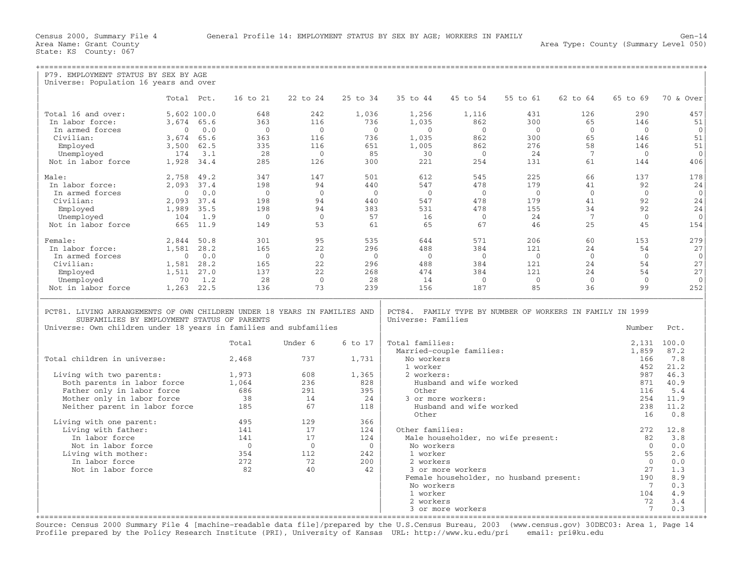| P79. EMPLOYMENT STATUS BY SEX BY AGE                                      |                |      |            |                |            |                    |                          |                                                           |                 |                |                |
|---------------------------------------------------------------------------|----------------|------|------------|----------------|------------|--------------------|--------------------------|-----------------------------------------------------------|-----------------|----------------|----------------|
| Universe: Population 16 years and over                                    |                |      |            |                |            |                    |                          |                                                           |                 |                |                |
|                                                                           |                |      |            |                |            |                    |                          |                                                           |                 |                |                |
|                                                                           | Total Pct.     |      | 16 to 21   | 22 to 24       | 25 to 34   | 35 to 44           | 45 to 54                 | 55 to 61                                                  | 62 to 64        | 65 to 69       | 70 & Over      |
|                                                                           |                |      |            |                |            |                    |                          |                                                           |                 |                |                |
| Total 16 and over:                                                        | 5,602 100.0    |      | 648        | 242            | 1,036      | 1,256              | 1,116                    | 431                                                       | 126             | 290            | 457            |
| In labor force:                                                           | 3,674 65.6     |      | 363        | 116            | 736        | 1,035              | 862                      | 300                                                       | 65              | 146            | 51             |
| In armed forces                                                           | $\mathbf{0}$   | 0.0  | $\Omega$   | $\overline{0}$ | $\bigcirc$ | $\Omega$           | $\overline{0}$           | $\bigcirc$                                                | $\Omega$        | $\bigcirc$     | $\mathbf{0}$   |
| Civilian:                                                                 | 3,674          | 65.6 | 363        | 116            | 736        | 1,035              | 862                      | 300                                                       | 65              | 146            | 51             |
| Employed                                                                  | 3,500          | 62.5 | 335        | 116            | 651        | 1,005              | 862                      | 276                                                       | 58              | 146            | 51             |
| Unemployed                                                                | 174            | 3.1  | 28         | $\overline{0}$ | 85         | 30                 | $\overline{0}$           | 24                                                        | 7               | $\overline{0}$ | $\Omega$       |
| Not in labor force                                                        | 1,928 34.4     |      | 285        | 126            | 300        | 221                | 254                      | 131                                                       | 61              | 144            | 406            |
| Male:                                                                     | 2,758          | 49.2 | 347        | 147            | 501        | 612                | 545                      | 225                                                       | 66              | 137            | 178            |
| In labor force:                                                           | 2,093 37.4     |      | 198        | 94             | 440        | 547                | 478                      | 179                                                       | 41              | 92             | 24             |
| In armed forces                                                           | $\mathbf{0}$   | 0.0  | $\bigcirc$ | $\overline{0}$ | $\bigcirc$ | $\bigcirc$         | $\Omega$                 | $\bigcirc$                                                | $\Omega$        | $\Omega$       | $\overline{0}$ |
| Civilian:                                                                 | 2,093 37.4     |      | 198        | 94             | 440        | 547                | 478                      | 179                                                       | 41              | 92             | 24             |
| Employed                                                                  | 1,989          | 35.5 | 198        | 94             | 383        | 531                | 478                      | 155                                                       | 34              | 92             | 24             |
| Unemployed                                                                | 104            | 1.9  | $\bigcirc$ | $\overline{0}$ | 57         | 16                 | $\Omega$                 | 24                                                        | $7\phantom{.0}$ | $\Omega$       | $\Omega$       |
| Not in labor force                                                        | 665            | 11.9 | 149        | 53             | 61         | 65                 | 67                       | 46                                                        | 25              | 45             | 154            |
|                                                                           |                |      |            |                |            |                    |                          |                                                           |                 |                |                |
| Female:                                                                   | 2,844 50.8     |      | 301        | 95             | 535        | 644                | 571                      | 206                                                       | 60              | 153            | 279            |
| In labor force:                                                           | 1,581 28.2     |      | 165        | 22             | 296        | 488                | 384                      | 121                                                       | 24              | 54             | 27             |
| In armed forces                                                           | $\overline{0}$ | 0.0  | $\bigcirc$ | $\overline{0}$ | $\bigcirc$ | $\Omega$           | $\Omega$                 | $\bigcirc$                                                | $\Omega$        | $\Omega$       | $\mathbf{0}$   |
| Civilian:                                                                 | 1,581          | 28.2 | 165        | 22             | 296        | 488                | 384                      | 121                                                       | 24              | 54             | 27             |
| Employed                                                                  | 1,511          | 27.0 | 137        | 22             | 268        | 474                | 384                      | 121                                                       | 24              | 54             | 27             |
| Unemployed                                                                | 70             | 1.2  | 28         | $\overline{0}$ | 28         | 14                 | $\overline{0}$           | $\overline{0}$                                            | $\overline{0}$  | $\mathbf{0}$   | $\mathbf{0}$   |
| Not in labor force                                                        | 1,263 22.5     |      | 136        | 73             | 239        | 156                | 187                      | 85                                                        | 36              | 99             | 252            |
|                                                                           |                |      |            |                |            |                    |                          |                                                           |                 |                |                |
|                                                                           |                |      |            |                |            |                    |                          |                                                           |                 |                |                |
| PCT81. LIVING ARRANGEMENTS OF OWN CHILDREN UNDER 18 YEARS IN FAMILIES AND |                |      |            |                |            |                    |                          | PCT84. FAMILY TYPE BY NUMBER OF WORKERS IN FAMILY IN 1999 |                 |                |                |
| SUBFAMILIES BY EMPLOYMENT STATUS OF PARENTS                               |                |      |            |                |            | Universe: Families |                          |                                                           |                 |                |                |
| Universe: Own children under 18 years in families and subfamilies         |                |      |            |                |            |                    |                          |                                                           |                 | Number         | Pct.           |
|                                                                           |                |      |            |                |            |                    |                          |                                                           |                 |                |                |
|                                                                           |                |      | Total      | Under 6        | 6 to 17    | Total families:    |                          |                                                           |                 | 2,131          | 100.0          |
|                                                                           |                |      |            |                |            |                    | Married-couple families: |                                                           |                 | 1,859          | 87.2           |
| Total children in universe:                                               |                |      | 2,468      | 737            | 1,731      | No workers         |                          |                                                           |                 | 166            | 7.8            |
|                                                                           |                |      |            |                |            | 1 worker           |                          |                                                           |                 | 452            | 21.2           |
| Living with two parents:                                                  |                |      | 1,973      | 608            | 1,365      | 2 workers:         |                          |                                                           |                 | 987            | 46.3           |
| Both parents in labor force                                               |                |      | 1,064      | 236            | 828        |                    | Husband and wife worked  |                                                           |                 | 871            | 40.9           |
| Father only in labor force                                                |                |      | 686        | 291            | 395        | Other              |                          |                                                           |                 | 116            | 5.4            |
| Mother only in labor force                                                |                |      | 38         | 14             | 24         |                    | 3 or more workers:       |                                                           |                 | 254            | 11.9           |
| Neither parent in labor force                                             |                |      | 185        | 67             | 118        |                    | Husband and wife worked  |                                                           |                 | 238            | 11.2           |
|                                                                           |                |      |            |                |            | Other              |                          |                                                           |                 | 16             | 0.8            |
| Living with one parent:                                                   |                |      | 495        | 129            | 366        |                    |                          |                                                           |                 |                |                |
| Living with father:                                                       |                |      | 141        | 17             | 124        | Other families:    |                          |                                                           |                 | 272            | 12.8           |
| In labor force                                                            |                |      | 141        | 17             | 124        |                    |                          | Male householder, no wife present:                        |                 | 82             | 3.8            |
| Not in labor force                                                        |                |      | $\bigcirc$ | $\bigcirc$     | $\Omega$   | No workers         |                          |                                                           |                 | $\Omega$       | 0.0            |
| Living with mother:                                                       |                |      | 354        | 112            | 242        | 1 worker           |                          |                                                           |                 | 55             | 2.6            |
| In labor force                                                            |                |      | 272        | 72             | 200        | 2 workers          |                          |                                                           |                 | $\Omega$       | 0.0            |
| Not in labor force                                                        |                |      | 82         | 40             | 42         |                    | 3 or more workers        |                                                           |                 | 27             | 1.3            |
|                                                                           |                |      |            |                |            |                    |                          | Female householder, no husband present:                   |                 | 190            | 8.9            |
|                                                                           |                |      |            |                |            | No workers         |                          |                                                           |                 | - 7            | 0.3            |
|                                                                           |                |      |            |                |            | 1 worker           |                          |                                                           |                 | 104            | 4.9            |
|                                                                           |                |      |            |                |            | 2 workers          |                          |                                                           |                 | 72             | 3.4            |
|                                                                           |                |      |            |                |            |                    |                          |                                                           |                 |                |                |
|                                                                           |                |      |            |                |            |                    | 3 or more workers        |                                                           |                 | 7              | 0.3            |

+===================================================================================================================================================+ Source: Census 2000 Summary File 4 [machine−readable data file]/prepared by the U.S.Census Bureau, 2003 (www.census.gov) 30DEC03: Area 1, Page 14 Profile prepared by the Policy Research Institute (PRI), University of Kansas URL: http://www.ku.edu/pri email: pri@ku.edu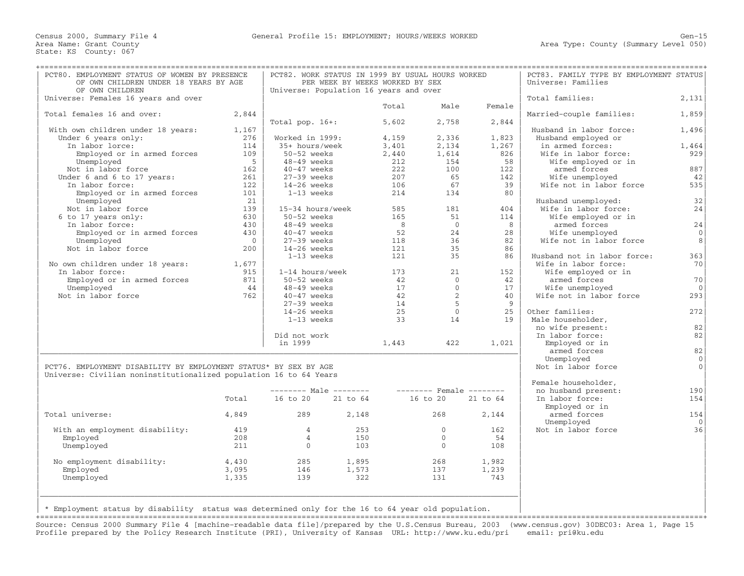| PCT80. EMPLOYMENT STATUS OF WOMEN BY PRESENCE<br>OF OWN CHILDREN UNDER 18 YEARS BY AGE<br>OF OWN CHILDREN |                | PCT82. WORK STATUS IN 1999 BY USUAL HOURS WORKED<br>Universe: Population 16 years and over | PER WEEK BY WEEKS WORKED BY SEX |                      | PCT83. FAMILY TYPE BY EMPLOYMENT STATUS<br>Universe: Families |              |                                             |                      |
|-----------------------------------------------------------------------------------------------------------|----------------|--------------------------------------------------------------------------------------------|---------------------------------|----------------------|---------------------------------------------------------------|--------------|---------------------------------------------|----------------------|
| Universe: Females 16 years and over                                                                       |                |                                                                                            |                                 |                      |                                                               |              | Total families:                             | 2,131                |
|                                                                                                           |                |                                                                                            |                                 | Total                | Male                                                          | Female       |                                             |                      |
| Total females 16 and over:                                                                                | 2,844          |                                                                                            |                                 |                      |                                                               |              | Married-couple families:                    | 1,859                |
|                                                                                                           |                | Total pop. $16+:$                                                                          |                                 | 5,602                | 2,758                                                         | 2,844        |                                             |                      |
| With own children under 18 years:                                                                         | 1,167          |                                                                                            |                                 |                      |                                                               |              | Husband in labor force:                     | 1,496                |
| Under 6 years only:                                                                                       | 276            | Worked in 1999:                                                                            |                                 | 4,159                | 2,336                                                         | 1,823        | Husband employed or                         |                      |
| In labor lorce:                                                                                           | 114<br>109     | 35+ hours/week<br>50-52 weeks                                                              |                                 | 3,401                | 2,134                                                         | 1,267<br>826 | in armed forces:<br>Wife in labor force:    | 1,464<br>929         |
| Employed or in armed forces                                                                               |                |                                                                                            |                                 | 2,440                | 1,614                                                         | 58           |                                             |                      |
| Unemployed                                                                                                | $5^{\circ}$    | 48-49 weeks                                                                                |                                 | 212                  | 154                                                           |              | Wife employed or in                         | 887                  |
| Not in labor force<br>Under 6 and 6 to 17 years:                                                          | 162<br>261     | $40-47$ weeks<br>$27-39$ weeks                                                             |                                 | 222<br>207           | 100<br>65                                                     | 122<br>142   | armed forces<br>Wife unemployed             | 42                   |
| In labor force:                                                                                           | 122            | $14-26$ weeks                                                                              |                                 | 106                  | 67                                                            | 39           | Wife not in labor force                     | 535                  |
| Employed or in armed forces                                                                               | 101            | 1-13 weeks                                                                                 |                                 | 214                  | 134                                                           | 80           |                                             |                      |
|                                                                                                           | 21             |                                                                                            |                                 |                      |                                                               |              |                                             | 32                   |
| Unemployed                                                                                                | 139            | 15-34 hours/week                                                                           |                                 | 585                  | 181                                                           | 404          | Husband unemployed:<br>Wife in labor force: | 24                   |
| Not in labor force                                                                                        |                |                                                                                            |                                 |                      |                                                               |              |                                             |                      |
| 6 to 17 years only:                                                                                       | 630            | 50-52 weeks                                                                                |                                 | 165                  | 51<br>$\overline{0}$                                          | 114          | Wife employed or in                         |                      |
| In labor force:                                                                                           | 430<br>430     | $48-49$ weeks<br>$40-47$ weeks                                                             |                                 | 8 <sup>8</sup><br>52 | 2.4                                                           | 8<br>28      | armed forces                                | 24<br>$\overline{0}$ |
| Employed or in armed forces                                                                               |                |                                                                                            |                                 |                      |                                                               |              | Wife unemployed                             |                      |
| Unemployed                                                                                                | $\overline{0}$ | $27-39$ weeks                                                                              |                                 | 118                  | 36                                                            | 82           | Wife not in labor force                     | 8                    |
| Not in labor force                                                                                        | 200            | $14-26$ weeks                                                                              |                                 | 121                  | 35                                                            | 86           |                                             |                      |
|                                                                                                           |                | 1-13 weeks                                                                                 |                                 | 121                  | 35                                                            | 86           | Husband not in labor force:                 | 363                  |
| No own children under 18 years:                                                                           | 1,677          |                                                                                            |                                 |                      |                                                               |              | Wife in labor force:                        | 70                   |
| In labor force:                                                                                           | 915            | 1-14 hours/week                                                                            |                                 | 173                  | 21                                                            | 152          | Wife employed or in                         |                      |
| Employed or in armed forces                                                                               | 871            | 50-52 weeks                                                                                |                                 | 42                   | $\mathbf{0}$                                                  | 42           | armed forces                                | 70                   |
| Unemployed                                                                                                | 44             | $48-49$ weeks                                                                              |                                 | 17                   | $\Omega$                                                      | 17           | Wife unemployed                             | $\Omega$             |
| Not in labor force                                                                                        | 762            | $40-47$ weeks                                                                              |                                 | 42                   | 2                                                             | 40           | Wife not in labor force                     | 293                  |
|                                                                                                           |                | $27-39$ weeks                                                                              |                                 | 14                   | $5^{\circ}$                                                   | - 9          |                                             |                      |
|                                                                                                           |                | $14-26$ weeks                                                                              |                                 | 25                   | $\Omega$                                                      | 25           | Other families:                             | 272                  |
|                                                                                                           |                | 1-13 weeks                                                                                 |                                 | 33                   | 14                                                            | 19           | Male householder,                           |                      |
|                                                                                                           |                |                                                                                            |                                 |                      |                                                               |              | no wife present:                            | 82                   |
|                                                                                                           |                | Did not work                                                                               |                                 |                      |                                                               |              | In labor force:                             | 82                   |
|                                                                                                           |                | in 1999                                                                                    |                                 | 1,443                | 422                                                           | 1,021        | Employed or in                              |                      |
|                                                                                                           |                |                                                                                            |                                 |                      |                                                               |              | armed forces                                | 82                   |
|                                                                                                           |                |                                                                                            |                                 |                      |                                                               |              | Unemployed                                  | $\mathbf 0$          |
| PCT76. EMPLOYMENT DISABILITY BY EMPLOYMENT STATUS* BY SEX BY AGE                                          |                |                                                                                            |                                 |                      |                                                               |              | Not in labor force                          | $\mathbf 0$          |
| Universe: Civilian noninstitutionalized population 16 to 64 Years                                         |                |                                                                                            |                                 |                      |                                                               |              |                                             |                      |
|                                                                                                           |                | $------$ Male $------$                                                                     |                                 |                      | -------- Female --------                                      |              | Female householder,<br>no husband present:  | 190                  |
|                                                                                                           | Total          | 16 to 20                                                                                   | 21 to 64                        |                      | 16 to 20                                                      | 21 to 64     | In labor force:                             | 154                  |
|                                                                                                           |                |                                                                                            |                                 |                      |                                                               |              | Employed or in                              |                      |
| Total universe:                                                                                           | 4,849          | 289                                                                                        | 2,148                           |                      | 268                                                           | 2,144        | armed forces                                | 154                  |
|                                                                                                           |                |                                                                                            |                                 |                      |                                                               |              | Unemployed                                  | $\Omega$             |
| With an employment disability:                                                                            | 419            | $\overline{4}$                                                                             | 253                             |                      | $\Omega$                                                      | 162          | Not in labor force                          | 36                   |
| Employed                                                                                                  | 208            | $\overline{4}$                                                                             | 150                             |                      | $\mathbf{0}$                                                  | 54           |                                             |                      |
| Unemployed                                                                                                | 211            | $\overline{0}$                                                                             | 103                             |                      | $\overline{0}$                                                | 108          |                                             |                      |
|                                                                                                           |                |                                                                                            |                                 |                      |                                                               |              |                                             |                      |
| No employment disability:                                                                                 | 4,430          | 285                                                                                        | 1,895                           |                      | 268                                                           | 1,982        |                                             |                      |
| Employed                                                                                                  | 3,095          | 146                                                                                        | 1,573                           |                      | 137                                                           | 1,239        |                                             |                      |
| Unemployed                                                                                                | 1,335          | 139                                                                                        | 322                             |                      | 131                                                           | 743          |                                             |                      |
|                                                                                                           |                |                                                                                            |                                 |                      |                                                               |              |                                             |                      |
|                                                                                                           |                |                                                                                            |                                 |                      |                                                               |              |                                             |                      |
|                                                                                                           |                |                                                                                            |                                 |                      |                                                               |              |                                             |                      |
| * Employment status by disability status was determined only for the 16 to 64 year old population.        |                |                                                                                            |                                 |                      |                                                               |              |                                             |                      |
|                                                                                                           |                |                                                                                            |                                 |                      |                                                               |              |                                             |                      |

Source: Census 2000 Summary File 4 [machine−readable data file]/prepared by the U.S.Census Bureau, 2003 (www.census.gov) 30DEC03: Area 1, Page 15 Profile prepared by the Policy Research Institute (PRI), University of Kansas URL: http://www.ku.edu/pri email: pri@ku.edu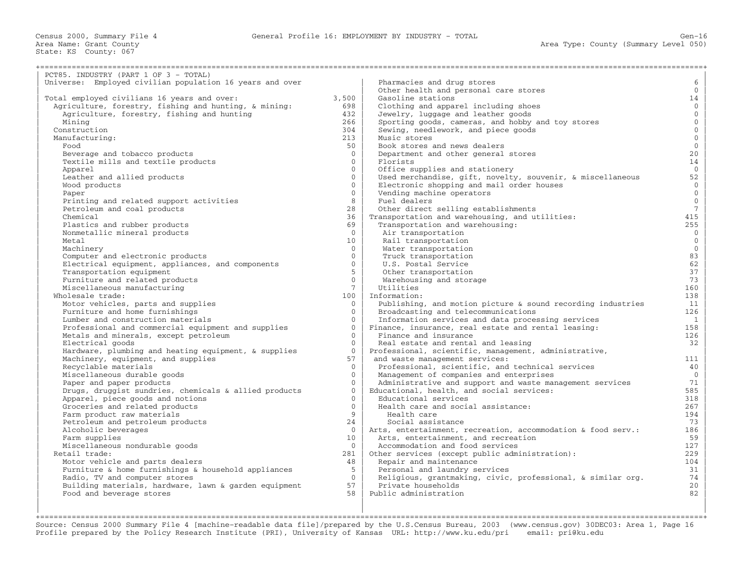Census 2000, Summary File 4 General Profile 16: EMPLOYMENT BY INDUSTRY − TOTAL Gen−16

+===================================================================================================================================================+

State: KS County: 067

| PCT85. INDUSTRY (PART 1 OF 3 - TOTAL)                    |                 |                                                              |                     |
|----------------------------------------------------------|-----------------|--------------------------------------------------------------|---------------------|
| Universe: Employed civilian population 16 years and over |                 | Pharmacies and drug stores                                   | 6                   |
|                                                          |                 | Other health and personal care stores                        | $\overline{0}$      |
| Total employed civilians 16 years and over:              | 3,500           | Gasoline stations                                            | 14                  |
| Agriculture, forestry, fishing and hunting, & mining:    | 698             | Clothing and apparel including shoes                         | $\overline{0}$      |
| Agriculture, forestry, fishing and hunting               | 432             | Jewelry, luggage and leather goods                           | $\mathsf{O}^-$      |
| Mining                                                   | 266             | Sporting goods, cameras, and hobby and toy stores            | $\mathsf{O}\xspace$ |
| Construction                                             | 304             | Sewing, needlework, and piece goods                          | $\overline{0}$      |
| Manufacturing:                                           | 213             | Music stores                                                 | $\mathsf{O}\xspace$ |
| Food                                                     | 50              | Book stores and news dealers                                 | $\overline{0}$      |
| Beverage and tobacco products                            | $\Omega$        | Department and other general stores                          | 20 <sub>o</sub>     |
| Textile mills and textile products                       | $\mathbf{0}$    | Florists                                                     | 14                  |
| Apparel                                                  | $\Omega$        | Office supplies and stationery                               | $\overline{0}$      |
| Leather and allied products                              | $\Omega$        | Used merchandise, gift, novelty, souvenir, & miscellaneous   | 52                  |
|                                                          | $\mathbf{0}$    | Electronic shopping and mail order houses                    | $\mathbf{0}$        |
| Wood products                                            | $\Omega$        |                                                              | $\overline{0}$      |
| Paper                                                    |                 | Vending machine operators                                    |                     |
| Printing and related support activities                  | 8               | Fuel dealers                                                 | $\mathsf{O}\xspace$ |
| Petroleum and coal products                              | 28              | Other direct selling establishments                          | $7\phantom{.0}$     |
| Chemical                                                 | 36              | Transportation and warehousing, and utilities:               | 415                 |
| Plastics and rubber products                             | 69              | Transportation and warehousing:                              | 255                 |
| Nonmetallic mineral products                             | $\mathbf{0}$    | Air transportation                                           | $\mathbf{0}$        |
| Metal                                                    | 10              | Rail transportation                                          | $\overline{0}$      |
| Machinery                                                | $\Omega$        | Water transportation                                         | $\mathsf{O}\xspace$ |
| Computer and electronic products                         | $\mathbf{0}$    | Truck transportation                                         | 83                  |
| Electrical equipment, appliances, and components         | $\Omega$        | U.S. Postal Service                                          | 62                  |
| Transportation equipment                                 | 5               | Other transportation                                         | 37                  |
| Furniture and related products                           | $\mathbf{0}$    | Warehousing and storage                                      | 73                  |
| Miscellaneous manufacturing                              | $7^{\circ}$     | Utilities                                                    | 160                 |
| Wholesale trade:                                         | 100             | Information:                                                 | 138                 |
| Motor vehicles, parts and supplies                       | $\mathbf{0}$    | Publishing, and motion picture & sound recording industries  | 11                  |
| Furniture and home furnishings                           | $\Omega$        | Broadcasting and telecommunications                          | 126                 |
| Lumber and construction materials                        | $\Omega$        | Information services and data processing services            | 1                   |
| Professional and commercial equipment and supplies       | $\mathbf{0}$    | Finance, insurance, real estate and rental leasing:          | 158                 |
| Metals and minerals, except petroleum                    | $\Omega$        | Finance and insurance                                        | 126                 |
| Electrical goods                                         | $\Omega$        | Real estate and rental and leasing                           | 32                  |
| Hardware, plumbing and heating equipment, & supplies     | $\mathbf{0}$    | Professional, scientific, management, administrative,        |                     |
| Machinery, equipment, and supplies                       | 57              | and waste management services:                               | 111                 |
| Recyclable materials                                     | $\Omega$        | Professional, scientific, and technical services             | 40                  |
| Miscellaneous durable goods                              | $\mathbf{0}$    | Management of companies and enterprises                      | $\overline{0}$      |
| Paper and paper products                                 | $\Omega$        | Administrative and support and waste management services     | 71                  |
| Drugs, druggist sundries, chemicals & allied products    | $\mathbf{0}$    | Educational, health, and social services:                    | 585                 |
| Apparel, piece goods and notions                         | $\Omega$        | Educational services                                         | 318                 |
| Groceries and related products                           | $\Omega$        | Health care and social assistance:                           | 267                 |
| Farm product raw materials                               | 9               | Health care                                                  | 194                 |
| Petroleum and petroleum products                         | 24              | Social assistance                                            | 73                  |
| Alcoholic beverages                                      | $\Omega$        | Arts, entertainment, recreation, accommodation & food serv.: | 186                 |
|                                                          | 10 <sup>°</sup> | Arts, entertainment, and recreation                          | 59                  |
| Farm supplies                                            | $\Omega$        |                                                              | 127                 |
| Miscellaneous nondurable goods<br>Retail trade:          |                 | Accommodation and food services                              |                     |
|                                                          | 281             | Other services (except public administration):               | 229                 |
| Motor vehicle and parts dealers                          | 48              | Repair and maintenance                                       | 104                 |
| Furniture & home furnishings & household appliances      | 5               | Personal and laundry services                                | 31                  |
| Radio, TV and computer stores                            | $\Omega$        | Religious, grantmaking, civic, professional, & similar org.  | 74                  |
| Building materials, hardware, lawn & garden equipment    | 57              | Private households                                           | 20                  |
| Food and beverage stores                                 | 58              | Public administration                                        | 82                  |
|                                                          |                 |                                                              |                     |

+===================================================================================================================================================+Source: Census 2000 Summary File 4 [machine−readable data file]/prepared by the U.S.Census Bureau, 2003 (www.census.gov) 30DEC03: Area 1, Page 16 Profile prepared by the Policy Research Institute (PRI), University of Kansas URL: http://www.ku.edu/pri email: pri@ku.edu

| | |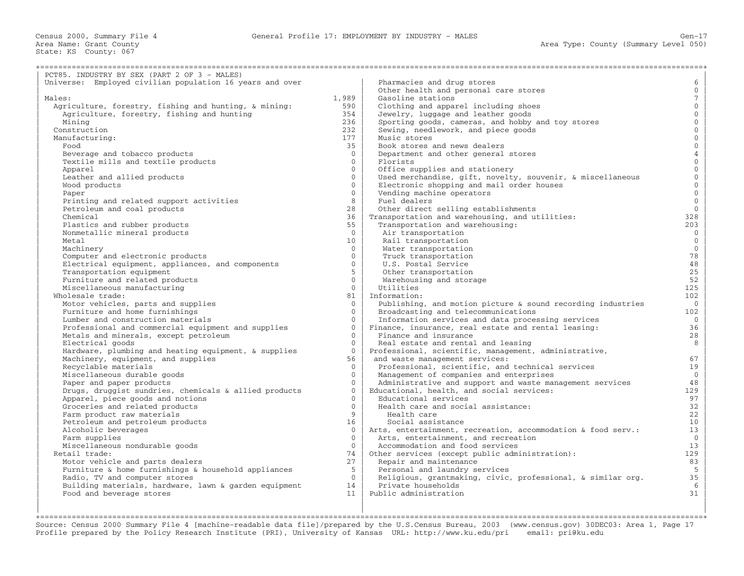| PCT85. INDUSTRY BY SEX (PART 2 OF 3 - MALES)                           |                 |                                                                              |                       |
|------------------------------------------------------------------------|-----------------|------------------------------------------------------------------------------|-----------------------|
| Universe: Employed civilian population 16 years and over               |                 | Pharmacies and drug stores                                                   | 6                     |
|                                                                        |                 | Other health and personal care stores                                        | $\mathbf{0}$          |
| Males:                                                                 | 1,989           | Gasoline stations                                                            | $7\overline{ }$       |
| Agriculture, forestry, fishing and hunting, & mining:                  | 590             | Clothing and apparel including shoes                                         | $\mathbf{0}$          |
| Agriculture, forestry, fishing and hunting                             | 354             | Jewelry, luggage and leather goods                                           | $\mathbf{0}$          |
| Mining                                                                 | 236             | Sporting goods, cameras, and hobby and toy stores                            | $\mathbf{0}$          |
| Construction                                                           | 232             | Sewing, needlework, and piece goods                                          | $\mathbf 0$           |
| Manufacturing:                                                         | 177             | Music stores                                                                 | $\mathbf{0}$          |
| Food                                                                   | 35              | Book stores and news dealers                                                 | $\mathbf 0$           |
| Beverage and tobacco products                                          | $\Omega$        | Department and other general stores                                          | $\sqrt{4}$            |
| Textile mills and textile products                                     | $\Omega$        | Florists                                                                     | $\mathbf{0}$          |
| Apparel                                                                | $\Omega$        | Office supplies and stationery                                               | $\overline{0}$        |
| Leather and allied products                                            | $\Omega$        | Used merchandise, gift, novelty, souvenir, & miscellaneous                   | $\mathbf 0$           |
| Wood products                                                          | $\Omega$        | Electronic shopping and mail order houses                                    | $\mathbf{0}$          |
| Paper                                                                  | $\Omega$        | Vending machine operators                                                    | $\mathbf 0$           |
|                                                                        | 8               | Fuel dealers                                                                 | $\mathbb O$           |
| Printing and related support activities<br>Petroleum and coal products | 28              | Other direct selling establishments                                          | $\overline{0}$        |
| Chemical                                                               | 36              | Transportation and warehousing, and utilities:                               | 328                   |
|                                                                        | 55              | Transportation and warehousing:                                              | 203                   |
| Plastics and rubber products<br>Nonmetallic mineral products           | $\overline{0}$  | Air transportation                                                           | $\mathbf{0}$          |
| Metal                                                                  | 10 <sup>1</sup> | Rail transportation                                                          | $\mathbf{0}$          |
| Machinery                                                              | $\Omega$        | Water transportation                                                         | $\mathbf{0}$          |
|                                                                        | $\Omega$        | Truck transportation                                                         | 78                    |
| Computer and electronic products                                       | $\Omega$        |                                                                              | $4\,8$                |
| Electrical equipment, appliances, and components                       | 5               | U.S. Postal Service                                                          | 25                    |
| Transportation equipment                                               | $\Omega$        | Other transportation                                                         |                       |
| Furniture and related products                                         | $\Omega$        | Warehousing and storage                                                      | 52                    |
| Miscellaneous manufacturing<br>Wholesale trade:                        | 81              | Utilities<br>Information:                                                    | 125<br>102            |
|                                                                        | $\Omega$        |                                                                              | $\overline{0}$        |
| Motor vehicles, parts and supplies<br>Furniture and home furnishings   | $\Omega$        | Publishing, and motion picture & sound recording industries                  |                       |
|                                                                        | $\Omega$        | Broadcasting and telecommunications                                          | 102<br>$\overline{0}$ |
| Lumber and construction materials                                      | $\Omega$        | Information services and data processing services                            | 36                    |
| Professional and commercial equipment and supplies                     | $\Omega$        | Finance, insurance, real estate and rental leasing:<br>Finance and insurance | 28                    |
| Metals and minerals, except petroleum                                  | $\Omega$        |                                                                              |                       |
| Electrical goods                                                       | $\Omega$        | Real estate and rental and leasing                                           | 8                     |
| Hardware, plumbing and heating equipment, & supplies                   |                 | Professional, scientific, management, administrative,                        |                       |
| Machinery, equipment, and supplies                                     | 56              | and waste management services:                                               | 67                    |
| Recyclable materials                                                   | $\Omega$        | Professional, scientific, and technical services                             | 19                    |
| Miscellaneous durable goods                                            | $\Omega$        | Management of companies and enterprises                                      | $\mathbf{0}$          |
| Paper and paper products                                               | $\Omega$        | Administrative and support and waste management services                     | 48                    |
| Drugs, druggist sundries, chemicals & allied products                  | $\Omega$        | Educational, health, and social services:                                    | 129                   |
| Apparel, piece goods and notions                                       | $\cap$          | Educational services                                                         | 97                    |
| Groceries and related products                                         | $\Omega$        | Health care and social assistance:                                           | 32                    |
| Farm product raw materials                                             | 9               | Health care                                                                  | 22                    |
| Petroleum and petroleum products                                       | 16              | Social assistance                                                            | 10                    |
| Alcoholic beverages                                                    | $\mathbf{0}$    | Arts, entertainment, recreation, accommodation & food serv.:                 | 13                    |
| Farm supplies                                                          | $\Omega$        | Arts, entertainment, and recreation                                          | $\mathbf 0$           |
| Miscellaneous nondurable goods                                         | $\Omega$        | Accommodation and food services                                              | 13                    |
| Retail trade:                                                          | 74              | Other services (except public administration):                               | 129                   |
| Motor vehicle and parts dealers                                        | 27              | Repair and maintenance                                                       | 83                    |
| Furniture & home furnishings & household appliances                    | 5               | Personal and laundry services                                                | $5^{\circ}$           |
| Radio, TV and computer stores                                          | $\Omega$        | Religious, grantmaking, civic, professional, & similar org.                  | 35                    |
| Building materials, hardware, lawn & garden equipment                  | 14              | Private households                                                           | 6                     |
| Food and beverage stores                                               | 11              | Public administration                                                        | 31                    |
|                                                                        |                 |                                                                              |                       |

| | | +===================================================================================================================================================+ Source: Census 2000 Summary File 4 [machine−readable data file]/prepared by the U.S.Census Bureau, 2003 (www.census.gov) 30DEC03: Area 1, Page 17 Profile prepared by the Policy Research Institute (PRI), University of Kansas URL: http://www.ku.edu/pri email: pri@ku.edu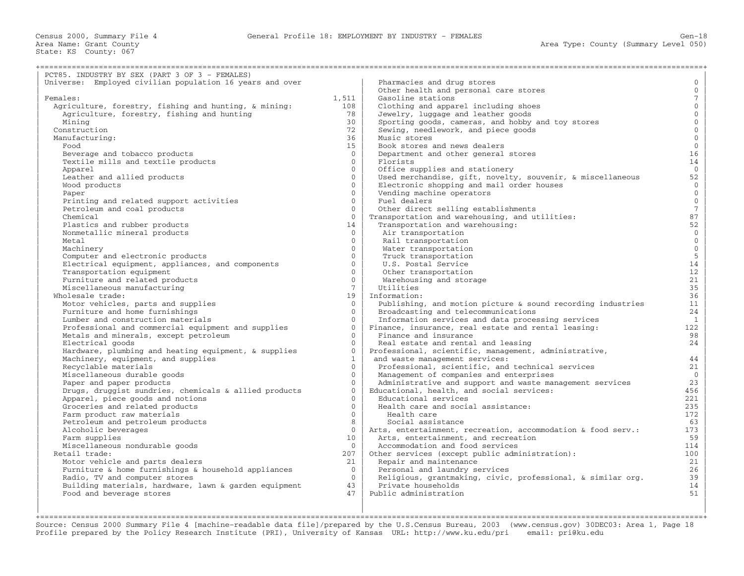| PCT85. INDUSTRY BY SEX (PART 3 OF 3 - FEMALES)           |                 |                                                              |                 |
|----------------------------------------------------------|-----------------|--------------------------------------------------------------|-----------------|
| Universe: Employed civilian population 16 years and over |                 | Pharmacies and drug stores                                   | $\mathbf 0$     |
|                                                          |                 | Other health and personal care stores                        | $\mathbf{0}$    |
| Females:                                                 | 1,511           | Gasoline stations                                            | $7\overline{ }$ |
| Agriculture, forestry, fishing and hunting, & mining:    | 108             | Clothing and apparel including shoes                         | $\mathbf{0}$    |
| Agriculture, forestry, fishing and hunting               | 78              | Jewelry, luggage and leather goods                           | $\mathbf{0}$    |
| Mining                                                   | 30              | Sporting goods, cameras, and hobby and toy stores            | $\mathbf 0$     |
| Construction                                             | 72              | Sewing, needlework, and piece goods                          | $\overline{0}$  |
| Manufacturing:                                           | 36              | Music stores                                                 | $\mathbf{0}$    |
| Food                                                     | 15              | Book stores and news dealers                                 | $\mathbf{0}$    |
| Beverage and tobacco products                            | $\Omega$        | Department and other general stores                          | 16              |
| Textile mills and textile products                       | $\Omega$        | Florists                                                     | 14              |
| Apparel                                                  | $\Omega$        | Office supplies and stationery                               | $\mathbf{0}$    |
| Leather and allied products                              | $\Omega$        | Used merchandise, gift, novelty, souvenir, & miscellaneous   | 52              |
| Wood products                                            | $\Omega$        | Electronic shopping and mail order houses                    | $\overline{0}$  |
| Paper                                                    | $\Omega$        | Vending machine operators                                    | $\overline{0}$  |
| Printing and related support activities                  | $\Omega$        | Fuel dealers                                                 | $\mathbb O$     |
| Petroleum and coal products                              | $\Omega$        | Other direct selling establishments                          | $\overline{7}$  |
| Chemical                                                 | $\Omega$        | Transportation and warehousing, and utilities:               | 87              |
| Plastics and rubber products                             | 14              | Transportation and warehousing:                              | 52              |
| Nonmetallic mineral products                             | $\overline{0}$  | Air transportation                                           | $\overline{0}$  |
| Metal                                                    | $\Omega$        | Rail transportation                                          | $\overline{0}$  |
| Machinery                                                | $\Omega$        | Water transportation                                         | $\overline{0}$  |
| Computer and electronic products                         | $\Omega$        | Truck transportation                                         | $\overline{5}$  |
| Electrical equipment, appliances, and components         | $\Omega$        | U.S. Postal Service                                          | 14              |
| Transportation equipment                                 | $\Omega$        | Other transportation                                         | 12              |
| Furniture and related products                           | $\Omega$        | Warehousing and storage                                      | 21              |
| Miscellaneous manufacturing                              | $7\overline{ }$ | Utilities                                                    | 35              |
| Wholesale trade:                                         | 19              | Information:                                                 | 36              |
| Motor vehicles, parts and supplies                       | $\Omega$        | Publishing, and motion picture & sound recording industries  | 11              |
| Furniture and home furnishings                           | $\Omega$        | Broadcasting and telecommunications                          | 24              |
| Lumber and construction materials                        | $\Omega$        | Information services and data processing services            | $\mathbf{1}$    |
| Professional and commercial equipment and supplies       | $\Omega$        | Finance, insurance, real estate and rental leasing:          | 122             |
| Metals and minerals, except petroleum                    | $\Omega$        | Finance and insurance                                        | 98              |
| Electrical goods                                         | $\Omega$        | Real estate and rental and leasing                           | 24              |
| Hardware, plumbing and heating equipment, & supplies     | $\Omega$        | Professional, scientific, management, administrative,        |                 |
| Machinery, equipment, and supplies                       | $\mathbf{1}$    | and waste management services:                               | 44              |
| Recyclable materials                                     | $\Omega$        | Professional, scientific, and technical services             | 21              |
| Miscellaneous durable goods                              | $\Omega$        | Management of companies and enterprises                      | $\overline{0}$  |
| Paper and paper products                                 | $\Omega$        | Administrative and support and waste management services     | 23              |
| Drugs, druggist sundries, chemicals & allied products    | $\Omega$        | Educational, health, and social services:                    | 456             |
| Apparel, piece goods and notions                         | $\Omega$        | Educational services                                         | 221             |
| Groceries and related products                           | $\Omega$        | Health care and social assistance:                           | 235             |
| Farm product raw materials                               | $\Omega$        | Health care                                                  | 172             |
| Petroleum and petroleum products                         | 8               | Social assistance                                            | 63              |
| Alcoholic beverages                                      | $\overline{0}$  | Arts, entertainment, recreation, accommodation & food serv.: | 173             |
| Farm supplies                                            | 10              | Arts, entertainment, and recreation                          | 59              |
| Miscellaneous nondurable goods                           | $\Omega$        | Accommodation and food services                              | 114             |
| Retail trade:                                            | 207             | Other services (except public administration):               | 100             |
| Motor vehicle and parts dealers                          | 21              | Repair and maintenance                                       | 21              |
| Furniture & home furnishings & household appliances      | $\Omega$        | Personal and laundry services                                | 26              |
| Radio, TV and computer stores                            | $\Omega$        | Religious, grantmaking, civic, professional, & similar org.  | 39              |
| Building materials, hardware, lawn & garden equipment    | 43              | Private households                                           | 14              |
| Food and beverage stores                                 | 47              | Public administration                                        | 51              |
|                                                          |                 |                                                              |                 |

| | | +===================================================================================================================================================+ Source: Census 2000 Summary File 4 [machine−readable data file]/prepared by the U.S.Census Bureau, 2003 (www.census.gov) 30DEC03: Area 1, Page 18 Profile prepared by the Policy Research Institute (PRI), University of Kansas URL: http://www.ku.edu/pri email: pri@ku.edu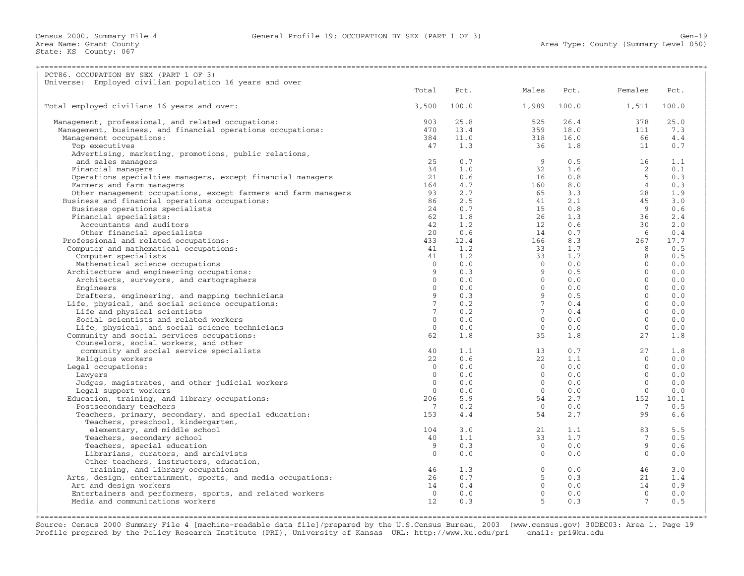| Universe: Employed civilian population 16 years and over<br>Total<br>Pct.<br>Males<br>Pct.<br>Females<br>Pct.<br>Total employed civilians 16 years and over:<br>3,500<br>100.0<br>1,989<br>100.0<br>1,511<br>100.0<br>903<br>25.8<br>525<br>26.4<br>378<br>25.0<br>Management, professional, and related occupations:<br>Management, business, and financial operations occupations:<br>470<br>13.4<br>359<br>18.0<br>111<br>7.3<br>318<br>16.0<br>Management occupations:<br>384<br>11.0<br>66<br>4.4<br>36<br>Top executives<br>47<br>1.3<br>1.8<br>11<br>0.7<br>Advertising, marketing, promotions, public relations,<br>$\overline{9}$<br>25<br>0.7<br>16<br>1.1<br>and sales managers<br>0.5<br>Financial managers<br>34<br>1.0<br>32<br>1.6<br>2<br>0.1<br>$\frac{16}{160}$<br>Operations specialties managers, except financial managers<br>21<br>0.6<br>0.8<br>$5^{\circ}$<br>0.3<br>4.7<br>0.3<br>Farmers and farm managers<br>164<br>$\begin{array}{ccc} 8.0 & & 4 \\ 3.3 & & 28 \\ 2.1 & & 45 \\ 9 & & 9 \end{array}$<br>Other management occupations, except farmers and farm managers<br>2.7<br>1.9<br>93<br>$\frac{41}{15}$<br>26<br>Business and financial operations occupations:<br>86<br>2.5<br>3.0<br>Business operations specialists<br>24<br>0.7<br>0.8<br>$\overline{9}$<br>0.6<br>$1.\overline{3}$<br>0.6<br>0.7<br>Financial specialists:<br>1.8<br>$26$<br>12<br>14<br>166<br>36<br>2.4<br>62<br>1.2<br>2.0<br>Accountants and auditors<br>42<br>30<br>$6\overline{6}$<br>0.4<br>Other financial specialists<br>20<br>0.6<br>166<br>$8.3$<br>1.7<br>17.7<br>Professional and related occupations:<br>433<br>$12.4$<br>1.2<br>267<br>Computer and mathematical occupations:<br>41<br>$\frac{33}{33}$<br>8 <sup>8</sup><br>0.5<br>1.7<br>8 <sup>8</sup><br>0.5<br>Computer specialists<br>41<br>0.0<br>Mathematical science occupations<br>$\Omega$<br>0.0<br>$\overline{0}$<br>Architecture and engineering occupations:<br>0.5<br>$\bigcirc$<br>0.0<br>9<br>$\Omega$<br>0.0<br>$\Omega$<br>0.0<br>Architects, surveyors, and cartographers<br>Engineers<br>$\Omega$<br>0.0<br>$\Omega$<br>0.0<br>Drafters, engineering, and mapping technicians<br>9<br>0.5<br>$\bigcirc$<br>0.0<br>$0.4$<br>$0.4$<br>7 <sup>7</sup><br>$0.2$<br>$0.2$<br>0.0<br>Life, physical, and social science occupations:<br>$\Omega$<br>$\frac{7}{7}$<br>Life and physical scientists<br>$7^{\circ}$<br>$\Omega$<br>0.0<br>$\overline{0}$<br>Social scientists and related workers<br>$\Omega$<br>0.0<br>0.0<br>$\bigcirc$<br>0.0<br>Life, physical, and social science technicians<br>$\overline{0}$<br>0.0<br>$\overline{0}$<br>0.0<br>$\overline{0}$<br>0.0<br>62<br>1.8<br>35<br>1.8<br>27<br>1.8<br>Community and social services occupations:<br>Counselors, social workers, and other<br>$\begin{array}{c} 13 \\ 22 \end{array}$<br>27<br>1.8<br>community and social service specialists<br>40<br>1.1<br>0.7<br>22<br>22<br>$\Omega$<br>0.0<br>Religious workers<br>0.6<br>1.1<br>Legal occupations:<br>$\Omega$<br>0.0<br>$\begin{matrix} 0 \\ 0 \end{matrix}$<br>0.0<br>$\bigcirc$<br>0.0<br>0.0<br>$\bigcirc$<br>0.0<br>Lawyers<br>$\Omega$<br>0.0<br>$\begin{matrix} 0 \\ 0 \end{matrix}$<br>0.0<br>Judges, magistrates, and other judicial workers<br>$\Omega$<br>0.0<br>0.0<br>$\bigcirc$<br>0.0<br>Legal support workers<br>$\Omega$<br>0.0<br>0.0<br>$\bigcirc$<br>Education, training, and library occupations:<br>5.9<br>54<br>2.7<br>10.1<br>206<br>152<br>Postsecondary teachers<br>0.2<br>$\overline{0}$<br>0.0<br>$\overline{7}$<br>0.5<br>$\overline{7}$<br>Teachers, primary, secondary, and special education:<br>54<br>2.7<br>99<br>6.6<br>153<br>4.4<br>Teachers, preschool, kindergarten,<br>5.5<br>elementary, and middle school<br>21<br>1.1<br>83<br>104<br>3.0<br>40<br>1.1<br>33<br>1.7<br>0.5<br>Teachers, secondary school<br>7<br>Teachers, special education<br>9<br>0.3<br>$\overline{0}$<br>0.0<br>9<br>0.6<br>0.0<br>0.0<br>$\bigcirc$<br>0.0<br>Librarians, curators, and archivists<br>$\Omega$<br>$\overline{0}$<br>Other teachers, instructors, education,<br>$\begin{bmatrix} 0 \\ 5 \\ 0 \\ 0 \\ 5 \end{bmatrix}$<br>46<br>1.3<br>$0.0$ 46<br>3.0<br>training, and library occupations<br>Arts, design, entertainment, sports, and media occupations:<br>0.7<br>0.3<br>1.4<br>26<br>21<br>$0.0$<br>0.0<br>Art and design workers<br>14<br>0.4<br>14<br>0.9<br>$\begin{matrix} 1 \\ 0 \\ 7 \end{matrix}$<br>Entertainers and performers, sports, and related workers<br>0.0<br>0.0<br>$\overline{0}$<br>Media and communications workers<br>0.3<br>0.3<br>0.5<br>12 | PCT86. OCCUPATION BY SEX (PART 1 OF 3) |  |  |  |
|-------------------------------------------------------------------------------------------------------------------------------------------------------------------------------------------------------------------------------------------------------------------------------------------------------------------------------------------------------------------------------------------------------------------------------------------------------------------------------------------------------------------------------------------------------------------------------------------------------------------------------------------------------------------------------------------------------------------------------------------------------------------------------------------------------------------------------------------------------------------------------------------------------------------------------------------------------------------------------------------------------------------------------------------------------------------------------------------------------------------------------------------------------------------------------------------------------------------------------------------------------------------------------------------------------------------------------------------------------------------------------------------------------------------------------------------------------------------------------------------------------------------------------------------------------------------------------------------------------------------------------------------------------------------------------------------------------------------------------------------------------------------------------------------------------------------------------------------------------------------------------------------------------------------------------------------------------------------------------------------------------------------------------------------------------------------------------------------------------------------------------------------------------------------------------------------------------------------------------------------------------------------------------------------------------------------------------------------------------------------------------------------------------------------------------------------------------------------------------------------------------------------------------------------------------------------------------------------------------------------------------------------------------------------------------------------------------------------------------------------------------------------------------------------------------------------------------------------------------------------------------------------------------------------------------------------------------------------------------------------------------------------------------------------------------------------------------------------------------------------------------------------------------------------------------------------------------------------------------------------------------------------------------------------------------------------------------------------------------------------------------------------------------------------------------------------------------------------------------------------------------------------------------------------------------------------------------------------------------------------------------------------------------------------------------------------------------------------------------------------------------------------------------------------------------------------------------------------------------------------------------------------------------------------------------------------------------------------------------------------------------------------------------------------------------------------------------------------------------------------------------------------------------------------------------------------------------------------------------------------------------------------------------------------------------------------------------------------------------------------------------------------------------------------------------------------------------------------------------------------------------------------------------------------------------------------------------------------------------------------|----------------------------------------|--|--|--|
|                                                                                                                                                                                                                                                                                                                                                                                                                                                                                                                                                                                                                                                                                                                                                                                                                                                                                                                                                                                                                                                                                                                                                                                                                                                                                                                                                                                                                                                                                                                                                                                                                                                                                                                                                                                                                                                                                                                                                                                                                                                                                                                                                                                                                                                                                                                                                                                                                                                                                                                                                                                                                                                                                                                                                                                                                                                                                                                                                                                                                                                                                                                                                                                                                                                                                                                                                                                                                                                                                                                                                                                                                                                                                                                                                                                                                                                                                                                                                                                                                                                                                                                                                                                                                                                                                                                                                                                                                                                                                                                                                                                                                   |                                        |  |  |  |
|                                                                                                                                                                                                                                                                                                                                                                                                                                                                                                                                                                                                                                                                                                                                                                                                                                                                                                                                                                                                                                                                                                                                                                                                                                                                                                                                                                                                                                                                                                                                                                                                                                                                                                                                                                                                                                                                                                                                                                                                                                                                                                                                                                                                                                                                                                                                                                                                                                                                                                                                                                                                                                                                                                                                                                                                                                                                                                                                                                                                                                                                                                                                                                                                                                                                                                                                                                                                                                                                                                                                                                                                                                                                                                                                                                                                                                                                                                                                                                                                                                                                                                                                                                                                                                                                                                                                                                                                                                                                                                                                                                                                                   |                                        |  |  |  |
|                                                                                                                                                                                                                                                                                                                                                                                                                                                                                                                                                                                                                                                                                                                                                                                                                                                                                                                                                                                                                                                                                                                                                                                                                                                                                                                                                                                                                                                                                                                                                                                                                                                                                                                                                                                                                                                                                                                                                                                                                                                                                                                                                                                                                                                                                                                                                                                                                                                                                                                                                                                                                                                                                                                                                                                                                                                                                                                                                                                                                                                                                                                                                                                                                                                                                                                                                                                                                                                                                                                                                                                                                                                                                                                                                                                                                                                                                                                                                                                                                                                                                                                                                                                                                                                                                                                                                                                                                                                                                                                                                                                                                   |                                        |  |  |  |
|                                                                                                                                                                                                                                                                                                                                                                                                                                                                                                                                                                                                                                                                                                                                                                                                                                                                                                                                                                                                                                                                                                                                                                                                                                                                                                                                                                                                                                                                                                                                                                                                                                                                                                                                                                                                                                                                                                                                                                                                                                                                                                                                                                                                                                                                                                                                                                                                                                                                                                                                                                                                                                                                                                                                                                                                                                                                                                                                                                                                                                                                                                                                                                                                                                                                                                                                                                                                                                                                                                                                                                                                                                                                                                                                                                                                                                                                                                                                                                                                                                                                                                                                                                                                                                                                                                                                                                                                                                                                                                                                                                                                                   |                                        |  |  |  |
|                                                                                                                                                                                                                                                                                                                                                                                                                                                                                                                                                                                                                                                                                                                                                                                                                                                                                                                                                                                                                                                                                                                                                                                                                                                                                                                                                                                                                                                                                                                                                                                                                                                                                                                                                                                                                                                                                                                                                                                                                                                                                                                                                                                                                                                                                                                                                                                                                                                                                                                                                                                                                                                                                                                                                                                                                                                                                                                                                                                                                                                                                                                                                                                                                                                                                                                                                                                                                                                                                                                                                                                                                                                                                                                                                                                                                                                                                                                                                                                                                                                                                                                                                                                                                                                                                                                                                                                                                                                                                                                                                                                                                   |                                        |  |  |  |
|                                                                                                                                                                                                                                                                                                                                                                                                                                                                                                                                                                                                                                                                                                                                                                                                                                                                                                                                                                                                                                                                                                                                                                                                                                                                                                                                                                                                                                                                                                                                                                                                                                                                                                                                                                                                                                                                                                                                                                                                                                                                                                                                                                                                                                                                                                                                                                                                                                                                                                                                                                                                                                                                                                                                                                                                                                                                                                                                                                                                                                                                                                                                                                                                                                                                                                                                                                                                                                                                                                                                                                                                                                                                                                                                                                                                                                                                                                                                                                                                                                                                                                                                                                                                                                                                                                                                                                                                                                                                                                                                                                                                                   |                                        |  |  |  |
|                                                                                                                                                                                                                                                                                                                                                                                                                                                                                                                                                                                                                                                                                                                                                                                                                                                                                                                                                                                                                                                                                                                                                                                                                                                                                                                                                                                                                                                                                                                                                                                                                                                                                                                                                                                                                                                                                                                                                                                                                                                                                                                                                                                                                                                                                                                                                                                                                                                                                                                                                                                                                                                                                                                                                                                                                                                                                                                                                                                                                                                                                                                                                                                                                                                                                                                                                                                                                                                                                                                                                                                                                                                                                                                                                                                                                                                                                                                                                                                                                                                                                                                                                                                                                                                                                                                                                                                                                                                                                                                                                                                                                   |                                        |  |  |  |
|                                                                                                                                                                                                                                                                                                                                                                                                                                                                                                                                                                                                                                                                                                                                                                                                                                                                                                                                                                                                                                                                                                                                                                                                                                                                                                                                                                                                                                                                                                                                                                                                                                                                                                                                                                                                                                                                                                                                                                                                                                                                                                                                                                                                                                                                                                                                                                                                                                                                                                                                                                                                                                                                                                                                                                                                                                                                                                                                                                                                                                                                                                                                                                                                                                                                                                                                                                                                                                                                                                                                                                                                                                                                                                                                                                                                                                                                                                                                                                                                                                                                                                                                                                                                                                                                                                                                                                                                                                                                                                                                                                                                                   |                                        |  |  |  |
|                                                                                                                                                                                                                                                                                                                                                                                                                                                                                                                                                                                                                                                                                                                                                                                                                                                                                                                                                                                                                                                                                                                                                                                                                                                                                                                                                                                                                                                                                                                                                                                                                                                                                                                                                                                                                                                                                                                                                                                                                                                                                                                                                                                                                                                                                                                                                                                                                                                                                                                                                                                                                                                                                                                                                                                                                                                                                                                                                                                                                                                                                                                                                                                                                                                                                                                                                                                                                                                                                                                                                                                                                                                                                                                                                                                                                                                                                                                                                                                                                                                                                                                                                                                                                                                                                                                                                                                                                                                                                                                                                                                                                   |                                        |  |  |  |
|                                                                                                                                                                                                                                                                                                                                                                                                                                                                                                                                                                                                                                                                                                                                                                                                                                                                                                                                                                                                                                                                                                                                                                                                                                                                                                                                                                                                                                                                                                                                                                                                                                                                                                                                                                                                                                                                                                                                                                                                                                                                                                                                                                                                                                                                                                                                                                                                                                                                                                                                                                                                                                                                                                                                                                                                                                                                                                                                                                                                                                                                                                                                                                                                                                                                                                                                                                                                                                                                                                                                                                                                                                                                                                                                                                                                                                                                                                                                                                                                                                                                                                                                                                                                                                                                                                                                                                                                                                                                                                                                                                                                                   |                                        |  |  |  |
|                                                                                                                                                                                                                                                                                                                                                                                                                                                                                                                                                                                                                                                                                                                                                                                                                                                                                                                                                                                                                                                                                                                                                                                                                                                                                                                                                                                                                                                                                                                                                                                                                                                                                                                                                                                                                                                                                                                                                                                                                                                                                                                                                                                                                                                                                                                                                                                                                                                                                                                                                                                                                                                                                                                                                                                                                                                                                                                                                                                                                                                                                                                                                                                                                                                                                                                                                                                                                                                                                                                                                                                                                                                                                                                                                                                                                                                                                                                                                                                                                                                                                                                                                                                                                                                                                                                                                                                                                                                                                                                                                                                                                   |                                        |  |  |  |
|                                                                                                                                                                                                                                                                                                                                                                                                                                                                                                                                                                                                                                                                                                                                                                                                                                                                                                                                                                                                                                                                                                                                                                                                                                                                                                                                                                                                                                                                                                                                                                                                                                                                                                                                                                                                                                                                                                                                                                                                                                                                                                                                                                                                                                                                                                                                                                                                                                                                                                                                                                                                                                                                                                                                                                                                                                                                                                                                                                                                                                                                                                                                                                                                                                                                                                                                                                                                                                                                                                                                                                                                                                                                                                                                                                                                                                                                                                                                                                                                                                                                                                                                                                                                                                                                                                                                                                                                                                                                                                                                                                                                                   |                                        |  |  |  |
|                                                                                                                                                                                                                                                                                                                                                                                                                                                                                                                                                                                                                                                                                                                                                                                                                                                                                                                                                                                                                                                                                                                                                                                                                                                                                                                                                                                                                                                                                                                                                                                                                                                                                                                                                                                                                                                                                                                                                                                                                                                                                                                                                                                                                                                                                                                                                                                                                                                                                                                                                                                                                                                                                                                                                                                                                                                                                                                                                                                                                                                                                                                                                                                                                                                                                                                                                                                                                                                                                                                                                                                                                                                                                                                                                                                                                                                                                                                                                                                                                                                                                                                                                                                                                                                                                                                                                                                                                                                                                                                                                                                                                   |                                        |  |  |  |
|                                                                                                                                                                                                                                                                                                                                                                                                                                                                                                                                                                                                                                                                                                                                                                                                                                                                                                                                                                                                                                                                                                                                                                                                                                                                                                                                                                                                                                                                                                                                                                                                                                                                                                                                                                                                                                                                                                                                                                                                                                                                                                                                                                                                                                                                                                                                                                                                                                                                                                                                                                                                                                                                                                                                                                                                                                                                                                                                                                                                                                                                                                                                                                                                                                                                                                                                                                                                                                                                                                                                                                                                                                                                                                                                                                                                                                                                                                                                                                                                                                                                                                                                                                                                                                                                                                                                                                                                                                                                                                                                                                                                                   |                                        |  |  |  |
|                                                                                                                                                                                                                                                                                                                                                                                                                                                                                                                                                                                                                                                                                                                                                                                                                                                                                                                                                                                                                                                                                                                                                                                                                                                                                                                                                                                                                                                                                                                                                                                                                                                                                                                                                                                                                                                                                                                                                                                                                                                                                                                                                                                                                                                                                                                                                                                                                                                                                                                                                                                                                                                                                                                                                                                                                                                                                                                                                                                                                                                                                                                                                                                                                                                                                                                                                                                                                                                                                                                                                                                                                                                                                                                                                                                                                                                                                                                                                                                                                                                                                                                                                                                                                                                                                                                                                                                                                                                                                                                                                                                                                   |                                        |  |  |  |
|                                                                                                                                                                                                                                                                                                                                                                                                                                                                                                                                                                                                                                                                                                                                                                                                                                                                                                                                                                                                                                                                                                                                                                                                                                                                                                                                                                                                                                                                                                                                                                                                                                                                                                                                                                                                                                                                                                                                                                                                                                                                                                                                                                                                                                                                                                                                                                                                                                                                                                                                                                                                                                                                                                                                                                                                                                                                                                                                                                                                                                                                                                                                                                                                                                                                                                                                                                                                                                                                                                                                                                                                                                                                                                                                                                                                                                                                                                                                                                                                                                                                                                                                                                                                                                                                                                                                                                                                                                                                                                                                                                                                                   |                                        |  |  |  |
|                                                                                                                                                                                                                                                                                                                                                                                                                                                                                                                                                                                                                                                                                                                                                                                                                                                                                                                                                                                                                                                                                                                                                                                                                                                                                                                                                                                                                                                                                                                                                                                                                                                                                                                                                                                                                                                                                                                                                                                                                                                                                                                                                                                                                                                                                                                                                                                                                                                                                                                                                                                                                                                                                                                                                                                                                                                                                                                                                                                                                                                                                                                                                                                                                                                                                                                                                                                                                                                                                                                                                                                                                                                                                                                                                                                                                                                                                                                                                                                                                                                                                                                                                                                                                                                                                                                                                                                                                                                                                                                                                                                                                   |                                        |  |  |  |
|                                                                                                                                                                                                                                                                                                                                                                                                                                                                                                                                                                                                                                                                                                                                                                                                                                                                                                                                                                                                                                                                                                                                                                                                                                                                                                                                                                                                                                                                                                                                                                                                                                                                                                                                                                                                                                                                                                                                                                                                                                                                                                                                                                                                                                                                                                                                                                                                                                                                                                                                                                                                                                                                                                                                                                                                                                                                                                                                                                                                                                                                                                                                                                                                                                                                                                                                                                                                                                                                                                                                                                                                                                                                                                                                                                                                                                                                                                                                                                                                                                                                                                                                                                                                                                                                                                                                                                                                                                                                                                                                                                                                                   |                                        |  |  |  |
|                                                                                                                                                                                                                                                                                                                                                                                                                                                                                                                                                                                                                                                                                                                                                                                                                                                                                                                                                                                                                                                                                                                                                                                                                                                                                                                                                                                                                                                                                                                                                                                                                                                                                                                                                                                                                                                                                                                                                                                                                                                                                                                                                                                                                                                                                                                                                                                                                                                                                                                                                                                                                                                                                                                                                                                                                                                                                                                                                                                                                                                                                                                                                                                                                                                                                                                                                                                                                                                                                                                                                                                                                                                                                                                                                                                                                                                                                                                                                                                                                                                                                                                                                                                                                                                                                                                                                                                                                                                                                                                                                                                                                   |                                        |  |  |  |
|                                                                                                                                                                                                                                                                                                                                                                                                                                                                                                                                                                                                                                                                                                                                                                                                                                                                                                                                                                                                                                                                                                                                                                                                                                                                                                                                                                                                                                                                                                                                                                                                                                                                                                                                                                                                                                                                                                                                                                                                                                                                                                                                                                                                                                                                                                                                                                                                                                                                                                                                                                                                                                                                                                                                                                                                                                                                                                                                                                                                                                                                                                                                                                                                                                                                                                                                                                                                                                                                                                                                                                                                                                                                                                                                                                                                                                                                                                                                                                                                                                                                                                                                                                                                                                                                                                                                                                                                                                                                                                                                                                                                                   |                                        |  |  |  |
|                                                                                                                                                                                                                                                                                                                                                                                                                                                                                                                                                                                                                                                                                                                                                                                                                                                                                                                                                                                                                                                                                                                                                                                                                                                                                                                                                                                                                                                                                                                                                                                                                                                                                                                                                                                                                                                                                                                                                                                                                                                                                                                                                                                                                                                                                                                                                                                                                                                                                                                                                                                                                                                                                                                                                                                                                                                                                                                                                                                                                                                                                                                                                                                                                                                                                                                                                                                                                                                                                                                                                                                                                                                                                                                                                                                                                                                                                                                                                                                                                                                                                                                                                                                                                                                                                                                                                                                                                                                                                                                                                                                                                   |                                        |  |  |  |
|                                                                                                                                                                                                                                                                                                                                                                                                                                                                                                                                                                                                                                                                                                                                                                                                                                                                                                                                                                                                                                                                                                                                                                                                                                                                                                                                                                                                                                                                                                                                                                                                                                                                                                                                                                                                                                                                                                                                                                                                                                                                                                                                                                                                                                                                                                                                                                                                                                                                                                                                                                                                                                                                                                                                                                                                                                                                                                                                                                                                                                                                                                                                                                                                                                                                                                                                                                                                                                                                                                                                                                                                                                                                                                                                                                                                                                                                                                                                                                                                                                                                                                                                                                                                                                                                                                                                                                                                                                                                                                                                                                                                                   |                                        |  |  |  |
|                                                                                                                                                                                                                                                                                                                                                                                                                                                                                                                                                                                                                                                                                                                                                                                                                                                                                                                                                                                                                                                                                                                                                                                                                                                                                                                                                                                                                                                                                                                                                                                                                                                                                                                                                                                                                                                                                                                                                                                                                                                                                                                                                                                                                                                                                                                                                                                                                                                                                                                                                                                                                                                                                                                                                                                                                                                                                                                                                                                                                                                                                                                                                                                                                                                                                                                                                                                                                                                                                                                                                                                                                                                                                                                                                                                                                                                                                                                                                                                                                                                                                                                                                                                                                                                                                                                                                                                                                                                                                                                                                                                                                   |                                        |  |  |  |
|                                                                                                                                                                                                                                                                                                                                                                                                                                                                                                                                                                                                                                                                                                                                                                                                                                                                                                                                                                                                                                                                                                                                                                                                                                                                                                                                                                                                                                                                                                                                                                                                                                                                                                                                                                                                                                                                                                                                                                                                                                                                                                                                                                                                                                                                                                                                                                                                                                                                                                                                                                                                                                                                                                                                                                                                                                                                                                                                                                                                                                                                                                                                                                                                                                                                                                                                                                                                                                                                                                                                                                                                                                                                                                                                                                                                                                                                                                                                                                                                                                                                                                                                                                                                                                                                                                                                                                                                                                                                                                                                                                                                                   |                                        |  |  |  |
|                                                                                                                                                                                                                                                                                                                                                                                                                                                                                                                                                                                                                                                                                                                                                                                                                                                                                                                                                                                                                                                                                                                                                                                                                                                                                                                                                                                                                                                                                                                                                                                                                                                                                                                                                                                                                                                                                                                                                                                                                                                                                                                                                                                                                                                                                                                                                                                                                                                                                                                                                                                                                                                                                                                                                                                                                                                                                                                                                                                                                                                                                                                                                                                                                                                                                                                                                                                                                                                                                                                                                                                                                                                                                                                                                                                                                                                                                                                                                                                                                                                                                                                                                                                                                                                                                                                                                                                                                                                                                                                                                                                                                   |                                        |  |  |  |
|                                                                                                                                                                                                                                                                                                                                                                                                                                                                                                                                                                                                                                                                                                                                                                                                                                                                                                                                                                                                                                                                                                                                                                                                                                                                                                                                                                                                                                                                                                                                                                                                                                                                                                                                                                                                                                                                                                                                                                                                                                                                                                                                                                                                                                                                                                                                                                                                                                                                                                                                                                                                                                                                                                                                                                                                                                                                                                                                                                                                                                                                                                                                                                                                                                                                                                                                                                                                                                                                                                                                                                                                                                                                                                                                                                                                                                                                                                                                                                                                                                                                                                                                                                                                                                                                                                                                                                                                                                                                                                                                                                                                                   |                                        |  |  |  |
|                                                                                                                                                                                                                                                                                                                                                                                                                                                                                                                                                                                                                                                                                                                                                                                                                                                                                                                                                                                                                                                                                                                                                                                                                                                                                                                                                                                                                                                                                                                                                                                                                                                                                                                                                                                                                                                                                                                                                                                                                                                                                                                                                                                                                                                                                                                                                                                                                                                                                                                                                                                                                                                                                                                                                                                                                                                                                                                                                                                                                                                                                                                                                                                                                                                                                                                                                                                                                                                                                                                                                                                                                                                                                                                                                                                                                                                                                                                                                                                                                                                                                                                                                                                                                                                                                                                                                                                                                                                                                                                                                                                                                   |                                        |  |  |  |
|                                                                                                                                                                                                                                                                                                                                                                                                                                                                                                                                                                                                                                                                                                                                                                                                                                                                                                                                                                                                                                                                                                                                                                                                                                                                                                                                                                                                                                                                                                                                                                                                                                                                                                                                                                                                                                                                                                                                                                                                                                                                                                                                                                                                                                                                                                                                                                                                                                                                                                                                                                                                                                                                                                                                                                                                                                                                                                                                                                                                                                                                                                                                                                                                                                                                                                                                                                                                                                                                                                                                                                                                                                                                                                                                                                                                                                                                                                                                                                                                                                                                                                                                                                                                                                                                                                                                                                                                                                                                                                                                                                                                                   |                                        |  |  |  |
|                                                                                                                                                                                                                                                                                                                                                                                                                                                                                                                                                                                                                                                                                                                                                                                                                                                                                                                                                                                                                                                                                                                                                                                                                                                                                                                                                                                                                                                                                                                                                                                                                                                                                                                                                                                                                                                                                                                                                                                                                                                                                                                                                                                                                                                                                                                                                                                                                                                                                                                                                                                                                                                                                                                                                                                                                                                                                                                                                                                                                                                                                                                                                                                                                                                                                                                                                                                                                                                                                                                                                                                                                                                                                                                                                                                                                                                                                                                                                                                                                                                                                                                                                                                                                                                                                                                                                                                                                                                                                                                                                                                                                   |                                        |  |  |  |
|                                                                                                                                                                                                                                                                                                                                                                                                                                                                                                                                                                                                                                                                                                                                                                                                                                                                                                                                                                                                                                                                                                                                                                                                                                                                                                                                                                                                                                                                                                                                                                                                                                                                                                                                                                                                                                                                                                                                                                                                                                                                                                                                                                                                                                                                                                                                                                                                                                                                                                                                                                                                                                                                                                                                                                                                                                                                                                                                                                                                                                                                                                                                                                                                                                                                                                                                                                                                                                                                                                                                                                                                                                                                                                                                                                                                                                                                                                                                                                                                                                                                                                                                                                                                                                                                                                                                                                                                                                                                                                                                                                                                                   |                                        |  |  |  |
|                                                                                                                                                                                                                                                                                                                                                                                                                                                                                                                                                                                                                                                                                                                                                                                                                                                                                                                                                                                                                                                                                                                                                                                                                                                                                                                                                                                                                                                                                                                                                                                                                                                                                                                                                                                                                                                                                                                                                                                                                                                                                                                                                                                                                                                                                                                                                                                                                                                                                                                                                                                                                                                                                                                                                                                                                                                                                                                                                                                                                                                                                                                                                                                                                                                                                                                                                                                                                                                                                                                                                                                                                                                                                                                                                                                                                                                                                                                                                                                                                                                                                                                                                                                                                                                                                                                                                                                                                                                                                                                                                                                                                   |                                        |  |  |  |
|                                                                                                                                                                                                                                                                                                                                                                                                                                                                                                                                                                                                                                                                                                                                                                                                                                                                                                                                                                                                                                                                                                                                                                                                                                                                                                                                                                                                                                                                                                                                                                                                                                                                                                                                                                                                                                                                                                                                                                                                                                                                                                                                                                                                                                                                                                                                                                                                                                                                                                                                                                                                                                                                                                                                                                                                                                                                                                                                                                                                                                                                                                                                                                                                                                                                                                                                                                                                                                                                                                                                                                                                                                                                                                                                                                                                                                                                                                                                                                                                                                                                                                                                                                                                                                                                                                                                                                                                                                                                                                                                                                                                                   |                                        |  |  |  |
|                                                                                                                                                                                                                                                                                                                                                                                                                                                                                                                                                                                                                                                                                                                                                                                                                                                                                                                                                                                                                                                                                                                                                                                                                                                                                                                                                                                                                                                                                                                                                                                                                                                                                                                                                                                                                                                                                                                                                                                                                                                                                                                                                                                                                                                                                                                                                                                                                                                                                                                                                                                                                                                                                                                                                                                                                                                                                                                                                                                                                                                                                                                                                                                                                                                                                                                                                                                                                                                                                                                                                                                                                                                                                                                                                                                                                                                                                                                                                                                                                                                                                                                                                                                                                                                                                                                                                                                                                                                                                                                                                                                                                   |                                        |  |  |  |
|                                                                                                                                                                                                                                                                                                                                                                                                                                                                                                                                                                                                                                                                                                                                                                                                                                                                                                                                                                                                                                                                                                                                                                                                                                                                                                                                                                                                                                                                                                                                                                                                                                                                                                                                                                                                                                                                                                                                                                                                                                                                                                                                                                                                                                                                                                                                                                                                                                                                                                                                                                                                                                                                                                                                                                                                                                                                                                                                                                                                                                                                                                                                                                                                                                                                                                                                                                                                                                                                                                                                                                                                                                                                                                                                                                                                                                                                                                                                                                                                                                                                                                                                                                                                                                                                                                                                                                                                                                                                                                                                                                                                                   |                                        |  |  |  |
|                                                                                                                                                                                                                                                                                                                                                                                                                                                                                                                                                                                                                                                                                                                                                                                                                                                                                                                                                                                                                                                                                                                                                                                                                                                                                                                                                                                                                                                                                                                                                                                                                                                                                                                                                                                                                                                                                                                                                                                                                                                                                                                                                                                                                                                                                                                                                                                                                                                                                                                                                                                                                                                                                                                                                                                                                                                                                                                                                                                                                                                                                                                                                                                                                                                                                                                                                                                                                                                                                                                                                                                                                                                                                                                                                                                                                                                                                                                                                                                                                                                                                                                                                                                                                                                                                                                                                                                                                                                                                                                                                                                                                   |                                        |  |  |  |
|                                                                                                                                                                                                                                                                                                                                                                                                                                                                                                                                                                                                                                                                                                                                                                                                                                                                                                                                                                                                                                                                                                                                                                                                                                                                                                                                                                                                                                                                                                                                                                                                                                                                                                                                                                                                                                                                                                                                                                                                                                                                                                                                                                                                                                                                                                                                                                                                                                                                                                                                                                                                                                                                                                                                                                                                                                                                                                                                                                                                                                                                                                                                                                                                                                                                                                                                                                                                                                                                                                                                                                                                                                                                                                                                                                                                                                                                                                                                                                                                                                                                                                                                                                                                                                                                                                                                                                                                                                                                                                                                                                                                                   |                                        |  |  |  |
|                                                                                                                                                                                                                                                                                                                                                                                                                                                                                                                                                                                                                                                                                                                                                                                                                                                                                                                                                                                                                                                                                                                                                                                                                                                                                                                                                                                                                                                                                                                                                                                                                                                                                                                                                                                                                                                                                                                                                                                                                                                                                                                                                                                                                                                                                                                                                                                                                                                                                                                                                                                                                                                                                                                                                                                                                                                                                                                                                                                                                                                                                                                                                                                                                                                                                                                                                                                                                                                                                                                                                                                                                                                                                                                                                                                                                                                                                                                                                                                                                                                                                                                                                                                                                                                                                                                                                                                                                                                                                                                                                                                                                   |                                        |  |  |  |
|                                                                                                                                                                                                                                                                                                                                                                                                                                                                                                                                                                                                                                                                                                                                                                                                                                                                                                                                                                                                                                                                                                                                                                                                                                                                                                                                                                                                                                                                                                                                                                                                                                                                                                                                                                                                                                                                                                                                                                                                                                                                                                                                                                                                                                                                                                                                                                                                                                                                                                                                                                                                                                                                                                                                                                                                                                                                                                                                                                                                                                                                                                                                                                                                                                                                                                                                                                                                                                                                                                                                                                                                                                                                                                                                                                                                                                                                                                                                                                                                                                                                                                                                                                                                                                                                                                                                                                                                                                                                                                                                                                                                                   |                                        |  |  |  |
|                                                                                                                                                                                                                                                                                                                                                                                                                                                                                                                                                                                                                                                                                                                                                                                                                                                                                                                                                                                                                                                                                                                                                                                                                                                                                                                                                                                                                                                                                                                                                                                                                                                                                                                                                                                                                                                                                                                                                                                                                                                                                                                                                                                                                                                                                                                                                                                                                                                                                                                                                                                                                                                                                                                                                                                                                                                                                                                                                                                                                                                                                                                                                                                                                                                                                                                                                                                                                                                                                                                                                                                                                                                                                                                                                                                                                                                                                                                                                                                                                                                                                                                                                                                                                                                                                                                                                                                                                                                                                                                                                                                                                   |                                        |  |  |  |
|                                                                                                                                                                                                                                                                                                                                                                                                                                                                                                                                                                                                                                                                                                                                                                                                                                                                                                                                                                                                                                                                                                                                                                                                                                                                                                                                                                                                                                                                                                                                                                                                                                                                                                                                                                                                                                                                                                                                                                                                                                                                                                                                                                                                                                                                                                                                                                                                                                                                                                                                                                                                                                                                                                                                                                                                                                                                                                                                                                                                                                                                                                                                                                                                                                                                                                                                                                                                                                                                                                                                                                                                                                                                                                                                                                                                                                                                                                                                                                                                                                                                                                                                                                                                                                                                                                                                                                                                                                                                                                                                                                                                                   |                                        |  |  |  |
|                                                                                                                                                                                                                                                                                                                                                                                                                                                                                                                                                                                                                                                                                                                                                                                                                                                                                                                                                                                                                                                                                                                                                                                                                                                                                                                                                                                                                                                                                                                                                                                                                                                                                                                                                                                                                                                                                                                                                                                                                                                                                                                                                                                                                                                                                                                                                                                                                                                                                                                                                                                                                                                                                                                                                                                                                                                                                                                                                                                                                                                                                                                                                                                                                                                                                                                                                                                                                                                                                                                                                                                                                                                                                                                                                                                                                                                                                                                                                                                                                                                                                                                                                                                                                                                                                                                                                                                                                                                                                                                                                                                                                   |                                        |  |  |  |
|                                                                                                                                                                                                                                                                                                                                                                                                                                                                                                                                                                                                                                                                                                                                                                                                                                                                                                                                                                                                                                                                                                                                                                                                                                                                                                                                                                                                                                                                                                                                                                                                                                                                                                                                                                                                                                                                                                                                                                                                                                                                                                                                                                                                                                                                                                                                                                                                                                                                                                                                                                                                                                                                                                                                                                                                                                                                                                                                                                                                                                                                                                                                                                                                                                                                                                                                                                                                                                                                                                                                                                                                                                                                                                                                                                                                                                                                                                                                                                                                                                                                                                                                                                                                                                                                                                                                                                                                                                                                                                                                                                                                                   |                                        |  |  |  |
|                                                                                                                                                                                                                                                                                                                                                                                                                                                                                                                                                                                                                                                                                                                                                                                                                                                                                                                                                                                                                                                                                                                                                                                                                                                                                                                                                                                                                                                                                                                                                                                                                                                                                                                                                                                                                                                                                                                                                                                                                                                                                                                                                                                                                                                                                                                                                                                                                                                                                                                                                                                                                                                                                                                                                                                                                                                                                                                                                                                                                                                                                                                                                                                                                                                                                                                                                                                                                                                                                                                                                                                                                                                                                                                                                                                                                                                                                                                                                                                                                                                                                                                                                                                                                                                                                                                                                                                                                                                                                                                                                                                                                   |                                        |  |  |  |
|                                                                                                                                                                                                                                                                                                                                                                                                                                                                                                                                                                                                                                                                                                                                                                                                                                                                                                                                                                                                                                                                                                                                                                                                                                                                                                                                                                                                                                                                                                                                                                                                                                                                                                                                                                                                                                                                                                                                                                                                                                                                                                                                                                                                                                                                                                                                                                                                                                                                                                                                                                                                                                                                                                                                                                                                                                                                                                                                                                                                                                                                                                                                                                                                                                                                                                                                                                                                                                                                                                                                                                                                                                                                                                                                                                                                                                                                                                                                                                                                                                                                                                                                                                                                                                                                                                                                                                                                                                                                                                                                                                                                                   |                                        |  |  |  |
|                                                                                                                                                                                                                                                                                                                                                                                                                                                                                                                                                                                                                                                                                                                                                                                                                                                                                                                                                                                                                                                                                                                                                                                                                                                                                                                                                                                                                                                                                                                                                                                                                                                                                                                                                                                                                                                                                                                                                                                                                                                                                                                                                                                                                                                                                                                                                                                                                                                                                                                                                                                                                                                                                                                                                                                                                                                                                                                                                                                                                                                                                                                                                                                                                                                                                                                                                                                                                                                                                                                                                                                                                                                                                                                                                                                                                                                                                                                                                                                                                                                                                                                                                                                                                                                                                                                                                                                                                                                                                                                                                                                                                   |                                        |  |  |  |
|                                                                                                                                                                                                                                                                                                                                                                                                                                                                                                                                                                                                                                                                                                                                                                                                                                                                                                                                                                                                                                                                                                                                                                                                                                                                                                                                                                                                                                                                                                                                                                                                                                                                                                                                                                                                                                                                                                                                                                                                                                                                                                                                                                                                                                                                                                                                                                                                                                                                                                                                                                                                                                                                                                                                                                                                                                                                                                                                                                                                                                                                                                                                                                                                                                                                                                                                                                                                                                                                                                                                                                                                                                                                                                                                                                                                                                                                                                                                                                                                                                                                                                                                                                                                                                                                                                                                                                                                                                                                                                                                                                                                                   |                                        |  |  |  |
|                                                                                                                                                                                                                                                                                                                                                                                                                                                                                                                                                                                                                                                                                                                                                                                                                                                                                                                                                                                                                                                                                                                                                                                                                                                                                                                                                                                                                                                                                                                                                                                                                                                                                                                                                                                                                                                                                                                                                                                                                                                                                                                                                                                                                                                                                                                                                                                                                                                                                                                                                                                                                                                                                                                                                                                                                                                                                                                                                                                                                                                                                                                                                                                                                                                                                                                                                                                                                                                                                                                                                                                                                                                                                                                                                                                                                                                                                                                                                                                                                                                                                                                                                                                                                                                                                                                                                                                                                                                                                                                                                                                                                   |                                        |  |  |  |
|                                                                                                                                                                                                                                                                                                                                                                                                                                                                                                                                                                                                                                                                                                                                                                                                                                                                                                                                                                                                                                                                                                                                                                                                                                                                                                                                                                                                                                                                                                                                                                                                                                                                                                                                                                                                                                                                                                                                                                                                                                                                                                                                                                                                                                                                                                                                                                                                                                                                                                                                                                                                                                                                                                                                                                                                                                                                                                                                                                                                                                                                                                                                                                                                                                                                                                                                                                                                                                                                                                                                                                                                                                                                                                                                                                                                                                                                                                                                                                                                                                                                                                                                                                                                                                                                                                                                                                                                                                                                                                                                                                                                                   |                                        |  |  |  |
|                                                                                                                                                                                                                                                                                                                                                                                                                                                                                                                                                                                                                                                                                                                                                                                                                                                                                                                                                                                                                                                                                                                                                                                                                                                                                                                                                                                                                                                                                                                                                                                                                                                                                                                                                                                                                                                                                                                                                                                                                                                                                                                                                                                                                                                                                                                                                                                                                                                                                                                                                                                                                                                                                                                                                                                                                                                                                                                                                                                                                                                                                                                                                                                                                                                                                                                                                                                                                                                                                                                                                                                                                                                                                                                                                                                                                                                                                                                                                                                                                                                                                                                                                                                                                                                                                                                                                                                                                                                                                                                                                                                                                   |                                        |  |  |  |
|                                                                                                                                                                                                                                                                                                                                                                                                                                                                                                                                                                                                                                                                                                                                                                                                                                                                                                                                                                                                                                                                                                                                                                                                                                                                                                                                                                                                                                                                                                                                                                                                                                                                                                                                                                                                                                                                                                                                                                                                                                                                                                                                                                                                                                                                                                                                                                                                                                                                                                                                                                                                                                                                                                                                                                                                                                                                                                                                                                                                                                                                                                                                                                                                                                                                                                                                                                                                                                                                                                                                                                                                                                                                                                                                                                                                                                                                                                                                                                                                                                                                                                                                                                                                                                                                                                                                                                                                                                                                                                                                                                                                                   |                                        |  |  |  |
|                                                                                                                                                                                                                                                                                                                                                                                                                                                                                                                                                                                                                                                                                                                                                                                                                                                                                                                                                                                                                                                                                                                                                                                                                                                                                                                                                                                                                                                                                                                                                                                                                                                                                                                                                                                                                                                                                                                                                                                                                                                                                                                                                                                                                                                                                                                                                                                                                                                                                                                                                                                                                                                                                                                                                                                                                                                                                                                                                                                                                                                                                                                                                                                                                                                                                                                                                                                                                                                                                                                                                                                                                                                                                                                                                                                                                                                                                                                                                                                                                                                                                                                                                                                                                                                                                                                                                                                                                                                                                                                                                                                                                   |                                        |  |  |  |
|                                                                                                                                                                                                                                                                                                                                                                                                                                                                                                                                                                                                                                                                                                                                                                                                                                                                                                                                                                                                                                                                                                                                                                                                                                                                                                                                                                                                                                                                                                                                                                                                                                                                                                                                                                                                                                                                                                                                                                                                                                                                                                                                                                                                                                                                                                                                                                                                                                                                                                                                                                                                                                                                                                                                                                                                                                                                                                                                                                                                                                                                                                                                                                                                                                                                                                                                                                                                                                                                                                                                                                                                                                                                                                                                                                                                                                                                                                                                                                                                                                                                                                                                                                                                                                                                                                                                                                                                                                                                                                                                                                                                                   |                                        |  |  |  |

Source: Census 2000 Summary File 4 [machine−readable data file]/prepared by the U.S.Census Bureau, 2003 (www.census.gov) 30DEC03: Area 1, Page 19 Profile prepared by the Policy Research Institute (PRI), University of Kansas URL: http://www.ku.edu/pri email: pri@ku.edu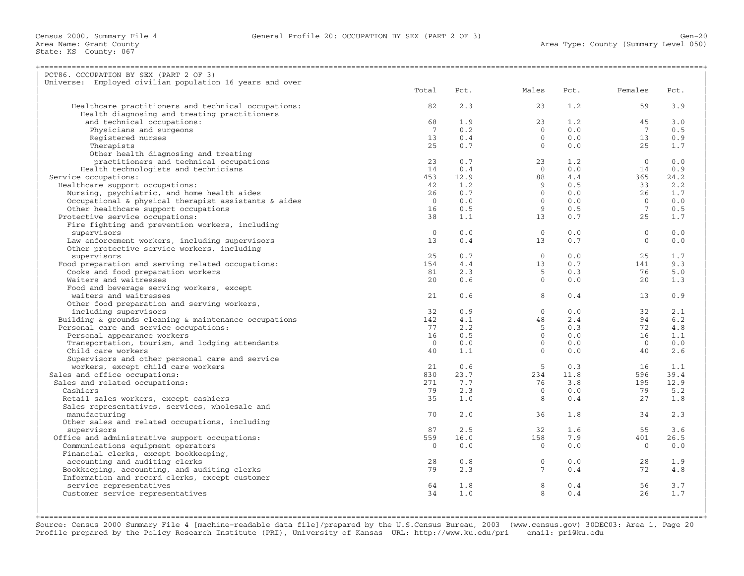State: KS County: 067

| PCT86. OCCUPATION BY SEX (PART 2 OF 3)                      |                 |      |                                            |      |                |      |
|-------------------------------------------------------------|-----------------|------|--------------------------------------------|------|----------------|------|
| Universe: Employed civilian population 16 years and over    |                 |      |                                            |      |                |      |
|                                                             | Total           | Pct. | Males                                      | Pct. | Females        | Pct. |
|                                                             |                 |      |                                            |      |                |      |
| Healthcare practitioners and technical occupations:         | 82              | 2.3  | 23                                         | 1.2  | 59             | 3.9  |
| Health diagnosing and treating practitioners                |                 |      |                                            |      |                |      |
| and technical occupations:                                  | 68              | 1.9  | 23                                         | 1.2  | 45             | 3.0  |
| Physicians and surgeons                                     | $7\overline{ }$ | 0.2  | $\Omega$                                   | 0.0  | $\overline{7}$ | 0.5  |
| Registered nurses                                           | 13              | 0.4  | $\overline{0}$                             | 0.0  | 13             | 0.9  |
| Therapists                                                  | 25              | 0.7  | $\overline{0}$                             | 0.0  | 25             | 1.7  |
| Other health diagnosing and treating                        |                 |      |                                            |      |                |      |
| practitioners and technical occupations                     | 23              | 0.7  | 23                                         | 1.2  | $\bigcirc$     | 0.0  |
| Health technologists and technicians                        | 14              | 0.4  | $\overline{0}$                             | 0.0  | 14             | 0.9  |
| Service occupations:                                        | 453             | 12.9 | 88                                         | 4.4  | 365            | 24.2 |
| Healthcare support occupations:                             | 42              | 1.2  | $\begin{array}{c} 9 \\ 0 \\ 0 \end{array}$ | 0.5  | 33             | 2.2  |
| Nursing, psychiatric, and home health aides                 | 26              | 0.7  |                                            | 0.0  | 26             | 1.7  |
| Occupational & physical therapist assistants & aides        | $\overline{0}$  | 0.0  |                                            | 0.0  | $\overline{0}$ | 0.0  |
| Other healthcare support occupations                        | 16              | 0.5  | 9                                          | 0.5  | $\overline{7}$ | 0.5  |
| Protective service occupations:                             | 38              | 1.1  | 13                                         | 0.7  | 25             | 1.7  |
| Fire fighting and prevention workers, including             |                 |      |                                            |      |                |      |
| supervisors                                                 | $\Omega$        | 0.0  | $\bigcirc$                                 | 0.0  | $\Omega$       | 0.0  |
| Law enforcement workers, including supervisors              | 13              | 0.4  | 13                                         | 0.7  | $\Omega$       | 0.0  |
| Other protective service workers, including                 |                 |      |                                            |      |                |      |
| supervisors                                                 | 25              | 0.7  | $\overline{0}$                             | 0.0  | 25             | 1.7  |
| Food preparation and serving related occupations:           | 154             | 4.4  | 13                                         | 0.7  | 141            | 9.3  |
| Cooks and food preparation workers                          | 81              | 2.3  | $-5$                                       | 0.3  | 76             | 5.0  |
| Waiters and waitresses                                      | 20              | 0.6  | $\overline{0}$                             | 0.0  | 20             | 1.3  |
| Food and beverage serving workers, except                   |                 |      |                                            |      |                |      |
| waiters and waitresses                                      | 21              | 0.6  | 8                                          | 0.4  | 13             | 0.9  |
| Other food preparation and serving workers,                 |                 |      |                                            |      |                |      |
| including supervisors                                       | 32              | 0.9  | $\overline{0}$                             | 0.0  | 32             | 2.1  |
| Building $\&$ grounds cleaning $\&$ maintenance occupations | 142             | 4.1  | 48                                         | 2.4  | 94             | 6.2  |
| Personal care and service occupations:                      | 77              | 2.2  | 5 <sup>5</sup>                             | 0.3  | 72             | 4.8  |
| Personal appearance workers                                 | 16              | 0.5  | $\overline{0}$                             | 0.0  | 16             | 1.1  |
| Transportation, tourism, and lodging attendants             | $\overline{0}$  | 0.0  | $\overline{0}$                             | 0.0  | $\bigcirc$     | 0.0  |
| Child care workers                                          | 40              | 1.1  | $\overline{0}$                             | 0.0  | 40             | 2.6  |
| Supervisors and other personal care and service             |                 |      |                                            |      |                |      |
| workers, except child care workers                          | 21              | 0.6  | $5^{\circ}$                                | 0.3  | 16             | 1.1  |
| Sales and office occupations:                               | 830             | 23.7 | 234                                        | 11.8 | 596            | 39.4 |
| Sales and related occupations:                              | 271             | 7.7  | 76                                         | 3.8  | 195            | 12.9 |
| Cashiers                                                    | 79              | 2.3  | $\bigcirc$                                 | 0.0  | 79             | 5.2  |
| Retail sales workers, except cashiers                       | 35              | 1.0  | 8 <sup>8</sup>                             | 0.4  | 27             | 1.8  |
| Sales representatives, services, wholesale and              |                 |      |                                            |      |                |      |
| manufacturing                                               | 70              | 2.0  | 36                                         | 1.8  | 34             | 2.3  |
| Other sales and related occupations, including              |                 |      |                                            |      |                |      |
| supervisors                                                 | 87              | 2.5  | 32                                         | 1.6  | 55             | 3.6  |
| Office and administrative support occupations:              | 559             | 16.0 | 158                                        | 7.9  | 401            | 26.5 |
| Communications equipment operators                          | $\Omega$        | 0.0  | $\overline{0}$                             | 0.0  | $\bigcirc$     | 0.0  |
| Financial clerks, except bookkeeping,                       |                 |      |                                            |      |                |      |
| accounting and auditing clerks                              | 28              | 0.8  | $\overline{0}$                             | 0.0  | 28             | 1.9  |
| Bookkeeping, accounting, and auditing clerks                | 79              | 2.3  | $\overline{7}$                             | 0.4  | 72             | 4.8  |
| Information and record clerks, except customer              |                 |      |                                            |      |                |      |
|                                                             | 64              | 1.8  | 8                                          | 0.4  | 56             | 3.7  |
| service representatives<br>Customer service representatives | 34              | 1.0  | 8                                          | 0.4  | 26             | 1.7  |
|                                                             |                 |      |                                            |      |                |      |
|                                                             |                 |      |                                            |      |                |      |
|                                                             |                 |      |                                            |      |                |      |

+===================================================================================================================================================+ Source: Census 2000 Summary File 4 [machine−readable data file]/prepared by the U.S.Census Bureau, 2003 (www.census.gov) 30DEC03: Area 1, Page 20 Profile prepared by the Policy Research Institute (PRI), University of Kansas URL: http://www.ku.edu/pri email: pri@ku.edu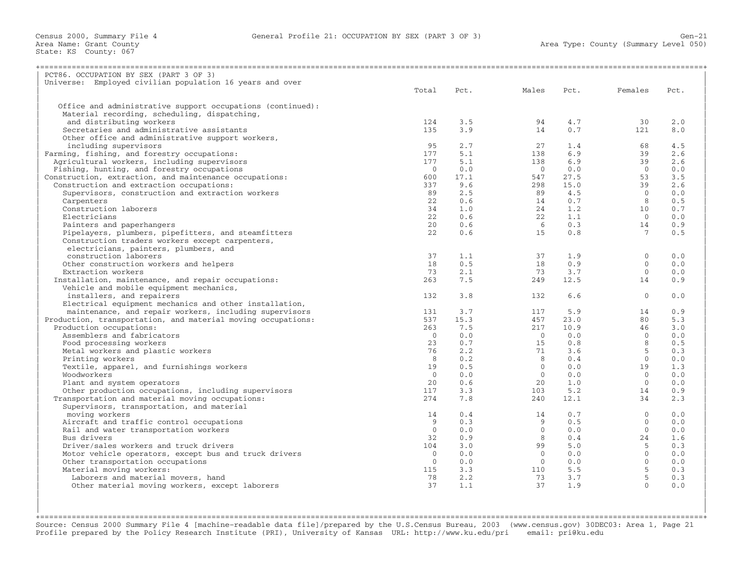| PCT86. OCCUPATION BY SEX (PART 3 OF 3)                                                        |                |      |                |      |                 |      |
|-----------------------------------------------------------------------------------------------|----------------|------|----------------|------|-----------------|------|
| Universe: Employed civilian population 16 years and over                                      |                |      |                |      |                 |      |
|                                                                                               | Total          | Pct. | Males          | Pct. | Females         | Pct. |
|                                                                                               |                |      |                |      |                 |      |
| Office and administrative support occupations (continued):                                    |                |      |                |      |                 |      |
| Material recording, scheduling, dispatching,                                                  |                |      |                |      |                 |      |
| and distributing workers                                                                      | 124            | 3.5  | 94             | 4.7  | 30              | 2.0  |
| Secretaries and administrative assistants                                                     | 135            | 3.9  | 14             | 0.7  | 121             | 8.0  |
| Other office and administrative support workers,                                              |                |      |                |      |                 |      |
| including supervisors                                                                         | 95             | 2.7  | 27             | 1.4  | 68              | 4.5  |
| Farming, fishing, and forestry occupations:                                                   | 177            | 5.1  | 138            | 6.9  | 39              | 2.6  |
| Agricultural workers, including supervisors                                                   | 177            | 5.1  | 138            | 6.9  | 39              | 2.6  |
| Fishing, hunting, and forestry occupations                                                    | $\overline{0}$ | 0.0  | $\overline{0}$ | 0.0  | $\bigcirc$      | 0.0  |
| Construction, extraction, and maintenance occupations:                                        | 600            | 17.1 | 547            | 27.5 | 53              | 3.5  |
| Construction and extraction occupations:                                                      | 337            | 9.6  | 298            | 15.0 | 39              | 2.6  |
| Supervisors, construction and extraction workers                                              | 89             | 2.5  | 89             | 4.5  | $\bigcirc$      | 0.0  |
| Carpenters                                                                                    | 2.2            | 0.6  | 14             | 0.7  | 8               | 0.5  |
| Construction laborers                                                                         | 34             | 1.0  | 24             | 1.2  | 10              | 0.7  |
| Electricians                                                                                  | 22             | 0.6  | 22             | 1.1  | $\overline{0}$  | 0.0  |
| Painters and paperhangers                                                                     | 20             | 0.6  | 6              | 0.3  | 14              | 0.9  |
| Pipelayers, plumbers, pipefitters, and steamfitters                                           | 22             | 0.6  | 15             | 0.8  | $7\overline{ }$ | 0.5  |
| Construction traders workers except carpenters,                                               |                |      |                |      |                 |      |
| electricians, painters, plumbers, and                                                         |                |      |                |      |                 |      |
| construction laborers                                                                         | 37             | 1.1  | 37             | 1.9  | $\mathbf{0}$    | 0.0  |
| Other construction workers and helpers                                                        | 18             | 0.5  | 18             | 0.9  | $\Omega$        | 0.0  |
| Extraction workers                                                                            | 73             | 2.1  | 73             | 3.7  | $\Omega$        | 0.0  |
|                                                                                               | 263            | 7.5  | 249            | 12.5 | 14              | 0.9  |
| Installation, maintenance, and repair occupations:<br>Vehicle and mobile equipment mechanics, |                |      |                |      |                 |      |
| installers, and repairers                                                                     | 132            | 3.8  | 132            | 6.6  | $\Omega$        | 0.0  |
|                                                                                               |                |      |                |      |                 |      |
| Electrical equipment mechanics and other installation,                                        |                | 3.7  |                |      |                 | 0.9  |
| maintenance, and repair workers, including supervisors                                        | 131            |      | 117            | 5.9  | 14              |      |
| Production, transportation, and material moving occupations:                                  | 537            | 15.3 | 457            | 23.0 | 80              | 5.3  |
| Production occupations:                                                                       | 263            | 7.5  | 217            | 10.9 | 46              | 3.0  |
| Assemblers and fabricators                                                                    | $\Omega$       | 0.0  | $\bigcirc$     | 0.0  | $\Omega$        | 0.0  |
| Food processing workers                                                                       | 23             | 0.7  | 15             | 0.8  | 8               | 0.5  |
| Metal workers and plastic workers                                                             | 76             | 2.2  | 71             | 3.6  | $\overline{5}$  | 0.3  |
| Printing workers                                                                              | 8              | 0.2  | 8              | 0.4  | $\Omega$        | 0.0  |
| Textile, apparel, and furnishings workers                                                     | 19             | 0.5  | $\Omega$       | 0.0  | 19              | 1.3  |
| Woodworkers                                                                                   | $\Omega$       | 0.0  | $\bigcirc$     | 0.0  | $\overline{0}$  | 0.0  |
| Plant and system operators                                                                    | 20             | 0.6  | 20             | 1.0  | $\overline{0}$  | 0.0  |
| Other production occupations, including supervisors                                           | 117            | 3.3  | 103            | 5.2  | 14              | 0.9  |
| Transportation and material moving occupations:                                               | 274            | 7.8  | 240            | 12.1 | 34              | 2.3  |
| Supervisors, transportation, and material                                                     |                |      |                |      |                 |      |
| moving workers                                                                                | 14             | 0.4  | 14             | 0.7  | $\Omega$        | 0.0  |
| Aircraft and traffic control occupations                                                      | 9              | 0.3  | 9              | 0.5  | $\Omega$        | 0.0  |
| Rail and water transportation workers                                                         | $\Omega$       | 0.0  | $\Omega$       | 0.0  | $\Omega$        | 0.0  |
| Bus drivers                                                                                   | 32             | 0.9  | 8              | 0.4  | 24              | 1.6  |
| Driver/sales workers and truck drivers                                                        | 104            | 3.0  | 99             | 5.0  | 5               | 0.3  |
| Motor vehicle operators, except bus and truck drivers                                         | $\overline{0}$ | 0.0  | $\circ$        | 0.0  | $\overline{0}$  | 0.0  |
| Other transportation occupations                                                              | $\Omega$       | 0.0  | $\bigcirc$     | 0.0  | $\Omega$        | 0.0  |
| Material moving workers:                                                                      | 115            | 3.3  | 110            | 5.5  | 5               | 0.3  |
| Laborers and material movers, hand                                                            | 78             | 2.2  | 73             | 3.7  | $5^{\circ}$     | 0.3  |
| Other material moving workers, except laborers                                                | 37             | 1.1  | 37             | 1.9  | $\Omega$        | 0.0  |
|                                                                                               |                |      |                |      |                 |      |
|                                                                                               |                |      |                |      |                 |      |

+===================================================================================================================================================+Source: Census 2000 Summary File 4 [machine−readable data file]/prepared by the U.S.Census Bureau, 2003 (www.census.gov) 30DEC03: Area 1, Page 21 Profile prepared by the Policy Research Institute (PRI), University of Kansas URL: http://www.ku.edu/pri email: pri@ku.edu

| |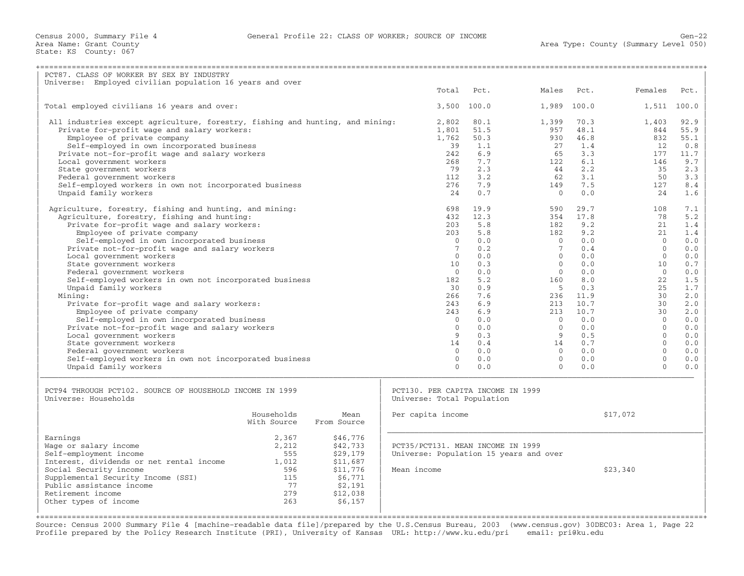| PCT87. CLASS OF WORKER BY SEX BY INDUSTRY                                     |                               |             |                                        |             |             |       |              |             |
|-------------------------------------------------------------------------------|-------------------------------|-------------|----------------------------------------|-------------|-------------|-------|--------------|-------------|
| Universe: Employed civilian population 16 years and over                      |                               |             |                                        |             |             |       |              |             |
|                                                                               |                               |             | Total                                  | Pct.        | Males       | Pct.  | Females      | Pct.        |
|                                                                               |                               |             |                                        |             |             |       |              |             |
| Total employed civilians 16 years and over:                                   |                               |             |                                        | 3,500 100.0 | 1,989       | 100.0 |              | 1,511 100.0 |
|                                                                               |                               |             |                                        |             |             |       |              |             |
| All industries except agriculture, forestry, fishing and hunting, and mining: |                               |             | 2,802                                  | 80.1        | 1,399       | 70.3  | 1,403        | 92.9        |
| Private for-profit wage and salary workers:                                   |                               |             | 1,801                                  | 51.5        | 957         | 48.1  | 844          | 55.9        |
| Employee of private company                                                   |                               |             | 1,762                                  | 50.3        | 930         | 46.8  | 832          | 55.1        |
| Self-employed in own incorporated business                                    |                               |             | 39                                     | 1.1         | 2.7         | 1.4   | 12.          | 0.8         |
| Private not-for-profit wage and salary workers                                |                               |             | 242                                    | 6.9         | 65          | 3.3   | 177          | 11.7        |
| Local government workers                                                      |                               |             | 268                                    | 7.7         | 122         | 6.1   | 146          | 9.7         |
| State government workers                                                      |                               |             | 79                                     | 2.3         | 44          | 2.2   | 35           | 2.3         |
| Federal government workers                                                    |                               |             | 112                                    | 3.2         | 62          | 3.1   | 50           | 3.3         |
| Self-employed workers in own not incorporated business                        |                               |             | 276                                    | 7.9         | 149         | 7.5   | 127          | 8.4         |
| Unpaid family workers                                                         |                               |             | 24                                     | 0.7         | $\Omega$    | 0.0   | 24           | 1.6         |
|                                                                               |                               |             |                                        |             |             |       |              |             |
| Agriculture, forestry, fishing and hunting, and mining:                       |                               |             | 698                                    | 19.9        | 590         | 29.7  | 108          | 7.1         |
| Agriculture, forestry, fishing and hunting:                                   |                               |             | 432                                    | 12.3        | 354         | 17.8  | 78           | 5.2         |
| Private for-profit wage and salary workers:                                   |                               |             | 203                                    | 5.8         | 182         | 9.2   | 2.1          | 1.4         |
| Employee of private company                                                   |                               |             | 203                                    | 5.8         | 182         | 9.2   | 21           | 1.4         |
| Self-employed in own incorporated business                                    |                               |             | $\Omega$                               | 0.0         | $\Omega$    | 0.0   | $\Omega$     | 0.0         |
| Private not-for-profit wage and salary workers                                |                               |             | $7\phantom{.0}$                        | 0.2         | $7^{\circ}$ | 0.4   | $\Omega$     | 0.0         |
| Local government workers                                                      |                               |             | $\Omega$                               | 0.0         | $\Omega$    | 0.0   | $\Omega$     | 0.0         |
| State government workers                                                      |                               |             | 10                                     | 0.3         | $\Omega$    | 0.0   | 10           | 0.7         |
| Federal government workers                                                    |                               |             | $\Omega$                               | 0.0         | $\Omega$    | 0.0   | $\Omega$     | 0.0         |
| Self-employed workers in own not incorporated business                        |                               |             | 182                                    | 5.2         | 160         | 8.0   | 22           | 1.5         |
| Unpaid family workers                                                         |                               |             | 30                                     | 0.9         | - 5         | 0.3   | 25           | 1.7         |
| Mining:                                                                       |                               |             | 266                                    | 7.6         | 236         | 11.9  | 30           | 2.0         |
| Private for-profit wage and salary workers:                                   |                               |             | 243                                    | 6.9         | 213         | 10.7  | 30           | 2.0         |
| Employee of private company                                                   |                               |             | 243                                    | 6.9         | 213         | 10.7  | 30           | 2.0         |
| Self-employed in own incorporated business                                    |                               |             | $\Omega$                               | 0.0         | $\Omega$    | 0.0   | $\Omega$     | 0.0         |
| Private not-for-profit wage and salary workers                                |                               |             | $\Omega$                               | 0.0         | $\Omega$    | 0.0   | $\Omega$     | 0.0         |
| Local government workers                                                      |                               |             | 9                                      | 0.3         | 9           | 0.5   | $\Omega$     | 0.0         |
| State government workers                                                      |                               |             | 14                                     | 0.4         | 14          | 0.7   | $\Omega$     | 0.0         |
| Federal government workers                                                    |                               |             | $\mathbf{0}$                           | 0.0         | $\circ$     | 0.0   | $\mathbf{0}$ | 0.0         |
| Self-employed workers in own not incorporated business                        |                               |             | $\Omega$                               | 0.0         | $\Omega$    | 0.0   | $\Omega$     | 0.0         |
| Unpaid family workers                                                         |                               |             | $\Omega$                               | 0.0         | $\Omega$    | 0.0   | $\Omega$     | 0.0         |
|                                                                               |                               |             |                                        |             |             |       |              |             |
|                                                                               |                               |             |                                        |             |             |       |              |             |
| PCT94 THROUGH PCT102. SOURCE OF HOUSEHOLD INCOME IN 1999                      |                               |             | PCT130. PER CAPITA INCOME IN 1999      |             |             |       |              |             |
| Universe: Households                                                          |                               |             | Universe: Total Population             |             |             |       |              |             |
|                                                                               |                               |             |                                        |             |             |       |              |             |
|                                                                               | Households                    | Mean        | Per capita income                      |             |             |       | \$17,072     |             |
|                                                                               | With Source                   | From Source |                                        |             |             |       |              |             |
| Earnings                                                                      | 2,367                         | \$46,776    |                                        |             |             |       |              |             |
| Wage or salary income                                                         | 2,212                         | \$42,733    | PCT35/PCT131. MEAN INCOME IN 1999      |             |             |       |              |             |
| Self-employment income                                                        | 555                           | \$29,179    | Universe: Population 15 years and over |             |             |       |              |             |
| Interest, dividends or net rental income                                      | 1,012                         | \$11,687    |                                        |             |             |       |              |             |
| Social Security income                                                        | 596                           | \$11,776    | Mean income                            |             |             |       | \$23,340     |             |
| Supplemental Security Income (SSI)                                            | 115                           | \$6,771     |                                        |             |             |       |              |             |
| Public assistance income                                                      | 77                            | \$2,191     |                                        |             |             |       |              |             |
| Retirement income                                                             | 279                           | \$12,038    |                                        |             |             |       |              |             |
| Other types of income                                                         | 263                           | \$6,157     |                                        |             |             |       |              |             |
|                                                                               |                               |             |                                        |             |             |       |              |             |
|                                                                               | ============================= |             |                                        |             |             |       |              |             |

Source: Census 2000 Summary File 4 [machine−readable data file]/prepared by the U.S.Census Bureau, 2003 (www.census.gov) 30DEC03: Area 1, Page 22 Profile prepared by the Policy Research Institute (PRI), University of Kansas URL: http://www.ku.edu/pri email: pri@ku.edu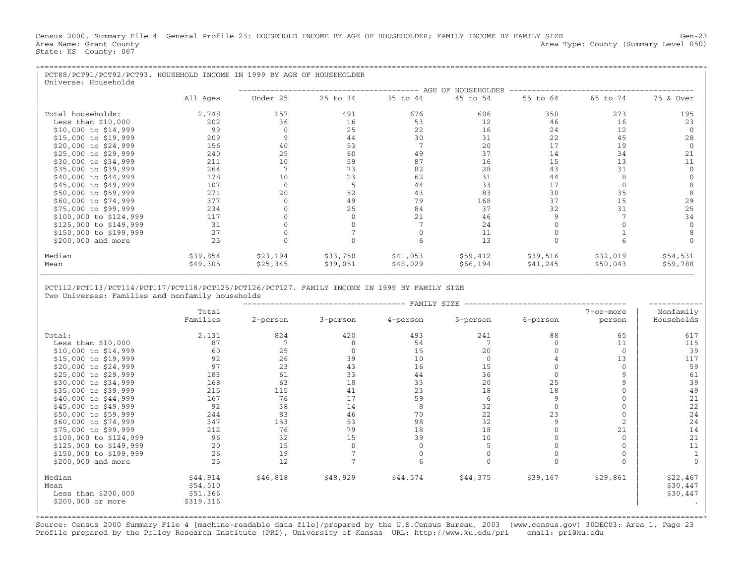Census 2000, Summary File 4 General Profile 23: HOUSEHOLD INCOME BY AGE OF HOUSEHOLDER; FAMILY INCOME BY FAMILY SIZE Gen-23<br>Area Name: Grant County Level 050) Area Type: County (Summary Level 050) State: KS County: 067

| PCT88/PCT91/PCT92/PCT93. HOUSEHOLD INCOME IN 1999 BY AGE OF HOUSEHOLDER<br>Universe: Households |          |          |          |          |          |          |          |           |
|-------------------------------------------------------------------------------------------------|----------|----------|----------|----------|----------|----------|----------|-----------|
|                                                                                                 |          |          |          |          | 45 to 54 |          |          |           |
|                                                                                                 | All Ages | Under 25 | 25 to 34 | 35 to 44 |          | 55 to 64 | 65 to 74 | 75 & Over |
| Total households:                                                                               | 2,748    | 157      | 491      | 676      | 606      | 350      | 273      | 195       |
| Less than $$10,000$                                                                             | 202      | 36       | 16       | 53       | 12       | 46       | 16       | 23        |
| \$10,000 to \$14,999                                                                            | 99       |          | 25       | 22       | 16       | 24       | 12       |           |
| \$15,000 to \$19,999                                                                            | 209      |          | 44       | 30       | 31       | 22       | 45       | 28        |
| \$20,000 to \$24,999                                                                            | 156      | 40       | 53       |          | 20       | 17       | 19       |           |
| \$25,000 to \$29,999                                                                            | 240      | 25       | 60       | 49       | 37       | 14       | 34       | 21        |
| \$30,000 to \$34,999                                                                            | 211      | 10       | 59       | 87       | 16       | 15       | 13       |           |
| \$35,000 to \$39,999                                                                            | 264      |          | 73       | 82       | 28       | 43       | 31       |           |
| \$40,000 to \$44,999                                                                            | 178      | 10       | 23       | 62       | 31       | 44       |          |           |
| \$45,000 to \$49,999                                                                            | 107      |          |          | 44       | 33       | 17       |          |           |
| \$50,000 to \$59,999                                                                            | 271      | 20       | 52       | 43       | 83       | 30       | 35       |           |
| \$60,000 to \$74,999                                                                            | 377      |          | 49       | 79       | 168      | 37       | 15       | 29        |
| \$75,000 to \$99,999                                                                            | 234      |          | 25       | 84       | 37       | 32       | 31       | 25        |
| \$100,000 to \$124,999                                                                          | 117      |          |          | 21       | 46       |          |          | 34        |
| \$125,000 to \$149,999                                                                          | 31       |          |          |          | 24       |          |          |           |
| \$150,000 to \$199,999                                                                          | 27       |          |          |          | 11       |          |          |           |
| \$200,000 and more                                                                              | 25       |          |          |          | 13       |          |          |           |
| Median                                                                                          | \$39,854 | \$23,194 | \$33,750 | \$41,053 | \$59,412 | \$39,516 | \$32,019 | \$54,531  |
| Mean                                                                                            | \$49,305 | \$25,345 | \$39,051 | \$48,029 | \$66,194 | \$41,245 | \$50,043 | \$59,788  |

| |

| PCT112/PCT113/PCT114/PCT117/PCT118/PCT125/PCT126/PCT127. FAMILY INCOME IN 1999 BY FAMILY SIZE | Two Universes: Families and nonfamily households

|                                        |                                  |          |          | FAMILY SIZE |             |              |                |                                  |
|----------------------------------------|----------------------------------|----------|----------|-------------|-------------|--------------|----------------|----------------------------------|
|                                        | Total                            |          |          |             |             |              | 7-or-more      | Nonfamily                        |
|                                        | Families                         | 2-person | 3-person | 4-person    | 5-person    | 6-person     | person         | Households                       |
| Total:                                 | 2,131                            | 824      | 420      | 493         | 241         | 88           | 65             | 617                              |
| Less than $$10,000$                    | 87                               |          |          | 54          |             |              | 11             | 115                              |
| \$10,000 to \$14,999                   | 60                               | 25       |          | 15          | 20          |              | $\Omega$       | 39                               |
| \$15,000 to \$19,999                   | 92                               | 26       | 39       | 10          | $\mathbf 0$ |              | 13             | 117                              |
| \$20,000 to \$24,999                   | 97                               | 23       | 43       | 16          | 15          |              | $\Omega$       | 59                               |
| \$25,000 to \$29,999                   | 183                              | 61       | 33       | 44          | 36          |              | $\mathbf{Q}$   | 61                               |
| \$30,000 to \$34,999                   | 168                              | 63       | 18       | 33          | 20          | 25           | $\mathbf{Q}$   | 39                               |
| \$35,000 to \$39,999                   | 215                              | 115      | 41       | 23          | 18          | 18           | $\mathbf 0$    | 49                               |
| \$40,000 to \$44,999                   | 167                              | 76       | 17       | 59          | 6           | $\mathsf{Q}$ | $\Omega$       | 21                               |
| \$45,000 to \$49,999                   | 92                               | 38       | 14       |             | 32          | $\Omega$     | $\Omega$       | 22                               |
| \$50,000 to \$59,999                   | 244                              | 83       | 46       | 70          | 22          | 23           | $\Omega$       | 24                               |
| \$60,000 to \$74,999                   | 347                              | 153      | 53       | 98          | 32          | 9            | $\overline{2}$ | 24                               |
| \$75,000 to \$99,999                   | 212                              | 76       | 79       | 18          | 18          |              | 21             | 14                               |
| \$100,000 to \$124,999                 | 96                               | 32       | 15       | 39          | 10          |              | $\Omega$       | 21                               |
| \$125,000 to \$149,999                 | 20                               | 15       |          |             |             |              | $\Omega$       | 11                               |
| \$150,000 to \$199,999                 | 26                               | 19       |          |             |             |              | $\Omega$       |                                  |
| \$200,000 and more                     | 25                               | 12       |          |             |             |              | $\Omega$       | $\Omega$                         |
| Median<br>Mean<br>Less than $$200,000$ | \$44,914<br>\$54,510<br>\$51,366 | \$46,818 | \$48,929 | \$44,574    | \$44,375    | \$39,167     | \$29,861       | \$22,467<br>\$30,447<br>\$30,447 |
| \$200,000 or more                      | \$319,316                        |          |          |             |             |              |                |                                  |

+===================================================================================================================================================+Source: Census 2000 Summary File 4 [machine−readable data file]/prepared by the U.S.Census Bureau, 2003 (www.census.gov) 30DEC03: Area 1, Page 23 Profile prepared by the Policy Research Institute (PRI), University of Kansas URL: http://www.ku.edu/pri email: pri@ku.edu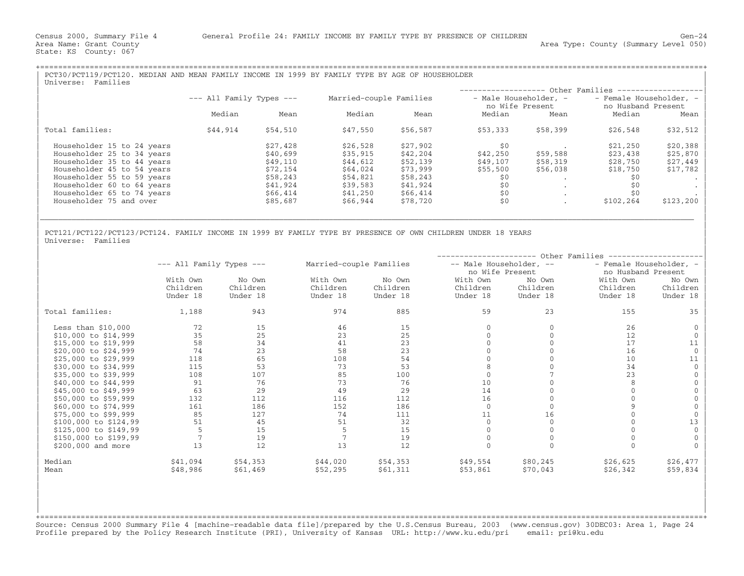State: KS County: 067

| PCT30/PCT119/PCT120. MEDIAN AND MEAN FAMILY INCOME IN 1999 BY FAMILY TYPE BY AGE OF HOUSEHOLDER<br>Families<br>Universe:                             |          |          |          |          |                  |          |                             |           |  |
|------------------------------------------------------------------------------------------------------------------------------------------------------|----------|----------|----------|----------|------------------|----------|-----------------------------|-----------|--|
|                                                                                                                                                      |          |          |          |          | ---------------- |          | -- Other Families --------- |           |  |
| $---$ All Family Types $---$<br>Married-couple Families<br>- Male Householder, -<br>- Female Householder, -<br>no Husband Present<br>no Wife Present |          |          |          |          |                  |          |                             |           |  |
|                                                                                                                                                      | Median   | Mean     | Median   | Mean     | Median           | Mean     | Median                      | Mean      |  |
| Total families:                                                                                                                                      | \$44,914 | \$54,510 | \$47,550 | \$56,587 | \$53,333         | \$58,399 | \$26,548                    | \$32,512  |  |
| Householder 15 to 24 years                                                                                                                           |          | \$27,428 | \$26,528 | \$27,902 | \$0              |          | \$21,250                    | \$20,388  |  |
| Householder 25 to 34 years                                                                                                                           |          | \$40,699 | \$35,915 | \$42,204 | \$42,250         | \$59,588 | \$23,438                    | \$25,870  |  |
| Householder 35 to 44 years                                                                                                                           |          | \$49,110 | \$44,612 | \$52,139 | \$49,107         | \$58,319 | \$28,750                    | \$27,449  |  |
| Householder 45 to 54 years                                                                                                                           |          | \$72,154 | \$64,024 | \$73,999 | \$55,500         | \$56,038 | \$18,750                    | \$17,782  |  |
| Householder 55 to 59 years                                                                                                                           |          | \$58,243 | \$54,821 | \$58,243 | \$0              |          | \$0                         |           |  |
| Householder 60 to 64 years                                                                                                                           |          | \$41,924 | \$39,583 | \$41,924 | \$0              |          | \$0                         |           |  |
| Householder 65 to 74 years                                                                                                                           |          | \$66,414 | \$41,250 | \$66,414 | \$0              | $\cdot$  | \$0                         |           |  |
| Householder 75 and over                                                                                                                              |          | \$85,687 | \$66,944 | \$78,720 | \$0              |          | \$102,264                   | \$123,200 |  |
|                                                                                                                                                      |          |          |          |          |                  |          |                             |           |  |

| |

| |

PCT121/PCT122/PCT123/PCT124. FAMILY INCOME IN 1999 BY FAMILY TYPE BY PRESENCE OF OWN CHILDREN UNDER 18 YEARS<br>Universe: Families | Universe: Families | Northern Communication | Northern Communication | Northern Communication | Northern Communication | Northern Communication | Northern Communication | Northern Communication | Northern Communication |

|                       |                              |          |                         |          |                         | Other Families |                         |          |
|-----------------------|------------------------------|----------|-------------------------|----------|-------------------------|----------------|-------------------------|----------|
|                       | $---$ All Family Types $---$ |          | Married-couple Families |          | -- Male Householder, -- |                | - Female Householder, - |          |
|                       |                              |          |                         |          | no Wife Present         |                | no Husband Present      |          |
|                       | With Own                     | No Own   | With Own                | No Own   | With Own                | No Own         | With Own                | No Own   |
|                       | Children                     | Children | Children                | Children | Children                | Children       | Children                | Children |
|                       | Under 18                     | Under 18 | Under 18                | Under 18 | Under 18                | Under 18       | Under 18                | Under 18 |
| Total families:       | 1,188                        | 943      | 974                     | 885      | 59                      | 23             | 155                     | 35       |
| Less than $$10,000$   | 72                           | 15       | 46                      | 15       |                         |                | 26                      |          |
| \$10,000 to \$14,999  | 35                           | 25       | 23                      | 25       |                         |                | 12                      |          |
| \$15,000 to \$19,999  | 58                           | 34       | 41                      | 23       |                         |                | 17                      | 11       |
| \$20,000 to \$24,999  | 74                           | 23       | 58                      | 23       |                         |                | 16                      | $\Omega$ |
| \$25,000 to \$29,999  | 118                          | 65       | 108                     | 54       |                         |                | 10                      | 11       |
| \$30,000 to \$34,999  | 115                          | 53       | 73                      | 53       |                         |                | 34                      | $\Omega$ |
| \$35,000 to \$39,999  | 108                          | 107      | 85                      | 100      |                         |                | 23                      |          |
| \$40,000 to \$44,999  | 91                           | 76       | 73                      | 76       | 10                      |                |                         |          |
| \$45,000 to \$49,999  | 63                           | 29       | 49                      | 29       | 14                      |                |                         |          |
| \$50,000 to \$59,999  | 132                          | 112      | 116                     | 112      | 16                      |                |                         |          |
| \$60,000 to \$74,999  | 161                          | 186      | 152                     | 186      | $\Omega$                |                |                         |          |
| \$75,000 to \$99,999  | 85                           | 127      | 74                      | 111      | 11                      | 16             |                         |          |
| \$100,000 to \$124,99 | 51                           | 45       | 51                      | 32       |                         |                |                         | 13       |
| \$125,000 to \$149,99 | 5                            | 15       | 5                       | 15       |                         |                |                         | $\Omega$ |
| \$150,000 to \$199,99 |                              | 19       |                         | 19       |                         |                |                         |          |
| \$200,000 and more    | 13                           | 12       | 13                      | 12       |                         |                |                         |          |
| Median                | \$41,094                     | \$54,353 | \$44,020                | \$54,353 | \$49,554                | \$80,245       | \$26,625                | \$26,477 |
| Mean                  | \$48,986                     | \$61,469 | \$52,295                | \$61,311 | \$53,861                | \$70,043       | \$26,342                | \$59,834 |

+===================================================================================================================================================+Source: Census 2000 Summary File 4 [machine−readable data file]/prepared by the U.S.Census Bureau, 2003 (www.census.gov) 30DEC03: Area 1, Page 24 Profile prepared by the Policy Research Institute (PRI), University of Kansas URL: http://www.ku.edu/pri email: pri@ku.edu

| | | | | | | |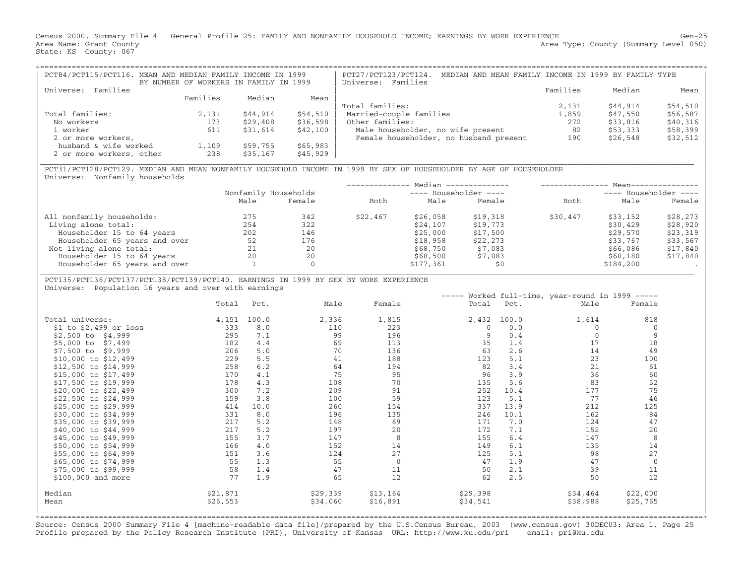Census 2000, Summary File 4 General Profile 25: FAMILY AND NONFAMILY HOUSEHOLD INCOME; EARNINGS BY WORK EXPERIENCE Gen−25 Area Name: Grant County 1999 (Summary Level 050) Area Type: County (Summary Level 050) State: KS County: 067

| PCT84/PCT115/PCT116. MEAN AND MEDIAN FAMILY INCOME IN 1999 | BY NUMBER OF WORKERS IN FAMILY IN 1999 |          |          | MEDIAN AND MEAN FAMILY INCOME IN 1999 BY FAMILY TYPE<br>PCT27/PCT123/PCT124.<br>Universe: Families |          |          |           |
|------------------------------------------------------------|----------------------------------------|----------|----------|----------------------------------------------------------------------------------------------------|----------|----------|-----------|
| Universe: Families                                         |                                        |          |          |                                                                                                    | Families | Median   | Mean      |
|                                                            | Families                               | Median   | Mean     |                                                                                                    |          |          |           |
|                                                            |                                        |          |          | Total families:                                                                                    | 2,131    | \$44,914 | $$54,510$ |
| Total families:                                            | 2,131                                  | \$44,914 | \$54,510 | Married-couple families                                                                            | 1,859    | \$47,550 | $$56,587$ |
| No workers                                                 | 173                                    | \$29,408 | \$36,598 | Other families:                                                                                    | 272      | \$33,816 | $$40,316$ |
| 1 worker                                                   | 611                                    | \$31,614 | \$42,100 | Male householder, no wife present                                                                  | 82       | \$53,333 | $$58,399$ |
| 2 or more workers,                                         |                                        |          |          | Female householder, no husband present                                                             | 190      | \$26,548 | $$32,512$ |
| husband & wife worked                                      | 1,109                                  | \$59,755 | \$65,983 |                                                                                                    |          |          |           |
| 2 or more workers, other                                   | 238                                    | \$35,167 | \$45,929 |                                                                                                    |          |          |           |

|\_\_\_\_\_\_\_\_\_\_\_\_\_\_\_\_\_\_\_\_\_\_\_\_\_\_\_\_\_\_\_\_\_\_\_\_\_\_\_\_\_\_\_\_\_\_\_\_\_\_\_\_\_\_\_\_\_\_\_\_\_\_\_\_\_\_\_\_\_\_\_\_\_\_\_\_\_\_\_\_\_\_\_\_\_\_\_\_\_\_\_\_\_\_\_\_\_\_\_\_\_\_\_\_\_\_\_\_\_\_\_\_\_\_\_\_\_\_\_\_\_\_\_\_\_\_\_\_\_\_\_\_\_\_\_\_\_\_\_\_\_\_\_\_\_ |

| PCT31/PCT128/PCT129. MEDIAN AND MEAN NONFAMILY HOUSEHOLD INCOME IN 1999 BY SEX OF HOUSEHOLDER BY AGE OF HOUSEHOLDER | Universe: Nonfamily households

|      |        |                      |           |          |                                                  | $Mean--$              |          |  |  |
|------|--------|----------------------|-----------|----------|--------------------------------------------------|-----------------------|----------|--|--|
|      |        |                      |           |          |                                                  | ---- Householder ---- |          |  |  |
| Male | Female | Both                 | Male      | Female   | Both                                             | Male                  | Female   |  |  |
| 275  | 342    | \$22,467             | \$26,058  | \$19,318 | \$30,447                                         | \$33,152              | \$28,273 |  |  |
| 254  | 322    |                      | \$24,107  | \$19,773 |                                                  | \$30,429              | \$28,920 |  |  |
| 202  | 146    |                      | \$25,000  | \$17,500 |                                                  | \$29,570              | \$23,319 |  |  |
| 52   | 176    |                      | \$18,958  | \$22,273 |                                                  | \$33,767              | \$33,567 |  |  |
| 21   | 20     |                      | \$68,750  | \$7,083  |                                                  | \$66,086              | \$17,840 |  |  |
| 20   | 20     |                      | \$68,500  | \$7,083  |                                                  | \$60,180              | \$17,840 |  |  |
|      |        |                      | \$177,361 | \$0      |                                                  | \$184,200             |          |  |  |
|      |        | Nonfamily Households |           |          | Median --------------<br>$---$ Householder $---$ |                       |          |  |  |

## | PCT135/PCT136/PCT137/PCT138/PCT139/PCT140. EARNINGS IN 1999 BY SEX BY WORK EXPERIENCE |

Universe: Population 16 years and over with earnings

| Total    | Pct.  | Male     | Female      | Total        | Pct.  | Male     | Female      |                                                  |
|----------|-------|----------|-------------|--------------|-------|----------|-------------|--------------------------------------------------|
|          | 100.0 | 2,336    | 1,815       | 2,432        | 100.0 | 1,614    | 818         |                                                  |
| 333      | 8.0   | 110      | 223         | 0            | 0.0   |          | 0           |                                                  |
| 295      | 7.1   | 99       | 196         | $\mathsf{Q}$ | 0.4   |          | 9           |                                                  |
| 182      | 4.4   | 69       | 113         | 35           | 1.4   | 17       | 18          |                                                  |
| 206      | 5.0   | 70       | 136         | 63           | 2.6   | 14       | 49          |                                                  |
| 229      | 5.5   | 41       | 188         | 123          | 5.1   | 23       | 100         |                                                  |
| 258      | 6.2   | 64       | 194         | 82           | 3.4   | 21       | 61          |                                                  |
| 170      | 4.1   | 75       | 95          | 96           | 3.9   | 36       | 60          |                                                  |
| 178      | 4.3   | 108      | 70          | 135          | 5.6   | 83       | 52          |                                                  |
| 300      | 7.2   | 209      | 91          | 252          | 10.4  | 177      | 75          |                                                  |
| 159      | 3.8   | 100      | 59          | 123          | 5.1   | 77       | 46          |                                                  |
| 414      | 10.0  | 260      | 154         | 337          | 13.9  | 212      | 125         |                                                  |
| 331      | 8.0   | 196      | 135         | 246          | 10.1  | 162      | 84          |                                                  |
| 217      | 5.2   | 148      | 69          | 171          | 7.0   | 124      | 47          |                                                  |
| 217      | 5.2   | 197      | 20          | 172          | 7.1   | 152      | 20          |                                                  |
| 155      | 3.7   | 147      | 8           | 155          | 6.4   | 147      | 8           |                                                  |
| 166      | 4.0   | 152      | 14          | 149          | 6.1   | 135      | 14          |                                                  |
| 151      | 3.6   | 124      |             | 125          | 5.1   | 98       | 27          |                                                  |
| 55       | 1.3   | 55       | $\mathbf 0$ | 47           | 1.9   | 47       | $\mathbf 0$ |                                                  |
| 58       | 1.4   | 47       | 11          | 50           | 2.1   | 39       | 11          |                                                  |
| 77       | 1.9   | 65       | 12          | 62           | 2.5   | 50       | 12          |                                                  |
| \$21,871 |       | \$29,339 | \$13,164    | \$29,398     |       | \$34,464 | \$22,000    |                                                  |
| \$26,553 |       | \$34,060 | \$16,891    | \$34,541     |       | \$38,988 | \$25,765    |                                                  |
|          |       | 4,151    |             | 27           |       |          |             | ----- Worked full-time, year-round in 1999 ----- |

+===================================================================================================================================================+Source: Census 2000 Summary File 4 [machine−readable data file]/prepared by the U.S.Census Bureau, 2003 (www.census.gov) 30DEC03: Area 1, Page 25 Profile prepared by the Policy Research Institute (PRI), University of Kansas URL: http://www.ku.edu/pri email: pri@ku.edu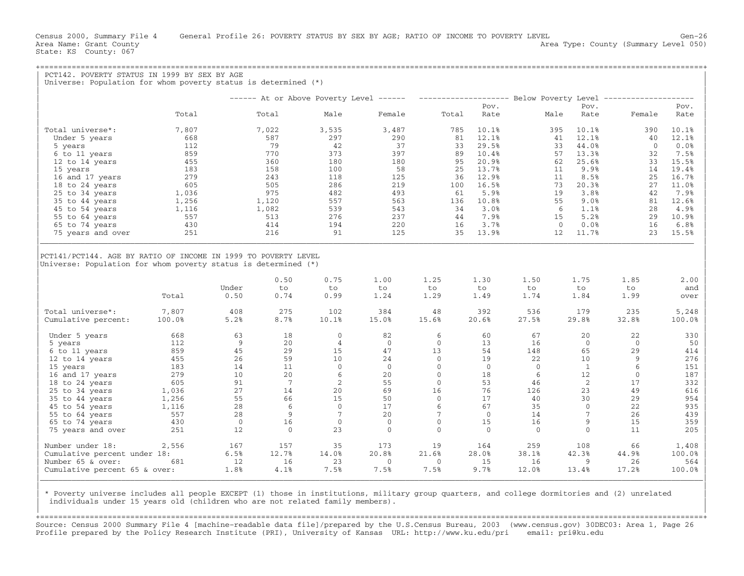State: KS County: 067

|                                                                                                                  |              |                      |                    |                                                                |                            |                          |                    |                    |                        | ------ At or Above Poverty Level ------ -------------------- Below Poverty Level ------------ |                                                                                    |
|------------------------------------------------------------------------------------------------------------------|--------------|----------------------|--------------------|----------------------------------------------------------------|----------------------------|--------------------------|--------------------|--------------------|------------------------|-----------------------------------------------------------------------------------------------|------------------------------------------------------------------------------------|
|                                                                                                                  |              |                      |                    |                                                                |                            |                          | Pov.               |                    | Pov.                   |                                                                                               | Pov.                                                                               |
|                                                                                                                  | Total        |                      | Total              | Male                                                           | Female                     | Total                    | Rate               | Male               | Rate                   | Female                                                                                        | Rate                                                                               |
| Total universe*:                                                                                                 | 7,807        |                      | 7,022              | 3,535                                                          | 3,487                      | 785                      | 10.1%              |                    | 395<br>10.1%           | 390                                                                                           | 10.1%                                                                              |
| Under 5 years                                                                                                    | 668          |                      | 587                | 297                                                            | 290                        | 81                       | 12.1%              |                    | 41<br>12.1%            | 40                                                                                            | 12.1%                                                                              |
| 5 years                                                                                                          | 112          |                      | 79                 | 42                                                             | 37                         | 33                       | 29.5%              |                    | 33<br>44.0%            | $\overline{0}$                                                                                | 0.0%                                                                               |
| 6 to 11 years                                                                                                    | 859          |                      | 770                | 373                                                            | 397                        | 89                       | 10.4%              |                    | 13.3%<br>57            | 32                                                                                            | 7.5%                                                                               |
| 12 to 14 years                                                                                                   | 455          |                      | 360                | 180                                                            | 180                        | 95                       | 20.9%              |                    | 62<br>25.6%            | 33                                                                                            | 15.5%                                                                              |
| 15 years                                                                                                         | 183          |                      | 158                | 100                                                            | 58                         | 25                       | 13.7%              |                    | 9.9%<br>11             | 14                                                                                            | 19.4%                                                                              |
| 16 and 17 years                                                                                                  | 279          |                      | 243                | 118                                                            | 125                        | 36                       | 12.9%              |                    | 11<br>8.5%             | 25                                                                                            | 16.7%                                                                              |
| 18 to 24 years                                                                                                   | 605          |                      | 505                | 286                                                            | 219                        | 100                      | 16.5%              |                    | 73<br>20.3%            | 27                                                                                            | 11.0%                                                                              |
| 25 to 34 years                                                                                                   | 1,036        |                      | 975                | 482                                                            | 493                        | 61                       | 5.9%               |                    | 3.8%<br>19             | 42                                                                                            | 7.9%                                                                               |
| 35 to 44 years                                                                                                   | 1,256        |                      | 1,120              | 557                                                            | 563                        | 136                      | 10.8%              |                    | 55<br>9.0%             | 81                                                                                            | 12.6%                                                                              |
| 45 to 54 years                                                                                                   | 1,116        |                      | 1,082              | 539                                                            | 543                        | 34                       | 3.0%               |                    | 1.1%<br>6              | 28                                                                                            | 4.9%                                                                               |
| 55 to 64 years                                                                                                   | 557          |                      | 513                | 276                                                            | 237                        | 44                       | 7.9%               |                    | 5.2%<br>15             | 29                                                                                            | 10.9%                                                                              |
|                                                                                                                  | 430          |                      | 414                | 194                                                            | 220                        | 16                       | 3.7%               |                    | $\overline{0}$<br>0.0% | 16                                                                                            | 6.8%                                                                               |
| 65 to 74 years                                                                                                   | 251          |                      | 216                | 91                                                             | 125                        | 35                       | 13.9%              |                    | 12<br>11.7%            | 23                                                                                            | 15.5%                                                                              |
| 75 years and over                                                                                                |              |                      |                    |                                                                |                            |                          |                    |                    |                        |                                                                                               |                                                                                    |
| Universe: Population for whom poverty status is determined (*)                                                   |              |                      |                    | PCT141/PCT144. AGE BY RATIO OF INCOME IN 1999 TO POVERTY LEVEL |                            |                          |                    |                    |                        |                                                                                               |                                                                                    |
|                                                                                                                  | Total        | Under<br>0.50        | 0.50<br>to<br>0.74 | 0.75<br>to<br>0.99                                             | 1.00<br>to<br>1.24         | 1.25<br>to<br>1.29       | 1.30<br>to<br>1.49 | 1.50<br>to<br>1.74 | 1.75<br>to<br>1.84     | 1.85<br>to<br>1.99                                                                            | 2.00<br>and<br>over                                                                |
|                                                                                                                  | 7,807        | 408                  | 275                | 102                                                            | 384                        | 48                       | 392                | 536                | 179                    | 235                                                                                           | 5,248                                                                              |
|                                                                                                                  | 100.0%       | 5.2%                 | 8.7%               | 10.1%                                                          | 15.0%                      | 15.6%                    | 20.6%              | 27.5%              | 29.8%                  | 32.8%                                                                                         |                                                                                    |
|                                                                                                                  | 668          | 63                   | 18                 | $\Omega$                                                       | 82                         | 6                        | 60                 | 67                 | 20                     | 22                                                                                            |                                                                                    |
| 5 years                                                                                                          | 112          | 9                    | 20                 | $\overline{4}$                                                 | $\overline{0}$             | $\mathbf{0}$             | 13                 | 16                 | $\overline{0}$         | $\Omega$                                                                                      |                                                                                    |
| 6 to 11 years                                                                                                    | 859          | 45                   | 29                 | 15                                                             | 47                         | 13                       | 54                 | 148                | 65                     | 29                                                                                            |                                                                                    |
| 12 to 14 years                                                                                                   | 455          | 26                   | 59                 | 10                                                             | 24                         | $\mathbf{0}$             | 19                 | 22                 | 10                     | 9                                                                                             |                                                                                    |
| Under 5 years<br>15 years                                                                                        | 183          | 14                   | 11                 | $\Omega$                                                       | $\Omega$                   | $\Omega$                 | $\Omega$           | $\Omega$           | $\mathbf{1}$           | 6                                                                                             |                                                                                    |
| 16 and 17 years                                                                                                  | 279          | 10                   | 20                 | 6                                                              | 20                         | $\mathbf{0}$             | 18                 | 6                  | 12                     | $\mathbf{0}$                                                                                  |                                                                                    |
| 18 to 24 years                                                                                                   | 605          | 91                   | 7                  | 2                                                              | 55                         | $\Omega$                 | 53                 | 46                 | 2                      | 17                                                                                            |                                                                                    |
| 25 to 34 years                                                                                                   | 1,036        | 27                   | 14                 | 20                                                             | 69                         | 16                       | 76                 | 126                | 23                     | 49                                                                                            |                                                                                    |
|                                                                                                                  |              | 55                   | 66                 | 15                                                             | 50                         | $\Omega$                 | 17                 | 40                 | 30                     | 29                                                                                            |                                                                                    |
| 35 to 44 years                                                                                                   | 1,256        | 28                   | 6                  | $\mathbf{0}$                                                   | 17                         | 6                        | 67                 | 35                 | $\mathbf{0}$           | 22                                                                                            |                                                                                    |
| 45 to 54 years                                                                                                   | 1,116<br>557 | 28                   | 9                  | $7\phantom{.0}$                                                | 20                         | $7\phantom{.0}$          | $\overline{0}$     | 14                 | $7\phantom{.0}$        | 26                                                                                            | 100.0%<br>330<br>50<br>414<br>276<br>151<br>187<br>332<br>616<br>954<br>935<br>439 |
| 55 to 64 years                                                                                                   |              |                      |                    |                                                                |                            |                          |                    |                    |                        |                                                                                               |                                                                                    |
| 65 to 74 years<br>75 years and over                                                                              | 430<br>251   | $\overline{0}$<br>12 | 16<br>$\Omega$     | $\mathbf{0}$<br>23                                             | $\overline{0}$<br>$\Omega$ | $\mathbf{0}$<br>$\Omega$ | 15<br>$\Omega$     | 16<br>$\Omega$     | 9<br>$\Omega$          | 15<br>11                                                                                      |                                                                                    |
|                                                                                                                  | 2,556        | 167                  | 157                | 35                                                             | 173                        | 19                       | 164                | 259                | 108                    | 66                                                                                            |                                                                                    |
|                                                                                                                  |              | 6.5%                 | 12.7%              | 14.0%                                                          | 20.8%                      | 21.6%                    | 28.0%              | 38.1%              | 42.3%                  | 44.9%                                                                                         |                                                                                    |
| Total universe*:<br>Cumulative percent:<br>Number under 18:<br>Cumulative percent under 18:<br>Number 65 & over: | 681          | 12                   | 16                 | 23                                                             | $\overline{0}$             | $\Omega$                 | 15                 | 16                 | 9                      | 26                                                                                            | 359<br>205<br>1,408<br>100.0%<br>564                                               |

| | | \* Poverty universe includes all people EXCEPT (1) those in institutions, military group quarters, and college dormitories and (2) unrelated | individuals under 15 years old (children who are not related family members).

+===================================================================================================================================================+Source: Census 2000 Summary File 4 [machine−readable data file]/prepared by the U.S.Census Bureau, 2003 (www.census.gov) 30DEC03: Area 1, Page 26 Profile prepared by the Policy Research Institute (PRI), University of Kansas URL: http://www.ku.edu/pri email: pri@ku.edu

|\_\_\_\_\_\_\_\_\_\_\_\_\_\_\_\_\_\_\_\_\_\_\_\_\_\_\_\_\_\_\_\_\_\_\_\_\_\_\_\_\_\_\_\_\_\_\_\_\_\_\_\_\_\_\_\_\_\_\_\_\_\_\_\_\_\_\_\_\_\_\_\_\_\_\_\_\_\_\_\_\_\_\_\_\_\_\_\_\_\_\_\_\_\_\_\_\_\_\_\_\_\_\_\_\_\_\_\_\_\_\_\_\_\_\_\_\_\_\_\_\_\_\_\_\_\_\_\_\_\_\_\_\_\_\_\_\_\_\_\_\_\_\_\_\_\_\_|

| |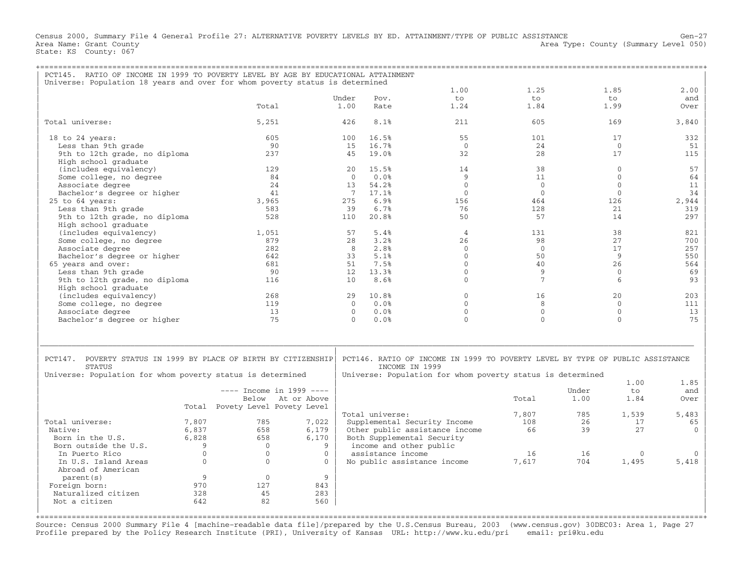Census 2000, Summary File 4 General Profile 27: ALTERNATIVE POVERTY LEVELS BY ED. ATTAINMENT/TYPE OF PUBLIC ASSISTANCE Gen−27 Area Name: Grant County 1999 (Summary Level 050) Area Type: County (Summary Level 050) State: KS County: 067

| PCT145. RATIO OF INCOME IN 1999 TO POVERTY LEVEL BY AGE BY EDUCATIONAL ATTAINMENT |          |                                 |                            |                       |                         |                                                                               |                 |       |                    |            |
|-----------------------------------------------------------------------------------|----------|---------------------------------|----------------------------|-----------------------|-------------------------|-------------------------------------------------------------------------------|-----------------|-------|--------------------|------------|
| Universe: Population 18 years and over for whom poverty status is determined      |          |                                 |                            |                       |                         |                                                                               |                 |       |                    |            |
|                                                                                   |          |                                 |                            |                       |                         | 1.00                                                                          | 1.25            |       | 1.85               | 2.00       |
|                                                                                   |          |                                 |                            | Under                 | Pov.                    | to                                                                            | t.o.            |       | to                 | and        |
|                                                                                   |          | Total                           |                            | 1.00                  | Rate                    | 1.24                                                                          | 1.84            |       | 1.99               | Over       |
| Total universe:                                                                   |          | 5,251                           |                            | 426                   | 8.1%                    | 2.11                                                                          | 605             |       | 169                | 3,840      |
| 18 to 24 years:                                                                   |          | 605                             |                            | 100                   | 16.5%                   | 55                                                                            | 101             |       | 17                 | 332        |
| Less than 9th grade                                                               |          |                                 | 90                         | 15                    | 16.7%                   | $\Omega$                                                                      | 24              |       | $\mathbf{0}$       | 51         |
| 9th to 12th grade, no diploma                                                     |          | 237                             |                            | 45                    | 19.0%                   | 32                                                                            | 28              |       | 17                 | 115        |
| High school graduate                                                              |          |                                 |                            |                       |                         |                                                                               |                 |       |                    |            |
| (includes equivalency)                                                            |          | 129                             |                            | 2.0                   | 15.5%                   | 14                                                                            | 38              |       | $\Omega$           | 57         |
| Some college, no degree                                                           |          |                                 | 84                         | $\Omega$              | 0.0%                    | 9                                                                             | 11              |       | $\Omega$           | 64         |
| Associate degree                                                                  |          |                                 | 24                         | 13                    | 54.2%                   | $\Omega$                                                                      | $\overline{0}$  |       | $\mathbf{0}$       | 11         |
| Bachelor's degree or higher                                                       |          |                                 | 41                         | $7^{\circ}$           | 17.1%                   | $\Omega$                                                                      | $\mathbf{0}$    |       | $\mathbf{0}$       | 34         |
| 25 to 64 years:                                                                   |          | 3.965                           |                            | 275                   | 6.9%                    | 156                                                                           | 464             |       | 126                | 2,944      |
| Less than 9th grade                                                               |          | 583                             |                            | 39                    | 6.7%                    | 76                                                                            | 128             |       | 21                 | 319        |
| 9th to 12th grade, no diploma                                                     |          | 528                             |                            | 110                   | 20.8%                   | 50                                                                            | 57              |       | 14                 | 297        |
| High school graduate                                                              |          |                                 |                            |                       |                         |                                                                               |                 |       |                    |            |
| (includes equivalency)                                                            |          | 1,051                           |                            | 57                    | 5.4%                    | $\overline{4}$                                                                | 131             |       | 38                 | 821        |
| Some college, no degree                                                           |          | 879<br>2.82                     |                            | 28                    | 3.2%<br>2.8%            | 26<br>$\Omega$                                                                | 98              |       | 27<br>17           | 700        |
| Associate degree                                                                  |          | 642                             |                            | 8<br>33               | 5.1%                    | $\Omega$                                                                      | $\Omega$<br>50  |       | 9                  | 257<br>550 |
| Bachelor's degree or higher                                                       |          |                                 |                            |                       | 7.5%                    | $\Omega$                                                                      |                 |       |                    |            |
| 65 years and over:<br>Less than 9th grade                                         |          | 681                             | 90                         | 51<br>12 <sup>°</sup> | 13.3%                   | $\Omega$                                                                      | 40<br>9         |       | 26<br>$\mathbf{0}$ | 564<br>69  |
| 9th to 12th grade, no diploma                                                     |          | 116                             |                            | 10 <sup>1</sup>       | 8.6%                    | $\Omega$                                                                      | $7\phantom{.0}$ |       | 6                  | 93         |
| High school graduate                                                              |          |                                 |                            |                       |                         |                                                                               |                 |       |                    |            |
| (includes equivalency)                                                            |          | 268                             |                            | 29                    | 10.8%                   | $\Omega$                                                                      | 16              |       | 20                 | 203        |
| Some college, no degree                                                           |          | 119                             |                            | $\Omega$              | 0.0%                    | $\Omega$                                                                      | 8               |       | $\Omega$           | 111        |
| Associate degree                                                                  |          |                                 | 13                         | $\Omega$              | 0.0%                    | $\Omega$                                                                      | $\Omega$        |       | $\Omega$           | 13         |
| Bachelor's degree or higher                                                       |          |                                 | 75                         | $\Omega$              | 0.0%                    | $\Omega$                                                                      | $\Omega$        |       | $\Omega$           | 75         |
|                                                                                   |          |                                 |                            |                       |                         |                                                                               |                 |       |                    |            |
|                                                                                   |          |                                 |                            |                       |                         |                                                                               |                 |       |                    |            |
|                                                                                   |          |                                 |                            |                       |                         |                                                                               |                 |       |                    |            |
|                                                                                   |          |                                 |                            |                       |                         |                                                                               |                 |       |                    |            |
| PCT147. POVERTY STATUS IN 1999 BY PLACE OF BIRTH BY CITIZENSHIP                   |          |                                 |                            |                       |                         | PCT146. RATIO OF INCOME IN 1999 TO POVERTY LEVEL BY TYPE OF PUBLIC ASSISTANCE |                 |       |                    |            |
| STATUS                                                                            |          |                                 |                            |                       | INCOME IN 1999          |                                                                               |                 |       |                    |            |
| Universe: Population for whom poverty status is determined                        |          |                                 |                            |                       |                         | Universe: Population for whom poverty status is determined                    |                 |       | 1.00               | 1.85       |
|                                                                                   |          |                                 | $---$ Income in 1999 $---$ |                       |                         |                                                                               |                 | Under | to                 | and        |
|                                                                                   |          |                                 | Below At or Above          |                       |                         |                                                                               | Total           | 1.00  | 1.84               | Over       |
|                                                                                   |          | Total Povety Level Povety Level |                            |                       |                         |                                                                               |                 |       |                    |            |
|                                                                                   |          |                                 |                            |                       | Total universe:         |                                                                               | 7,807           | 785   | 1,539              | 5,483      |
| Total universe:                                                                   | 7,807    | 785                             | 7,022                      |                       |                         | Supplemental Security Income                                                  | 108             | 26    | 17                 | 65         |
| Native:                                                                           | 6,837    | 658                             | 6,179                      |                       |                         | Other public assistance income                                                | 66              | 39    | 2.7                | $\Omega$   |
| Born in the U.S.                                                                  | 6,828    | 658                             | 6,170                      |                       |                         | Both Supplemental Security                                                    |                 |       |                    |            |
| Born outside the U.S.                                                             | 9        | $\Omega$                        | 9                          |                       | income and other public |                                                                               |                 |       |                    |            |
| In Puerto Rico                                                                    | $\Omega$ | $\Omega$                        | $\Omega$                   |                       | assistance income       |                                                                               | 16              | 16    | $\Omega$           |            |
| In U.S. Island Areas                                                              | $\Omega$ | $\Omega$                        | $\Omega$                   |                       |                         | No public assistance income                                                   | 7,617           | 704   | 1,495              | 5,418      |
| Abroad of American                                                                |          |                                 |                            |                       |                         |                                                                               |                 |       |                    |            |
| parent (s)                                                                        | 9        | $\Omega$                        | 9                          |                       |                         |                                                                               |                 |       |                    |            |
| Foreign born:                                                                     | 970      | 127                             | 843                        |                       |                         |                                                                               |                 |       |                    |            |
| Naturalized citizen                                                               | 328      | 45                              | 283                        |                       |                         |                                                                               |                 |       |                    |            |
| Not a citizen                                                                     | 642      | 82                              | 560                        |                       |                         |                                                                               |                 |       |                    |            |
|                                                                                   |          |                                 |                            |                       |                         |                                                                               |                 |       |                    |            |
|                                                                                   |          |                                 |                            |                       |                         |                                                                               |                 |       |                    |            |

Source: Census 2000 Summary File 4 [machine−readable data file]/prepared by the U.S.Census Bureau, 2003 (www.census.gov) 30DEC03: Area 1, Page 27 Profile prepared by the Policy Research Institute (PRI), University of Kansas URL: http://www.ku.edu/pri email: pri@ku.edu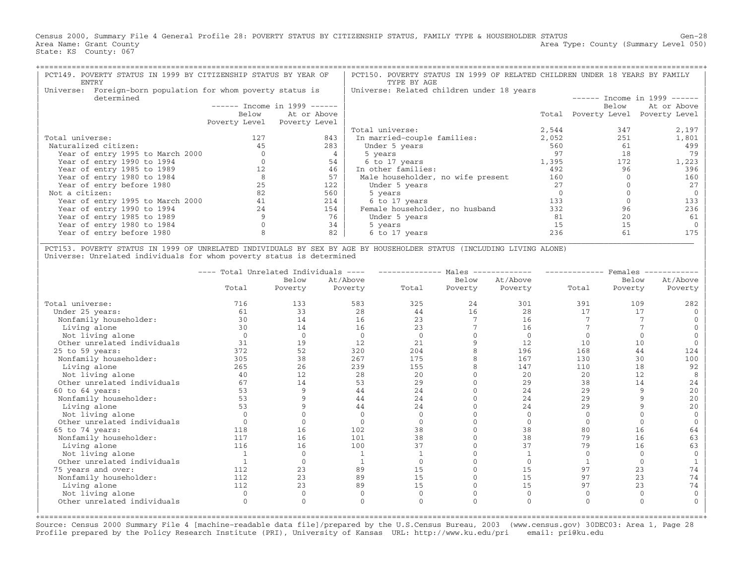Census 2000, Summary File 4 General Profile 28: POVERTY STATUS BY CITIZENSHIP STATUS, FAMILY TYPE & HOUSEHOLDER STATUS Gen−28 Area Name: Grant County 1999 (Summary Level 050) Area Type: County (Summary Level 050) State: KS County: 067

| PCT149. POVERTY STATUS IN 1999 BY CITIZENSHIP STATUS BY YEAR OF<br>ENTRY      |       |                               | PCT150. POVERTY STATUS IN 1999 OF RELATED CHILDREN UNDER 18 YEARS BY FAMILY<br>TYPE BY AGE |       |                     |                               |
|-------------------------------------------------------------------------------|-------|-------------------------------|--------------------------------------------------------------------------------------------|-------|---------------------|-------------------------------|
| Foreign-born population for whom poverty status is<br>Universe:<br>determined |       |                               | Universe: Related children under 18 years                                                  |       |                     | $-----$ Income in 1999 ------ |
|                                                                               |       | $-----$ Income in 1999 $----$ |                                                                                            |       | Below               | At or Above                   |
|                                                                               | Below | At or Above                   |                                                                                            |       | Total Poverty Level | Poverty Level                 |
|                                                                               |       | Poverty Level Poverty Level   |                                                                                            |       |                     |                               |
|                                                                               |       |                               | Total universe:                                                                            | 2,544 | 347                 | 2,197                         |
| Total universe:                                                               | 127   | 843                           | In married-couple families:                                                                | 2,052 | 251                 | 1,801                         |
| Naturalized citizen:                                                          |       | 283                           | Under 5 years                                                                              | 560   | 61                  | 499                           |
| Year of entry 1995 to March 2000                                              |       |                               | 5 years                                                                                    | 97    | 18                  | 79                            |
| Year of entry 1990 to 1994                                                    |       | 54                            | 6 to 17 years                                                                              | 1,395 | 172                 | 1,223                         |
| Year of entry 1985 to 1989                                                    |       | 46                            | In other families:                                                                         | 492   | 96                  | 396                           |
| Year of entry 1980 to 1984                                                    |       | 57                            | Male householder, no wife present                                                          | 160   |                     | 160                           |
| Year of entry before 1980                                                     | 25    | 122                           | Under 5 years                                                                              | 2.7   |                     |                               |
| Not a citizen:                                                                | 82    | 560                           | 5 years                                                                                    |       |                     |                               |
| Year of entry 1995 to March 2000                                              |       | 214                           | 6 to 17 years                                                                              | 133   |                     | 133                           |
| Year of entry 1990 to 1994                                                    | 24    | 154                           | Female householder, no husband                                                             | 332   | 96                  | 236                           |
| Year of entry 1985 to 1989                                                    |       | 76                            | Under 5 years                                                                              | 81    | 20                  | 61                            |
| Year of entry 1980 to 1984                                                    |       | 34                            | 5 years                                                                                    | 15    | 15                  |                               |
| Year of entry before 1980                                                     |       | 82                            | 6 to 17 years                                                                              | 236   | 61                  |                               |
|                                                                               |       |                               |                                                                                            |       |                     |                               |

| PCT153. POVERTY STATUS IN 1999 OF UNRELATED INDIVIDUALS BY SEX BY AGE BY HOUSEHOLDER STATUS (INCLUDING LIVING ALONE) | Universe: Unrelated individuals for whom poverty status is determined

| Total universe:<br>Under 25 years:<br>Nonfamily householder:<br>Living alone<br>Not living alone<br>Other unrelated individuals<br>$25$ to $59$ years:<br>Nonfamily householder:<br>Living alone<br>Not living alone<br>Other unrelated individuals<br>60 to 64 years:<br>Nonfamily householder:<br>Living alone<br>Not living alone<br>Other unrelated individuals | Total<br>716<br>61<br>30<br>30<br>$\Omega$<br>31<br>372<br>305<br>265<br>40 | Below<br>Poverty<br>133<br>33<br>14<br>14<br>$\Omega$<br>19<br>52<br>38<br>26 | At/Above<br>Poverty<br>583<br>28<br>16<br>16<br>$\Omega$<br>12<br>320<br>267 | Total<br>325<br>44<br>23<br>23<br>$\cap$<br>21<br>204 | Below<br>Poverty<br>24<br>16 | At/Above<br>Poverty<br>301<br>28<br>16<br>16<br>$\Omega$<br>12 | Total<br>391<br>17<br>10 | Below<br>Poverty<br>109<br>17 | At/Above<br>Poverty<br>282 |
|---------------------------------------------------------------------------------------------------------------------------------------------------------------------------------------------------------------------------------------------------------------------------------------------------------------------------------------------------------------------|-----------------------------------------------------------------------------|-------------------------------------------------------------------------------|------------------------------------------------------------------------------|-------------------------------------------------------|------------------------------|----------------------------------------------------------------|--------------------------|-------------------------------|----------------------------|
|                                                                                                                                                                                                                                                                                                                                                                     |                                                                             |                                                                               |                                                                              |                                                       |                              |                                                                |                          |                               |                            |
|                                                                                                                                                                                                                                                                                                                                                                     |                                                                             |                                                                               |                                                                              |                                                       |                              |                                                                |                          |                               |                            |
|                                                                                                                                                                                                                                                                                                                                                                     |                                                                             |                                                                               |                                                                              |                                                       |                              |                                                                |                          |                               |                            |
|                                                                                                                                                                                                                                                                                                                                                                     |                                                                             |                                                                               |                                                                              |                                                       |                              |                                                                |                          |                               |                            |
|                                                                                                                                                                                                                                                                                                                                                                     |                                                                             |                                                                               |                                                                              |                                                       |                              |                                                                |                          |                               |                            |
|                                                                                                                                                                                                                                                                                                                                                                     |                                                                             |                                                                               |                                                                              |                                                       |                              |                                                                |                          |                               |                            |
|                                                                                                                                                                                                                                                                                                                                                                     |                                                                             |                                                                               |                                                                              |                                                       |                              |                                                                |                          |                               |                            |
|                                                                                                                                                                                                                                                                                                                                                                     |                                                                             |                                                                               |                                                                              |                                                       |                              |                                                                |                          | 10                            |                            |
|                                                                                                                                                                                                                                                                                                                                                                     |                                                                             |                                                                               |                                                                              |                                                       |                              | 196                                                            | 168                      | 44                            | 124                        |
|                                                                                                                                                                                                                                                                                                                                                                     |                                                                             |                                                                               |                                                                              | 175                                                   |                              | 167                                                            | 130                      | 30                            | 100                        |
|                                                                                                                                                                                                                                                                                                                                                                     |                                                                             |                                                                               | 239                                                                          | 155                                                   |                              | 147                                                            | 110                      | 18                            | 92                         |
|                                                                                                                                                                                                                                                                                                                                                                     |                                                                             | 12                                                                            | 28                                                                           | 20                                                    |                              | 20                                                             | 20                       | 12                            | 8                          |
|                                                                                                                                                                                                                                                                                                                                                                     | 67                                                                          | 14                                                                            | 53                                                                           | 29                                                    |                              | 29                                                             | 38                       | 14                            | 24                         |
|                                                                                                                                                                                                                                                                                                                                                                     | 53                                                                          | $\mathsf{Q}$                                                                  | 44                                                                           | 24                                                    |                              | 24                                                             | 29                       |                               | 20                         |
|                                                                                                                                                                                                                                                                                                                                                                     | 53                                                                          |                                                                               | 44                                                                           | 2.4                                                   |                              | 24                                                             | 29                       |                               | 20                         |
|                                                                                                                                                                                                                                                                                                                                                                     | 53                                                                          |                                                                               | 44                                                                           | 24                                                    |                              | 24                                                             | 29                       |                               | 2.0                        |
|                                                                                                                                                                                                                                                                                                                                                                     |                                                                             |                                                                               | $\cap$                                                                       |                                                       |                              |                                                                |                          |                               |                            |
|                                                                                                                                                                                                                                                                                                                                                                     |                                                                             |                                                                               |                                                                              |                                                       |                              |                                                                |                          |                               |                            |
| 65 to 74 years:                                                                                                                                                                                                                                                                                                                                                     | 118                                                                         | 16                                                                            | 102                                                                          | 38                                                    |                              | 38                                                             | 80                       | 16                            | 64                         |
| Nonfamily householder:                                                                                                                                                                                                                                                                                                                                              | 117                                                                         | 16                                                                            | 101                                                                          | 38                                                    |                              | 38                                                             | 79                       | 16                            | 63                         |
| Living alone                                                                                                                                                                                                                                                                                                                                                        | 116                                                                         | 16                                                                            | 100                                                                          | 37                                                    |                              | 37                                                             | 79                       | 16                            | 63                         |
| Not living alone                                                                                                                                                                                                                                                                                                                                                    |                                                                             | $\Omega$                                                                      |                                                                              |                                                       |                              |                                                                |                          |                               |                            |
| Other unrelated individuals                                                                                                                                                                                                                                                                                                                                         |                                                                             | $\Omega$                                                                      |                                                                              |                                                       |                              |                                                                |                          |                               |                            |
| 75 years and over:                                                                                                                                                                                                                                                                                                                                                  | 112                                                                         | 23                                                                            | 89                                                                           | 15                                                    |                              | 15                                                             | 97                       | 23                            | 74                         |
| Nonfamily householder:                                                                                                                                                                                                                                                                                                                                              | 112                                                                         | 23                                                                            | 89                                                                           | 15                                                    |                              | 15                                                             | 97                       | 23                            | 74                         |
| Living alone                                                                                                                                                                                                                                                                                                                                                        | 112                                                                         | 23                                                                            | 89                                                                           | 15                                                    |                              | 15                                                             | 97                       | 2.3                           | 74                         |
| Not living alone                                                                                                                                                                                                                                                                                                                                                    | $\Omega$                                                                    | $\Omega$                                                                      | $\Omega$                                                                     |                                                       |                              |                                                                | $\Omega$                 |                               |                            |
| Other unrelated individuals                                                                                                                                                                                                                                                                                                                                         | $\Omega$                                                                    | $\Omega$                                                                      | $\Omega$                                                                     |                                                       |                              |                                                                |                          | $\Omega$                      | U                          |

Source: Census 2000 Summary File 4 [machine−readable data file]/prepared by the U.S.Census Bureau, 2003 (www.census.gov) 30DEC03: Area 1, Page 28 Profile prepared by the Policy Research Institute (PRI), University of Kansas URL: http://www.ku.edu/pri email: pri@ku.edu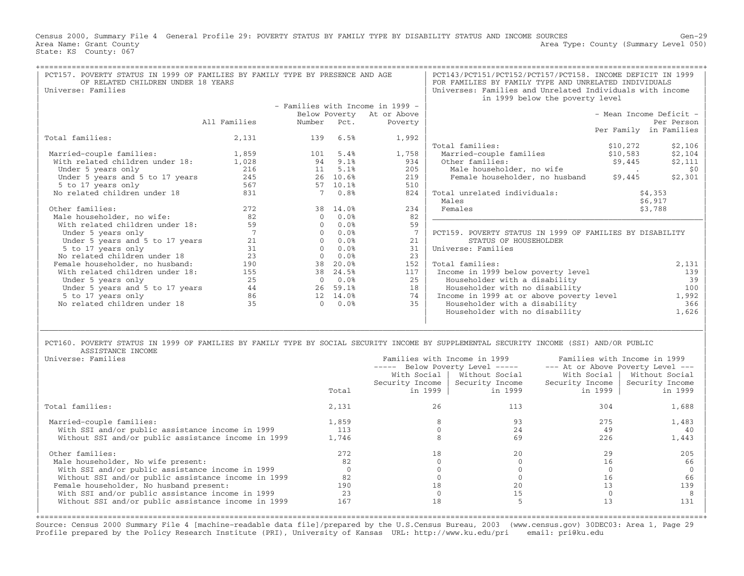Census 2000, Summary File 4 General Profile 29: POVERTY STATUS BY FAMILY TYPE BY DISABILITY STATUS AND INCOME SOURCES Gen−29 Area Name: Grant County 1999 (Summary Level 050) Area Type: County (Summary Level 050) State: KS County: 067

| PCT157. POVERTY STATUS IN 1999 OF FAMILIES BY FAMILY TYPE BY PRESENCE AND AGE |                 |             |          | PCT143/PCT151/PCT152/PCT157/PCT158. INCOME DEFICIT IN 1999 |                                                           |          |                         |
|-------------------------------------------------------------------------------|-----------------|-------------|----------|------------------------------------------------------------|-----------------------------------------------------------|----------|-------------------------|
| OF RELATED CHILDREN UNDER 18 YEARS                                            |                 |             |          |                                                            | FOR FAMILIES BY FAMILY TYPE AND UNRELATED INDIVIDUALS     |          |                         |
| Universe: Families                                                            |                 |             |          |                                                            | Universes: Families and Unrelated Individuals with income |          |                         |
|                                                                               |                 |             |          |                                                            | in 1999 below the poverty level                           |          |                         |
|                                                                               |                 |             |          | - Families with Income in 1999 -                           |                                                           |          |                         |
|                                                                               |                 |             |          | Below Poverty At or Above                                  |                                                           |          | - Mean Income Deficit - |
|                                                                               | All Families    | Number Pct. |          | Poverty                                                    |                                                           |          | Per Person              |
|                                                                               |                 |             |          |                                                            |                                                           |          | Per Family in Families  |
| Total families:                                                               | 2,131           | 139         | 6.5%     | 1,992                                                      |                                                           |          |                         |
|                                                                               |                 |             |          |                                                            | Total families:                                           | \$10,272 | \$2,106                 |
| Married-couple families:                                                      | 1,859           | 101         | 5.4%     | 1,758                                                      | Married-couple families                                   | \$10,583 | \$2,104                 |
| With related children under 18:                                               | 1,028           | 94          | 9.1%     | 934                                                        | Other families:                                           | \$9,445  | \$2,111                 |
| Under 5 years only                                                            | 216             | 11          | 5.1%     | 205                                                        | Male householder, no wife                                 |          | \$0                     |
| Under 5 years and 5 to 17 years                                               | 245             | 26          | 10.6%    | 219                                                        | Female householder, no husband                            | \$9,445  | \$2,301                 |
| 5 to 17 years only                                                            | 567             | 57          | 10.1%    | 510                                                        |                                                           |          |                         |
| No related children under 18                                                  | 831             |             | 0.8%     | 824                                                        | Total unrelated individuals:                              |          | \$4,353                 |
|                                                                               |                 |             |          |                                                            | Males                                                     |          | \$6,917                 |
| Other families:                                                               | 272             |             | 38 14.0% | 234                                                        | Females                                                   |          | \$3,788                 |
| Male householder, no wife:                                                    | 82              | $\Omega$    | 0.0%     | 82                                                         |                                                           |          |                         |
| With related children under 18:                                               | 59              | $\Omega$    | 0.0%     | 59                                                         |                                                           |          |                         |
| Under 5 years only                                                            | $7\phantom{.0}$ | $\Omega$    | 0.0%     | $7\phantom{.0}$                                            | PCT159. POVERTY STATUS IN 1999 OF FAMILIES BY DISABILITY  |          |                         |
| Under 5 years and 5 to 17 years                                               | 21              | $\Omega$    | 0.0%     | 21                                                         | STATUS OF HOUSEHOLDER                                     |          |                         |
| 5 to 17 years only                                                            | 31              | $\cap$      | 0.0%     | 31                                                         | Universe: Families                                        |          |                         |
| No related children under 18                                                  | 23              | $\Omega$    | 0.0%     | 23                                                         |                                                           |          |                         |
| Female householder, no husband:                                               | 190             | 38          | 20.0%    | 152                                                        | Total families:                                           |          | 2,131                   |
| With related children under 18:                                               | 155             | 38          | 24.5%    | 117                                                        | Income in 1999 below poverty level                        |          | 139                     |
| Under 5 years only                                                            | 25              | $\Omega$    | 0.0%     | 25                                                         | Householder with a disability                             |          | 39                      |
| Under 5 years and 5 to 17 years                                               | 44              | 26          | 59.1%    | 18                                                         | Householder with no disability                            |          | 100                     |
| 5 to 17 years only                                                            | 86              |             | 12 14.0% | 74                                                         | Income in 1999 at or above poverty level                  |          | 1,992                   |
| No related children under 18                                                  | 35              | $\Omega$    | 0.0%     | 35                                                         | Householder with a disability                             |          | 366                     |
|                                                                               |                 |             |          |                                                            | Householder with no disability                            |          | 1,626                   |
|                                                                               |                 |             |          |                                                            |                                                           |          |                         |
|                                                                               |                 |             |          |                                                            |                                                           |          |                         |
|                                                                               |                 |             |          |                                                            |                                                           |          |                         |

PCT160. POVERTY STATUS IN 1999 OF FAMILIES BY FAMILY TYPE BY SOCIAL SECURITY INCOME BY SUPPLEMENTAL SECURITY INCOME (SSI) AND/OR PUBLIC<br>ASSISTANCE INCOME | ASSISTANCE INCOME |

|       |        |                | Families with Income in 1999                                                                                               |                                   |  |  |
|-------|--------|----------------|----------------------------------------------------------------------------------------------------------------------------|-----------------------------------|--|--|
|       | ------ |                |                                                                                                                            | --- At or Above Poverty Level --- |  |  |
|       |        | Without Social | With Social                                                                                                                | Without Social                    |  |  |
|       |        |                | Security Income                                                                                                            | Security Income                   |  |  |
| Total |        | in 1999        | in 1999                                                                                                                    | in 1999                           |  |  |
| 2,131 | 26     | 113            | 304                                                                                                                        | 1,688                             |  |  |
| 1,859 |        | 93             | 275                                                                                                                        | 1,483                             |  |  |
| 113   |        | 24             | 49                                                                                                                         | -40                               |  |  |
| 1,746 |        | 69             | 226                                                                                                                        | 1,443                             |  |  |
| 2.72. | 18     | 2.0            | 29                                                                                                                         | 205                               |  |  |
| 82    |        |                | 16                                                                                                                         | 66                                |  |  |
|       |        |                |                                                                                                                            |                                   |  |  |
| 82    |        |                | 16                                                                                                                         | 66                                |  |  |
| 190   | 18     | 20             | 13                                                                                                                         | 139                               |  |  |
| 23    |        | 15             |                                                                                                                            |                                   |  |  |
| 167   | 18     |                |                                                                                                                            | 131                               |  |  |
|       |        |                | Families with Income in 1999<br>Below Poverty Level -----<br>With Social  <br>Security Income   Security Income<br>in 1999 |                                   |  |  |

+===================================================================================================================================================+Source: Census 2000 Summary File 4 [machine−readable data file]/prepared by the U.S.Census Bureau, 2003 (www.census.gov) 30DEC03: Area 1, Page 29 Profile prepared by the Policy Research Institute (PRI), University of Kansas URL: http://www.ku.edu/pri email: pri@ku.edu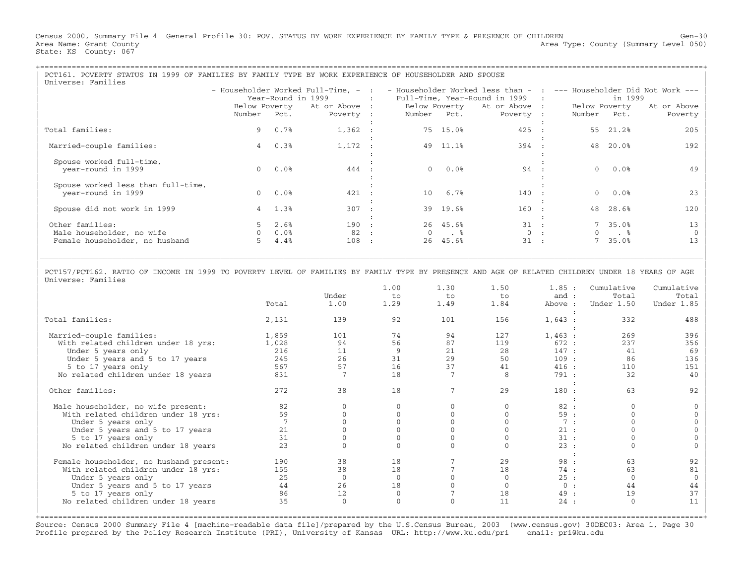Census 2000, Summary File 4 General Profile 30: POV. STATUS BY WORK EXPERIENCE BY FAMILY TYPE & PRESENCE OF CHILDREN Gen−30 Area Name: Grant County 1999 (Summary Level 050) Area Type: County (Summary Level 050) State: KS County: 067

| PCT161. POVERTY STATUS IN 1999 OF FAMILIES BY FAMILY TYPE BY WORK EXPERIENCE OF HOUSEHOLDER AND SPOUSE |                                                                  |                 |           |           |                                 |                 |                                                                                                            |           |               |                                       |             |
|--------------------------------------------------------------------------------------------------------|------------------------------------------------------------------|-----------------|-----------|-----------|---------------------------------|-----------------|------------------------------------------------------------------------------------------------------------|-----------|---------------|---------------------------------------|-------------|
| Universe: Families                                                                                     |                                                                  |                 |           |           |                                 |                 |                                                                                                            |           |               |                                       |             |
|                                                                                                        |                                                                  |                 |           |           |                                 |                 | - Householder Worked Full-Time, - :  - Householder Worked less than -  :  --- Householder Did Not Work --- |           |               |                                       |             |
|                                                                                                        | Year-Round in 1999<br><b>Contract Contract Contract Contract</b> |                 |           |           | Full-Time, Year-Round in 1999 : |                 |                                                                                                            | in 1999   |               |                                       |             |
|                                                                                                        | Below Poverty At or Above : Below Poverty At or Above :          |                 |           |           |                                 |                 |                                                                                                            |           | Below Poverty |                                       | At or Above |
|                                                                                                        | Number Pct.                                                      |                 | Poverty : |           | Number Pct.                     |                 | Poverty :                                                                                                  |           | Number Pct.   |                                       | Poverty     |
|                                                                                                        |                                                                  |                 |           |           |                                 |                 |                                                                                                            |           |               |                                       |             |
| Total families:                                                                                        |                                                                  | 9 0.7%          | 1,362 :   |           |                                 | 75 15.0%        | 425 :                                                                                                      |           |               | 55 21.2%                              | 205         |
|                                                                                                        |                                                                  |                 |           |           |                                 |                 |                                                                                                            |           |               |                                       |             |
| Married-couple families:                                                                               | 4                                                                | 0.3%            | 1,172     |           |                                 | 49 11.1%        | 394 :                                                                                                      |           | 48            | 20.0%                                 | 192         |
|                                                                                                        |                                                                  |                 |           |           |                                 |                 |                                                                                                            |           |               |                                       |             |
| Spouse worked full-time,                                                                               |                                                                  |                 |           |           |                                 |                 |                                                                                                            |           |               |                                       |             |
| year-round in 1999                                                                                     |                                                                  | $0.0$ $0.0$ $8$ | 444 :     |           |                                 | $0.0$ $0.0$ $8$ | 94 :                                                                                                       |           |               | $0.0$ %                               | 49          |
|                                                                                                        |                                                                  |                 |           |           |                                 |                 |                                                                                                            |           |               |                                       |             |
| Spouse worked less than full-time,                                                                     |                                                                  |                 |           |           |                                 |                 |                                                                                                            |           |               |                                       |             |
| year-round in 1999                                                                                     |                                                                  | $0.0$ $0.0$ %   | 421       |           |                                 | 10 6.7%         | $140$ :                                                                                                    |           |               | $0.0$ %                               | 23          |
|                                                                                                        |                                                                  |                 |           |           |                                 |                 |                                                                                                            |           |               |                                       |             |
| Spouse did not work in 1999                                                                            |                                                                  | 4 1.3%          | 307       | $\sim$ 1. |                                 | 39 19.6%        | 160 :                                                                                                      |           |               | 48 28.6%                              | 120         |
|                                                                                                        |                                                                  |                 |           |           |                                 |                 |                                                                                                            |           |               |                                       |             |
|                                                                                                        |                                                                  |                 |           |           |                                 | 26 45.6%        | $31$ :                                                                                                     |           |               | 7 35.0%                               |             |
| Other families:                                                                                        |                                                                  | $5 \t2.6\%$     | 190 :     |           |                                 |                 |                                                                                                            |           |               |                                       | 13          |
| Male householder, no wife                                                                              |                                                                  | 0.0%            | 82.       |           |                                 | $\cdot$ 8       |                                                                                                            | 0:        | (             | $\ddot{\phantom{1}}$ . $\phantom{1}8$ |             |
| Female householder, no husband                                                                         |                                                                  | 4.4%            | 108       | $\cdot$ : | 26                              | 45.6%           | 31                                                                                                         | $\sim$ 1. |               | 35.0%                                 | 13          |
|                                                                                                        |                                                                  |                 |           |           |                                 |                 |                                                                                                            |           |               |                                       |             |

| | | PCT157/PCT162. RATIO OF INCOME IN 1999 TO POVERTY LEVEL OF FAMILIES BY FAMILY TYPE BY PRESENCE AND AGE OF RELATED CHILDREN UNDER 18 YEARS OF AGE | | Universe: Families |

|\_\_\_\_\_\_\_\_\_\_\_\_\_\_\_\_\_\_\_\_\_\_\_\_\_\_\_\_\_\_\_\_\_\_\_\_\_\_\_\_\_\_\_\_\_\_\_\_\_\_\_\_\_\_\_\_\_\_\_\_\_\_\_\_\_\_\_\_\_\_\_\_\_\_\_\_\_\_\_\_\_\_\_\_\_\_\_\_\_\_\_\_\_\_\_\_\_\_\_\_\_\_\_\_\_\_\_\_\_\_\_\_\_\_\_\_\_\_\_\_\_\_\_\_\_\_\_\_\_\_\_\_\_\_\_\_\_\_\_\_\_\_\_\_\_\_\_|

|                                         |       |              | 1.00     | 1.30     | 1.50 | 1.85:   | Cumulative | Cumulative |
|-----------------------------------------|-------|--------------|----------|----------|------|---------|------------|------------|
|                                         |       | Under        | to       | to       | to   | and :   | Total      | Total      |
|                                         | Total | 1.00         | 1.29     | 1.49     | 1.84 | Above : | Under 1.50 | Under 1.85 |
| Total families:                         | 2,131 | 139          | 92       | 101      | 156  | 1,643:  | 332        | 488        |
| Married-couple families:                | 1,859 | 101          | 74       | 94       | 127  | 1,463:  | 269        | 396        |
| With related children under 18 yrs:     | 1,028 | 94           | 56       | 87       | 119  | 672:    | 237        | 356        |
| Under 5 years only                      | 216   | 11           | 9        | 21       | 28   | 147:    | 41         | 69         |
| Under 5 years and 5 to 17 years         | 245   | 26           | 31       | 29       | 50   | 109:    | 86         | 136        |
| 5 to 17 years only                      | 567   | 57           | 16       | 37       | 41   | 416:    | 110        | 151        |
| No related children under 18 years      | 831   |              | 18       |          | 8    | 791:    | 32         | 40         |
|                                         |       |              |          |          |      |         |            |            |
| Other families:                         | 2.72  | 38           | 18       |          | 29   | 180:    | 63         | 92         |
|                                         |       |              |          |          |      |         |            |            |
| Male householder, no wife present:      | 82    |              |          |          |      | 82:     |            |            |
| With related children under 18 yrs:     | 59    |              |          |          |      | 59:     |            |            |
| Under 5 years only                      |       |              |          |          |      | 7:      |            |            |
| Under 5 years and 5 to 17 years         | 21    |              |          |          |      | 21:     |            |            |
| 5 to 17 years only                      | 31    |              |          |          |      | 31:     |            |            |
| No related children under 18 years      | 2.3   |              |          |          |      | 23:     |            |            |
|                                         |       |              |          |          |      |         |            |            |
| Female householder, no husband present: | 190   | 38           | 18       |          | 29   | 98:     | 63         | 92         |
| With related children under 18 yrs:     | 155   | 38           | 18       |          | 18   | 74:     | 63         | 81         |
| Under 5 years only                      | 25    | $\mathbf{0}$ |          |          |      | 25:     |            |            |
| Under 5 years and 5 to 17 years         | 44    | 26           | 18       |          |      | 0:      | 44         | 44         |
| 5 to 17 years only                      | 86    | 12           |          |          | 18   | 49 :    | 19         | 37         |
| No related children under 18 years      | 35    | $\mathbf 0$  | $\Omega$ | $\Omega$ | 11   | 24:     | $\Omega$   | 11         |
|                                         |       |              |          |          |      |         |            |            |

Source: Census 2000 Summary File 4 [machine−readable data file]/prepared by the U.S.Census Bureau, 2003 (www.census.gov) 30DEC03: Area 1, Page 30 Profile prepared by the Policy Research Institute (PRI), University of Kansas URL: http://www.ku.edu/pri email: pri@ku.edu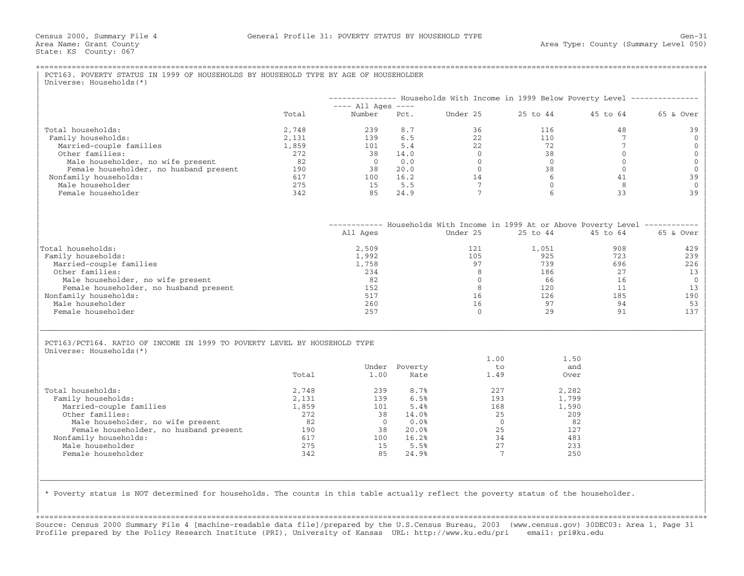|                                                                           |       |                                |                       | -------------- Households With Income in 1999 Below Poverty Level -------------- |                 |                 |                |
|---------------------------------------------------------------------------|-------|--------------------------------|-----------------------|----------------------------------------------------------------------------------|-----------------|-----------------|----------------|
|                                                                           | Total | $---$ All Ages $---$<br>Number | Pct.                  | Under 25                                                                         | 25 to 44        | 45 to 64        | 65 & Over      |
| Total households:                                                         | 2,748 | 239                            | 8.7                   | 36                                                                               | 116             | 48              | 39             |
| Family households:                                                        | 2,131 | 139                            | 6.5                   | 22                                                                               | 110             | $7\phantom{.0}$ | $\mathbf{0}$   |
| Married-couple families                                                   | 1,859 | 101                            | 5.4                   | 22                                                                               | 72              | $7\phantom{.0}$ | $\mathbf{0}$   |
| Other families:                                                           | 272   | 38                             | 14.0                  | $\Omega$                                                                         | 38              | $\Omega$        | $\mathbf 0$    |
| Male householder, no wife present                                         | 82    | $\overline{0}$                 | 0.0                   | $\overline{0}$                                                                   | $\Omega$        | $\Omega$        | $\mathbf{0}$   |
| Female householder, no husband present                                    | 190   | 38                             | 20.0                  | $\overline{0}$                                                                   | 38              | $\Omega$        |                |
| Nonfamily households:                                                     | 617   | 100                            | 16.2                  | 14                                                                               | 6               | 41              | 39             |
| Male householder                                                          | 275   | 15                             | 5.5                   | $7\overline{ }$                                                                  | $\mathbf{0}$    | 8               |                |
| Female householder                                                        | 342   | 85                             | 24.9                  | $7\phantom{.0}$                                                                  | $6\overline{6}$ | 33              | 39             |
|                                                                           |       |                                |                       | ----------- Households With Income in 1999 At or Above Poverty Level ----------- |                 |                 |                |
|                                                                           |       | All Ages                       |                       | Under 25                                                                         | 25 to 44        | 45 to 64        | 65 & Over      |
| Total households:                                                         |       | 2,509                          |                       | 121                                                                              | 1,051           | 908             | 429            |
| Family households:                                                        |       | 1,992                          |                       | 105                                                                              | 925             | 723             | 239            |
| Married-couple families                                                   |       | 1,758                          |                       | 97                                                                               | 739             | 696             | 226            |
| Other families:                                                           |       | 234                            |                       | 8                                                                                | 186             | 27              | 13             |
| Male householder, no wife present                                         |       | 82                             |                       | $\Omega$                                                                         | 66              | 16              | $\overline{0}$ |
| Female householder, no husband present                                    |       | 152                            |                       | 8                                                                                | 120             | 11              | 13             |
| Nonfamily households:                                                     |       | 517                            |                       | 16                                                                               | 126             | 185             | 190            |
| Male householder                                                          |       | 260                            |                       | 16                                                                               | 97              | 94              | 53             |
| Female householder                                                        |       | 257                            |                       | $\Omega$                                                                         | 2.9             | 91              | 137            |
| PCT163/PCT164. RATIO OF INCOME IN 1999 TO POVERTY LEVEL BY HOUSEHOLD TYPE |       |                                |                       | 1.00                                                                             | 1.50            |                 |                |
| Universe: Households (*)                                                  | Total | 1.00                           | Under Poverty<br>Rate | t.o<br>1.49                                                                      | and<br>Over     |                 |                |
| Total households:                                                         | 2,748 | 239                            | 8.7%                  | 227                                                                              | 2,282           |                 |                |
| Family households:                                                        | 2,131 | 139                            | 6.5%                  | 193                                                                              | 1,799           |                 |                |
| Married-couple families                                                   | 1,859 | 101                            | 5.4%                  | 168                                                                              | 1,590           |                 |                |
| Other families:                                                           | 272   | 38                             | 14.0%                 | 25                                                                               | 209             |                 |                |
| Male householder, no wife present                                         | 82    | $\Omega$                       | 0.0%                  | $\overline{0}$                                                                   | 82              |                 |                |
| Female householder, no husband present                                    | 190   | 38                             | 20.0%                 | 25                                                                               | 127             |                 |                |
| Nonfamily households:                                                     | 617   | 100                            | 16.2%                 | 34                                                                               | 483             |                 |                |
| Male householder                                                          | 275   | 15                             | 5.5%                  | 27                                                                               | 233             |                 |                |

+===================================================================================================================================================+Source: Census 2000 Summary File 4 [machine−readable data file]/prepared by the U.S.Census Bureau, 2003 (www.census.gov) 30DEC03: Area 1, Page 31 Profile prepared by the Policy Research Institute (PRI), University of Kansas URL: http://www.ku.edu/pri email: pri@ku.edu

| | | |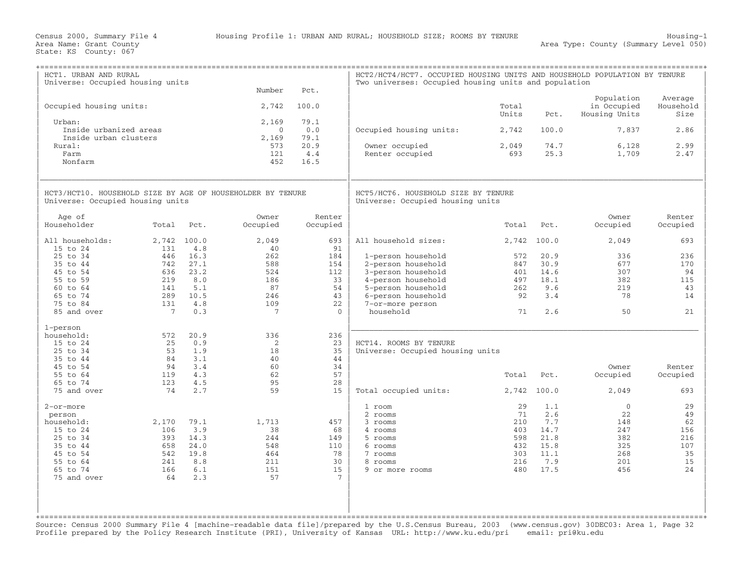| HCT1. URBAN AND RURAL<br>Universe: Occupied housing units                                      |                 |              | Number                         | Pct.                | HCT2/HCT4/HCT7. OCCUPIED HOUSING UNITS AND HOUSEHOLD POPULATION BY TENURE<br>Two universes: Occupied housing units and population |                |              |                                            |                              |
|------------------------------------------------------------------------------------------------|-----------------|--------------|--------------------------------|---------------------|-----------------------------------------------------------------------------------------------------------------------------------|----------------|--------------|--------------------------------------------|------------------------------|
| Occupied housing units:                                                                        |                 |              | 2,742                          | 100.0               |                                                                                                                                   | Total<br>Units | Pct.         | Population<br>in Occupied<br>Housing Units | Average<br>Household<br>Size |
| Urban:<br>Inside urbanized areas<br>Inside urban clusters                                      |                 |              | 2,169<br>$\mathbf{0}$<br>2,169 | 79.1<br>0.0<br>79.1 | Occupied housing units:                                                                                                           | 2,742          | 100.0        | 7,837                                      | 2.86                         |
| Rural:<br>Farm<br>Nonfarm                                                                      |                 |              | 573<br>121<br>452              | 20.9<br>4.4<br>16.5 | Owner occupied<br>Renter occupied                                                                                                 | 2,049<br>693   | 74.7<br>25.3 | 6,128<br>1,709                             | 2.99<br>2.47                 |
| HCT3/HCT10. HOUSEHOLD SIZE BY AGE OF HOUSEHOLDER BY TENURE<br>Universe: Occupied housing units |                 |              |                                |                     | HCT5/HCT6. HOUSEHOLD SIZE BY TENURE<br>Universe: Occupied housing units                                                           |                |              |                                            |                              |
| Age of<br>Householder                                                                          | Total           | Pct.         | Owner<br>Occupied              | Renter<br>Occupied  |                                                                                                                                   | Total          | Pct.         | Owner<br>Occupied                          | Renter<br>Occupied           |
| All households:<br>15 to 24                                                                    | 2,742<br>131    | 100.0<br>4.8 | 2,049<br>40                    | 693<br>91           | All household sizes:                                                                                                              | 2,742          | 100.0        | 2,049                                      | 693                          |
| 25 to 34                                                                                       | 446             | 16.3         | 262                            | 184                 | 1-person household                                                                                                                | 572            | 20.9         | 336                                        | 236                          |
| 35 to 44                                                                                       | 742             | 27.1         | 588                            | 154                 | 2-person household                                                                                                                | 847            | 30.9         | 677                                        | 170                          |
| 45 to 54                                                                                       | 636             | 23.2         | 524                            | 112                 | 3-person household                                                                                                                | 401            | 14.6         | 307                                        | 94                           |
| 55 to 59                                                                                       | 219             | 8.0          | 186                            | 33                  | 4-person household                                                                                                                | 497            | 18.1         | 382                                        | 115                          |
| 60 to 64                                                                                       | 141             | 5.1          | 87                             | 54                  | 5-person household                                                                                                                | 262            | 9.6          | 219                                        | 43                           |
| 65 to 74                                                                                       | 289             | 10.5         | 246                            | 43                  | 6-person household                                                                                                                | 92             | 3.4          | 78                                         | 14                           |
| 75 to 84                                                                                       | 131             | 4.8          | 109                            | 22                  | 7-or-more person                                                                                                                  |                |              |                                            |                              |
| 85 and over                                                                                    | $7\phantom{.0}$ | 0.3          | 7                              | $\Omega$            | household                                                                                                                         | 71             | 2.6          | 50                                         | 21                           |
| 1-person                                                                                       |                 |              |                                |                     |                                                                                                                                   |                |              |                                            |                              |
| household:                                                                                     | 572             | 20.9         | 336                            | 236                 |                                                                                                                                   |                |              |                                            |                              |
| 15 to 24                                                                                       | 25              | 0.9          | 2                              | 23                  | HCT14. ROOMS BY TENURE                                                                                                            |                |              |                                            |                              |
| 25 to 34                                                                                       | 53              | 1.9          | 18                             | 35                  | Universe: Occupied housing units                                                                                                  |                |              |                                            |                              |
| 35 to 44                                                                                       | 84              | 3.1          | 40                             | 44                  |                                                                                                                                   |                |              |                                            |                              |
| 45 to 54<br>55 to 64                                                                           | 94<br>119       | 3.4<br>4.3   | 60<br>62                       | 34<br>57            |                                                                                                                                   |                |              | Owner                                      | Renter                       |
| 65 to 74                                                                                       | 123             | 4.5          | 95                             | 28                  |                                                                                                                                   | Total          | Pct.         | Occupied                                   | Occupied                     |
| 75 and over                                                                                    | 74              | 2.7          | 59                             | 15                  | Total occupied units:                                                                                                             | 2,742          | 100.0        | 2,049                                      | 693                          |
| 2-or-more                                                                                      |                 |              |                                |                     | 1 room                                                                                                                            | 29             | 1.1          | $\mathbf{0}$                               | 29                           |
| person                                                                                         |                 |              |                                |                     | 2 rooms                                                                                                                           | 71             | 2.6          | 22                                         | 49                           |
| household:                                                                                     | 2,170           | 79.1         | 1,713                          | 457                 | 3 rooms                                                                                                                           | 210            | 7.7          | 148                                        | 62                           |
| 15 to 24                                                                                       | 106             | 3.9          | 38                             | 68                  | 4 rooms                                                                                                                           | 403            | 14.7         | 247                                        | 156                          |
| 25 to 34                                                                                       | 393             | 14.3         | 244                            | 149                 | 5 rooms                                                                                                                           | 598            | 21.8         | 382                                        | 216                          |
| 35 to 44                                                                                       | 658             | 24.0         | 548                            | 110                 | 6 rooms                                                                                                                           | 432            | 15.8         | 325                                        | 107                          |
| 45 to 54                                                                                       | 542             | 19.8         | 464                            | 78                  | 7 rooms                                                                                                                           | 303            | 11.1         | 268                                        | 35                           |
| 55 to 64                                                                                       | 241             | 8.8          | 211                            | 30                  | 8 rooms                                                                                                                           | 216            | 7.9          | 201                                        | 15                           |
| 65 to 74                                                                                       | 166             | 6.1          | 151                            | 15                  | 9 or more rooms                                                                                                                   | 480            | 17.5         | 456                                        | 24                           |
| 75 and over                                                                                    | 64              | 2.3          | 57                             | 7                   |                                                                                                                                   |                |              |                                            |                              |
|                                                                                                |                 |              |                                |                     |                                                                                                                                   |                |              |                                            |                              |
|                                                                                                |                 |              |                                |                     |                                                                                                                                   |                |              |                                            |                              |
|                                                                                                |                 |              |                                |                     |                                                                                                                                   |                |              |                                            |                              |
|                                                                                                |                 |              |                                |                     |                                                                                                                                   |                |              |                                            |                              |

Source: Census 2000 Summary File 4 [machine−readable data file]/prepared by the U.S.Census Bureau, 2003 (www.census.gov) 30DEC03: Area 1, Page 32 Profile prepared by the Policy Research Institute (PRI), University of Kansas URL: http://www.ku.edu/pri email: pri@ku.edu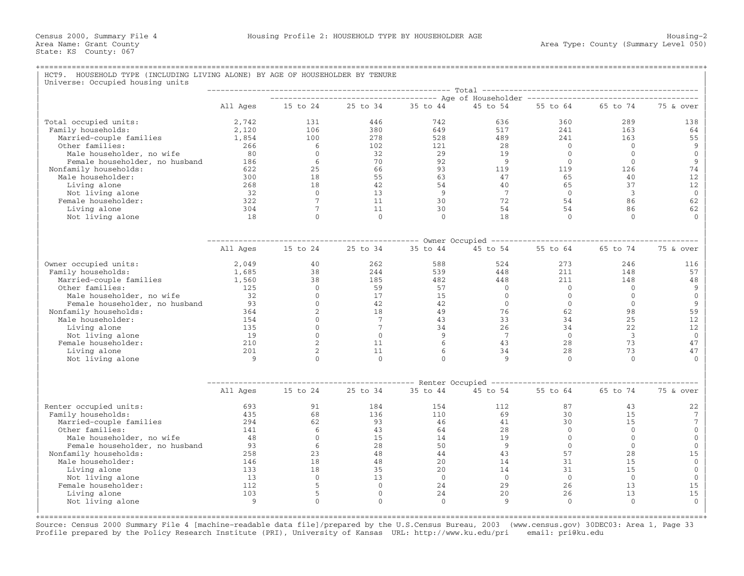## +===================================================================================================================================================+HCT9. HOUSEHOLD TYPE (INCLUDING LIVING ALONE) BY AGE OF HOUSEHOLDER BY TENURE Universe: Occupied housing units

|                                  |            | Total<br>----------------------------------- Age of Householder ------------------------------- |                     |                |                                         |                |                |              |  |  |
|----------------------------------|------------|-------------------------------------------------------------------------------------------------|---------------------|----------------|-----------------------------------------|----------------|----------------|--------------|--|--|
|                                  | All Ages   | 15 to 24                                                                                        | 25 to 34            | 35 to 44       | 45 to 54                                | 55 to 64       | 65 to 74       | 75 & over    |  |  |
| Total occupied units:            | 2,742      | 131                                                                                             | 446                 | 742            | 636                                     | 360            | 289            | 138          |  |  |
| Family households:               | 2,120      | 106                                                                                             | 380                 | 649            | 517                                     | 2.41           | 163            | 64           |  |  |
| Married-couple families          | 1,854      | 100                                                                                             | 278                 | 528            | 489                                     | 241            | 163            | 55           |  |  |
| Other families:                  | 266        | 6                                                                                               | 102                 | 121            | 28                                      | $\bigcirc$     | $\Omega$       | 9            |  |  |
| Male householder, no wife        | 80         | $\circ$                                                                                         | 32                  | 29             | 19                                      | $\Omega$       | $\mathbf{0}$   | $\mathbf 0$  |  |  |
| Female householder, no husband   | 186        | 6                                                                                               | 70                  | 92             | 9                                       | $\Omega$       | $\Omega$       | 9            |  |  |
| Nonfamily households:            | 622        | 25                                                                                              | 66                  | 93             | 119                                     | 119            | 126            | 74           |  |  |
| Male householder:                | 300        | 18                                                                                              | 55                  | 63             | 47                                      | 65             | 40             | 12           |  |  |
| Living alone                     | 268        | 18                                                                                              | 42                  | 54             | 40                                      | 65             | 37             | 12           |  |  |
| Not living alone                 | 32         | $\Omega$                                                                                        | 13                  | $\overline{9}$ | 7                                       | $\bigcirc$     | 3              | $\mathbf{0}$ |  |  |
| Female householder:              | 322        | $7\phantom{.0}$                                                                                 | 11                  | 30             | 72                                      | 54             | 86             | 62           |  |  |
| Living alone                     | 304        | $7\phantom{.0}$                                                                                 | 11                  | 30             | 54                                      | 54             | 86             | 62           |  |  |
| Not living alone                 | 18         | $\Omega$                                                                                        | $\Omega$            | $\Omega$       | 18                                      | $\Omega$       | $\Omega$       | $\cap$       |  |  |
|                                  |            |                                                                                                 |                     |                |                                         |                |                |              |  |  |
|                                  | All Ages   | 15 to 24                                                                                        | 25 to 34            | 35 to 44       | 45 to 54                                | 55 to 64       | 65 to 74       | 75 & over    |  |  |
| Owner occupied units:            | 2,049      | 40                                                                                              | 262                 | 588            | 524                                     | 273            | 246            | 116          |  |  |
| Family households:               | 1,685      | 38                                                                                              | 244                 | 539            | 448                                     | 211            | 148            | 57           |  |  |
| Married-couple families          | 1,560      | 38                                                                                              | 185                 | 482            | 448                                     | 211            | 148            | 48           |  |  |
| Other families:                  | 125        | $\Omega$                                                                                        | 59                  | 57             | $\mathbf{0}$                            | $\bigcirc$     | $\overline{0}$ | 9            |  |  |
| Male householder, no wife        | 32         | $\circ$                                                                                         | 17                  | 15             | $\overline{0}$                          | $\mathbf{0}$   | $\mathbb O$    | $\mathbb O$  |  |  |
| Female householder, no husband   | 93         | $\Omega$                                                                                        | 42                  | 42             | $\Omega$                                | $\Omega$       | $\Omega$       | 9            |  |  |
| Nonfamily households:            | 364        | 2                                                                                               | 18                  | 49             | 76                                      | 62             | 98             | 59           |  |  |
| Male householder:                | 154        | $\Omega$                                                                                        | 7                   | 43             | 33                                      | 34             | 25             | 12           |  |  |
| Living alone                     | 135        | $\circ$                                                                                         | $7\overline{ }$     | 34             | 26                                      | 34             | 22             | 12           |  |  |
| Not living alone                 | 19         | $\circ$                                                                                         | $\overline{0}$      | 9              | 7                                       | $\overline{0}$ | $\overline{3}$ | $\mathbf{0}$ |  |  |
| Female householder:              | 210        | 2                                                                                               | 11                  | 6              | 43                                      | 28             | 73             | 47           |  |  |
| Living alone                     | 201        | 2                                                                                               | 11                  | 6              | 34                                      | 28             | 73             | 47           |  |  |
| Not living alone                 | 9          | $\Omega$                                                                                        | $\Omega$            | $\Omega$       | 9                                       | $\Omega$       | $\Omega$       | $\Omega$     |  |  |
|                                  |            |                                                                                                 |                     |                | ---------- Renter Occupied ------------ |                |                |              |  |  |
|                                  | All Ages   | 15 to 24                                                                                        | 25 to 34            | 35 to 44       | 45 to 54                                | 55 to 64       | 65 to 74       | 75 & over    |  |  |
| Renter occupied units:           | 693        | 91                                                                                              | 184                 | 154            | 112                                     | 87             | 43             | 22           |  |  |
| Family households:               | 435        | 68                                                                                              | 136                 | 110            | 69                                      | 30             | 15             | 7            |  |  |
| Married-couple families          | 294        | 62                                                                                              | 93                  | 46             | 41                                      | 30             | 15             | 7            |  |  |
| Other families:                  | 141        | -6                                                                                              | 43                  | 64             | 28                                      | $\Omega$       | $\Omega$       | $\mathbf{0}$ |  |  |
| Male householder, no wife        | 48         | $\circ$                                                                                         | 15                  | 14             | 19                                      | $\mathbf{0}$   | $\mathbf{0}$   | $\mathbf 0$  |  |  |
| Female householder, no husband   | 93         | 6                                                                                               | 28                  | 50             | 9                                       | $\overline{0}$ | $\mathbf{0}$   | $\mathbf 0$  |  |  |
| Nonfamily households:            | 258        | 23                                                                                              | 48                  | 44             | 43                                      | 57             | 28             | 15           |  |  |
| Male householder:                | 146        | 18                                                                                              | 48                  | 20             | 14                                      | 31             | 15             | $\mathbf{0}$ |  |  |
| Living alone                     | 133        | 18                                                                                              | 35                  | 20             | 14                                      | 31             | 15             | $\mathbf 0$  |  |  |
| Not living alone                 | 13         | $\bigcirc$                                                                                      | 13                  | $\bigcirc$     | $\Omega$                                | $\bigcirc$     | $\Omega$       | $\mathbf 0$  |  |  |
| Female householder:              | 112<br>103 | - 5<br>5                                                                                        | $\circ$<br>$\Omega$ | 24<br>24       | 29<br>20                                | 26<br>26       | 13<br>13       | 15<br>15     |  |  |
| Living alone<br>Not living alone | 9          | $\mathbf{0}$                                                                                    | $\mathsf O$         | $\mathbf{0}$   | 9                                       | $\mathbf{0}$   | $\mathbf{0}$   | $\mathbf{0}$ |  |  |
|                                  |            |                                                                                                 |                     |                |                                         |                |                |              |  |  |

Source: Census 2000 Summary File 4 [machine−readable data file]/prepared by the U.S.Census Bureau, 2003 (www.census.gov) 30DEC03: Area 1, Page 33 Profile prepared by the Policy Research Institute (PRI), University of Kansas URL: http://www.ku.edu/pri email: pri@ku.edu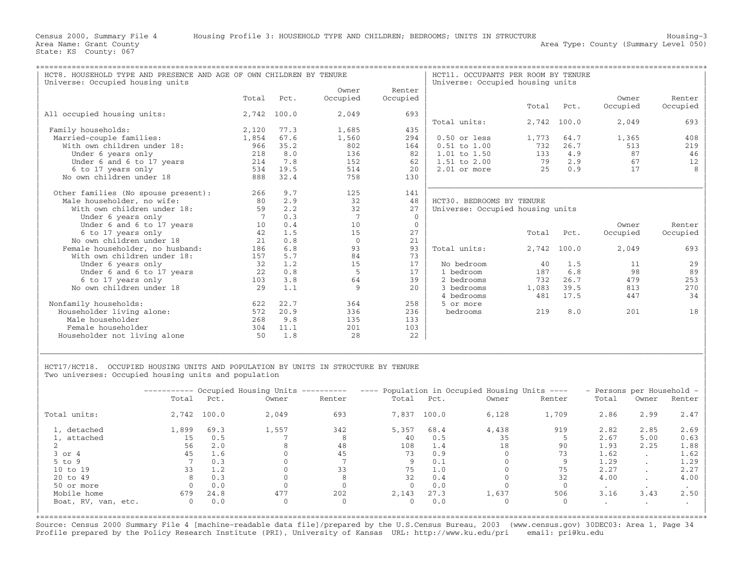| HCT8. HOUSEHOLD TYPE AND PRESENCE AND AGE OF OWN CHILDREN BY TENURE |                 |       |                 |                | HCT11. OCCUPANTS PER ROOM BY TENURE |       |       |          |          |
|---------------------------------------------------------------------|-----------------|-------|-----------------|----------------|-------------------------------------|-------|-------|----------|----------|
| Universe: Occupied housing units                                    |                 |       |                 |                | Universe: Occupied housing units    |       |       |          |          |
|                                                                     |                 |       | Owner           | Renter         |                                     |       |       |          |          |
|                                                                     | Total           | Pct.  | Occupied        | Occupied       |                                     |       |       | Owner    | Renter   |
|                                                                     |                 |       |                 |                |                                     | Total | Pct.  | Occupied | Occupied |
| All occupied housing units:                                         | 2,742           | 100.0 | 2,049           | 693            |                                     |       |       |          |          |
|                                                                     |                 |       |                 |                | Total units:                        | 2,742 | 100.0 | 2,049    | 693      |
| Family households:                                                  | 2,120           | 77.3  | 1,685           | 435            |                                     |       |       |          |          |
| Married-couple families:                                            | 1,854           | 67.6  | 1,560           | 294            | $0.50$ or less                      | 1,773 | 64.7  | 1,365    | 408      |
| With own children under 18:                                         | 966             | 35.2  | 802             | 164            | $0.51$ to $1.00$                    | 732   | 26.7  | 513      | 219      |
| Under 6 years only                                                  | 218             | 8.0   | 136             | 82             | $1.01$ to $1.50$                    | 133   | 4.9   | 87       | 46       |
| Under 6 and 6 to 17 years                                           | 214             | 7.8   | 152             | 62             | $1.51$ to $2.00$                    | 79    | 2.9   | 67       | 12       |
| 6 to 17 years only                                                  | 534             | 19.5  | 514             | 2.0            | $2.01$ or more                      | 2.5   | 0.9   | 17       |          |
| No own children under 18                                            | 888             | 32.4  | 758             | 130            |                                     |       |       |          |          |
| Other families (No spouse present):                                 | 266             | 9.7   | 125             | 141            |                                     |       |       |          |          |
| Male householder, no wife:                                          | 80              | 2.9   | 32              | 48             | HCT30. BEDROOMS BY TENURE           |       |       |          |          |
| With own children under 18:                                         | 59              | 2.2   | 32              | 27             | Universe: Occupied housing units    |       |       |          |          |
| Under 6 years only                                                  |                 | 0.3   | $7\phantom{.0}$ | $\overline{0}$ |                                     |       |       |          |          |
| Under 6 and 6 to 17 years                                           | 10 <sup>°</sup> | 0.4   | 10              | $\mathbf{0}$   |                                     |       |       | Owner    | Renter   |
| 6 to 17 years only                                                  | 42              | 1.5   | 15              | 27             |                                     | Total | Pct.  | Occupied |          |
| No own children under 18                                            | 21              |       | $\Omega$        | 21             |                                     |       |       |          | Occupied |
|                                                                     |                 | 0.8   |                 |                |                                     |       |       |          |          |
| Female householder, no husband:                                     | 186             | 6.8   | 93              | 93             | Total units:                        | 2,742 | 100.0 | 2,049    | 693      |
| With own children under 18:                                         | 157             | 5.7   | 84              | 73             |                                     |       |       |          |          |
| Under 6 years only                                                  | 32              | 1.2   | 15              | 17             | No bedroom                          | 40    | 1.5   | 11       | 29       |
| Under 6 and 6 to 17 years                                           | 22              | 0.8   | .5              | 17             | 1 bedroom                           | 187   | 6.8   | 98       | 89       |
| 6 to 17 years only                                                  | 103             | 3.8   | 64              | 39             | 2 bedrooms                          | 732   | 26.7  | 479      | 253      |
| No own children under 18                                            | 2.9             | 1.1   | 9               | 2.0            | 3 bedrooms                          | 1,083 | 39.5  | 813      | 270      |
|                                                                     |                 |       |                 |                | 4 bedrooms                          | 481   | 17.5  | 447      | 34       |
| Nonfamily households:                                               | 622             | 22.7  | 364             | 258            | 5 or more                           |       |       |          |          |
| Householder living alone:                                           | 572             | 20.9  | 336             | 236            | bedrooms                            | 219   | 8.0   | 201      | 18       |
| Male householder                                                    | 268             | 9.8   | 135             | 133            |                                     |       |       |          |          |
| Female householder                                                  | 304             | 11.1  | 201             | 103            |                                     |       |       |          |          |
| Householder not living alone                                        | 50              | 1.8   | 28              | 22             |                                     |       |       |          |          |
|                                                                     |                 |       |                 |                |                                     |       |       |          |          |

HCT17/HCT18. OCCUPIED HOUSING UNITS AND POPULATION BY UNITS IN STRUCTURE BY TENURE Two universes: Occupied housing units and population

|                     |       |             | ---------- Occupied Housing Units ---------- |              |       |       | ---- Population in Occupied Housing Units ---- |        | - Persons per Household - |           |        |
|---------------------|-------|-------------|----------------------------------------------|--------------|-------|-------|------------------------------------------------|--------|---------------------------|-----------|--------|
|                     | Total | Pct.        | Owner                                        | Renter       | Total | Pct.  | Owner                                          | Renter | Total                     | Owner     | Renter |
| Total units:        |       | 2,742 100.0 | 2,049                                        | 693          | 7,837 | 100.0 | 6,128                                          | 1,709  | 2.86                      | 2.99      | 2.47   |
| 1, detached         | 1,899 | 69.3        | 1,557                                        | 342          | 5,357 | 68.4  | 4,438                                          | 919    | 2.82                      | 2.85      | 2.69   |
| 1, attached         | 15    | 0.5         |                                              | 8            | 40    | 0.5   | 35                                             |        | 2.67                      | 5.00      | 0.63   |
|                     | 56    | 2.0         |                                              | 48           | 108   | 1.4   | 18                                             | 90     | 1.93                      | 2.25      | 1.88   |
| $3$ or $4$          | 45    | 1.6         |                                              | 45           | 73    | 0.9   |                                                | 73     | 1.62                      | $\cdot$   | 1.62   |
| $5$ to $9$          |       | 0.3         |                                              |              |       | 0.1   |                                                |        | 1.29                      | $\cdot$   | 1.29   |
| 10 to 19            | 33    | 1.2         |                                              | 33           | 75    | 1.0   |                                                | 75     | 2.27                      | $\sim$    | 2.27   |
| 20 to 49            |       | 0.3         |                                              | 8            | 32    | 0.4   |                                                | 32     | 4.00                      | $\cdot$   | 4.00   |
| 50 or more          |       | 0.0         |                                              |              |       | 0.0   |                                                |        | $\bullet$                 | $\bullet$ |        |
| Mobile home         | 679   | 24.8        | 477                                          | 202          | 2,143 | 27.3  | 1,637                                          | 506    | 3.16                      | 3.43      | 2.50   |
| Boat, RV, van, etc. | 0     | 0.0         | 0                                            | $\mathbf{0}$ |       | 0.0   |                                                |        | $\cdot$                   | $\cdot$   |        |

|\_\_\_\_\_\_\_\_\_\_\_\_\_\_\_\_\_\_\_\_\_\_\_\_\_\_\_\_\_\_\_\_\_\_\_\_\_\_\_\_\_\_\_\_\_\_\_\_\_\_\_\_\_\_\_\_\_\_\_\_\_\_\_\_\_\_\_\_\_\_\_\_\_\_\_\_\_\_\_\_\_\_\_\_\_\_\_\_\_\_\_\_\_\_\_\_\_\_\_\_\_\_\_\_\_\_\_\_\_\_\_\_\_\_\_\_\_\_\_\_\_\_\_\_\_\_\_\_\_\_\_\_\_\_\_\_\_\_\_\_\_\_\_\_\_\_\_| | |

+===================================================================================================================================================+Source: Census 2000 Summary File 4 [machine−readable data file]/prepared by the U.S.Census Bureau, 2003 (www.census.gov) 30DEC03: Area 1, Page 34 Profile prepared by the Policy Research Institute (PRI), University of Kansas URL: http://www.ku.edu/pri email: pri@ku.edu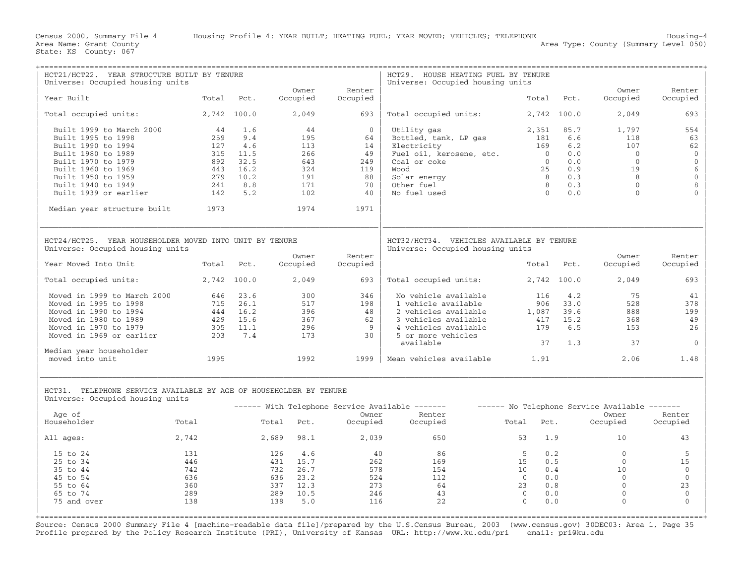| HCT21/HCT22. YEAR STRUCTURE BUILT BY TENURE                                                            |             |          |            |          | HCT29. HOUSE HEATING FUEL BY TENURE                                           |                |             |                                               |              |
|--------------------------------------------------------------------------------------------------------|-------------|----------|------------|----------|-------------------------------------------------------------------------------|----------------|-------------|-----------------------------------------------|--------------|
| Universe: Occupied housing units                                                                       |             |          | Owner      | Renter   | Universe: Occupied housing units                                              |                |             | Owner                                         | Renter       |
| Year Built                                                                                             | Total       | Pct.     | Occupied   | Occupied |                                                                               | Total          | Pct.        | Occupied                                      | Occupied     |
| Total occupied units:                                                                                  | 2,742 100.0 |          | 2,049      | 693      | Total occupied units:                                                         |                | 2,742 100.0 | 2,049                                         | 693          |
| Built 1999 to March 2000                                                                               | 44          | 1.6      | 44         | $\Omega$ | Utility gas                                                                   | 2,351          | 85.7        | 1,797                                         | 554          |
| Built 1995 to 1998                                                                                     | 259         | 9.4      | 195        | 64       | Bottled, tank, LP gas                                                         | 181            | 6.6         | 118                                           | 63           |
| Built 1990 to 1994                                                                                     | 127         | 4.6      | 113        | 14       | Electricity                                                                   | 169            | 6.2         | 107                                           | 62           |
| Built 1980 to 1989                                                                                     | 315         | 11.5     | 266        | 49       | Fuel oil, kerosene, etc.                                                      | $\overline{0}$ | 0.0         | $\bigcirc$                                    | $\mathbb O$  |
| Built 1970 to 1979                                                                                     | 892         | 32.5     | 643        | 249      | Coal or coke                                                                  | $\overline{0}$ | 0.0         | $\overline{0}$                                | $\mathbb O$  |
| Built 1960 to 1969                                                                                     | 443         | 16.2     | 324        | 119      | booM                                                                          | 25             | 0.9         | 19                                            | $\epsilon$   |
| Built 1950 to 1959                                                                                     | 279         | 10.2     | 191        | 88       | Solar energy                                                                  | 8 <sup>2</sup> | 0.3         | - 8                                           | $\mathbb O$  |
| Built 1940 to 1949                                                                                     | 241         | 8.8      | 171        | 70       | Other fuel                                                                    | $\overline{8}$ | 0.3         | $\bigcirc$                                    | 8            |
| Built 1939 or earlier                                                                                  | 142         | 5.2      | 102        | 40       | No fuel used                                                                  | $\bigcirc$     | 0.0         | $\Omega$                                      |              |
| Median year structure built                                                                            | 1973        |          | 1974       | 1971     |                                                                               |                |             |                                               |              |
| HCT24/HCT25. YEAR HOUSEHOLDER MOVED INTO UNIT BY TENURE<br>Universe: Occupied housing units            |             |          |            |          | HCT32/HCT34. VEHICLES AVAILABLE BY TENURE<br>Universe: Occupied housing units |                |             |                                               |              |
|                                                                                                        |             |          | Owner      | Renter   |                                                                               |                |             | Owner                                         | Renter       |
| Year Moved Into Unit                                                                                   | Total       | Pct.     | Occupied   | Occupied |                                                                               |                | Total Pct.  | Occupied                                      | Occupied     |
| Total occupied units:                                                                                  | 2,742 100.0 |          | 2,049      | 693      | Total occupied units:                                                         |                | 2,742 100.0 | 2,049                                         | 693          |
| Moved in 1999 to March 2000                                                                            | 646         | 23.6     | 300        | 346      | No vehicle available                                                          | 116            | 4.2         | 75                                            | 41           |
| Moved in 1995 to 1998                                                                                  | 715         | 26.1     | 517        | 198      | 1 vehicle available                                                           | 906            | 33.0        | 528                                           | 378          |
| Moved in 1990 to 1994                                                                                  |             | 444 16.2 | 396        | 48       | 2 vehicles available                                                          | 1,087          | 39.6        | 888                                           | 199          |
| Moved in 1980 to 1989                                                                                  | 429         | 15.6     | 367        | 62       | 3 vehicles available                                                          | 417            | 15.2        | 368                                           | 49           |
| Moved in 1970 to 1979                                                                                  | 305         | 11.1     | 296        | 9        | 4 vehicles available                                                          | 179            | 6.5         | 153                                           | 26           |
| Moved in 1969 or earlier                                                                               | 203         | 7.4      | 173        | 30       | 5 or more vehicles                                                            |                |             |                                               |              |
| Median year householder                                                                                |             |          |            |          | available                                                                     | 37             | 1.3         | 37                                            | $\mathbf{0}$ |
| moved into unit                                                                                        | 1995        |          | 1992       | 1999     | Mean vehicles available 1.91                                                  |                |             | 2.06                                          | 1.48         |
| HCT31. TELEPHONE SERVICE AVAILABLE BY AGE OF HOUSEHOLDER BY TENURE<br>Universe: Occupied housing units |             |          |            |          |                                                                               |                |             |                                               |              |
|                                                                                                        |             |          |            |          | ------ With Telephone Service Available -------                               |                |             | ------ No Telephone Service Available ------- |              |
| Age of<br>Householder                                                                                  | Total       |          |            | Owner    | Renter                                                                        |                | Pct.        | Owner                                         | Renter       |
|                                                                                                        |             |          | Total Pct. | Occupied | Occupied                                                                      | Total          |             | Occupied                                      | Occupied     |
| All ages:                                                                                              | 2,742       |          | 2,689 98.1 | 2,039    | 650                                                                           | 53             | 1.9         | 10                                            | 43           |
| 15 to 24                                                                                               | 131         | 126      | 4.6        | 40       | 86                                                                            | - 5            | 0.2         | $\Omega$                                      | 5            |
| 25 to 34                                                                                               | 446         | 431      | 15.7       | 262      | 169                                                                           | 15             | 0.5         | $\Omega$                                      | 15           |
| 35 to 44                                                                                               | 742         |          | 732 26.7   | 578      | 154                                                                           | 10             | 0.4         | 10                                            | $\mathbf{0}$ |
| 45 to 54                                                                                               | 636         |          | 636 23.2   | 524      | 112                                                                           | $\Omega$       | 0.0         | $\overline{0}$                                | $\mathbf{0}$ |
| 55 to 64                                                                                               | 360         | 337      | 12.3       | 273      | 64                                                                            | 23             | 0.8         | $\mathbf{0}$                                  | 23           |
| 65 to 74                                                                                               | 289         | 289      | 10.5       | 246      | 43                                                                            | $\mathbf{0}$   | 0.0         | $\mathbb O$                                   | $\mathbf{0}$ |
| 75 and over                                                                                            | 138         | 138      | 5.0        | 116      | 22                                                                            | $\Omega$       | 0.0         | $\Omega$                                      | $\Omega$     |
|                                                                                                        |             |          |            |          |                                                                               |                |             |                                               |              |

Source: Census 2000 Summary File 4 [machine−readable data file]/prepared by the U.S.Census Bureau, 2003 (www.census.gov) 30DEC03: Area 1, Page 35 Profile prepared by the Policy Research Institute (PRI), University of Kansas URL: http://www.ku.edu/pri email: pri@ku.edu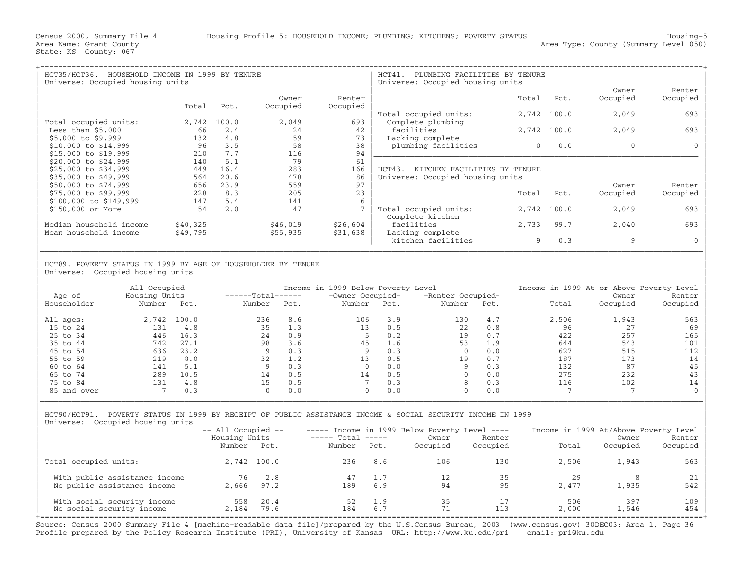| HOUSEHOLD INCOME IN 1999 BY TENURE<br>HCT35/HCT36.<br>Universe: Occupied housing units |             |      |          |          | HCT41.<br>PLUMBING FACILITIES BY TENURE<br>Universe: Occupied housing units |          |             |          |          |
|----------------------------------------------------------------------------------------|-------------|------|----------|----------|-----------------------------------------------------------------------------|----------|-------------|----------|----------|
|                                                                                        |             |      |          |          |                                                                             |          |             | Owner    | Renter   |
|                                                                                        |             |      | Owner    | Renter   |                                                                             | Total    | Pct.        | Occupied | Occupied |
|                                                                                        | Total       | Pct. | Occupied | Occupied |                                                                             |          |             |          |          |
|                                                                                        |             |      |          |          | Total occupied units:                                                       |          | 2,742 100.0 | 2,049    | 693      |
| Total occupied units:                                                                  | 2,742 100.0 |      | 2,049    | 693      | Complete plumbing                                                           |          |             |          |          |
| Less than $$5,000$                                                                     | 66          | 2.4  | 24       | 42       | facilities                                                                  |          | 2,742 100.0 | 2,049    | 693      |
| \$5,000 to \$9,999                                                                     | 132         | 4.8  | 59       | 73       | Lacking complete                                                            |          |             |          |          |
| \$10,000 to \$14,999                                                                   | 96          | 3.5  | 58       | 38       | plumbing facilities                                                         | $\Omega$ | 0.0         | $\Omega$ |          |
| \$15,000 to \$19,999                                                                   | 210         | 7.7  | 116      | 94       |                                                                             |          |             |          |          |
| \$20,000 to \$24,999                                                                   | 140         | 5.1  | 79       | 61       |                                                                             |          |             |          |          |
| \$25,000 to \$34,999                                                                   | 449         | 16.4 | 283      | 166      | HCT43.<br>KITCHEN FACILITIES BY TENURE                                      |          |             |          |          |
| \$35,000 to \$49,999                                                                   | 564         | 20.6 | 478      | 86       | Universe: Occupied housing units                                            |          |             |          |          |
| \$50,000 to \$74,999                                                                   | 656         | 23.9 | 559      | 97       |                                                                             |          |             | Owner    | Renter   |
| \$75,000 to \$99,999                                                                   | 228         | 8.3  | 205      | 23       |                                                                             | Total    | Pct.        | Occupied | Occupied |
| \$100,000 to \$149,999                                                                 | 147         | 5.4  | 141      | 6        |                                                                             |          |             |          |          |
| \$150,000 or More                                                                      | 54          | 2.0  | 47       |          | Total occupied units:<br>Complete kitchen                                   |          | 2,742 100.0 | 2,049    | 693      |
| Median household income                                                                | \$40,325    |      | \$46,019 | \$26,604 | facilities                                                                  | 2,733    | 99.7        | 2,040    | 693      |
| Mean household income                                                                  | \$49,795    |      | \$55,935 | \$31,638 | Lacking complete                                                            |          |             |          |          |
|                                                                                        |             |      |          |          | kitchen facilities                                                          | 9        | 0.3         | 9        |          |
|                                                                                        |             |      |          |          |                                                                             |          |             |          |          |

| | HCT89. POVERTY STATUS IN 1999 BY AGE OF HOUSEHOLDER BY TENURE Universe: Occupied housing units

| Age of      | $--$ All Occupied $--$<br>Housing Units |       | $----Total----$ |      | Income in 1999 Below Poverty Level<br>-Owner Occupied- |      | ______________<br>-Renter Occupied- |      | Income in 1999 At or Above Poverty Level | Owner    | Renter   |
|-------------|-----------------------------------------|-------|-----------------|------|--------------------------------------------------------|------|-------------------------------------|------|------------------------------------------|----------|----------|
| Householder | Number                                  | Pct.  | Number          | Pct. | Number                                                 | Pct. | Number                              | Pct. | Total                                    | Occupied | Occupied |
| All ages:   | 2,742                                   | 100.0 | 236             | 8.6  | 106                                                    | 3.9  | 130                                 | 4.7  | 2,506                                    | 1,943    | 563      |
| 15 to 24    | 131                                     | 4.8   | 35              | 1.3  | 13                                                     | 0.5  | 22                                  | 0.8  | 96                                       | 27       | 69       |
| 25 to 34    | 446                                     | 16.3  | 24              | 0.9  |                                                        | 0.2  | 19                                  | 0.7  | 422                                      | 257      | 165      |
| 35 to 44    | 742                                     | 27.1  | 98              | 3.6  | 45                                                     | 1.6  | 53                                  | 1.9  | 644                                      | 543      | 101      |
| 45 to 54    | 636                                     | 23.2  |                 | 0.3  |                                                        | 0.3  |                                     | 0.0  | 627                                      | 515      | 112      |
| 55 to 59    | 219                                     | 8.0   | 32              | 1.2  | 13                                                     | 0.5  | 19                                  | 0.7  | 187                                      | 173      | 14       |
| 60 to 64    | 141                                     | 5.1   |                 | 0.3  |                                                        | 0.0  |                                     | 0.3  | 132                                      | 87       | 45       |
| 65 to 74    | 289                                     | 10.5  | 14              | 0.5  | 14                                                     | 0.5  |                                     | 0.0  | 275                                      | 232      | 43       |
| 75 to 84    | 131                                     | 4.8   | 15              | 0.5  |                                                        | 0.3  | 8                                   | 0.3  | 116                                      | 102      | 14       |
| 85 and over |                                         | 0.3   |                 | 0.0  | $\Omega$                                               | 0.0  | $\Omega$                            | 0.0  |                                          |          |          |

| HCT90/HCT91. POVERTY STATUS IN 1999 BY RECEIPT OF PUBLIC ASSISTANCE INCOME & SOCIAL SECURITY INCOME IN 1999 | Universe: Occupied housing units

|                                                          | $--$ All Occupied $--$  |              |                             |            | ----- Income in 1999 Below Poverty Level ---- |                    | Income in 1999 At/Above Poverty Level |                   |                    |
|----------------------------------------------------------|-------------------------|--------------|-----------------------------|------------|-----------------------------------------------|--------------------|---------------------------------------|-------------------|--------------------|
|                                                          | Housing Units<br>Number | Pct.         | $---$ Total $---$<br>Number | Pct.       | Owner<br>Occupied                             | Renter<br>Occupied | Total                                 | Owner<br>Occupied | Renter<br>Occupied |
| Total occupied units:                                    |                         | 2,742 100.0  | 236                         | 8.6        | 106                                           | 130                | 2,506                                 | 1,943             | 563                |
| With public assistance income                            | 76                      | 2.8          | 47                          | 1.7        |                                               | 35                 | 29                                    |                   | 21 <sup>1</sup>    |
| No public assistance income                              | 2,666                   | 97.2         | 189                         | 6.9        | 94                                            | 95                 | 2,477                                 | 1,935             | 542                |
| With social security income<br>No social security income | 558<br>2,184            | 20.4<br>79.6 | 52<br>184                   | 1.9<br>6.7 | 35                                            | 113                | 506<br>2,000                          | 397<br>1,546      | $109$  <br>454     |

| |

Source: Census 2000 Summary File 4 [machine−readable data file]/prepared by the U.S.Census Bureau, 2003 (www.census.gov) 30DEC03: Area 1, Page 36 Profile prepared by the Policy Research Institute (PRI), University of Kansas URL: http://www.ku.edu/pri email: pri@ku.edu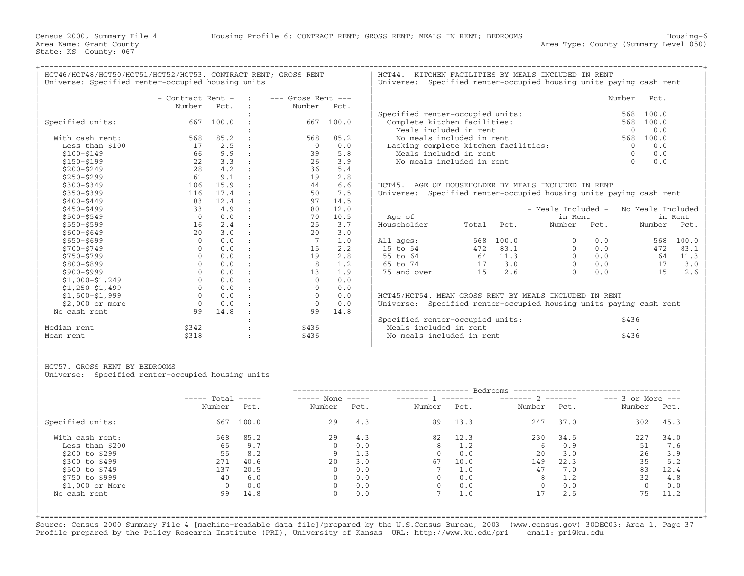+===================================================================================================================================================+

HCT46/HCT48/HCT50/HCT51/HCT52/HCT53. CONTRACT RENT; GROSS RENT | HCT44. KITCHEN FACILITIES BY MEALS INCLUDED IN RENT<br>| Universe: Specified renter-occupied housing units | Universe: Specified renter-occupied housing units p

|                  | - Contract Rent - |       | $---$ Gross Rent $---$ |       |             |                                                                    |       |                    |      | Number<br>Pct.    |         |
|------------------|-------------------|-------|------------------------|-------|-------------|--------------------------------------------------------------------|-------|--------------------|------|-------------------|---------|
|                  | Number            | Pct.  | Number                 | Pct.  |             |                                                                    |       |                    |      |                   |         |
|                  |                   |       |                        |       |             | Specified renter-occupied units:                                   |       |                    |      | 100.0<br>568      |         |
| Specified units: | 667               | 100.0 | 667                    | 100.0 |             | Complete kitchen facilities:                                       |       |                    |      | 100.0<br>568      |         |
|                  |                   |       |                        |       |             | Meals included in rent                                             |       |                    |      | 0.0<br>$\Omega$   |         |
| With cash rent:  | 568               | 85.2  | 568                    | 85.2  |             | No meals included in rent                                          |       |                    |      | 100.0<br>568      |         |
| Less than \$100  | 17                | 2.5   | $\Omega$               | 0.0   |             | Lacking complete kitchen facilities:                               |       |                    |      | 0.0<br>$\Omega$   |         |
| $$100 - $149$    | 66                | 9.9   | 39                     | 5.8   |             | Meals included in rent                                             |       |                    |      | 0.0               |         |
| $$150 - $199$    | 22                | 3.3   | 26                     | 3.9   |             | No meals included in rent                                          |       |                    |      | 0.0<br>$\Omega$   |         |
| $$200 - $249$    | 28                | 4.2   | 36                     | 5.4   |             |                                                                    |       |                    |      |                   |         |
| $$250 - $299$    | 61                | 9.1   | 19                     | 2.8   |             |                                                                    |       |                    |      |                   |         |
| $$300 - $349$    | 106               | 15.9  | 44                     | 6.6   |             | HCT45. AGE OF HOUSEHOLDER BY MEALS INCLUDED IN RENT                |       |                    |      |                   |         |
| $$350 - $399$    | 116               | 17.4  | 50                     | 7.5   |             | Universe: Specified renter-occupied housing units paying cash rent |       |                    |      |                   |         |
| $$400 - $449$    | 83                | 12.4  | 97                     | 14.5  |             |                                                                    |       |                    |      |                   |         |
| $$450 - $499$    | 33                | 4.9   | 80                     | 12.0  |             |                                                                    |       | - Meals Included - |      | No Meals Included |         |
| $$500 - $549$    | $\Omega$          | 0.0   | 70                     | 10.5  | Age of      |                                                                    |       | in Rent            |      |                   | in Rent |
| \$550-\$599      | 16                | 2.4   | 25                     | 3.7   | Householder | Total                                                              | Pct.  | Number             | Pct. | Number            | Pct.    |
| $$600 - $649$    | 2.0               | 3.0   | 2.0                    | 3.0   |             |                                                                    |       |                    |      |                   |         |
| $$650 - $699$    | $\mathbf 0$       | 0.0   |                        | 1.0   | All ages:   | 568                                                                | 100.0 |                    | 0.0  | 568               | 100.0   |
| \$700-\$749      | $\Omega$          | 0.0   | 15                     | 2.2   | 15 to 54    | 472                                                                | 83.1  | $\cap$             | 0.0  | 472               | 83.1    |
| \$750-\$799      |                   | 0.0   | 19                     | 2.8   | 55 to 64    | 64                                                                 | 11.3  |                    | 0.0  | 64                | 11.3    |
| \$800-\$899      | $\Omega$          | 0.0   | 8                      | 1.2   | 65 to 74    | 17                                                                 | 3.0   | $\Omega$           | 0.0  | 17                | 3.0     |
| \$900-\$999      | $\Omega$          | 0.0   | 13                     | 1.9   | 75 and over | 15                                                                 | 2.6   | $\cap$             | 0.0  | 15                | 2.6     |
| $$1,000-S1,249$  |                   | 0.0   | $\Omega$               | 0.0   |             |                                                                    |       |                    |      |                   |         |
| $$1,250-51,499$  | $\Omega$          | 0.0   | $\Omega$               | 0.0   |             |                                                                    |       |                    |      |                   |         |
| $$1,500-S1,999$  |                   | 0.0   |                        | 0.0   |             | HCT45/HCT54. MEAN GROSS RENT BY MEALS INCLUDED IN RENT             |       |                    |      |                   |         |
| $$2.000$ or more | $\Omega$          | 0.0   | $\Omega$               | 0.0   |             | Universe: Specified renter-occupied housing units paying cash rent |       |                    |      |                   |         |
| No cash rent     | 99                | 14.8  | 99                     | 14.8  |             |                                                                    |       |                    |      |                   |         |
|                  |                   |       |                        |       |             | Specified renter-occupied units:                                   |       |                    |      | \$436             |         |
| Median rent      | \$342             |       | \$436                  |       |             | Meals included in rent                                             |       |                    |      |                   |         |
| Mean rent        | \$318             |       | \$436                  |       |             | No meals included in rent                                          |       |                    |      | \$436             |         |

| UNIVERSITY PROCESSOR SUNCE OCCUPION NOWDER WHICH |                   |                                                 |                          |                        |                    | villevelor. Specification college occupied housing dilles paying capit fence |        |           |
|--------------------------------------------------|-------------------|-------------------------------------------------|--------------------------|------------------------|--------------------|------------------------------------------------------------------------------|--------|-----------|
|                                                  | - Contract Rent - |                                                 | <b>Contract Contract</b> | $---$ Gross Rent $---$ |                    |                                                                              | Number | Pct.      |
|                                                  | Number            | Pct.                                            |                          | Number Pct.            |                    |                                                                              |        |           |
|                                                  |                   |                                                 |                          |                        |                    | Specified renter-occupied units:                                             |        | 568 100.0 |
| Specified units:                                 |                   | 667 100.0                                       |                          | 667                    | 100.0              | Complete kitchen facilities:                                                 | 568    | 100.0     |
|                                                  |                   |                                                 |                          |                        |                    | Meals included in rent                                                       |        | 0.0       |
| With cash rent:                                  | 568               | 85.2                                            |                          | 568                    | 85.2               | No meals included in rent                                                    | 568    | 100.0     |
| Less than \$100                                  |                   | 2.5                                             | $\sim$ 1.                |                        | 0.0                | Lacking complete kitchen facilities:                                         |        | 0.0       |
| \$100-\$149                                      | 66                | 9.9                                             | $\sim$ $\sim$            | 39.                    | 5.8                | Meals included in rent                                                       |        | 0.0       |
| \$150-\$199                                      |                   | 3.3                                             |                          | 26                     | 3.9                | No meals included in rent                                                    |        | 0.0       |
| $A \cap \cap \cap A$                             |                   | $\circ$ $\circ$ $\circ$ $\circ$ $\circ$ $\circ$ |                          | $\sim$                 | $\Gamma$ $\Lambda$ |                                                                              |        |           |

EHOLDER BY MEALS INCLUDED IN RENT renter-occupied housing units paying cash rent

| Age of      |       |       | - Meals Included -<br>in Rent |      | No Meals Included | in Rent |
|-------------|-------|-------|-------------------------------|------|-------------------|---------|
| Householder | Total | Pct.  | Number                        | Pct. | Number            | Pct.    |
| All ages:   | 568   | 100.0 | 0                             | 0.0  | 568               | 100.0   |
| 15 to 54    | 472   | 83.1  | 0                             | 0.0  | 472               | 83.1    |
| 55 to 64    | 64    | 11.3  | 0                             | 0.0  | 64                | 11.3    |
| 65 to 74    | 17    | 3.0   | 0                             | 0.0  | 17                | 3.0     |
| 75 and over | 15    | 2.6   | U                             | 0.0  | 15                | 2.6     |
|             |       |       |                               |      |                   |         |

|             |       |       | Specified renter-occupied units: | \$436 |
|-------------|-------|-------|----------------------------------|-------|
| Median rent | \$342 | \$436 | Meals included in rent           |       |
| Mean rent   | \$318 | \$436 | No meals included in rent        | \$436 |
|             |       |       |                                  |       |

HCT57. GROSS RENT BY BEDROOMS

Universe: Specified renter-occupied housing units

|                  | $---$ Total |       | $---$ None<br>$\qquad \qquad - - - - -$ |      | _______ 1 ______ |      | $------ 2$   |      | $---$ 3 or More $---$ |      |
|------------------|-------------|-------|-----------------------------------------|------|------------------|------|--------------|------|-----------------------|------|
|                  | Number      | Pct.  | Number                                  | Pct. | Number           | Pct. | Number       | Pct. | Number                | Pct. |
| Specified units: | 667         | 100.0 | 29                                      | 4.3  | 89               | 13.3 | 247          | 37.0 | 302                   | 45.3 |
| With cash rent:  | 568         | 85.2  | 29                                      | 4.3  | 82               | 12.3 | 230          | 34.5 | 227                   | 34.0 |
| Less than \$200  | 65          | 9.7   | $\Omega$                                | 0.0  | 8                | 1.2  | 6            | 0.9  | 51                    | 7.6  |
| \$200 to \$299   | 55          | 8.2   | 9                                       | 1.3  |                  | 0.0  | 20           | 3.0  | 26                    | 3.9  |
| \$300 to \$499   | 271         | 40.6  | 20                                      | 3.0  | 67               | 10.0 | 149          | 22.3 | 35                    | 5.2  |
| \$500 to \$749   | 137         | 20.5  | $\Omega$                                | 0.0  |                  | 1.0  | 47           | 7.0  | 83                    | 12.4 |
| \$750 to \$999   | 40          | 6.0   | $\Omega$                                | 0.0  |                  | 0.0  | 8            | 1.2  | 32                    | 4.8  |
| $$1,000$ or More |             | 0.0   | $\Omega$                                | 0.0  |                  | 0.0  | $\mathbf{0}$ | 0.0  | $\Omega$              | 0.0  |
| No cash rent     | 99          | 14.8  | $\Omega$                                | 0.0  |                  | 1.0  | 17           | 2.5  | 75                    | 11.2 |

|\_\_\_\_\_\_\_\_\_\_\_\_\_\_\_\_\_\_\_\_\_\_\_\_\_\_\_\_\_\_\_\_\_\_\_\_\_\_\_\_\_\_\_\_\_\_\_\_\_\_\_\_\_\_\_\_\_\_\_\_\_\_\_\_\_\_\_\_\_\_\_\_\_\_\_\_\_\_\_\_\_\_\_\_\_\_\_\_\_\_\_\_\_\_\_\_\_\_\_\_\_\_\_\_\_\_\_\_\_\_\_\_\_\_\_\_\_\_\_\_\_\_\_\_\_\_\_\_\_\_\_\_\_\_\_\_\_\_\_\_\_\_\_\_\_\_\_| | |

+===================================================================================================================================================+Source: Census 2000 Summary File 4 [machine−readable data file]/prepared by the U.S.Census Bureau, 2003 (www.census.gov) 30DEC03: Area 1, Page 37 Profile prepared by the Policy Research Institute (PRI), University of Kansas URL: http://www.ku.edu/pri email: pri@ku.edu

Universe: Specified renter-occupied housing units paying cash rent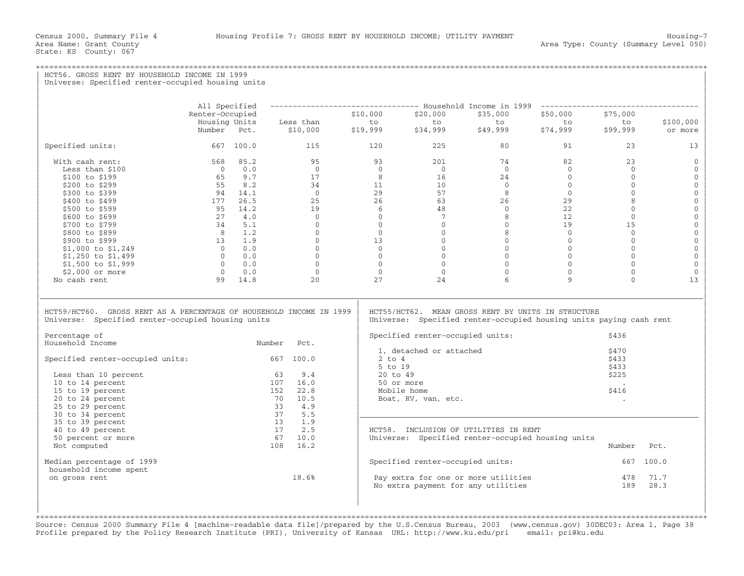State: KS County: 067

+===================================================================================================================================================+

## HCT56. GROSS RENT BY HOUSEHOLD INCOME IN 1999 Universe: Specified renter-occupied housing units | | | | | All Specified −−−−−−−−−−−−−−−−−−−−−−−−−−−−−−−−− Household Income in 1999 −−−−−−−−−−−−−−−−−−−−−−−−−−−−−−−−−−− | | Renter−Occupied \$10,000 \$20,000 \$35,000 \$50,000 \$75,000 | | Housing Units Less than to to to to to \$100,000 | | Number Pct. \$10,000 \$19,999 \$34,999 \$49,999 \$74,999 \$99,999 or more | | | | Specified units: 667 100.0 115 120 225 80 91 23 13 | | | | With cash rent: 568 85.2 95 93 201 74 82 23 0 | | Less than \$100 0 0.0 0 0 0 0 0 0 0 | | \$100 to \$199 65 9.7 17 8 16 24 0 0 0 | | \$200 to \$299 55 8.2 34 11 10 0 0 0 0 | | \$300 to \$399 94 14.1 0 29 57 8 0 0 0 | | \$400 to \$499 177 26.5 25 26 63 26 29 8 0 | | \$500 to \$599 95 14.2 19 6 48 0 22 0 0 | | \$600 to \$699 27 4.0 0 0 7 8 12 0 0 | | \$700 to \$799 34 5.1 0 0 0 0 19 15 0 | | \$800 to \$899 8 1.2 0 0 0 8 0 0 0 | | \$900 to \$999 13 1.9 0 13 0 0 0 0 0 | | \$1,000 to \$1,249 0 0.0 0 0 0 0 0 0 0 | | \$1,250 to \$1,499 0 0.0 0 0 0 0 0 0 0 | | \$1,500 to \$1,999 0 0.0 0 0 0 0 0 0 0 | | \$2,000 or more 0 0.0 0 0 0 0 0 0 0 | | No cash rent 99 14.8 20 27 24 6 9 0 13 | | | |\_\_\_\_\_\_\_\_\_\_\_\_\_\_\_\_\_\_\_\_\_\_\_\_\_\_\_\_\_\_\_\_\_\_\_\_\_\_\_\_\_\_\_\_\_\_\_\_\_\_\_\_\_\_\_\_\_\_\_\_\_\_\_\_\_\_\_\_\_\_\_\_\_\_\_\_\_\_\_\_\_\_\_\_\_\_\_\_\_\_\_\_\_\_\_\_\_\_\_\_\_\_\_\_\_\_\_\_\_\_\_\_\_\_\_\_\_\_\_\_\_\_\_\_\_\_\_\_\_\_\_\_\_\_\_\_\_\_\_\_\_\_\_\_\_\_\_| | | | HCT59/HCT60. GROSS RENT AS A PERCENTAGE OF HOUSEHOLD INCOME IN 1999 | HCT55/HCT62. MEAN GROSS RENT BY UNITS IN STRUCTURE<br>Universe: Specified renter-occupied housing units | Universe: Specified renter-occupied housing units Universe: Specified renter-occupied housing units paying cash rent | | | | Percentage of | Specified renter−occupied units: \$436 | Number Pct. | Specified fencer occupied units.<br>1. detached or attached \$470 | | 1, detached or attached \$470 | | Specified renter−occupied units: 667 100.0 | 2 to 4 \$433 |  $\vert$  5 to 19  $\vert$  5 to 19  $\vert$  5 to 19  $\vert$  5 to 19  $\vert$  5 to 19  $\vert$  5 to 19  $\vert$  5 to 19  $\vert$  5 to 19  $\vert$  5 to 19  $\vert$  5 to 19  $\vert$  5 to 19  $\vert$  5 to 19  $\vert$  5 to 19  $\vert$  5 to 19  $\vert$  5 to 19  $\vert$  5 to 19  $\vert$  5 to 19 | Less than 10 percent 63 9.4 | 20 to 49 \$225 | |  $10$  to 14 percent  $107$   $16.0$  | 50 or more .  $\qquad \qquad$ | 15 to 19 percent 152 22.8 | Mobile home \$416 | | 20 to 24 percent 70 10.5 | Boat, RV, van, etc. . | | 25 to 29 percent 33 4.9 | | | 30 to 34 percent 37 5.5 |\_\_\_\_\_\_\_\_\_\_\_\_\_\_\_\_\_\_\_\_\_\_\_\_\_\_\_\_\_\_\_\_\_\_\_\_\_\_\_\_\_\_\_\_\_\_\_\_\_\_\_\_\_\_\_\_\_\_\_\_\_\_\_\_\_\_\_\_\_\_\_\_\_\_\_ | | 35 to 39 percent 13 1.9 | | | 40 to 49 percent 17 2.5 | HCT58. INCLUSION OF UTILITIES IN RENT | | 50 percent or more 67 10.0 | Universe: Specified renter−occupied housing units | | Not computed 108 16.2 | Number Pct. | | | | | Median percentage of 1999 | Specified renter−occupied units: 667 100.0 | household income spent<br>on gross rent  $18.6%$  $|$  on gross rent  $18.6\%$   $|$  Pay extra for one or more utilities  $478$   $71.7$   $|$  $\vert$  No extra payment for any utilities  $\vert$  189  $\vert$  28.3  $\vert$ | | | | | |

+===================================================================================================================================================+Source: Census 2000 Summary File 4 [machine−readable data file]/prepared by the U.S.Census Bureau, 2003 (www.census.gov) 30DEC03: Area 1, Page 38 Profile prepared by the Policy Research Institute (PRI), University of Kansas URL: http://www.ku.edu/pri email: pri@ku.edu

| |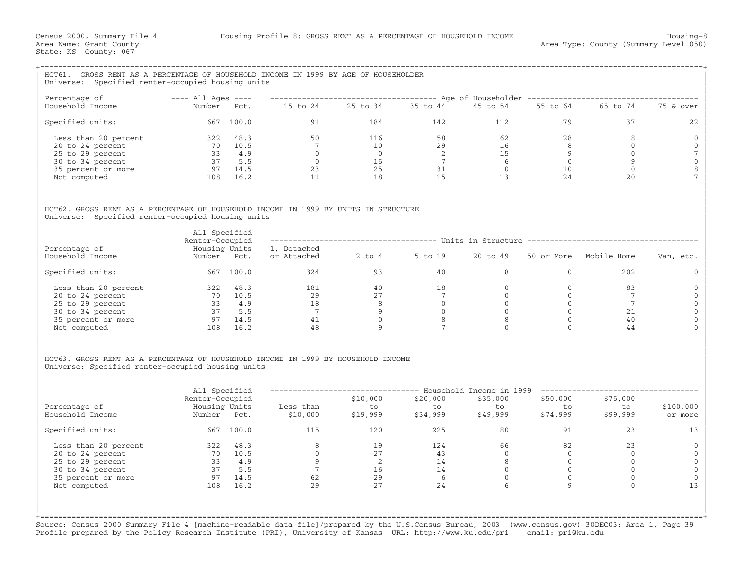| HCT61. GROSS RENT AS A PERCENTAGE OF HOUSEHOLD INCOME IN 1999 BY AGE OF HOUSEHOLDER<br>Universe: Specified renter-occupied housing units |                                  |                                                       |                                                                 |                                                          |                                                        |                                             |                |                                                                                                                                                                                                                                                                                                                                                                                                                                                                      |                 |
|------------------------------------------------------------------------------------------------------------------------------------------|----------------------------------|-------------------------------------------------------|-----------------------------------------------------------------|----------------------------------------------------------|--------------------------------------------------------|---------------------------------------------|----------------|----------------------------------------------------------------------------------------------------------------------------------------------------------------------------------------------------------------------------------------------------------------------------------------------------------------------------------------------------------------------------------------------------------------------------------------------------------------------|-----------------|
| Percentage of                                                                                                                            | $---$ All Ages $---$             |                                                       |                                                                 |                                                          |                                                        |                                             |                | ----------------------------------- Age of Householder ------------------------------                                                                                                                                                                                                                                                                                                                                                                                |                 |
| Household Income                                                                                                                         |                                  |                                                       | Number Pct. 15 to 24 25 to 34 35 to 44 45 to 54                 |                                                          |                                                        |                                             |                | 55 to 64 65 to 74                                                                                                                                                                                                                                                                                                                                                                                                                                                    | 75 & over       |
| Specified units:                                                                                                                         |                                  | 667 100.0                                             |                                                                 | 91 7<br>184                                              | 142                                                    |                                             | 79<br>112      | 37                                                                                                                                                                                                                                                                                                                                                                                                                                                                   | 22              |
| Less than 20 percent                                                                                                                     | 322 48.3                         |                                                       | 50                                                              | 116                                                      | 58                                                     | 62                                          | 28             | 8                                                                                                                                                                                                                                                                                                                                                                                                                                                                    | $\mathbf 0$     |
| 20 to 24 percent                                                                                                                         | $70$ $10.5$<br>33 $4.9$          |                                                       | 7                                                               | 10                                                       | 29                                                     | 16                                          | 8              | $\circ$                                                                                                                                                                                                                                                                                                                                                                                                                                                              | $\mathbf 0$     |
| 25 to 29 percent                                                                                                                         |                                  |                                                       |                                                                 |                                                          |                                                        | 15                                          | 9              | $\overline{0}$                                                                                                                                                                                                                                                                                                                                                                                                                                                       | $7\phantom{.0}$ |
| 30 to 34 percent                                                                                                                         |                                  | 37 5.5                                                |                                                                 | $\begin{array}{c} 0 \\ 15 \end{array}$                   | $\begin{array}{c} 2 \\ 2 \\ 7 \\ 31 \\ 15 \end{array}$ | $\begin{array}{c} 6 \\ 0 \\ 12 \end{array}$ | $\overline{0}$ | 9                                                                                                                                                                                                                                                                                                                                                                                                                                                                    | $\mathbf 0$     |
| 35 percent or more                                                                                                                       |                                  | $97$ 14.5                                             |                                                                 | 25                                                       |                                                        |                                             | 10             | $\circ$                                                                                                                                                                                                                                                                                                                                                                                                                                                              | $\,8\,$         |
| Not computed                                                                                                                             | 108 16.2                         |                                                       | $\begin{array}{c} \n 7 \\  0 \\  0 \\  23 \\  11\n \end{array}$ | 18                                                       |                                                        | 13                                          | 24             | 20                                                                                                                                                                                                                                                                                                                                                                                                                                                                   | 7               |
| HCT62, GROSS RENT AS A PERCENTAGE OF HOUSEHOLD INCOME IN 1999 BY UNITS IN STRUCTURE<br>Universe: Specified renter-occupied housing units |                                  |                                                       |                                                                 |                                                          |                                                        |                                             |                |                                                                                                                                                                                                                                                                                                                                                                                                                                                                      |                 |
|                                                                                                                                          | All Specified<br>Renter-Occupied |                                                       |                                                                 |                                                          |                                                        |                                             |                | ------------------------------------- Units in Structure ---------------------------------                                                                                                                                                                                                                                                                                                                                                                           |                 |
| Percentage of                                                                                                                            | Housing Units                    |                                                       | 1, Detached                                                     |                                                          |                                                        |                                             |                |                                                                                                                                                                                                                                                                                                                                                                                                                                                                      |                 |
| Household Income                                                                                                                         | Number Pct.                      |                                                       | or Attached 2 to 4 5 to 19                                      |                                                          |                                                        | 20 to 49                                    |                | 50 or More Mobile Home                                                                                                                                                                                                                                                                                                                                                                                                                                               | Van, etc.       |
| Specified units:                                                                                                                         | 667 100.0                        |                                                       |                                                                 | 324<br>93                                                | 40                                                     | 8                                           | $\overline{0}$ | 202                                                                                                                                                                                                                                                                                                                                                                                                                                                                  | $\Omega$        |
| Less than 20 percent                                                                                                                     | 322 48.3                         |                                                       | $\begin{array}{c} 181 \\ 29 \\ 18 \\ 7 \end{array}$             | $\frac{40}{27}$                                          | 18                                                     | $\overline{0}$                              | $\overline{0}$ | 83                                                                                                                                                                                                                                                                                                                                                                                                                                                                   | 0               |
| 20 to 24 percent                                                                                                                         |                                  |                                                       |                                                                 |                                                          | $7\overline{ }$                                        | $\overline{0}$                              | $\Omega$       | 7                                                                                                                                                                                                                                                                                                                                                                                                                                                                    | $\mathbf{0}$    |
| 25 to 29 percent                                                                                                                         |                                  | $\begin{bmatrix} 70 & 10.5 \\ 33 & 4.9 \end{bmatrix}$ |                                                                 |                                                          | $\overline{0}$                                         | $0 \qquad \qquad$                           | $\Omega$       | 7                                                                                                                                                                                                                                                                                                                                                                                                                                                                    | $\mathbf{0}$    |
| 30 to 34 percent                                                                                                                         |                                  | 37 5.5                                                | $\overline{7}$                                                  | $\begin{array}{c} 2 \times 1 \\ 8 \\ 9 \\ 0 \end{array}$ | $\overline{0}$                                         | $\overline{0}$                              | $\mathbf{0}$   | 21                                                                                                                                                                                                                                                                                                                                                                                                                                                                   | $\mathbf{0}$    |
| 35 percent or more                                                                                                                       | 97 14.5                          |                                                       | $\begin{array}{c} 41 \\ 48 \end{array}$                         |                                                          | $\begin{array}{c} 8 \\ 7 \end{array}$                  | 8                                           | $\mathbf 0$    | 40                                                                                                                                                                                                                                                                                                                                                                                                                                                                   | $\mathbf{0}$    |
| Not computed                                                                                                                             |                                  | 108 16.2                                              |                                                                 | 9                                                        |                                                        | $\Omega$                                    | $\Omega$       | 44                                                                                                                                                                                                                                                                                                                                                                                                                                                                   | $\Omega$        |
| HCT63. GROSS RENT AS A PERCENTAGE OF HOUSEHOLD INCOME IN 1999 BY HOUSEHOLD INCOME<br>Universe: Specified renter-occupied housing units   |                                  |                                                       |                                                                 |                                                          |                                                        |                                             |                |                                                                                                                                                                                                                                                                                                                                                                                                                                                                      |                 |
|                                                                                                                                          | All Specified                    |                                                       |                                                                 |                                                          |                                                        |                                             |                | -------------------------------- Household Income in 1999 ----------------------                                                                                                                                                                                                                                                                                                                                                                                     |                 |
|                                                                                                                                          | Renter-Occupied                  |                                                       |                                                                 | \$10,000                                                 | \$20,000                                               |                                             |                |                                                                                                                                                                                                                                                                                                                                                                                                                                                                      |                 |
| Percentage of                                                                                                                            | Housing Units                    |                                                       | Less than                                                       |                                                          | <sub>v20</sub> ,000<br>to                              |                                             |                |                                                                                                                                                                                                                                                                                                                                                                                                                                                                      | \$100,000       |
| Household Income                                                                                                                         | Number Pct.                      |                                                       | Less than to to to<br>\$10,000 \$19,999 \$34,999                |                                                          |                                                        |                                             |                | $\begin{matrix} \xi 35,000 && \xi 50,000 && \xi 75,000\  \  \, \text{to} \quad\quad \  \  \text{to} \quad\quad \  \  \text{to}\quad\quad \  \  \text{to}\quad\quad \  \  \text{to}\quad\quad \  \  \text{to}\quad\quad \  \  \text{to}\quad\quad \  \  \text{to}\quad\quad \  \  \text{to}\quad\quad \  \  \text{to}\quad\quad \  \  \text{to}\quad\quad \  \  \text{to}\quad\quad \  \  \text{to}\quad\quad \  \  \text{to}\quad\quad \  \  \text{to}\quad\quad \ $ | or more         |
| Specified units:                                                                                                                         | 667 100.0                        |                                                       | 115                                                             | 120                                                      | 225                                                    | 80                                          | 91             | 23                                                                                                                                                                                                                                                                                                                                                                                                                                                                   | 13              |
| Less than 20 percent                                                                                                                     | 322 48.3                         |                                                       | 8                                                               | 19                                                       | 124                                                    | 66                                          | 82             | 23                                                                                                                                                                                                                                                                                                                                                                                                                                                                   | $\mathbf{0}$    |
| 20 to 24 percent                                                                                                                         |                                  | $70$ $10.5$<br>33 $4.9$                               | $\overline{0}$                                                  | 27                                                       | 43                                                     | $\overline{0}$                              | $\overline{0}$ | $\circ$                                                                                                                                                                                                                                                                                                                                                                                                                                                              | $\mathbf 0$     |
| 25 to 29 percent                                                                                                                         |                                  |                                                       | $\overline{9}$                                                  | $\begin{array}{c} 2 \\ 16 \end{array}$                   | 14                                                     | 8 <sup>8</sup>                              | $\overline{0}$ | $\overline{0}$                                                                                                                                                                                                                                                                                                                                                                                                                                                       | $\mathbf 0$     |
| 30 to 34 percent                                                                                                                         |                                  | 37 5.5                                                | $\overline{7}$<br>$\begin{array}{c} 7 \\ 62 \\ 29 \end{array}$  |                                                          | $\begin{array}{c} 14 \\ 6 \\ 24 \end{array}$           | $\overline{0}$                              | $\overline{0}$ | $\circ$                                                                                                                                                                                                                                                                                                                                                                                                                                                              | $\mathbf{0}$    |
| 35 percent or more                                                                                                                       | $97$ $14.5$<br>108 16.2          |                                                       | 62                                                              | 29                                                       |                                                        | $\overline{0}$                              | $\mathbf{0}$   | $\mathbf{0}$                                                                                                                                                                                                                                                                                                                                                                                                                                                         | $\mathbf{0}$    |
| Not computed                                                                                                                             |                                  |                                                       |                                                                 | 27                                                       |                                                        | 6                                           | $\overline{9}$ | $\Omega$                                                                                                                                                                                                                                                                                                                                                                                                                                                             | 13              |
|                                                                                                                                          |                                  |                                                       |                                                                 |                                                          |                                                        |                                             |                |                                                                                                                                                                                                                                                                                                                                                                                                                                                                      |                 |

Source: Census 2000 Summary File 4 [machine−readable data file]/prepared by the U.S.Census Bureau, 2003 (www.census.gov) 30DEC03: Area 1, Page 39 Profile prepared by the Policy Research Institute (PRI), University of Kansas URL: http://www.ku.edu/pri email: pri@ku.edu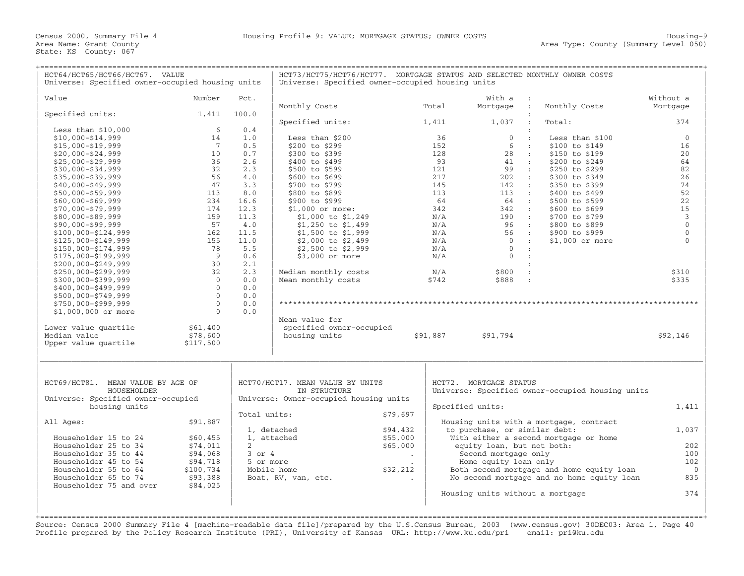| HCT64/HCT65/HCT66/HCT67. VALUE<br>Universe: Specified owner-occupied housing units |                              |                         | HCT73/HCT75/HCT76/HCT77. MORTGAGE STATUS AND SELECTED MONTHLY OWNER COSTS<br>Universe: Specified owner-occupied housing units |                         |                        |                                               |                                                  |                         |
|------------------------------------------------------------------------------------|------------------------------|-------------------------|-------------------------------------------------------------------------------------------------------------------------------|-------------------------|------------------------|-----------------------------------------------|--------------------------------------------------|-------------------------|
| Value                                                                              | Number                       | Pct.                    |                                                                                                                               |                         |                        | With a :                                      |                                                  | Without a               |
|                                                                                    |                              |                         | Monthly Costs                                                                                                                 |                         | Total                  | Mortgage :                                    | Monthly Costs                                    | Mortgage                |
| Specified units:                                                                   | 1,411                        | 100.0                   |                                                                                                                               |                         |                        |                                               |                                                  |                         |
|                                                                                    |                              |                         | Specified units:                                                                                                              |                         | 1,411                  | 1,037                                         | Total:                                           | 374                     |
| Less than $$10,000$                                                                | -6                           | 0.4                     |                                                                                                                               |                         |                        |                                               |                                                  |                         |
| $$10,000 - $14,999$                                                                | 14                           | 1.0                     | Less than \$200                                                                                                               |                         | 36                     | $\overline{0}$<br>$\mathbf{r}$                | Less than \$100                                  | $\overline{0}$          |
| $$15,000 - $19,999$                                                                | $7\phantom{.0}\phantom{.0}7$ | 0.5                     | \$200 to \$299                                                                                                                |                         | 152                    | 6<br>$\sim 100$                               | \$100 to \$149                                   | 16                      |
| $$20,000 - $24,999$                                                                | 10                           | 0.7                     | \$300 to \$399                                                                                                                |                         | 128                    | 28 :                                          | \$150 to \$199                                   | 20                      |
| $$25,000 - $29,999$                                                                | 36                           | 2.6                     | \$400 to \$499                                                                                                                |                         | 93                     | 41 :                                          | \$200 to \$249                                   | 64                      |
| $$30,000 - $34,999$                                                                | 32<br>56                     | 2.3<br>4.0              | \$500 to \$599                                                                                                                |                         | 121<br>217             | 99 :<br>202 :                                 | \$250 to \$299                                   | 82<br>26                |
| $$35,000 - $39,999$                                                                | 47                           | 3.3                     | \$600 to \$699<br>\$700 to \$799                                                                                              |                         | 145                    | $142$ :                                       | \$300 to \$349<br>\$350 to \$399                 | 74                      |
| $$40,000 - $49,999$<br>$$50,000 - $59,999$                                         | 113                          | 8.0                     | \$800 to \$899                                                                                                                |                         | 113                    | 113 :                                         | \$400 to \$499                                   | 52                      |
| $$60,000 - $69,999$                                                                | 234                          | 16.6                    | \$900 to \$999                                                                                                                |                         | 64                     | 64 :                                          | \$500 to \$599                                   | 22                      |
| $$70,000 - $79,999$                                                                | 174                          | 12.3                    | $$1,000$ or more:                                                                                                             |                         | 342                    | 342 :                                         | \$600 to \$699                                   | 15                      |
| $$80,000 - $89,999$                                                                | 159                          | 11.3                    | \$1,000 to \$1,249                                                                                                            |                         | N/A                    | $190$ :                                       | \$700 to \$799                                   | $\overline{\mathbf{3}}$ |
| $$90,000 - $99,999$                                                                | 57                           | 4.0                     | \$1,250 to \$1,499                                                                                                            |                         | $\rm N/A$              | 96 :                                          | \$800 to \$899                                   | $\mathbf 0$             |
| $$100,000 - $124,999$                                                              | 162                          | 11.5                    | \$1,500 to \$1,999                                                                                                            |                         | N/A                    | 56 :                                          | \$900 to \$999                                   | $\Omega$                |
| \$125,000-\$149,999                                                                | 155                          | 11.0                    | \$2,000 to \$2,499                                                                                                            |                         | N/A                    | $\begin{array}{ccc} & 0 & \cdots \end{array}$ | \$1,000 or more                                  | $\Omega$                |
| \$150,000-\$174,999                                                                | 78                           | 5.5                     | \$2,500 to \$2,999                                                                                                            |                         | N/A                    | $\bigcirc$<br>$\cdot$ :                       |                                                  |                         |
| \$175,000-\$199,999                                                                | 9                            | 0.6                     | \$3,000 or more                                                                                                               |                         | N/A                    | $\overline{0}$<br>$\mathbf{r}$                |                                                  |                         |
| $$200,000 - $249,999$                                                              | 30                           | 2.1                     |                                                                                                                               |                         |                        |                                               |                                                  |                         |
| \$250,000-\$299,999                                                                | 32                           | 2.3                     | Median monthly costs                                                                                                          |                         | N/A                    | \$800<br>$\cdot$                              |                                                  | \$310                   |
| \$300,000-\$399,999                                                                | $\overline{0}$               | 0.0                     | Mean monthly costs                                                                                                            |                         | \$742                  | \$888<br>$\sim$ 1                             |                                                  | \$335                   |
| \$400,000-\$499,999                                                                | $\Omega$                     | 0.0                     |                                                                                                                               |                         |                        |                                               |                                                  |                         |
| \$500,000-\$749,999                                                                | $\mathbf{0}$                 | 0.0                     |                                                                                                                               |                         |                        |                                               |                                                  |                         |
| \$750,000-\$999,999                                                                | $\overline{0}$               | 0.0                     |                                                                                                                               |                         |                        |                                               |                                                  |                         |
| \$1,000,000 or more                                                                | $\Omega$                     | 0.0                     |                                                                                                                               |                         |                        |                                               |                                                  |                         |
|                                                                                    |                              |                         | Mean value for                                                                                                                |                         |                        |                                               |                                                  |                         |
| Lower value quartile                                                               | \$61,400                     |                         | specified owner-occupied                                                                                                      |                         |                        |                                               |                                                  |                         |
| Median value                                                                       | \$78,600                     |                         | housing units                                                                                                                 |                         | \$91,887               | \$91,794                                      |                                                  | \$92,146                |
| Upper value quartile                                                               | \$117,500                    |                         |                                                                                                                               |                         |                        |                                               |                                                  |                         |
| HCT69/HCT81. MEAN VALUE BY AGE OF<br>HOUSEHOLDER                                   |                              |                         | HCT70/HCT17. MEAN VALUE BY UNITS<br>IN STRUCTURE                                                                              |                         | HCT72. MORTGAGE STATUS |                                               |                                                  |                         |
| Universe: Specified owner-occupied                                                 |                              |                         | Universe: Owner-occupied housing units                                                                                        |                         |                        |                                               | Universe: Specified owner-occupied housing units |                         |
| housing units                                                                      |                              |                         |                                                                                                                               |                         |                        | Specified units:                              |                                                  | 1,411                   |
|                                                                                    |                              | Total units:            |                                                                                                                               | \$79,697                |                        |                                               |                                                  |                         |
| All Ages:                                                                          | \$91,887                     |                         |                                                                                                                               |                         |                        |                                               | Housing units with a mortgage, contract          |                         |
|                                                                                    |                              |                         | 1, detached                                                                                                                   | \$94,432                |                        | to purchase, or similar debt:                 |                                                  | 1,037                   |
| Householder 15 to 24                                                               | \$60,455                     |                         | 1, attached                                                                                                                   | \$55,000                |                        |                                               | With either a second mortgage or home            |                         |
| Householder 25 to 34                                                               | \$74,011                     | $\overline{2}$          |                                                                                                                               | \$65,000                |                        | equity loan, but not both:                    |                                                  | 202                     |
| Householder 35 to 44<br>Householder 45 to 54                                       | \$94,068                     | $3$ or $4$<br>5 or more |                                                                                                                               | $\sim 100$ km s $^{-1}$ |                        | Second mortgage only                          |                                                  | 100<br>102              |
| Householder 55 to 64                                                               | \$94,718<br>\$100,734        |                         | Mobile home                                                                                                                   | \$32,212                |                        | Home equity loan only                         | Both second mortgage and home equity loan        | $\overline{0}$          |
| Householder 65 to 74                                                               | \$93,388                     |                         | Boat, RV, van, etc.                                                                                                           | $\Delta$                |                        |                                               | No second mortgage and no home equity loan       | 835                     |
| Householder 75 and over                                                            | \$84,025                     |                         |                                                                                                                               |                         |                        |                                               |                                                  |                         |
|                                                                                    |                              |                         |                                                                                                                               |                         |                        | Housing units without a mortgage              |                                                  | 374                     |
|                                                                                    |                              |                         |                                                                                                                               |                         |                        |                                               |                                                  |                         |
|                                                                                    |                              |                         |                                                                                                                               |                         |                        |                                               |                                                  |                         |
|                                                                                    |                              |                         |                                                                                                                               |                         |                        |                                               |                                                  |                         |

Source: Census 2000 Summary File 4 [machine−readable data file]/prepared by the U.S.Census Bureau, 2003 (www.census.gov) 30DEC03: Area 1, Page 40 Profile prepared by the Policy Research Institute (PRI), University of Kansas URL: http://www.ku.edu/pri email: pri@ku.edu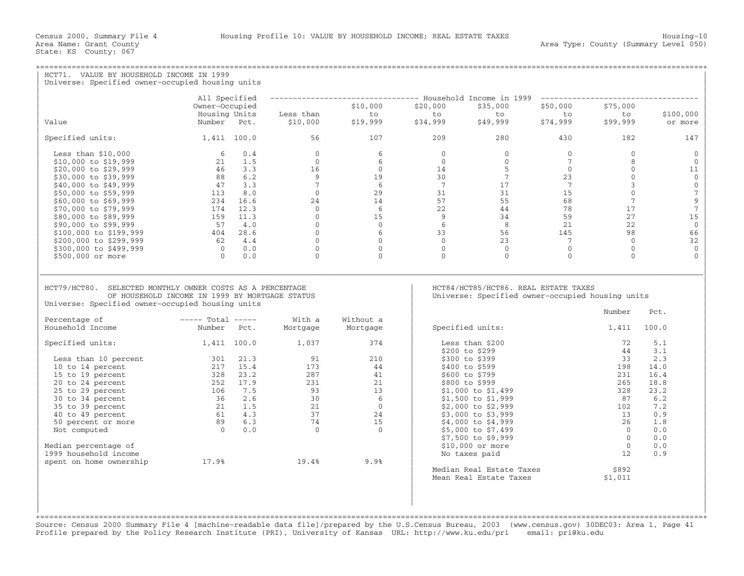| HCT71. VALUE BY HOUSEHOLD INCOME IN 1999<br>Universe: Specified owner-occupied housing units                                                                    |                                                                                                                    |                             |                                                                                    |                         |                                                                                          |                         |                         |                          |  |  |
|-----------------------------------------------------------------------------------------------------------------------------------------------------------------|--------------------------------------------------------------------------------------------------------------------|-----------------------------|------------------------------------------------------------------------------------|-------------------------|------------------------------------------------------------------------------------------|-------------------------|-------------------------|--------------------------|--|--|
|                                                                                                                                                                 | All Specified                                                                                                      |                             | -------------------------------- Household Income in 1999 ------------------------ |                         |                                                                                          |                         |                         |                          |  |  |
|                                                                                                                                                                 | Owner-Occupied                                                                                                     |                             | \$10,000                                                                           | \$20,000                | \$35,000                                                                                 | \$50,000                | \$75,000                |                          |  |  |
|                                                                                                                                                                 | Housing Units                                                                                                      | Less than                   | to                                                                                 | to                      | to                                                                                       | to                      | to                      | \$100,000                |  |  |
| Value                                                                                                                                                           | Number Pct.                                                                                                        | \$10,000                    |                                                                                    |                         | \$49,999                                                                                 | \$74,999                | \$99,999                | or more                  |  |  |
| Specified units:                                                                                                                                                | 1,411 100.0                                                                                                        | 56                          | 107                                                                                | 209                     | 280                                                                                      | 430                     | 182                     | 147                      |  |  |
| Less than $$10,000$                                                                                                                                             | 60.4                                                                                                               | $\Omega$                    | 6                                                                                  | $\Omega$                | $\Omega$                                                                                 | $\Omega$                | $\Omega$                | $\Omega$                 |  |  |
| \$10,000 to \$19,999                                                                                                                                            | 21 1.5                                                                                                             | $\Omega$                    | 6                                                                                  | $\Omega$                | $\Omega$                                                                                 | 7                       | 8                       | $\Omega$                 |  |  |
| \$20,000 to \$29,999                                                                                                                                            | 46 3.3                                                                                                             | 16                          | $\Omega$                                                                           | 14                      | 5 <sup>5</sup><br>$\frac{5}{7}$                                                          | $\overline{0}$          | $\circ$                 | 11                       |  |  |
| \$30,000 to \$39,999                                                                                                                                            | 88 6.2                                                                                                             | 9                           | 19                                                                                 | 30                      |                                                                                          | 23                      | $\mathbf 0$             | $\mathbf{0}$             |  |  |
| \$40,000 to \$49,999                                                                                                                                            | 47 3.3                                                                                                             | $7^{\circ}$                 | 6                                                                                  | $\overline{7}$          | 17 <sup>7</sup>                                                                          | $\overline{7}$          | $\overline{3}$          | $\mathbf 0$              |  |  |
| \$50,000 to \$59,999                                                                                                                                            | $113$ 8.0                                                                                                          | $\overline{0}$              | 29                                                                                 | 31                      | 31                                                                                       | 15                      | $\mathbf{0}$            | $7\phantom{.0}$          |  |  |
| \$60,000 to \$69,999                                                                                                                                            | 234 16.6                                                                                                           | 24                          | 14                                                                                 | 57                      | 55                                                                                       | 68                      | $7^{\circ}$             | $\mathsf 9$              |  |  |
| \$70,000 to \$79,999                                                                                                                                            | 174 12.3                                                                                                           | $\Omega$                    | 6                                                                                  | 22                      | 44                                                                                       | 78                      | 17                      | $\overline{7}$           |  |  |
| \$80,000 to \$89,999                                                                                                                                            | 159 11.3                                                                                                           | $\circ$                     | 15                                                                                 | 9                       | 34                                                                                       | 59                      | 27                      | 15                       |  |  |
| \$90,000 to \$99,999                                                                                                                                            | 57 4.0<br>$404$ 28.6                                                                                               | $\overline{0}$              | $\circ$                                                                            | 6                       | 8 <sup>8</sup>                                                                           | 21                      | 22                      | $\mathbb O$              |  |  |
| \$100,000 to \$199,999                                                                                                                                          |                                                                                                                    | $\overline{0}$              | 6                                                                                  | 33                      | 56                                                                                       | 145                     | 98                      | 66                       |  |  |
| \$200,000 to \$299,999                                                                                                                                          | 62 4.4                                                                                                             | $\overline{0}$              | $\Omega$                                                                           | $\Omega$                | 23                                                                                       | $7\phantom{.0}$         | $\overline{0}$          | 32                       |  |  |
| \$300,000 to \$499,999<br>\$500,000 or more                                                                                                                     | $0 \qquad 0.0$<br>$\bigcap$<br>0.0                                                                                 | $\overline{0}$<br>$\Omega$  | $\overline{0}$<br>$\Omega$                                                         | $\mathbf 0$<br>$\Omega$ | $\overline{0}$<br>$\Omega$                                                               | $\mathbf 0$<br>$\Omega$ | $\mathbf 0$<br>$\Omega$ | $\mathbf{0}$<br>$\Omega$ |  |  |
|                                                                                                                                                                 |                                                                                                                    |                             |                                                                                    |                         |                                                                                          |                         |                         |                          |  |  |
| HCT79/HCT80. SELECTED MONTHLY OWNER COSTS AS A PERCENTAGE<br>OF HOUSEHOLD INCOME IN 1999 BY MORTGAGE STATUS<br>Universe: Specified owner-occupied housing units |                                                                                                                    |                             |                                                                                    |                         | HCT84/HCT85/HCT86. REAL ESTATE TAXES<br>Universe: Specified owner-occupied housing units |                         |                         |                          |  |  |
|                                                                                                                                                                 |                                                                                                                    |                             |                                                                                    |                         |                                                                                          |                         | Number                  | Pct.                     |  |  |
| Percentage of                                                                                                                                                   | $---$ Total $---$                                                                                                  | With a                      | Without a                                                                          |                         |                                                                                          |                         |                         |                          |  |  |
| Household Income                                                                                                                                                | Number Pct.                                                                                                        | Mortgage                    | Mortgage                                                                           |                         | Specified units:                                                                         |                         | 1,411                   | 100.0                    |  |  |
| Specified units:                                                                                                                                                | $1,411$ $100.0$                                                                                                    | 1,037                       | 374                                                                                |                         | Less than \$200                                                                          |                         | 72                      | 5.1                      |  |  |
|                                                                                                                                                                 |                                                                                                                    |                             |                                                                                    |                         | \$200 to \$299                                                                           |                         | 44                      | 3.1                      |  |  |
| Less than 10 percent                                                                                                                                            | 301 21.3                                                                                                           | 91                          | 210                                                                                |                         | \$300 to \$399                                                                           |                         | 33                      | 2.3                      |  |  |
| 10 to 14 percent                                                                                                                                                | 2.17 15.4                                                                                                          | 173                         | 44                                                                                 |                         | \$400 to \$599                                                                           |                         | 198                     | 14.0                     |  |  |
| 15 to 19 percent                                                                                                                                                | 328 23.2                                                                                                           | 287                         | 41                                                                                 |                         | \$600 to \$799                                                                           |                         | 231                     | 16.4                     |  |  |
| 20 to 24 percent                                                                                                                                                | 252 17.9                                                                                                           | 231                         | 21                                                                                 |                         | \$800 to \$999                                                                           |                         | 265                     | 18.8                     |  |  |
| 25 to 29 percent                                                                                                                                                | 106 7.5                                                                                                            | 93                          | 13                                                                                 |                         | $$1,000$ to $$1,499$                                                                     |                         | 328                     | 23.2                     |  |  |
| 30 to 34 percent                                                                                                                                                | $\begin{array}{rrrr} & 2.6 & & 2.6 \\ & 21 & 1.5 & & 4.3 \\ & 61 & 4.3 & & 6.3 \\ & & 0 & 0.0 & & 0.0 \end{array}$ | 30<br>$\frac{30}{21}$<br>37 | 6                                                                                  |                         | \$1,500 to \$1,999                                                                       |                         | 87                      | 6.2                      |  |  |
| 35 to 39 percent                                                                                                                                                |                                                                                                                    |                             | $\circ$                                                                            |                         | $$2,000$ to $$2,999$                                                                     |                         | 102                     | 7.2                      |  |  |
| 40 to 49 percent                                                                                                                                                |                                                                                                                    |                             | 24                                                                                 |                         | \$3,000 to \$3,999                                                                       |                         | 13                      | 0.9                      |  |  |
| 50 percent or more                                                                                                                                              | $0 \qquad 0.0$                                                                                                     | 74<br>$\overline{0}$        | 15<br>$\circ$                                                                      |                         | \$4,000 to \$4,999                                                                       |                         | 26<br>$\Omega$          | 1.8<br>0.0               |  |  |
| Not computed                                                                                                                                                    |                                                                                                                    |                             |                                                                                    |                         | \$5,000 to \$7,499                                                                       |                         | $\Omega$                |                          |  |  |
| Median percentage of                                                                                                                                            |                                                                                                                    |                             |                                                                                    |                         | \$7,500 to \$9,999                                                                       |                         | $\overline{0}$          | 0.0<br>0.0               |  |  |
| 1999 household income                                                                                                                                           |                                                                                                                    |                             |                                                                                    |                         | \$10,000 or more<br>No taxes paid                                                        |                         | 12                      | 0.9                      |  |  |
| spent on home ownership                                                                                                                                         | 17.9%                                                                                                              | 19.4%                       | 9.9%                                                                               |                         |                                                                                          |                         |                         |                          |  |  |
|                                                                                                                                                                 |                                                                                                                    |                             |                                                                                    |                         | Median Real Estate Taxes                                                                 |                         | \$892                   |                          |  |  |
|                                                                                                                                                                 |                                                                                                                    |                             |                                                                                    |                         | Mean Real Estate Taxes                                                                   |                         | \$1,011                 |                          |  |  |
|                                                                                                                                                                 |                                                                                                                    |                             |                                                                                    |                         |                                                                                          |                         |                         |                          |  |  |
|                                                                                                                                                                 |                                                                                                                    |                             |                                                                                    |                         |                                                                                          |                         |                         |                          |  |  |
|                                                                                                                                                                 |                                                                                                                    |                             |                                                                                    |                         |                                                                                          |                         |                         |                          |  |  |

+===================================================================================================================================================+Source: Census 2000 Summary File 4 [machine−readable data file]/prepared by the U.S.Census Bureau, 2003 (www.census.gov) 30DEC03: Area 1, Page 41 Profile prepared by the Policy Research Institute (PRI), University of Kansas URL: http://www.ku.edu/pri email: pri@ku.edu

| |